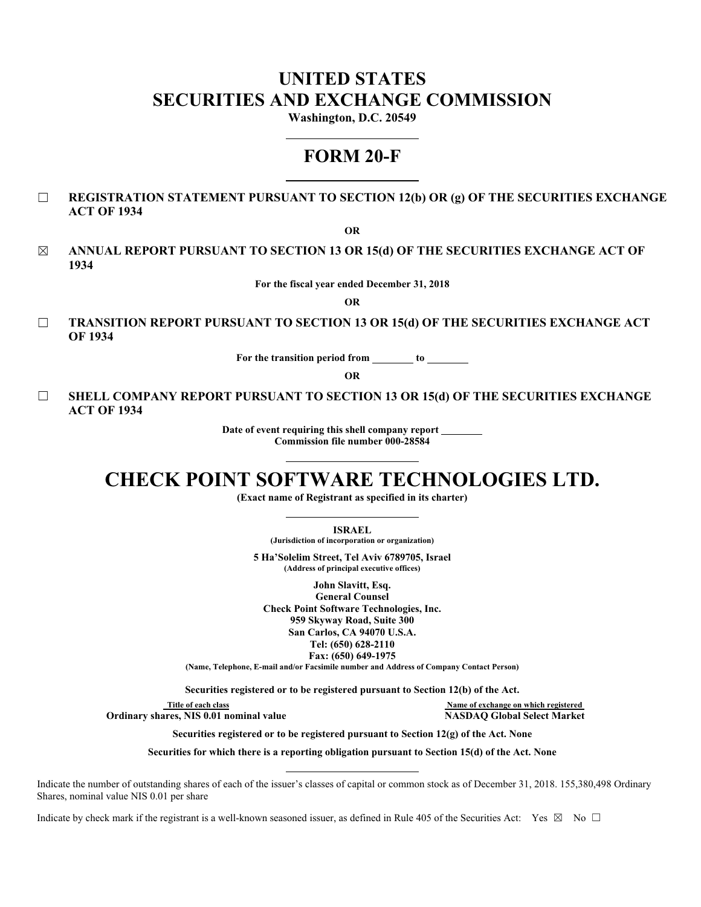# **UNITED STATES SECURITIES AND EXCHANGE COMMISSION**

**Washington, D.C. 20549** 

# **FORM 20-F**

☐ **REGISTRATION STATEMENT PURSUANT TO SECTION 12(b) OR (g) OF THE SECURITIES EXCHANGE ACT OF 1934** 

**OR** 

☒ **ANNUAL REPORT PURSUANT TO SECTION 13 OR 15(d) OF THE SECURITIES EXCHANGE ACT OF 1934** 

**For the fiscal year ended December 31, 2018** 

**OR** 

□ **TRANSITION REPORT PURSUANT TO SECTION 13 OR 15(d) OF THE SECURITIES EXCHANGE ACT OF 1934** 

For the transition period from \_\_\_\_\_\_\_\_ to \_\_\_\_\_\_\_\_

**OR** 

☐ **SHELL COMPANY REPORT PURSUANT TO SECTION 13 OR 15(d) OF THE SECURITIES EXCHANGE ACT OF 1934** 

> **Date of event requiring this shell company report Commission file number 000-28584**

# **CHECK POINT SOFTWARE TECHNOLOGIES LTD.**

**(Exact name of Registrant as specified in its charter)** 

**ISRAEL** 

**(Jurisdiction of incorporation or organization)** 

**5 Ha'Solelim Street, Tel Aviv 6789705, Israel (Address of principal executive offices)** 

**John Slavitt, Esq. General Counsel Check Point Software Technologies, Inc. 959 Skyway Road, Suite 300 San Carlos, CA 94070 U.S.A. Tel: (650) 628-2110 Fax: (650) 649-1975** 

**(Name, Telephone, E-mail and/or Facsimile number and Address of Company Contact Person)** 

**Securities registered or to be registered pursuant to Section 12(b) of the Act.** 

 **Title of each class Name of exchange on which registered Ordinary shares, NIS 0.01 nominal value NASDAQ Global Select Market** 

**Securities registered or to be registered pursuant to Section 12(g) of the Act. None** 

**Securities for which there is a reporting obligation pursuant to Section 15(d) of the Act. None** 

Indicate the number of outstanding shares of each of the issuer's classes of capital or common stock as of December 31, 2018. 155,380,498 Ordinary Shares, nominal value NIS 0.01 per share

Indicate by check mark if the registrant is a well-known seasoned issuer, as defined in Rule 405 of the Securities Act: Yes  $\boxtimes$  No  $\Box$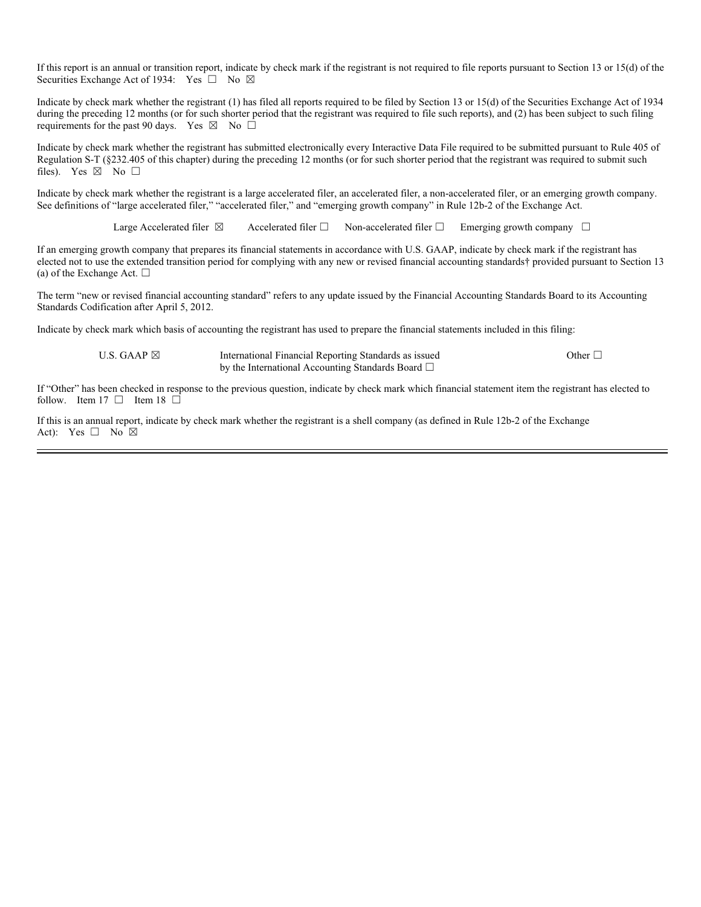If this report is an annual or transition report, indicate by check mark if the registrant is not required to file reports pursuant to Section 13 or 15(d) of the Securities Exchange Act of 1934: Yes □ No ⊠

Indicate by check mark whether the registrant (1) has filed all reports required to be filed by Section 13 or 15(d) of the Securities Exchange Act of 1934 during the preceding 12 months (or for such shorter period that the registrant was required to file such reports), and (2) has been subject to such filing requirements for the past 90 days. Yes  $\boxtimes$  No  $\Box$ 

Indicate by check mark whether the registrant has submitted electronically every Interactive Data File required to be submitted pursuant to Rule 405 of Regulation S-T (§232.405 of this chapter) during the preceding 12 months (or for such shorter period that the registrant was required to submit such files). Yes  $\boxtimes$  No  $\square$ 

Indicate by check mark whether the registrant is a large accelerated filer, an accelerated filer, a non-accelerated filer, or an emerging growth company. See definitions of "large accelerated filer," "accelerated filer," and "emerging growth company" in Rule 12b-2 of the Exchange Act.

Large Accelerated filer  $\boxtimes$  Accelerated filer  $\Box$  Non-accelerated filer  $\Box$  Emerging growth company  $\Box$ 

If an emerging growth company that prepares its financial statements in accordance with U.S. GAAP, indicate by check mark if the registrant has elected not to use the extended transition period for complying with any new or revised financial accounting standards† provided pursuant to Section 13 (a) of the Exchange Act.  $\Box$ 

The term "new or revised financial accounting standard" refers to any update issued by the Financial Accounting Standards Board to its Accounting Standards Codification after April 5, 2012.

Indicate by check mark which basis of accounting the registrant has used to prepare the financial statements included in this filing:

| U.S. GAAP $\boxtimes$ | International Financial Reporting Standards as issued  | Other $\square$ |
|-----------------------|--------------------------------------------------------|-----------------|
|                       | by the International Accounting Standards Board $\Box$ |                 |

If "Other" has been checked in response to the previous question, indicate by check mark which financial statement item the registrant has elected to follow. Item  $17 \Box$  Item  $18 \Box$ 

If this is an annual report, indicate by check mark whether the registrant is a shell company (as defined in Rule 12b-2 of the Exchange Act): Yes  $\Box$  No  $\boxtimes$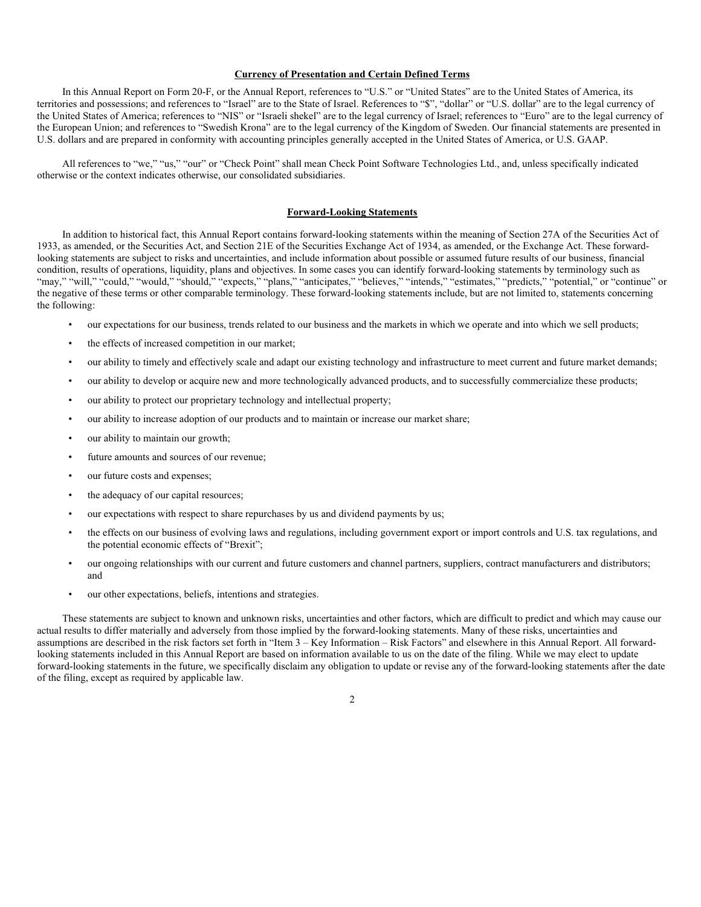#### **Currency of Presentation and Certain Defined Terms**

In this Annual Report on Form 20-F, or the Annual Report, references to "U.S." or "United States" are to the United States of America, its territories and possessions; and references to "Israel" are to the State of Israel. References to "\$", "dollar" or "U.S. dollar" are to the legal currency of the United States of America; references to "NIS" or "Israeli shekel" are to the legal currency of Israel; references to "Euro" are to the legal currency of the European Union; and references to "Swedish Krona" are to the legal currency of the Kingdom of Sweden. Our financial statements are presented in U.S. dollars and are prepared in conformity with accounting principles generally accepted in the United States of America, or U.S. GAAP.

All references to "we," "us," "our" or "Check Point" shall mean Check Point Software Technologies Ltd., and, unless specifically indicated otherwise or the context indicates otherwise, our consolidated subsidiaries.

# **Forward-Looking Statements**

In addition to historical fact, this Annual Report contains forward-looking statements within the meaning of Section 27A of the Securities Act of 1933, as amended, or the Securities Act, and Section 21E of the Securities Exchange Act of 1934, as amended, or the Exchange Act. These forwardlooking statements are subject to risks and uncertainties, and include information about possible or assumed future results of our business, financial condition, results of operations, liquidity, plans and objectives. In some cases you can identify forward-looking statements by terminology such as "may," "will," "could," "would," "should," "expects," "plans," "anticipates," "believes," "intends," "estimates," "predicts," "potential," or "continue" or the negative of these terms or other comparable terminology. These forward-looking statements include, but are not limited to, statements concerning the following:

- our expectations for our business, trends related to our business and the markets in which we operate and into which we sell products;
- the effects of increased competition in our market;
- our ability to timely and effectively scale and adapt our existing technology and infrastructure to meet current and future market demands;
- our ability to develop or acquire new and more technologically advanced products, and to successfully commercialize these products;
- our ability to protect our proprietary technology and intellectual property;
- our ability to increase adoption of our products and to maintain or increase our market share;
- our ability to maintain our growth;
- future amounts and sources of our revenue:
- our future costs and expenses;
- the adequacy of our capital resources;
- our expectations with respect to share repurchases by us and dividend payments by us;
- the effects on our business of evolving laws and regulations, including government export or import controls and U.S. tax regulations, and the potential economic effects of "Brexit";
- our ongoing relationships with our current and future customers and channel partners, suppliers, contract manufacturers and distributors; and
- our other expectations, beliefs, intentions and strategies.

These statements are subject to known and unknown risks, uncertainties and other factors, which are difficult to predict and which may cause our actual results to differ materially and adversely from those implied by the forward-looking statements. Many of these risks, uncertainties and assumptions are described in the risk factors set forth in "Item 3 – Key Information – Risk Factors" and elsewhere in this Annual Report. All forwardlooking statements included in this Annual Report are based on information available to us on the date of the filing. While we may elect to update forward-looking statements in the future, we specifically disclaim any obligation to update or revise any of the forward-looking statements after the date of the filing, except as required by applicable law.

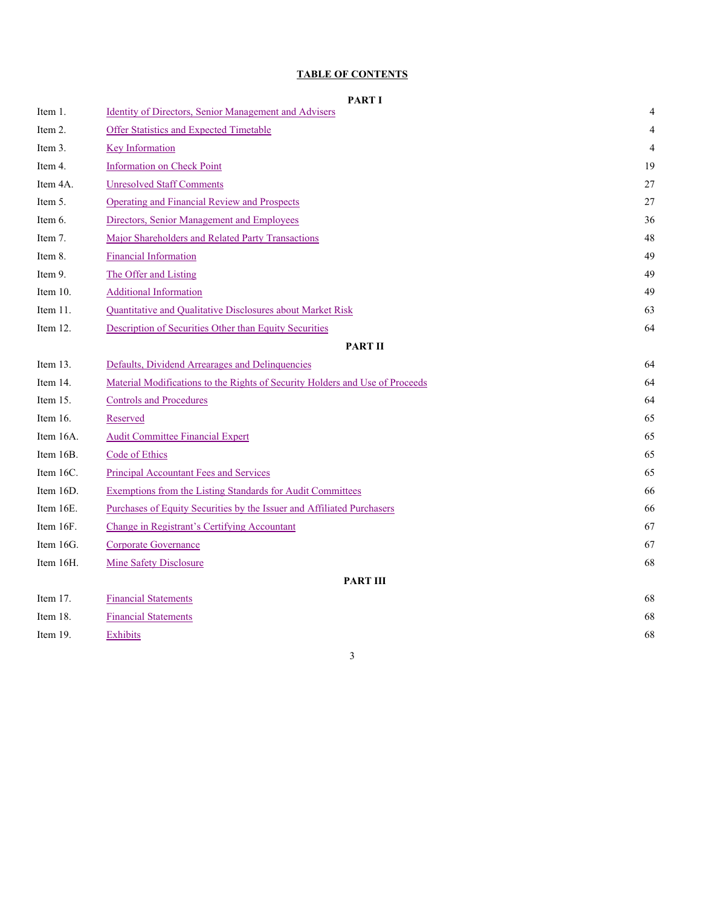# **TABLE OF CONTENTS**

|             | <b>PART I</b>                                                                |                |
|-------------|------------------------------------------------------------------------------|----------------|
| Item 1.     | Identity of Directors, Senior Management and Advisers                        | 4              |
| Item 2.     | <b>Offer Statistics and Expected Timetable</b>                               | 4              |
| Item 3.     | <b>Key Information</b>                                                       | $\overline{4}$ |
| Item 4.     | <b>Information on Check Point</b>                                            | 19             |
| Item 4A.    | <b>Unresolved Staff Comments</b>                                             | 27             |
| Item 5.     | <b>Operating and Financial Review and Prospects</b>                          | 27             |
| Item 6.     | Directors, Senior Management and Employees                                   | 36             |
| Item 7.     | Major Shareholders and Related Party Transactions                            | 48             |
| Item 8.     | <b>Financial Information</b>                                                 | 49             |
| Item 9.     | The Offer and Listing                                                        | 49             |
| Item 10.    | <b>Additional Information</b>                                                | 49             |
| Item 11.    | Quantitative and Qualitative Disclosures about Market Risk                   | 63             |
| Item 12.    | Description of Securities Other than Equity Securities                       | 64             |
|             | <b>PART II</b>                                                               |                |
| Item $13$ . | Defaults, Dividend Arrearages and Delinquencies                              | 64             |
| Item 14.    | Material Modifications to the Rights of Security Holders and Use of Proceeds | 64             |
| Item 15.    | <b>Controls and Procedures</b>                                               | 64             |
| Item $16$ . | Reserved                                                                     | 65             |
| Item 16A.   | <b>Audit Committee Financial Expert</b>                                      | 65             |
| Item 16B.   | Code of Ethics                                                               | 65             |
| Item 16C.   | <b>Principal Accountant Fees and Services</b>                                | 65             |
| Item 16D.   | Exemptions from the Listing Standards for Audit Committees                   | 66             |
| Item 16E.   | Purchases of Equity Securities by the Issuer and Affiliated Purchasers       | 66             |
| Item 16F.   | Change in Registrant's Certifying Accountant                                 | 67             |
| Item 16G.   | <b>Corporate Governance</b>                                                  | 67             |
| Item 16H.   | Mine Safety Disclosure                                                       | 68             |
|             | <b>PART III</b>                                                              |                |
| Item 17.    | <b>Financial Statements</b>                                                  | 68             |
| Item 18.    | <b>Financial Statements</b>                                                  | 68             |
| Item 19.    | Exhibits                                                                     | 68             |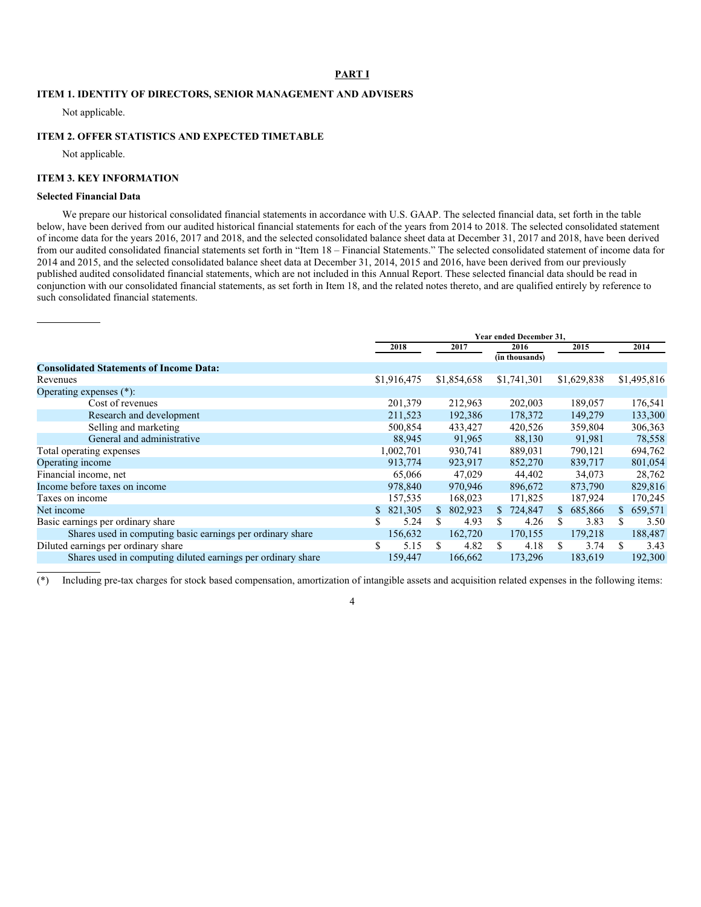# **PART I**

# **ITEM 1. IDENTITY OF DIRECTORS, SENIOR MANAGEMENT AND ADVISERS**

Not applicable.

#### **ITEM 2. OFFER STATISTICS AND EXPECTED TIMETABLE**

Not applicable.

#### **ITEM 3. KEY INFORMATION**

# **Selected Financial Data**

We prepare our historical consolidated financial statements in accordance with U.S. GAAP. The selected financial data, set forth in the table below, have been derived from our audited historical financial statements for each of the years from 2014 to 2018. The selected consolidated statement of income data for the years 2016, 2017 and 2018, and the selected consolidated balance sheet data at December 31, 2017 and 2018, have been derived from our audited consolidated financial statements set forth in "Item 18 – Financial Statements." The selected consolidated statement of income data for 2014 and 2015, and the selected consolidated balance sheet data at December 31, 2014, 2015 and 2016, have been derived from our previously published audited consolidated financial statements, which are not included in this Annual Report. These selected financial data should be read in conjunction with our consolidated financial statements, as set forth in Item 18, and the related notes thereto, and are qualified entirely by reference to such consolidated financial statements.

|                                                              | Year ended December 31, |    |             |    |                |    |             |              |             |
|--------------------------------------------------------------|-------------------------|----|-------------|----|----------------|----|-------------|--------------|-------------|
|                                                              | 2018                    |    | 2017        |    | 2016           |    | 2015        |              | 2014        |
|                                                              |                         |    |             |    | (in thousands) |    |             |              |             |
| <b>Consolidated Statements of Income Data:</b>               |                         |    |             |    |                |    |             |              |             |
| Revenues                                                     | \$1,916,475             |    | \$1,854,658 |    | \$1,741,301    |    | \$1,629,838 |              | \$1,495,816 |
| Operating expenses (*):                                      |                         |    |             |    |                |    |             |              |             |
| Cost of revenues                                             | 201,379                 |    | 212,963     |    | 202,003        |    | 189,057     |              | 176,541     |
| Research and development                                     | 211,523                 |    | 192,386     |    | 178,372        |    | 149,279     |              | 133,300     |
| Selling and marketing                                        | 500,854                 |    | 433,427     |    | 420,526        |    | 359,804     |              | 306,363     |
| General and administrative                                   | 88,945                  |    | 91,965      |    | 88,130         |    | 91,981      |              | 78,558      |
| Total operating expenses                                     | 1,002,701               |    | 930,741     |    | 889,031        |    | 790.121     |              | 694,762     |
| Operating income                                             | 913,774                 |    | 923,917     |    | 852,270        |    | 839,717     |              | 801,054     |
| Financial income, net                                        | 65,066                  |    | 47,029      |    | 44,402         |    | 34,073      |              | 28,762      |
| Income before taxes on income                                | 978,840                 |    | 970,946     |    | 896,672        |    | 873,790     |              | 829,816     |
| Taxes on income                                              | 157,535                 |    | 168,023     |    | 171,825        |    | 187,924     |              | 170,245     |
| Net income                                                   | 821,305                 | S. | 802,923     |    | \$724,847      | S. | 685,866     | <sup>S</sup> | 659,571     |
| Basic earnings per ordinary share                            | 5.24<br>S               | S. | 4.93        | S  | 4.26           | S. | 3.83        | S.           | 3.50        |
| Shares used in computing basic earnings per ordinary share   | 156,632                 |    | 162,720     |    | 170,155        |    | 179,218     |              | 188,487     |
| Diluted earnings per ordinary share                          | \$<br>5.15              | S. | 4.82        | S. | 4.18           | S. | 3.74        | \$           | 3.43        |
| Shares used in computing diluted earnings per ordinary share | 159.447                 |    | 166,662     |    | 173.296        |    | 183,619     |              | 192,300     |

(\*) Including pre-tax charges for stock based compensation, amortization of intangible assets and acquisition related expenses in the following items: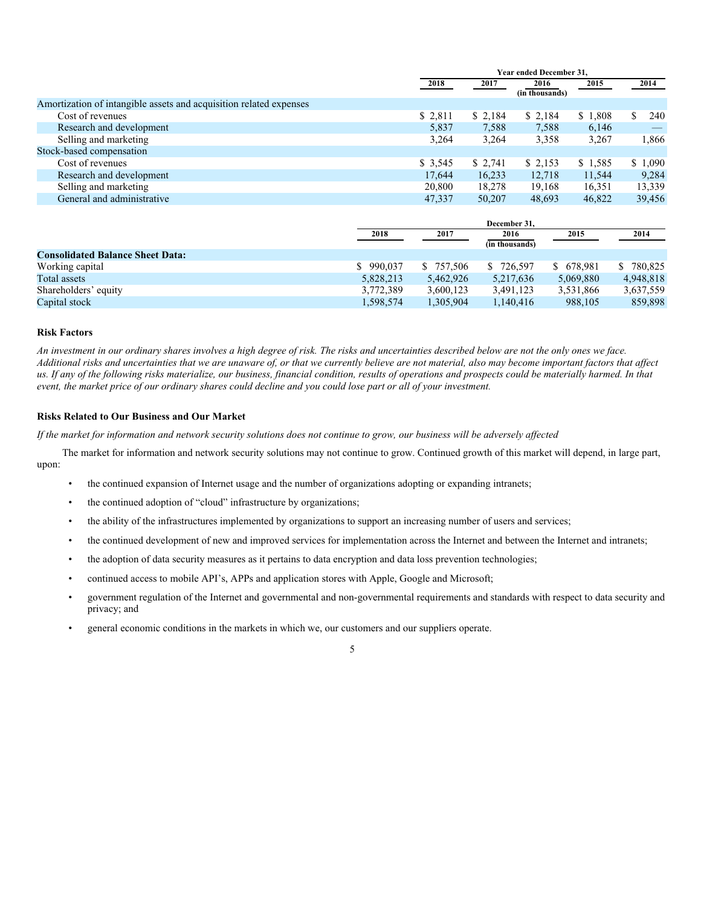|                                                                    |          | <b>Year ended December 31.</b> |         |         |           |  |
|--------------------------------------------------------------------|----------|--------------------------------|---------|---------|-----------|--|
|                                                                    | 2018     | 2017                           | 2016    | 2015    | 2014      |  |
|                                                                    |          | (in thousands)                 |         |         |           |  |
| Amortization of intangible assets and acquisition related expenses |          |                                |         |         |           |  |
| Cost of revenues                                                   | \$ 2,811 | \$2,184                        | \$2,184 | \$1,808 | 240<br>S. |  |
| Research and development                                           | 5,837    | 7,588                          | 7,588   | 6,146   |           |  |
| Selling and marketing                                              | 3,264    | 3,264                          | 3,358   | 3,267   | 1,866     |  |
| Stock-based compensation                                           |          |                                |         |         |           |  |
| Cost of revenues                                                   | \$3,545  | \$2,741                        | \$2,153 | \$1,585 | \$1,090   |  |
| Research and development                                           | 17,644   | 16,233                         | 12,718  | 11,544  | 9,284     |  |
| Selling and marketing                                              | 20,800   | 18,278                         | 19,168  | 16,351  | 13,339    |  |
| General and administrative                                         | 47,337   | 50,207                         | 48,693  | 46,822  | 39,456    |  |
|                                                                    |          |                                |         |         |           |  |

|                                         |           |            | December 31.   |           |                          |
|-----------------------------------------|-----------|------------|----------------|-----------|--------------------------|
|                                         | 2018      | 2017       | 2016           | 2015      | 2014                     |
|                                         |           |            | (in thousands) |           |                          |
| <b>Consolidated Balance Sheet Data:</b> |           |            |                |           |                          |
| Working capital                         | \$990,037 | \$ 757,506 | \$726,597      | 678.981   | 780,825<br><sup>\$</sup> |
| Total assets                            | 5,828,213 | 5.462.926  | 5,217,636      | 5,069,880 | 4.948.818                |
| Shareholders' equity                    | 3,772,389 | 3.600.123  | 3.491.123      | 3.531.866 | 3,637,559                |
| Capital stock                           | 1,598,574 | 1,305,904  | 1,140,416      | 988,105   | 859,898                  |

#### **Risk Factors**

*An investment in our ordinary shares involves a high degree of risk. The risks and uncertainties described below are not the only ones we face. Additional risks and uncertainties that we are unaware of, or that we currently believe are not material, also may become important factors that affect us. If any of the following risks materialize, our business, financial condition, results of operations and prospects could be materially harmed. In that event, the market price of our ordinary shares could decline and you could lose part or all of your investment.* 

#### **Risks Related to Our Business and Our Market**

*If the market for information and network security solutions does not continue to grow, our business will be adversely affected*

The market for information and network security solutions may not continue to grow. Continued growth of this market will depend, in large part, upon:

- the continued expansion of Internet usage and the number of organizations adopting or expanding intranets;
- the continued adoption of "cloud" infrastructure by organizations;
- the ability of the infrastructures implemented by organizations to support an increasing number of users and services;
- the continued development of new and improved services for implementation across the Internet and between the Internet and intranets;
- the adoption of data security measures as it pertains to data encryption and data loss prevention technologies;
- continued access to mobile API's, APPs and application stores with Apple, Google and Microsoft;
- government regulation of the Internet and governmental and non-governmental requirements and standards with respect to data security and privacy; and
- general economic conditions in the markets in which we, our customers and our suppliers operate.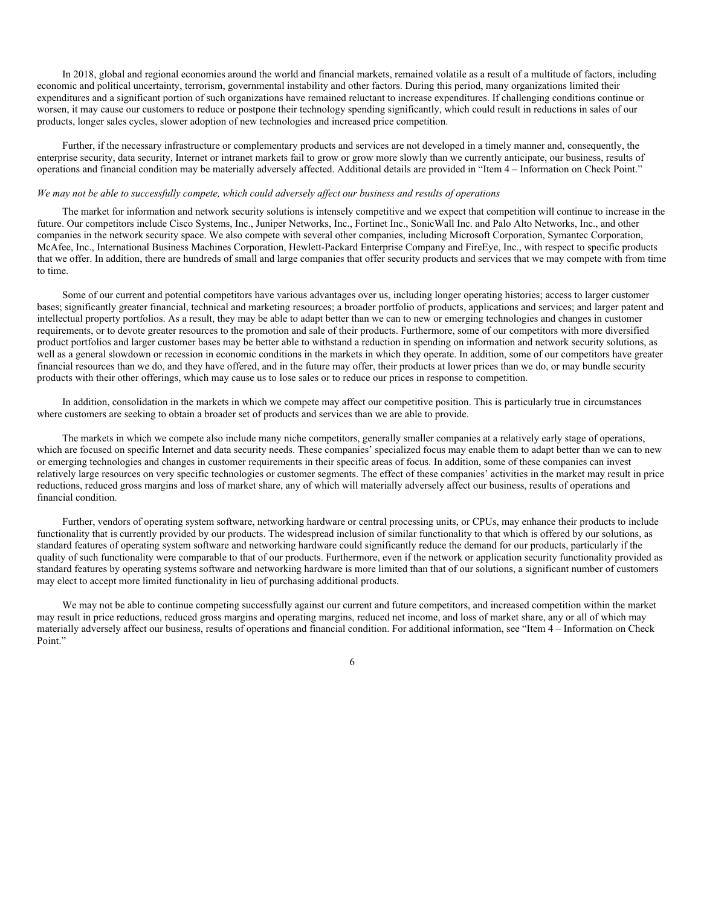In 2018, global and regional economies around the world and financial markets, remained volatile as a result of a multitude of factors, including economic and political uncertainty, terrorism, governmental instability and other factors. During this period, many organizations limited their expenditures and a significant portion of such organizations have remained reluctant to increase expenditures. If challenging conditions continue or worsen, it may cause our customers to reduce or postpone their technology spending significantly, which could result in reductions in sales of our products, longer sales cycles, slower adoption of new technologies and increased price competition.

Further, if the necessary infrastructure or complementary products and services are not developed in a timely manner and, consequently, the enterprise security, data security, Internet or intranet markets fail to grow or grow more slowly than we currently anticipate, our business, results of operations and financial condition may be materially adversely affected. Additional details are provided in "Item 4 – Information on Check Point."

#### *We may not be able to successfully compete, which could adversely affect our business and results of operations*

The market for information and network security solutions is intensely competitive and we expect that competition will continue to increase in the future. Our competitors include Cisco Systems, Inc., Juniper Networks, Inc., Fortinet Inc., SonicWall Inc. and Palo Alto Networks, Inc., and other companies in the network security space. We also compete with several other companies, including Microsoft Corporation, Symantec Corporation, McAfee, Inc., International Business Machines Corporation, Hewlett-Packard Enterprise Company and FireEye, Inc., with respect to specific products that we offer. In addition, there are hundreds of small and large companies that offer security products and services that we may compete with from time to time.

Some of our current and potential competitors have various advantages over us, including longer operating histories; access to larger customer bases; significantly greater financial, technical and marketing resources; a broader portfolio of products, applications and services; and larger patent and intellectual property portfolios. As a result, they may be able to adapt better than we can to new or emerging technologies and changes in customer requirements, or to devote greater resources to the promotion and sale of their products. Furthermore, some of our competitors with more diversified product portfolios and larger customer bases may be better able to withstand a reduction in spending on information and network security solutions, as well as a general slowdown or recession in economic conditions in the markets in which they operate. In addition, some of our competitors have greater financial resources than we do, and they have offered, and in the future may offer, their products at lower prices than we do, or may bundle security products with their other offerings, which may cause us to lose sales or to reduce our prices in response to competition.

In addition, consolidation in the markets in which we compete may affect our competitive position. This is particularly true in circumstances where customers are seeking to obtain a broader set of products and services than we are able to provide.

The markets in which we compete also include many niche competitors, generally smaller companies at a relatively early stage of operations, which are focused on specific Internet and data security needs. These companies' specialized focus may enable them to adapt better than we can to new or emerging technologies and changes in customer requirements in their specific areas of focus. In addition, some of these companies can invest relatively large resources on very specific technologies or customer segments. The effect of these companies' activities in the market may result in price reductions, reduced gross margins and loss of market share, any of which will materially adversely affect our business, results of operations and financial condition.

Further, vendors of operating system software, networking hardware or central processing units, or CPUs, may enhance their products to include functionality that is currently provided by our products. The widespread inclusion of similar functionality to that which is offered by our solutions, as standard features of operating system software and networking hardware could significantly reduce the demand for our products, particularly if the quality of such functionality were comparable to that of our products. Furthermore, even if the network or application security functionality provided as standard features by operating systems software and networking hardware is more limited than that of our solutions, a significant number of customers may elect to accept more limited functionality in lieu of purchasing additional products.

We may not be able to continue competing successfully against our current and future competitors, and increased competition within the market may result in price reductions, reduced gross margins and operating margins, reduced net income, and loss of market share, any or all of which may materially adversely affect our business, results of operations and financial condition. For additional information, see "Item 4 – Information on Check Point."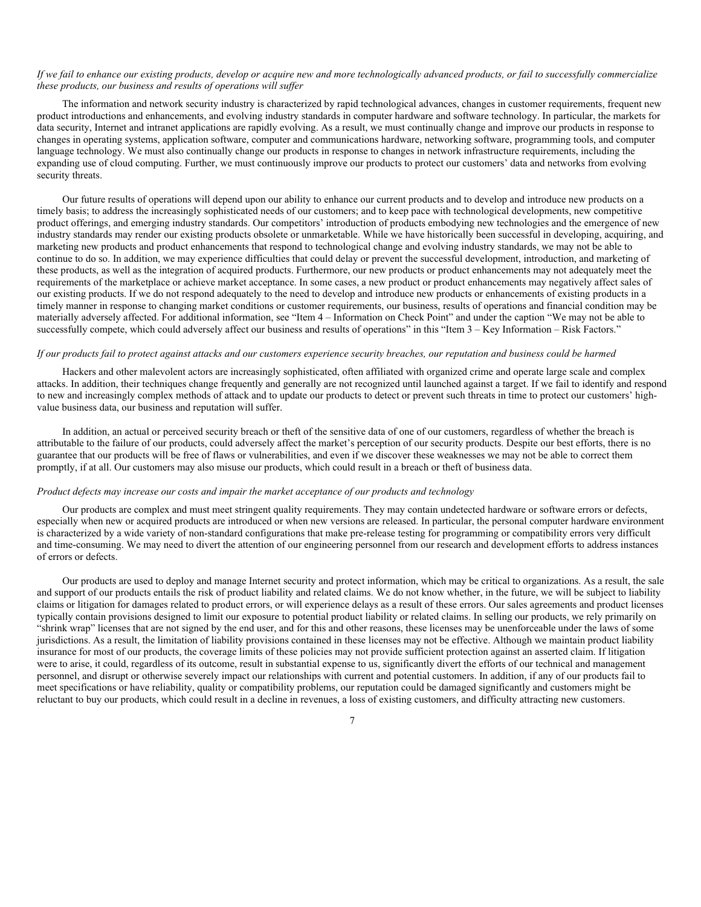### *If we fail to enhance our existing products, develop or acquire new and more technologically advanced products, or fail to successfully commercialize these products, our business and results of operations will suffer*

The information and network security industry is characterized by rapid technological advances, changes in customer requirements, frequent new product introductions and enhancements, and evolving industry standards in computer hardware and software technology. In particular, the markets for data security, Internet and intranet applications are rapidly evolving. As a result, we must continually change and improve our products in response to changes in operating systems, application software, computer and communications hardware, networking software, programming tools, and computer language technology. We must also continually change our products in response to changes in network infrastructure requirements, including the expanding use of cloud computing. Further, we must continuously improve our products to protect our customers' data and networks from evolving security threats.

Our future results of operations will depend upon our ability to enhance our current products and to develop and introduce new products on a timely basis; to address the increasingly sophisticated needs of our customers; and to keep pace with technological developments, new competitive product offerings, and emerging industry standards. Our competitors' introduction of products embodying new technologies and the emergence of new industry standards may render our existing products obsolete or unmarketable. While we have historically been successful in developing, acquiring, and marketing new products and product enhancements that respond to technological change and evolving industry standards, we may not be able to continue to do so. In addition, we may experience difficulties that could delay or prevent the successful development, introduction, and marketing of these products, as well as the integration of acquired products. Furthermore, our new products or product enhancements may not adequately meet the requirements of the marketplace or achieve market acceptance. In some cases, a new product or product enhancements may negatively affect sales of our existing products. If we do not respond adequately to the need to develop and introduce new products or enhancements of existing products in a timely manner in response to changing market conditions or customer requirements, our business, results of operations and financial condition may be materially adversely affected. For additional information, see "Item 4 – Information on Check Point" and under the caption "We may not be able to successfully compete, which could adversely affect our business and results of operations" in this "Item 3 – Key Information – Risk Factors."

# *If our products fail to protect against attacks and our customers experience security breaches, our reputation and business could be harmed*

Hackers and other malevolent actors are increasingly sophisticated, often affiliated with organized crime and operate large scale and complex attacks. In addition, their techniques change frequently and generally are not recognized until launched against a target. If we fail to identify and respond to new and increasingly complex methods of attack and to update our products to detect or prevent such threats in time to protect our customers' highvalue business data, our business and reputation will suffer.

In addition, an actual or perceived security breach or theft of the sensitive data of one of our customers, regardless of whether the breach is attributable to the failure of our products, could adversely affect the market's perception of our security products. Despite our best efforts, there is no guarantee that our products will be free of flaws or vulnerabilities, and even if we discover these weaknesses we may not be able to correct them promptly, if at all. Our customers may also misuse our products, which could result in a breach or theft of business data.

# *Product defects may increase our costs and impair the market acceptance of our products and technology*

Our products are complex and must meet stringent quality requirements. They may contain undetected hardware or software errors or defects, especially when new or acquired products are introduced or when new versions are released. In particular, the personal computer hardware environment is characterized by a wide variety of non-standard configurations that make pre-release testing for programming or compatibility errors very difficult and time-consuming. We may need to divert the attention of our engineering personnel from our research and development efforts to address instances of errors or defects.

Our products are used to deploy and manage Internet security and protect information, which may be critical to organizations. As a result, the sale and support of our products entails the risk of product liability and related claims. We do not know whether, in the future, we will be subject to liability claims or litigation for damages related to product errors, or will experience delays as a result of these errors. Our sales agreements and product licenses typically contain provisions designed to limit our exposure to potential product liability or related claims. In selling our products, we rely primarily on "shrink wrap" licenses that are not signed by the end user, and for this and other reasons, these licenses may be unenforceable under the laws of some jurisdictions. As a result, the limitation of liability provisions contained in these licenses may not be effective. Although we maintain product liability insurance for most of our products, the coverage limits of these policies may not provide sufficient protection against an asserted claim. If litigation were to arise, it could, regardless of its outcome, result in substantial expense to us, significantly divert the efforts of our technical and management personnel, and disrupt or otherwise severely impact our relationships with current and potential customers. In addition, if any of our products fail to meet specifications or have reliability, quality or compatibility problems, our reputation could be damaged significantly and customers might be reluctant to buy our products, which could result in a decline in revenues, a loss of existing customers, and difficulty attracting new customers.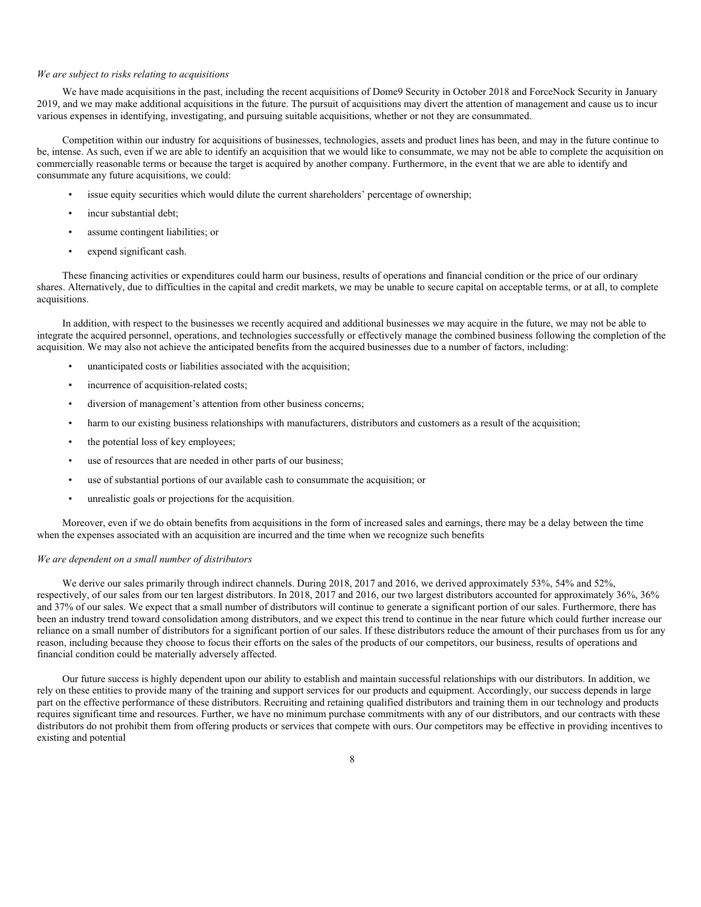#### *We are subject to risks relating to acquisitions*

We have made acquisitions in the past, including the recent acquisitions of Dome9 Security in October 2018 and ForceNock Security in January 2019, and we may make additional acquisitions in the future. The pursuit of acquisitions may divert the attention of management and cause us to incur various expenses in identifying, investigating, and pursuing suitable acquisitions, whether or not they are consummated.

Competition within our industry for acquisitions of businesses, technologies, assets and product lines has been, and may in the future continue to be, intense. As such, even if we are able to identify an acquisition that we would like to consummate, we may not be able to complete the acquisition on commercially reasonable terms or because the target is acquired by another company. Furthermore, in the event that we are able to identify and consummate any future acquisitions, we could:

- issue equity securities which would dilute the current shareholders' percentage of ownership;
- incur substantial debt;
- assume contingent liabilities; or
- expend significant cash.

These financing activities or expenditures could harm our business, results of operations and financial condition or the price of our ordinary shares. Alternatively, due to difficulties in the capital and credit markets, we may be unable to secure capital on acceptable terms, or at all, to complete acquisitions.

In addition, with respect to the businesses we recently acquired and additional businesses we may acquire in the future, we may not be able to integrate the acquired personnel, operations, and technologies successfully or effectively manage the combined business following the completion of the acquisition. We may also not achieve the anticipated benefits from the acquired businesses due to a number of factors, including:

- unanticipated costs or liabilities associated with the acquisition;
- incurrence of acquisition-related costs;
- diversion of management's attention from other business concerns;
- harm to our existing business relationships with manufacturers, distributors and customers as a result of the acquisition;
- the potential loss of key employees;
- use of resources that are needed in other parts of our business;
- use of substantial portions of our available cash to consummate the acquisition; or
- unrealistic goals or projections for the acquisition.

Moreover, even if we do obtain benefits from acquisitions in the form of increased sales and earnings, there may be a delay between the time when the expenses associated with an acquisition are incurred and the time when we recognize such benefits

# *We are dependent on a small number of distributors*

We derive our sales primarily through indirect channels. During 2018, 2017 and 2016, we derived approximately 53%, 54% and 52%, respectively, of our sales from our ten largest distributors. In 2018, 2017 and 2016, our two largest distributors accounted for approximately 36%, 36% and 37% of our sales. We expect that a small number of distributors will continue to generate a significant portion of our sales. Furthermore, there has been an industry trend toward consolidation among distributors, and we expect this trend to continue in the near future which could further increase our reliance on a small number of distributors for a significant portion of our sales. If these distributors reduce the amount of their purchases from us for any reason, including because they choose to focus their efforts on the sales of the products of our competitors, our business, results of operations and financial condition could be materially adversely affected.

Our future success is highly dependent upon our ability to establish and maintain successful relationships with our distributors. In addition, we rely on these entities to provide many of the training and support services for our products and equipment. Accordingly, our success depends in large part on the effective performance of these distributors. Recruiting and retaining qualified distributors and training them in our technology and products requires significant time and resources. Further, we have no minimum purchase commitments with any of our distributors, and our contracts with these distributors do not prohibit them from offering products or services that compete with ours. Our competitors may be effective in providing incentives to existing and potential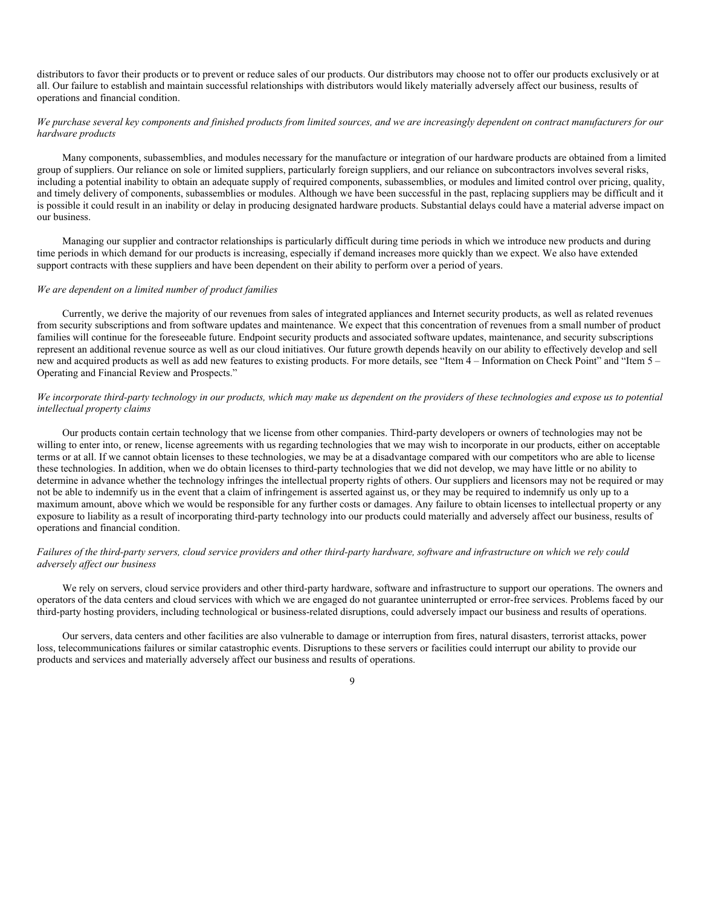distributors to favor their products or to prevent or reduce sales of our products. Our distributors may choose not to offer our products exclusively or at all. Our failure to establish and maintain successful relationships with distributors would likely materially adversely affect our business, results of operations and financial condition.

# We purchase several key components and finished products from limited sources, and we are increasingly dependent on contract manufacturers for our *hardware products*

Many components, subassemblies, and modules necessary for the manufacture or integration of our hardware products are obtained from a limited group of suppliers. Our reliance on sole or limited suppliers, particularly foreign suppliers, and our reliance on subcontractors involves several risks, including a potential inability to obtain an adequate supply of required components, subassemblies, or modules and limited control over pricing, quality, and timely delivery of components, subassemblies or modules. Although we have been successful in the past, replacing suppliers may be difficult and it is possible it could result in an inability or delay in producing designated hardware products. Substantial delays could have a material adverse impact on our business.

Managing our supplier and contractor relationships is particularly difficult during time periods in which we introduce new products and during time periods in which demand for our products is increasing, especially if demand increases more quickly than we expect. We also have extended support contracts with these suppliers and have been dependent on their ability to perform over a period of years.

# *We are dependent on a limited number of product families*

Currently, we derive the majority of our revenues from sales of integrated appliances and Internet security products, as well as related revenues from security subscriptions and from software updates and maintenance. We expect that this concentration of revenues from a small number of product families will continue for the foreseeable future. Endpoint security products and associated software updates, maintenance, and security subscriptions represent an additional revenue source as well as our cloud initiatives. Our future growth depends heavily on our ability to effectively develop and sell new and acquired products as well as add new features to existing products. For more details, see "Item 4 – Information on Check Point" and "Item 5 – Operating and Financial Review and Prospects."

# *We incorporate third-party technology in our products, which may make us dependent on the providers of these technologies and expose us to potential intellectual property claims*

Our products contain certain technology that we license from other companies. Third-party developers or owners of technologies may not be willing to enter into, or renew, license agreements with us regarding technologies that we may wish to incorporate in our products, either on acceptable terms or at all. If we cannot obtain licenses to these technologies, we may be at a disadvantage compared with our competitors who are able to license these technologies. In addition, when we do obtain licenses to third-party technologies that we did not develop, we may have little or no ability to determine in advance whether the technology infringes the intellectual property rights of others. Our suppliers and licensors may not be required or may not be able to indemnify us in the event that a claim of infringement is asserted against us, or they may be required to indemnify us only up to a maximum amount, above which we would be responsible for any further costs or damages. Any failure to obtain licenses to intellectual property or any exposure to liability as a result of incorporating third-party technology into our products could materially and adversely affect our business, results of operations and financial condition.

#### *Failures of the third-party servers, cloud service providers and other third-party hardware, software and infrastructure on which we rely could adversely affect our business*

We rely on servers, cloud service providers and other third-party hardware, software and infrastructure to support our operations. The owners and operators of the data centers and cloud services with which we are engaged do not guarantee uninterrupted or error-free services. Problems faced by our third-party hosting providers, including technological or business-related disruptions, could adversely impact our business and results of operations.

Our servers, data centers and other facilities are also vulnerable to damage or interruption from fires, natural disasters, terrorist attacks, power loss, telecommunications failures or similar catastrophic events. Disruptions to these servers or facilities could interrupt our ability to provide our products and services and materially adversely affect our business and results of operations.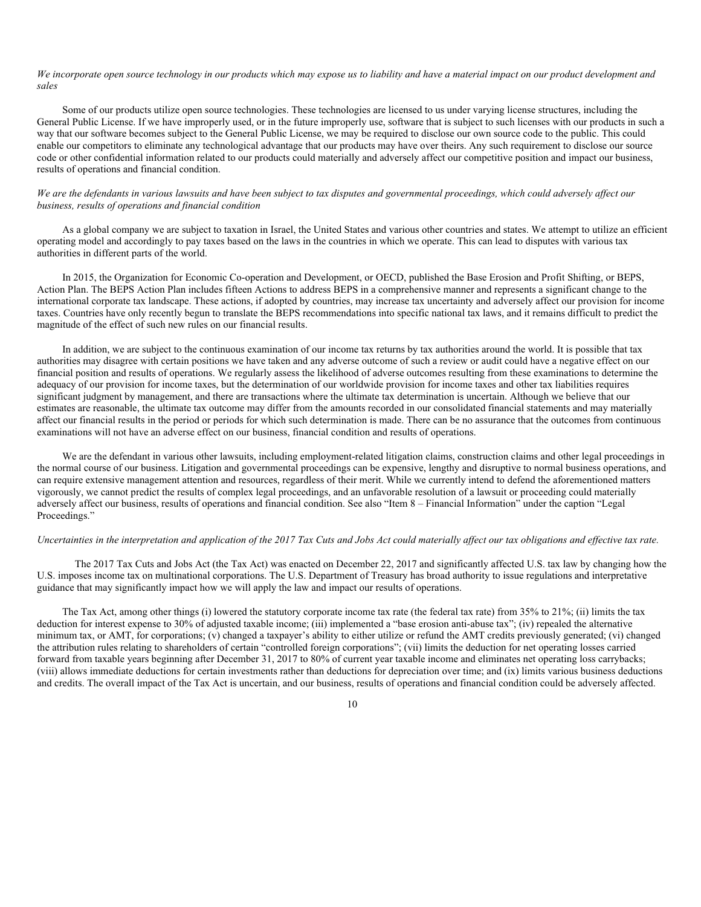We incorporate open source technology in our products which may expose us to liability and have a material impact on our product development and *sales* 

Some of our products utilize open source technologies. These technologies are licensed to us under varying license structures, including the General Public License. If we have improperly used, or in the future improperly use, software that is subject to such licenses with our products in such a way that our software becomes subject to the General Public License, we may be required to disclose our own source code to the public. This could enable our competitors to eliminate any technological advantage that our products may have over theirs. Any such requirement to disclose our source code or other confidential information related to our products could materially and adversely affect our competitive position and impact our business, results of operations and financial condition.

#### *We are the defendants in various lawsuits and have been subject to tax disputes and governmental proceedings, which could adversely affect our business, results of operations and financial condition*

As a global company we are subject to taxation in Israel, the United States and various other countries and states. We attempt to utilize an efficient operating model and accordingly to pay taxes based on the laws in the countries in which we operate. This can lead to disputes with various tax authorities in different parts of the world.

In 2015, the Organization for Economic Co-operation and Development, or OECD, published the Base Erosion and Profit Shifting, or BEPS, Action Plan. The BEPS Action Plan includes fifteen Actions to address BEPS in a comprehensive manner and represents a significant change to the international corporate tax landscape. These actions, if adopted by countries, may increase tax uncertainty and adversely affect our provision for income taxes. Countries have only recently begun to translate the BEPS recommendations into specific national tax laws, and it remains difficult to predict the magnitude of the effect of such new rules on our financial results.

In addition, we are subject to the continuous examination of our income tax returns by tax authorities around the world. It is possible that tax authorities may disagree with certain positions we have taken and any adverse outcome of such a review or audit could have a negative effect on our financial position and results of operations. We regularly assess the likelihood of adverse outcomes resulting from these examinations to determine the adequacy of our provision for income taxes, but the determination of our worldwide provision for income taxes and other tax liabilities requires significant judgment by management, and there are transactions where the ultimate tax determination is uncertain. Although we believe that our estimates are reasonable, the ultimate tax outcome may differ from the amounts recorded in our consolidated financial statements and may materially affect our financial results in the period or periods for which such determination is made. There can be no assurance that the outcomes from continuous examinations will not have an adverse effect on our business, financial condition and results of operations.

We are the defendant in various other lawsuits, including employment-related litigation claims, construction claims and other legal proceedings in the normal course of our business. Litigation and governmental proceedings can be expensive, lengthy and disruptive to normal business operations, and can require extensive management attention and resources, regardless of their merit. While we currently intend to defend the aforementioned matters vigorously, we cannot predict the results of complex legal proceedings, and an unfavorable resolution of a lawsuit or proceeding could materially adversely affect our business, results of operations and financial condition. See also "Item 8 – Financial Information" under the caption "Legal Proceedings."

# *Uncertainties in the interpretation and application of the 2017 Tax Cuts and Jobs Act could materially affect our tax obligations and effective tax rate.*

The 2017 Tax Cuts and Jobs Act (the Tax Act) was enacted on December 22, 2017 and significantly affected U.S. tax law by changing how the U.S. imposes income tax on multinational corporations. The U.S. Department of Treasury has broad authority to issue regulations and interpretative guidance that may significantly impact how we will apply the law and impact our results of operations.

The Tax Act, among other things (i) lowered the statutory corporate income tax rate (the federal tax rate) from 35% to 21%; (ii) limits the tax deduction for interest expense to 30% of adjusted taxable income; (iii) implemented a "base erosion anti-abuse tax"; (iv) repealed the alternative minimum tax, or AMT, for corporations; (v) changed a taxpayer's ability to either utilize or refund the AMT credits previously generated; (vi) changed the attribution rules relating to shareholders of certain "controlled foreign corporations"; (vii) limits the deduction for net operating losses carried forward from taxable years beginning after December 31, 2017 to 80% of current year taxable income and eliminates net operating loss carrybacks; (viii) allows immediate deductions for certain investments rather than deductions for depreciation over time; and (ix) limits various business deductions and credits. The overall impact of the Tax Act is uncertain, and our business, results of operations and financial condition could be adversely affected.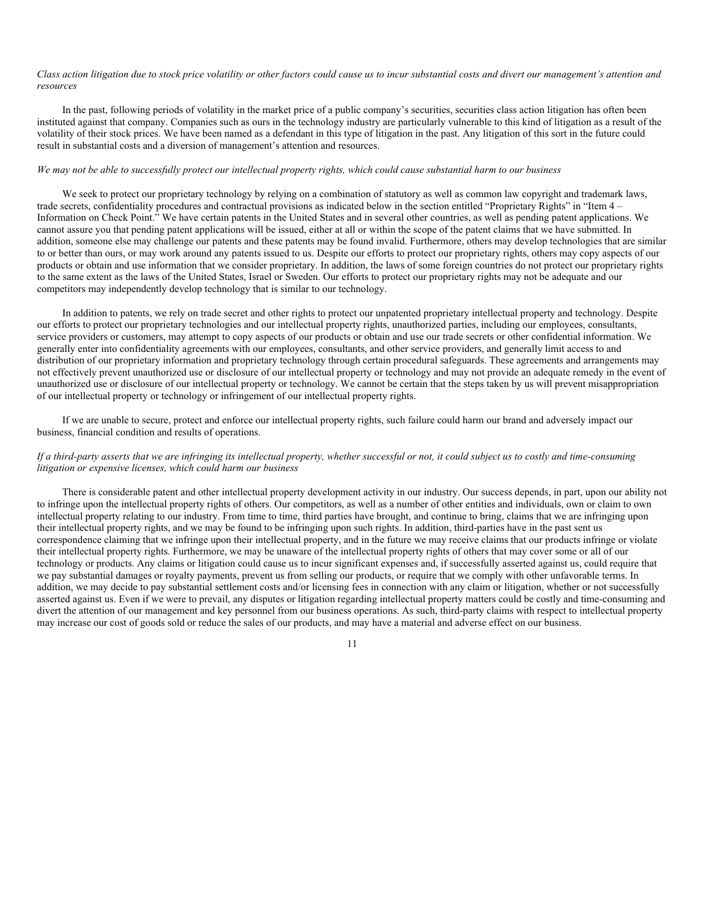# *Class action litigation due to stock price volatility or other factors could cause us to incur substantial costs and divert our management's attention and resources*

In the past, following periods of volatility in the market price of a public company's securities, securities class action litigation has often been instituted against that company. Companies such as ours in the technology industry are particularly vulnerable to this kind of litigation as a result of the volatility of their stock prices. We have been named as a defendant in this type of litigation in the past. Any litigation of this sort in the future could result in substantial costs and a diversion of management's attention and resources.

# *We may not be able to successfully protect our intellectual property rights, which could cause substantial harm to our business*

We seek to protect our proprietary technology by relying on a combination of statutory as well as common law copyright and trademark laws, trade secrets, confidentiality procedures and contractual provisions as indicated below in the section entitled "Proprietary Rights" in "Item 4 – Information on Check Point." We have certain patents in the United States and in several other countries, as well as pending patent applications. We cannot assure you that pending patent applications will be issued, either at all or within the scope of the patent claims that we have submitted. In addition, someone else may challenge our patents and these patents may be found invalid. Furthermore, others may develop technologies that are similar to or better than ours, or may work around any patents issued to us. Despite our efforts to protect our proprietary rights, others may copy aspects of our products or obtain and use information that we consider proprietary. In addition, the laws of some foreign countries do not protect our proprietary rights to the same extent as the laws of the United States, Israel or Sweden. Our efforts to protect our proprietary rights may not be adequate and our competitors may independently develop technology that is similar to our technology.

In addition to patents, we rely on trade secret and other rights to protect our unpatented proprietary intellectual property and technology. Despite our efforts to protect our proprietary technologies and our intellectual property rights, unauthorized parties, including our employees, consultants, service providers or customers, may attempt to copy aspects of our products or obtain and use our trade secrets or other confidential information. We generally enter into confidentiality agreements with our employees, consultants, and other service providers, and generally limit access to and distribution of our proprietary information and proprietary technology through certain procedural safeguards. These agreements and arrangements may not effectively prevent unauthorized use or disclosure of our intellectual property or technology and may not provide an adequate remedy in the event of unauthorized use or disclosure of our intellectual property or technology. We cannot be certain that the steps taken by us will prevent misappropriation of our intellectual property or technology or infringement of our intellectual property rights.

If we are unable to secure, protect and enforce our intellectual property rights, such failure could harm our brand and adversely impact our business, financial condition and results of operations.

# *If a third-party asserts that we are infringing its intellectual property, whether successful or not, it could subject us to costly and time-consuming litigation or expensive licenses, which could harm our business*

There is considerable patent and other intellectual property development activity in our industry. Our success depends, in part, upon our ability not to infringe upon the intellectual property rights of others. Our competitors, as well as a number of other entities and individuals, own or claim to own intellectual property relating to our industry. From time to time, third parties have brought, and continue to bring, claims that we are infringing upon their intellectual property rights, and we may be found to be infringing upon such rights. In addition, third-parties have in the past sent us correspondence claiming that we infringe upon their intellectual property, and in the future we may receive claims that our products infringe or violate their intellectual property rights. Furthermore, we may be unaware of the intellectual property rights of others that may cover some or all of our technology or products. Any claims or litigation could cause us to incur significant expenses and, if successfully asserted against us, could require that we pay substantial damages or royalty payments, prevent us from selling our products, or require that we comply with other unfavorable terms. In addition, we may decide to pay substantial settlement costs and/or licensing fees in connection with any claim or litigation, whether or not successfully asserted against us. Even if we were to prevail, any disputes or litigation regarding intellectual property matters could be costly and time-consuming and divert the attention of our management and key personnel from our business operations. As such, third-party claims with respect to intellectual property may increase our cost of goods sold or reduce the sales of our products, and may have a material and adverse effect on our business.

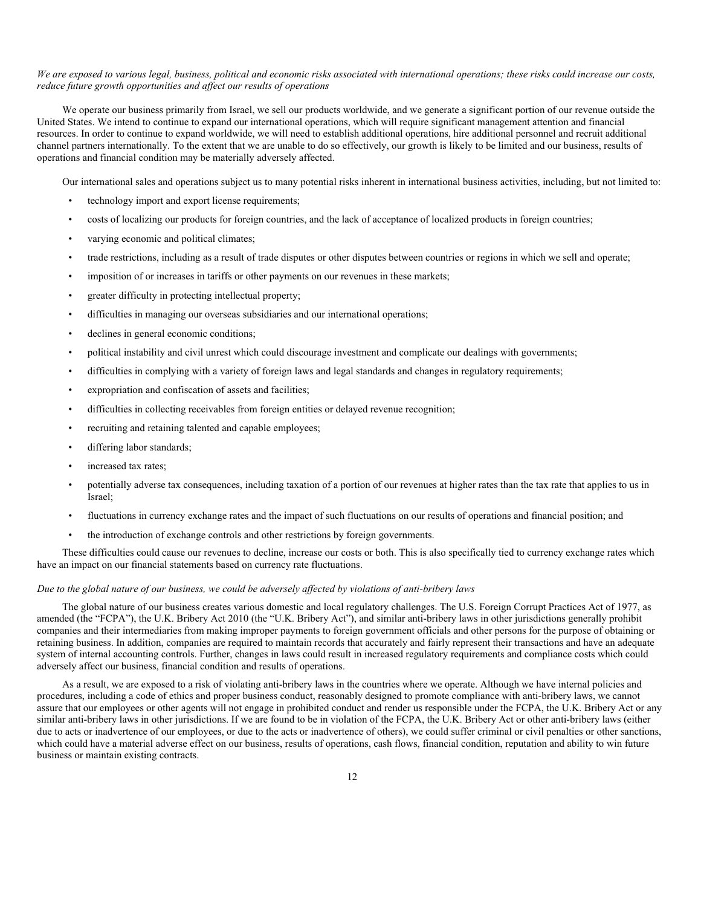# *We are exposed to various legal, business, political and economic risks associated with international operations; these risks could increase our costs, reduce future growth opportunities and affect our results of operations*

We operate our business primarily from Israel, we sell our products worldwide, and we generate a significant portion of our revenue outside the United States. We intend to continue to expand our international operations, which will require significant management attention and financial resources. In order to continue to expand worldwide, we will need to establish additional operations, hire additional personnel and recruit additional channel partners internationally. To the extent that we are unable to do so effectively, our growth is likely to be limited and our business, results of operations and financial condition may be materially adversely affected.

Our international sales and operations subject us to many potential risks inherent in international business activities, including, but not limited to:

- technology import and export license requirements;
- costs of localizing our products for foreign countries, and the lack of acceptance of localized products in foreign countries;
- varying economic and political climates;
- trade restrictions, including as a result of trade disputes or other disputes between countries or regions in which we sell and operate;
- imposition of or increases in tariffs or other payments on our revenues in these markets;
- greater difficulty in protecting intellectual property;
- difficulties in managing our overseas subsidiaries and our international operations;
- declines in general economic conditions;
- political instability and civil unrest which could discourage investment and complicate our dealings with governments;
- difficulties in complying with a variety of foreign laws and legal standards and changes in regulatory requirements;
- expropriation and confiscation of assets and facilities;
- difficulties in collecting receivables from foreign entities or delayed revenue recognition;
- recruiting and retaining talented and capable employees;
- differing labor standards;
- increased tax rates;
- potentially adverse tax consequences, including taxation of a portion of our revenues at higher rates than the tax rate that applies to us in Israel;
- fluctuations in currency exchange rates and the impact of such fluctuations on our results of operations and financial position; and
- the introduction of exchange controls and other restrictions by foreign governments.

These difficulties could cause our revenues to decline, increase our costs or both. This is also specifically tied to currency exchange rates which have an impact on our financial statements based on currency rate fluctuations.

#### *Due to the global nature of our business, we could be adversely affected by violations of anti-bribery laws*

The global nature of our business creates various domestic and local regulatory challenges. The U.S. Foreign Corrupt Practices Act of 1977, as amended (the "FCPA"), the U.K. Bribery Act 2010 (the "U.K. Bribery Act"), and similar anti-bribery laws in other jurisdictions generally prohibit companies and their intermediaries from making improper payments to foreign government officials and other persons for the purpose of obtaining or retaining business. In addition, companies are required to maintain records that accurately and fairly represent their transactions and have an adequate system of internal accounting controls. Further, changes in laws could result in increased regulatory requirements and compliance costs which could adversely affect our business, financial condition and results of operations.

As a result, we are exposed to a risk of violating anti-bribery laws in the countries where we operate. Although we have internal policies and procedures, including a code of ethics and proper business conduct, reasonably designed to promote compliance with anti-bribery laws, we cannot assure that our employees or other agents will not engage in prohibited conduct and render us responsible under the FCPA, the U.K. Bribery Act or any similar anti-bribery laws in other jurisdictions. If we are found to be in violation of the FCPA, the U.K. Bribery Act or other anti-bribery laws (either due to acts or inadvertence of our employees, or due to the acts or inadvertence of others), we could suffer criminal or civil penalties or other sanctions, which could have a material adverse effect on our business, results of operations, cash flows, financial condition, reputation and ability to win future business or maintain existing contracts.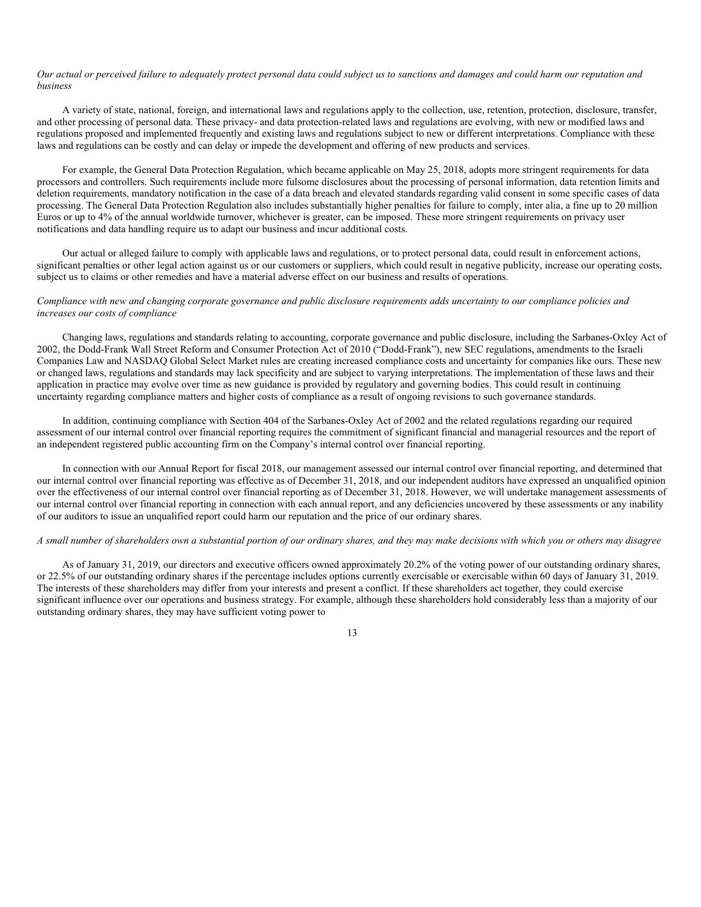# *Our actual or perceived failure to adequately protect personal data could subject us to sanctions and damages and could harm our reputation and business*

A variety of state, national, foreign, and international laws and regulations apply to the collection, use, retention, protection, disclosure, transfer, and other processing of personal data. These privacy- and data protection-related laws and regulations are evolving, with new or modified laws and regulations proposed and implemented frequently and existing laws and regulations subject to new or different interpretations. Compliance with these laws and regulations can be costly and can delay or impede the development and offering of new products and services.

For example, the General Data Protection Regulation, which became applicable on May 25, 2018, adopts more stringent requirements for data processors and controllers. Such requirements include more fulsome disclosures about the processing of personal information, data retention limits and deletion requirements, mandatory notification in the case of a data breach and elevated standards regarding valid consent in some specific cases of data processing. The General Data Protection Regulation also includes substantially higher penalties for failure to comply, inter alia, a fine up to 20 million Euros or up to 4% of the annual worldwide turnover, whichever is greater, can be imposed. These more stringent requirements on privacy user notifications and data handling require us to adapt our business and incur additional costs.

Our actual or alleged failure to comply with applicable laws and regulations, or to protect personal data, could result in enforcement actions, significant penalties or other legal action against us or our customers or suppliers, which could result in negative publicity, increase our operating costs, subject us to claims or other remedies and have a material adverse effect on our business and results of operations.

#### *Compliance with new and changing corporate governance and public disclosure requirements adds uncertainty to our compliance policies and increases our costs of compliance*

Changing laws, regulations and standards relating to accounting, corporate governance and public disclosure, including the Sarbanes-Oxley Act of 2002, the Dodd-Frank Wall Street Reform and Consumer Protection Act of 2010 ("Dodd-Frank"), new SEC regulations, amendments to the Israeli Companies Law and NASDAQ Global Select Market rules are creating increased compliance costs and uncertainty for companies like ours. These new or changed laws, regulations and standards may lack specificity and are subject to varying interpretations. The implementation of these laws and their application in practice may evolve over time as new guidance is provided by regulatory and governing bodies. This could result in continuing uncertainty regarding compliance matters and higher costs of compliance as a result of ongoing revisions to such governance standards.

In addition, continuing compliance with Section 404 of the Sarbanes-Oxley Act of 2002 and the related regulations regarding our required assessment of our internal control over financial reporting requires the commitment of significant financial and managerial resources and the report of an independent registered public accounting firm on the Company's internal control over financial reporting.

In connection with our Annual Report for fiscal 2018, our management assessed our internal control over financial reporting, and determined that our internal control over financial reporting was effective as of December 31, 2018, and our independent auditors have expressed an unqualified opinion over the effectiveness of our internal control over financial reporting as of December 31, 2018. However, we will undertake management assessments of our internal control over financial reporting in connection with each annual report, and any deficiencies uncovered by these assessments or any inability of our auditors to issue an unqualified report could harm our reputation and the price of our ordinary shares.

#### *A small number of shareholders own a substantial portion of our ordinary shares, and they may make decisions with which you or others may disagree*

As of January 31, 2019, our directors and executive officers owned approximately 20.2% of the voting power of our outstanding ordinary shares, or 22.5% of our outstanding ordinary shares if the percentage includes options currently exercisable or exercisable within 60 days of January 31, 2019. The interests of these shareholders may differ from your interests and present a conflict. If these shareholders act together, they could exercise significant influence over our operations and business strategy. For example, although these shareholders hold considerably less than a majority of our outstanding ordinary shares, they may have sufficient voting power to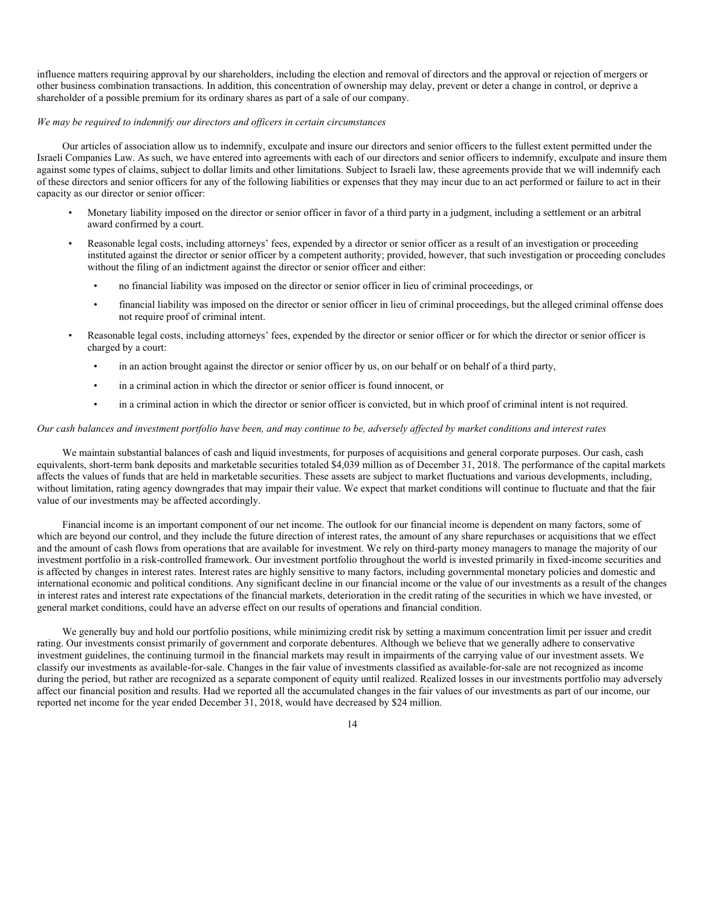influence matters requiring approval by our shareholders, including the election and removal of directors and the approval or rejection of mergers or other business combination transactions. In addition, this concentration of ownership may delay, prevent or deter a change in control, or deprive a shareholder of a possible premium for its ordinary shares as part of a sale of our company.

# *We may be required to indemnify our directors and officers in certain circumstances*

Our articles of association allow us to indemnify, exculpate and insure our directors and senior officers to the fullest extent permitted under the Israeli Companies Law. As such, we have entered into agreements with each of our directors and senior officers to indemnify, exculpate and insure them against some types of claims, subject to dollar limits and other limitations. Subject to Israeli law, these agreements provide that we will indemnify each of these directors and senior officers for any of the following liabilities or expenses that they may incur due to an act performed or failure to act in their capacity as our director or senior officer:

- Monetary liability imposed on the director or senior officer in favor of a third party in a judgment, including a settlement or an arbitral award confirmed by a court.
- Reasonable legal costs, including attorneys' fees, expended by a director or senior officer as a result of an investigation or proceeding instituted against the director or senior officer by a competent authority; provided, however, that such investigation or proceeding concludes without the filing of an indictment against the director or senior officer and either:
	- no financial liability was imposed on the director or senior officer in lieu of criminal proceedings, or
	- financial liability was imposed on the director or senior officer in lieu of criminal proceedings, but the alleged criminal offense does not require proof of criminal intent.
- Reasonable legal costs, including attorneys' fees, expended by the director or senior officer or for which the director or senior officer is charged by a court:
	- in an action brought against the director or senior officer by us, on our behalf or on behalf of a third party,
	- in a criminal action in which the director or senior officer is found innocent, or
	- in a criminal action in which the director or senior officer is convicted, but in which proof of criminal intent is not required.

#### *Our cash balances and investment portfolio have been, and may continue to be, adversely affected by market conditions and interest rates*

We maintain substantial balances of cash and liquid investments, for purposes of acquisitions and general corporate purposes. Our cash, cash equivalents, short-term bank deposits and marketable securities totaled \$4,039 million as of December 31, 2018. The performance of the capital markets affects the values of funds that are held in marketable securities. These assets are subject to market fluctuations and various developments, including, without limitation, rating agency downgrades that may impair their value. We expect that market conditions will continue to fluctuate and that the fair value of our investments may be affected accordingly.

Financial income is an important component of our net income. The outlook for our financial income is dependent on many factors, some of which are beyond our control, and they include the future direction of interest rates, the amount of any share repurchases or acquisitions that we effect and the amount of cash flows from operations that are available for investment. We rely on third-party money managers to manage the majority of our investment portfolio in a risk-controlled framework. Our investment portfolio throughout the world is invested primarily in fixed-income securities and is affected by changes in interest rates. Interest rates are highly sensitive to many factors, including governmental monetary policies and domestic and international economic and political conditions. Any significant decline in our financial income or the value of our investments as a result of the changes in interest rates and interest rate expectations of the financial markets, deterioration in the credit rating of the securities in which we have invested, or general market conditions, could have an adverse effect on our results of operations and financial condition.

We generally buy and hold our portfolio positions, while minimizing credit risk by setting a maximum concentration limit per issuer and credit rating. Our investments consist primarily of government and corporate debentures. Although we believe that we generally adhere to conservative investment guidelines, the continuing turmoil in the financial markets may result in impairments of the carrying value of our investment assets. We classify our investments as available-for-sale. Changes in the fair value of investments classified as available-for-sale are not recognized as income during the period, but rather are recognized as a separate component of equity until realized. Realized losses in our investments portfolio may adversely affect our financial position and results. Had we reported all the accumulated changes in the fair values of our investments as part of our income, our reported net income for the year ended December 31, 2018, would have decreased by \$24 million.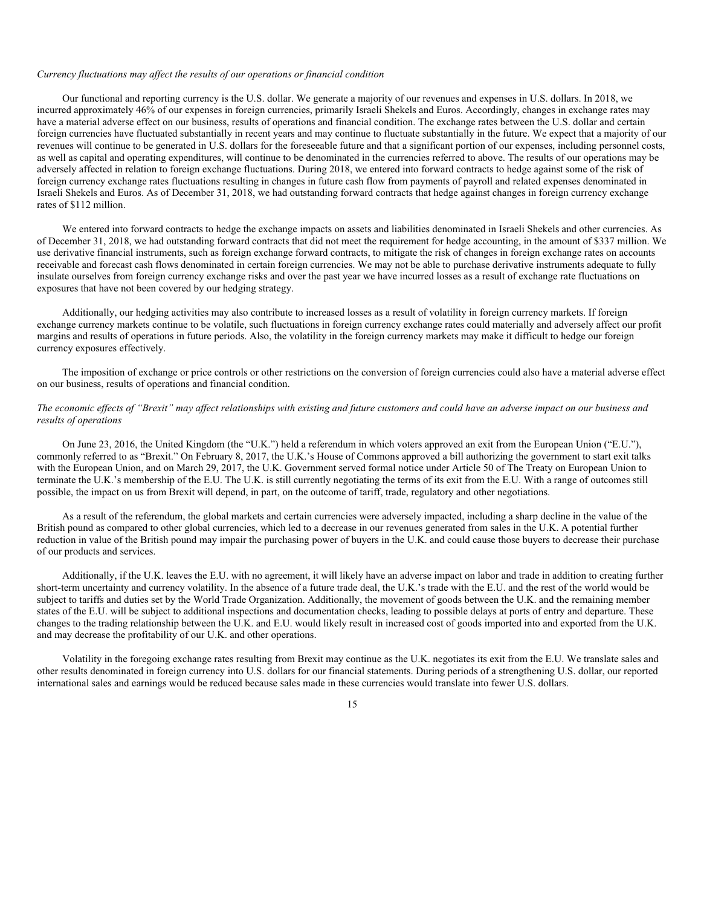#### *Currency fluctuations may affect the results of our operations or financial condition*

Our functional and reporting currency is the U.S. dollar. We generate a majority of our revenues and expenses in U.S. dollars. In 2018, we incurred approximately 46% of our expenses in foreign currencies, primarily Israeli Shekels and Euros. Accordingly, changes in exchange rates may have a material adverse effect on our business, results of operations and financial condition. The exchange rates between the U.S. dollar and certain foreign currencies have fluctuated substantially in recent years and may continue to fluctuate substantially in the future. We expect that a majority of our revenues will continue to be generated in U.S. dollars for the foreseeable future and that a significant portion of our expenses, including personnel costs, as well as capital and operating expenditures, will continue to be denominated in the currencies referred to above. The results of our operations may be adversely affected in relation to foreign exchange fluctuations. During 2018, we entered into forward contracts to hedge against some of the risk of foreign currency exchange rates fluctuations resulting in changes in future cash flow from payments of payroll and related expenses denominated in Israeli Shekels and Euros. As of December 31, 2018, we had outstanding forward contracts that hedge against changes in foreign currency exchange rates of \$112 million.

We entered into forward contracts to hedge the exchange impacts on assets and liabilities denominated in Israeli Shekels and other currencies. As of December 31, 2018, we had outstanding forward contracts that did not meet the requirement for hedge accounting, in the amount of \$337 million. We use derivative financial instruments, such as foreign exchange forward contracts, to mitigate the risk of changes in foreign exchange rates on accounts receivable and forecast cash flows denominated in certain foreign currencies. We may not be able to purchase derivative instruments adequate to fully insulate ourselves from foreign currency exchange risks and over the past year we have incurred losses as a result of exchange rate fluctuations on exposures that have not been covered by our hedging strategy.

Additionally, our hedging activities may also contribute to increased losses as a result of volatility in foreign currency markets. If foreign exchange currency markets continue to be volatile, such fluctuations in foreign currency exchange rates could materially and adversely affect our profit margins and results of operations in future periods. Also, the volatility in the foreign currency markets may make it difficult to hedge our foreign currency exposures effectively.

The imposition of exchange or price controls or other restrictions on the conversion of foreign currencies could also have a material adverse effect on our business, results of operations and financial condition.

# *The economic effects of "Brexit" may affect relationships with existing and future customers and could have an adverse impact on our business and results of operations*

On June 23, 2016, the United Kingdom (the "U.K.") held a referendum in which voters approved an exit from the European Union ("E.U."), commonly referred to as "Brexit." On February 8, 2017, the U.K.'s House of Commons approved a bill authorizing the government to start exit talks with the European Union, and on March 29, 2017, the U.K. Government served formal notice under Article 50 of The Treaty on European Union to terminate the U.K.'s membership of the E.U. The U.K. is still currently negotiating the terms of its exit from the E.U. With a range of outcomes still possible, the impact on us from Brexit will depend, in part, on the outcome of tariff, trade, regulatory and other negotiations.

As a result of the referendum, the global markets and certain currencies were adversely impacted, including a sharp decline in the value of the British pound as compared to other global currencies, which led to a decrease in our revenues generated from sales in the U.K. A potential further reduction in value of the British pound may impair the purchasing power of buyers in the U.K. and could cause those buyers to decrease their purchase of our products and services.

Additionally, if the U.K. leaves the E.U. with no agreement, it will likely have an adverse impact on labor and trade in addition to creating further short-term uncertainty and currency volatility. In the absence of a future trade deal, the U.K.'s trade with the E.U. and the rest of the world would be subject to tariffs and duties set by the World Trade Organization. Additionally, the movement of goods between the U.K. and the remaining member states of the E.U. will be subject to additional inspections and documentation checks, leading to possible delays at ports of entry and departure. These changes to the trading relationship between the U.K. and E.U. would likely result in increased cost of goods imported into and exported from the U.K. and may decrease the profitability of our U.K. and other operations.

Volatility in the foregoing exchange rates resulting from Brexit may continue as the U.K. negotiates its exit from the E.U. We translate sales and other results denominated in foreign currency into U.S. dollars for our financial statements. During periods of a strengthening U.S. dollar, our reported international sales and earnings would be reduced because sales made in these currencies would translate into fewer U.S. dollars.

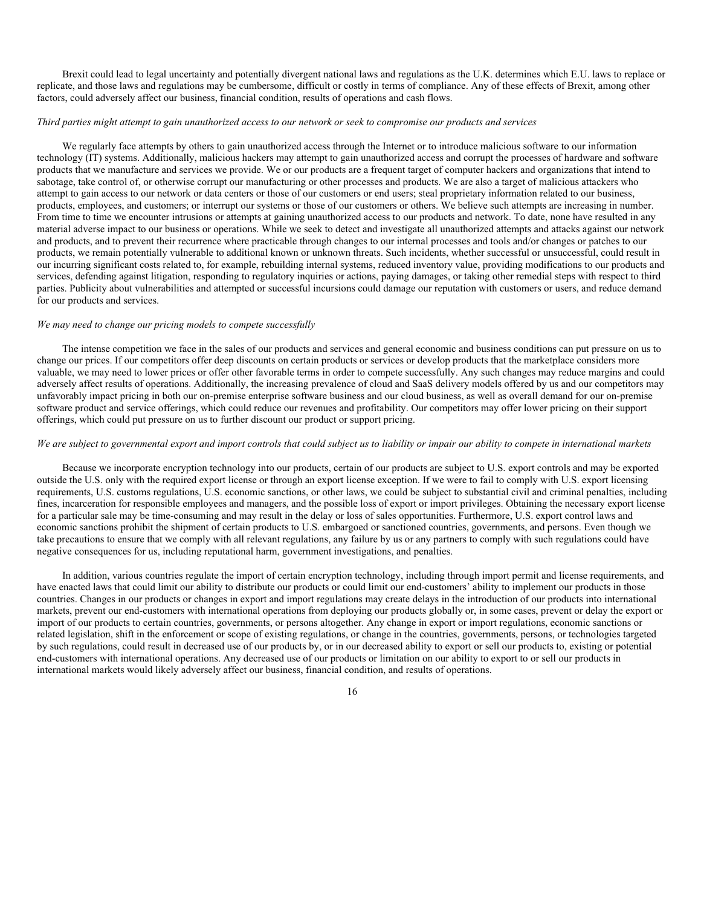Brexit could lead to legal uncertainty and potentially divergent national laws and regulations as the U.K. determines which E.U. laws to replace or replicate, and those laws and regulations may be cumbersome, difficult or costly in terms of compliance. Any of these effects of Brexit, among other factors, could adversely affect our business, financial condition, results of operations and cash flows.

#### *Third parties might attempt to gain unauthorized access to our network or seek to compromise our products and services*

We regularly face attempts by others to gain unauthorized access through the Internet or to introduce malicious software to our information technology (IT) systems. Additionally, malicious hackers may attempt to gain unauthorized access and corrupt the processes of hardware and software products that we manufacture and services we provide. We or our products are a frequent target of computer hackers and organizations that intend to sabotage, take control of, or otherwise corrupt our manufacturing or other processes and products. We are also a target of malicious attackers who attempt to gain access to our network or data centers or those of our customers or end users; steal proprietary information related to our business, products, employees, and customers; or interrupt our systems or those of our customers or others. We believe such attempts are increasing in number. From time to time we encounter intrusions or attempts at gaining unauthorized access to our products and network. To date, none have resulted in any material adverse impact to our business or operations. While we seek to detect and investigate all unauthorized attempts and attacks against our network and products, and to prevent their recurrence where practicable through changes to our internal processes and tools and/or changes or patches to our products, we remain potentially vulnerable to additional known or unknown threats. Such incidents, whether successful or unsuccessful, could result in our incurring significant costs related to, for example, rebuilding internal systems, reduced inventory value, providing modifications to our products and services, defending against litigation, responding to regulatory inquiries or actions, paying damages, or taking other remedial steps with respect to third parties. Publicity about vulnerabilities and attempted or successful incursions could damage our reputation with customers or users, and reduce demand for our products and services.

#### *We may need to change our pricing models to compete successfully*

The intense competition we face in the sales of our products and services and general economic and business conditions can put pressure on us to change our prices. If our competitors offer deep discounts on certain products or services or develop products that the marketplace considers more valuable, we may need to lower prices or offer other favorable terms in order to compete successfully. Any such changes may reduce margins and could adversely affect results of operations. Additionally, the increasing prevalence of cloud and SaaS delivery models offered by us and our competitors may unfavorably impact pricing in both our on-premise enterprise software business and our cloud business, as well as overall demand for our on-premise software product and service offerings, which could reduce our revenues and profitability. Our competitors may offer lower pricing on their support offerings, which could put pressure on us to further discount our product or support pricing.

#### *We are subject to governmental export and import controls that could subject us to liability or impair our ability to compete in international markets*

Because we incorporate encryption technology into our products, certain of our products are subject to U.S. export controls and may be exported outside the U.S. only with the required export license or through an export license exception. If we were to fail to comply with U.S. export licensing requirements, U.S. customs regulations, U.S. economic sanctions, or other laws, we could be subject to substantial civil and criminal penalties, including fines, incarceration for responsible employees and managers, and the possible loss of export or import privileges. Obtaining the necessary export license for a particular sale may be time-consuming and may result in the delay or loss of sales opportunities. Furthermore, U.S. export control laws and economic sanctions prohibit the shipment of certain products to U.S. embargoed or sanctioned countries, governments, and persons. Even though we take precautions to ensure that we comply with all relevant regulations, any failure by us or any partners to comply with such regulations could have negative consequences for us, including reputational harm, government investigations, and penalties.

In addition, various countries regulate the import of certain encryption technology, including through import permit and license requirements, and have enacted laws that could limit our ability to distribute our products or could limit our end-customers' ability to implement our products in those countries. Changes in our products or changes in export and import regulations may create delays in the introduction of our products into international markets, prevent our end-customers with international operations from deploying our products globally or, in some cases, prevent or delay the export or import of our products to certain countries, governments, or persons altogether. Any change in export or import regulations, economic sanctions or related legislation, shift in the enforcement or scope of existing regulations, or change in the countries, governments, persons, or technologies targeted by such regulations, could result in decreased use of our products by, or in our decreased ability to export or sell our products to, existing or potential end-customers with international operations. Any decreased use of our products or limitation on our ability to export to or sell our products in international markets would likely adversely affect our business, financial condition, and results of operations.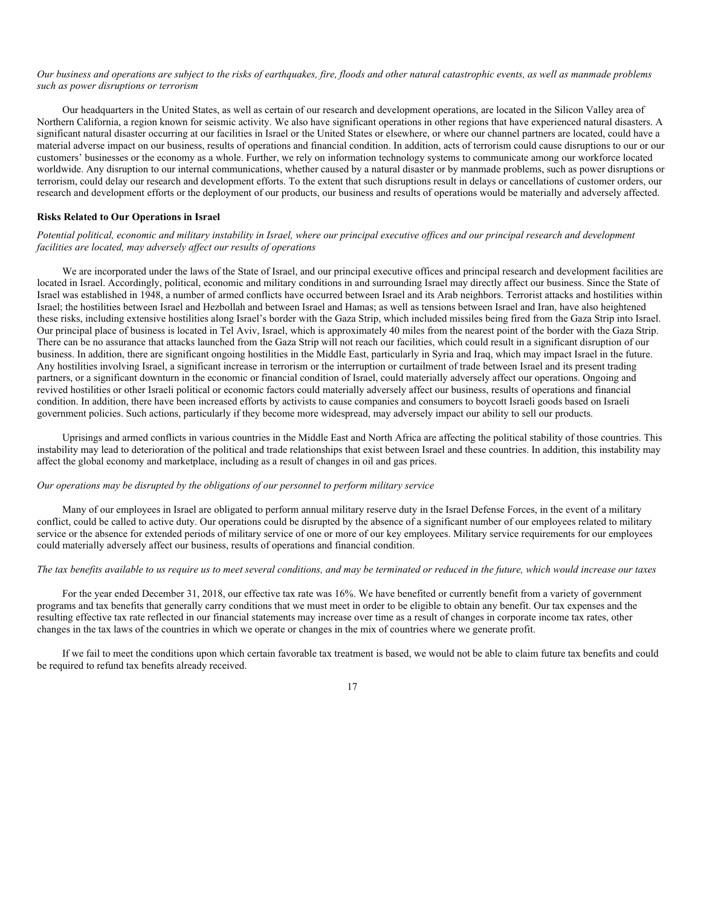# *Our business and operations are subject to the risks of earthquakes, fire, floods and other natural catastrophic events, as well as manmade problems such as power disruptions or terrorism*

Our headquarters in the United States, as well as certain of our research and development operations, are located in the Silicon Valley area of Northern California, a region known for seismic activity. We also have significant operations in other regions that have experienced natural disasters. A significant natural disaster occurring at our facilities in Israel or the United States or elsewhere, or where our channel partners are located, could have a material adverse impact on our business, results of operations and financial condition. In addition, acts of terrorism could cause disruptions to our or our customers' businesses or the economy as a whole. Further, we rely on information technology systems to communicate among our workforce located worldwide. Any disruption to our internal communications, whether caused by a natural disaster or by manmade problems, such as power disruptions or terrorism, could delay our research and development efforts. To the extent that such disruptions result in delays or cancellations of customer orders, our research and development efforts or the deployment of our products, our business and results of operations would be materially and adversely affected.

#### **Risks Related to Our Operations in Israel**

*Potential political, economic and military instability in Israel, where our principal executive offices and our principal research and development facilities are located, may adversely affect our results of operations* 

We are incorporated under the laws of the State of Israel, and our principal executive offices and principal research and development facilities are located in Israel. Accordingly, political, economic and military conditions in and surrounding Israel may directly affect our business. Since the State of Israel was established in 1948, a number of armed conflicts have occurred between Israel and its Arab neighbors. Terrorist attacks and hostilities within Israel; the hostilities between Israel and Hezbollah and between Israel and Hamas; as well as tensions between Israel and Iran, have also heightened these risks, including extensive hostilities along Israel's border with the Gaza Strip, which included missiles being fired from the Gaza Strip into Israel. Our principal place of business is located in Tel Aviv, Israel, which is approximately 40 miles from the nearest point of the border with the Gaza Strip. There can be no assurance that attacks launched from the Gaza Strip will not reach our facilities, which could result in a significant disruption of our business. In addition, there are significant ongoing hostilities in the Middle East, particularly in Syria and Iraq, which may impact Israel in the future. Any hostilities involving Israel, a significant increase in terrorism or the interruption or curtailment of trade between Israel and its present trading partners, or a significant downturn in the economic or financial condition of Israel, could materially adversely affect our operations. Ongoing and revived hostilities or other Israeli political or economic factors could materially adversely affect our business, results of operations and financial condition. In addition, there have been increased efforts by activists to cause companies and consumers to boycott Israeli goods based on Israeli government policies. Such actions, particularly if they become more widespread, may adversely impact our ability to sell our products.

Uprisings and armed conflicts in various countries in the Middle East and North Africa are affecting the political stability of those countries. This instability may lead to deterioration of the political and trade relationships that exist between Israel and these countries. In addition, this instability may affect the global economy and marketplace, including as a result of changes in oil and gas prices.

#### *Our operations may be disrupted by the obligations of our personnel to perform military service*

Many of our employees in Israel are obligated to perform annual military reserve duty in the Israel Defense Forces, in the event of a military conflict, could be called to active duty. Our operations could be disrupted by the absence of a significant number of our employees related to military service or the absence for extended periods of military service of one or more of our key employees. Military service requirements for our employees could materially adversely affect our business, results of operations and financial condition.

#### *The tax benefits available to us require us to meet several conditions, and may be terminated or reduced in the future, which would increase our taxes*

For the year ended December 31, 2018, our effective tax rate was 16%. We have benefited or currently benefit from a variety of government programs and tax benefits that generally carry conditions that we must meet in order to be eligible to obtain any benefit. Our tax expenses and the resulting effective tax rate reflected in our financial statements may increase over time as a result of changes in corporate income tax rates, other changes in the tax laws of the countries in which we operate or changes in the mix of countries where we generate profit.

If we fail to meet the conditions upon which certain favorable tax treatment is based, we would not be able to claim future tax benefits and could be required to refund tax benefits already received.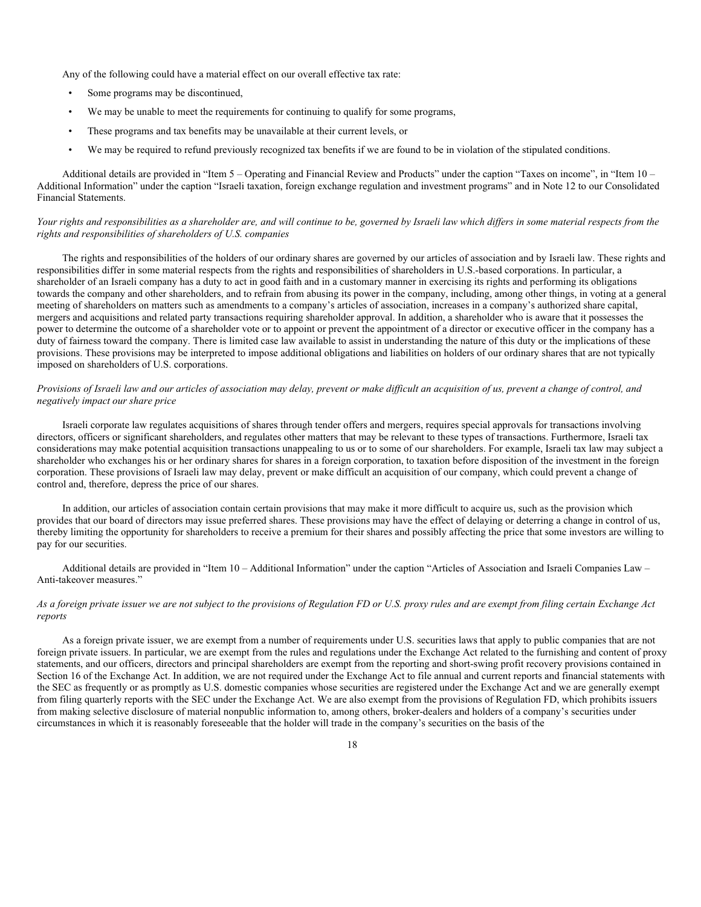Any of the following could have a material effect on our overall effective tax rate:

- Some programs may be discontinued,
- We may be unable to meet the requirements for continuing to qualify for some programs,
- These programs and tax benefits may be unavailable at their current levels, or
- We may be required to refund previously recognized tax benefits if we are found to be in violation of the stipulated conditions.

Additional details are provided in "Item 5 – Operating and Financial Review and Products" under the caption "Taxes on income", in "Item 10 – Additional Information" under the caption "Israeli taxation, foreign exchange regulation and investment programs" and in Note 12 to our Consolidated Financial Statements.

# Your rights and responsibilities as a shareholder are, and will continue to be, governed by Israeli law which differs in some material respects from the *rights and responsibilities of shareholders of U.S. companies*

The rights and responsibilities of the holders of our ordinary shares are governed by our articles of association and by Israeli law. These rights and responsibilities differ in some material respects from the rights and responsibilities of shareholders in U.S.-based corporations. In particular, a shareholder of an Israeli company has a duty to act in good faith and in a customary manner in exercising its rights and performing its obligations towards the company and other shareholders, and to refrain from abusing its power in the company, including, among other things, in voting at a general meeting of shareholders on matters such as amendments to a company's articles of association, increases in a company's authorized share capital, mergers and acquisitions and related party transactions requiring shareholder approval. In addition, a shareholder who is aware that it possesses the power to determine the outcome of a shareholder vote or to appoint or prevent the appointment of a director or executive officer in the company has a duty of fairness toward the company. There is limited case law available to assist in understanding the nature of this duty or the implications of these provisions. These provisions may be interpreted to impose additional obligations and liabilities on holders of our ordinary shares that are not typically imposed on shareholders of U.S. corporations.

# *Provisions of Israeli law and our articles of association may delay, prevent or make difficult an acquisition of us, prevent a change of control, and negatively impact our share price*

Israeli corporate law regulates acquisitions of shares through tender offers and mergers, requires special approvals for transactions involving directors, officers or significant shareholders, and regulates other matters that may be relevant to these types of transactions. Furthermore, Israeli tax considerations may make potential acquisition transactions unappealing to us or to some of our shareholders. For example, Israeli tax law may subject a shareholder who exchanges his or her ordinary shares for shares in a foreign corporation, to taxation before disposition of the investment in the foreign corporation. These provisions of Israeli law may delay, prevent or make difficult an acquisition of our company, which could prevent a change of control and, therefore, depress the price of our shares.

In addition, our articles of association contain certain provisions that may make it more difficult to acquire us, such as the provision which provides that our board of directors may issue preferred shares. These provisions may have the effect of delaying or deterring a change in control of us, thereby limiting the opportunity for shareholders to receive a premium for their shares and possibly affecting the price that some investors are willing to pay for our securities.

Additional details are provided in "Item 10 – Additional Information" under the caption "Articles of Association and Israeli Companies Law – Anti-takeover measures."

# *As a foreign private issuer we are not subject to the provisions of Regulation FD or U.S. proxy rules and are exempt from filing certain Exchange Act reports*

As a foreign private issuer, we are exempt from a number of requirements under U.S. securities laws that apply to public companies that are not foreign private issuers. In particular, we are exempt from the rules and regulations under the Exchange Act related to the furnishing and content of proxy statements, and our officers, directors and principal shareholders are exempt from the reporting and short-swing profit recovery provisions contained in Section 16 of the Exchange Act. In addition, we are not required under the Exchange Act to file annual and current reports and financial statements with the SEC as frequently or as promptly as U.S. domestic companies whose securities are registered under the Exchange Act and we are generally exempt from filing quarterly reports with the SEC under the Exchange Act. We are also exempt from the provisions of Regulation FD, which prohibits issuers from making selective disclosure of material nonpublic information to, among others, broker-dealers and holders of a company's securities under circumstances in which it is reasonably foreseeable that the holder will trade in the company's securities on the basis of the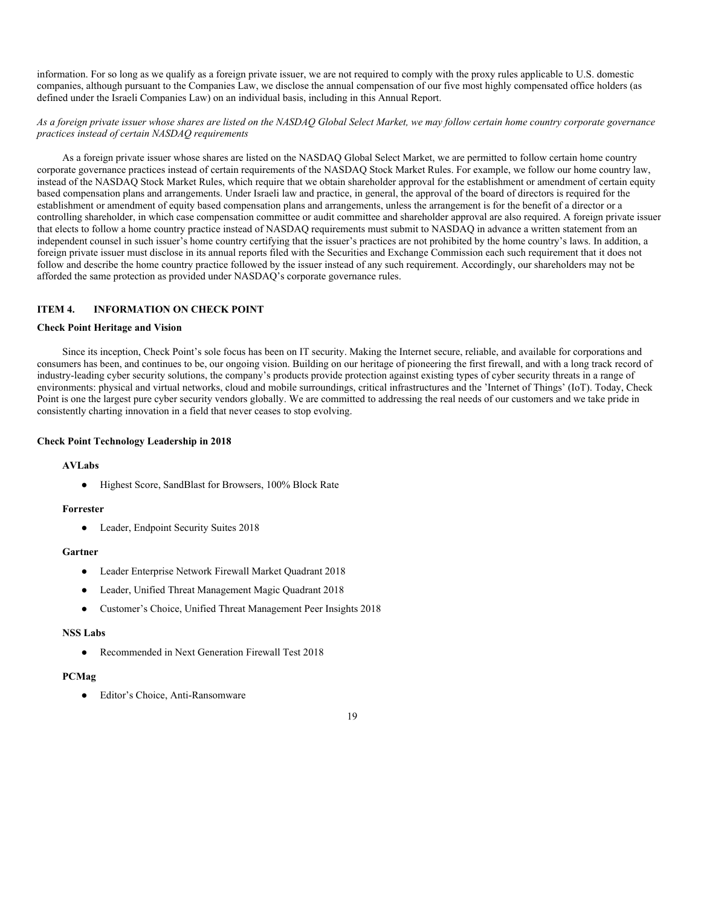information. For so long as we qualify as a foreign private issuer, we are not required to comply with the proxy rules applicable to U.S. domestic companies, although pursuant to the Companies Law, we disclose the annual compensation of our five most highly compensated office holders (as defined under the Israeli Companies Law) on an individual basis, including in this Annual Report.

# *As a foreign private issuer whose shares are listed on the NASDAQ Global Select Market, we may follow certain home country corporate governance practices instead of certain NASDAQ requirements*

As a foreign private issuer whose shares are listed on the NASDAQ Global Select Market, we are permitted to follow certain home country corporate governance practices instead of certain requirements of the NASDAQ Stock Market Rules. For example, we follow our home country law, instead of the NASDAQ Stock Market Rules, which require that we obtain shareholder approval for the establishment or amendment of certain equity based compensation plans and arrangements. Under Israeli law and practice, in general, the approval of the board of directors is required for the establishment or amendment of equity based compensation plans and arrangements, unless the arrangement is for the benefit of a director or a controlling shareholder, in which case compensation committee or audit committee and shareholder approval are also required. A foreign private issuer that elects to follow a home country practice instead of NASDAQ requirements must submit to NASDAQ in advance a written statement from an independent counsel in such issuer's home country certifying that the issuer's practices are not prohibited by the home country's laws. In addition, a foreign private issuer must disclose in its annual reports filed with the Securities and Exchange Commission each such requirement that it does not follow and describe the home country practice followed by the issuer instead of any such requirement. Accordingly, our shareholders may not be afforded the same protection as provided under NASDAQ's corporate governance rules.

# **ITEM 4. INFORMATION ON CHECK POINT**

#### **Check Point Heritage and Vision**

Since its inception, Check Point's sole focus has been on IT security. Making the Internet secure, reliable, and available for corporations and consumers has been, and continues to be, our ongoing vision. Building on our heritage of pioneering the first firewall, and with a long track record of industry-leading cyber security solutions, the company's products provide protection against existing types of cyber security threats in a range of environments: physical and virtual networks, cloud and mobile surroundings, critical infrastructures and the 'Internet of Things' (IoT). Today, Check Point is one the largest pure cyber security vendors globally. We are committed to addressing the real needs of our customers and we take pride in consistently charting innovation in a field that never ceases to stop evolving.

# **Check Point Technology Leadership in 2018**

#### **AVLabs**

● Highest Score, SandBlast for Browsers, 100% Block Rate

#### **Forrester**

● Leader, Endpoint Security Suites 2018

#### **Gartner**

- Leader Enterprise Network Firewall Market Quadrant 2018
- Leader, Unified Threat Management Magic Quadrant 2018
- Customer's Choice, Unified Threat Management Peer Insights 2018

# **NSS Labs**

● Recommended in Next Generation Firewall Test 2018

# **PCMag**

● Editor's Choice, Anti-Ransomware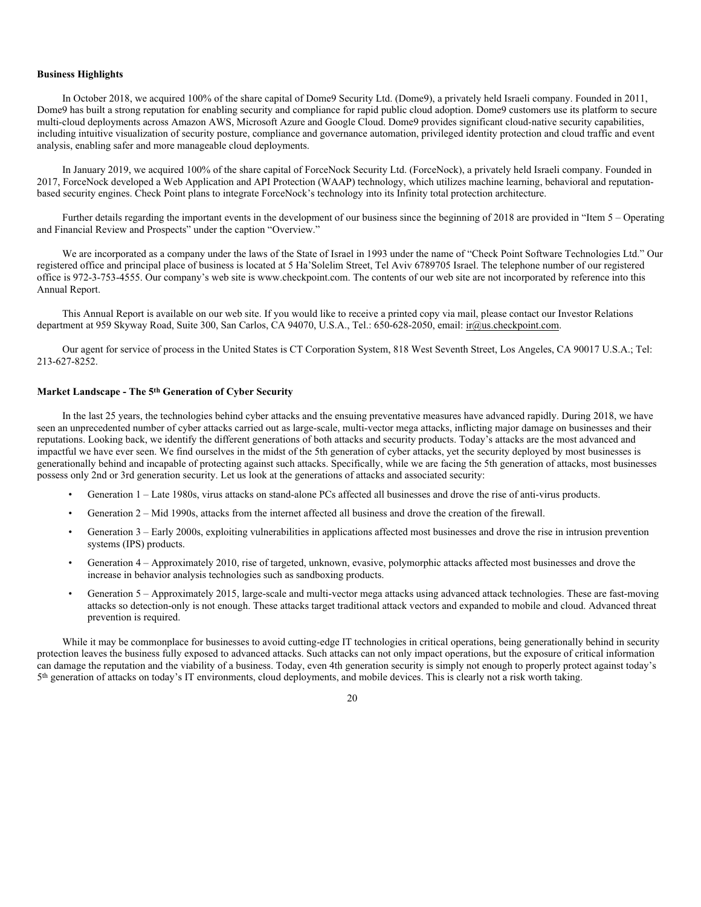# **Business Highlights**

In October 2018, we acquired 100% of the share capital of Dome9 Security Ltd. (Dome9), a privately held Israeli company. Founded in 2011, Dome9 has built a strong reputation for enabling security and compliance for rapid public cloud adoption. Dome9 customers use its platform to secure multi-cloud deployments across Amazon AWS, Microsoft Azure and Google Cloud. Dome9 provides significant cloud-native security capabilities, including intuitive visualization of security posture, compliance and governance automation, privileged identity protection and cloud traffic and event analysis, enabling safer and more manageable cloud deployments.

In January 2019, we acquired 100% of the share capital of ForceNock Security Ltd. (ForceNock), a privately held Israeli company. Founded in 2017, ForceNock developed a Web Application and API Protection (WAAP) technology, which utilizes machine learning, behavioral and reputationbased security engines. Check Point plans to integrate ForceNock's technology into its Infinity total protection architecture.

Further details regarding the important events in the development of our business since the beginning of 2018 are provided in "Item 5 – Operating and Financial Review and Prospects" under the caption "Overview."

We are incorporated as a company under the laws of the State of Israel in 1993 under the name of "Check Point Software Technologies Ltd." Our registered office and principal place of business is located at 5 Ha'Solelim Street, Tel Aviv 6789705 Israel. The telephone number of our registered office is 972-3-753-4555. Our company's web site is www.checkpoint.com. The contents of our web site are not incorporated by reference into this Annual Report.

This Annual Report is available on our web site. If you would like to receive a printed copy via mail, please contact our Investor Relations department at 959 Skyway Road, Suite 300, San Carlos, CA 94070, U.S.A., Tel.: 650-628-2050, email: ir@us.checkpoint.com.

Our agent for service of process in the United States is CT Corporation System, 818 West Seventh Street, Los Angeles, CA 90017 U.S.A.; Tel: 213-627-8252.

#### **Market Landscape - The 5th Generation of Cyber Security**

In the last 25 years, the technologies behind cyber attacks and the ensuing preventative measures have advanced rapidly. During 2018, we have seen an unprecedented number of cyber attacks carried out as large-scale, multi-vector mega attacks, inflicting major damage on businesses and their reputations. Looking back, we identify the different generations of both attacks and security products. Today's attacks are the most advanced and impactful we have ever seen. We find ourselves in the midst of the 5th generation of cyber attacks, yet the security deployed by most businesses is generationally behind and incapable of protecting against such attacks. Specifically, while we are facing the 5th generation of attacks, most businesses possess only 2nd or 3rd generation security. Let us look at the generations of attacks and associated security:

- Generation 1 Late 1980s, virus attacks on stand-alone PCs affected all businesses and drove the rise of anti-virus products.
- Generation 2 Mid 1990s, attacks from the internet affected all business and drove the creation of the firewall.
- Generation 3 Early 2000s, exploiting vulnerabilities in applications affected most businesses and drove the rise in intrusion prevention systems (IPS) products.
- Generation 4 Approximately 2010, rise of targeted, unknown, evasive, polymorphic attacks affected most businesses and drove the increase in behavior analysis technologies such as sandboxing products.
- Generation 5 Approximately 2015, large-scale and multi-vector mega attacks using advanced attack technologies. These are fast-moving attacks so detection-only is not enough. These attacks target traditional attack vectors and expanded to mobile and cloud. Advanced threat prevention is required.

While it may be commonplace for businesses to avoid cutting-edge IT technologies in critical operations, being generationally behind in security protection leaves the business fully exposed to advanced attacks. Such attacks can not only impact operations, but the exposure of critical information can damage the reputation and the viability of a business. Today, even 4th generation security is simply not enough to properly protect against today's 5th generation of attacks on today's IT environments, cloud deployments, and mobile devices. This is clearly not a risk worth taking.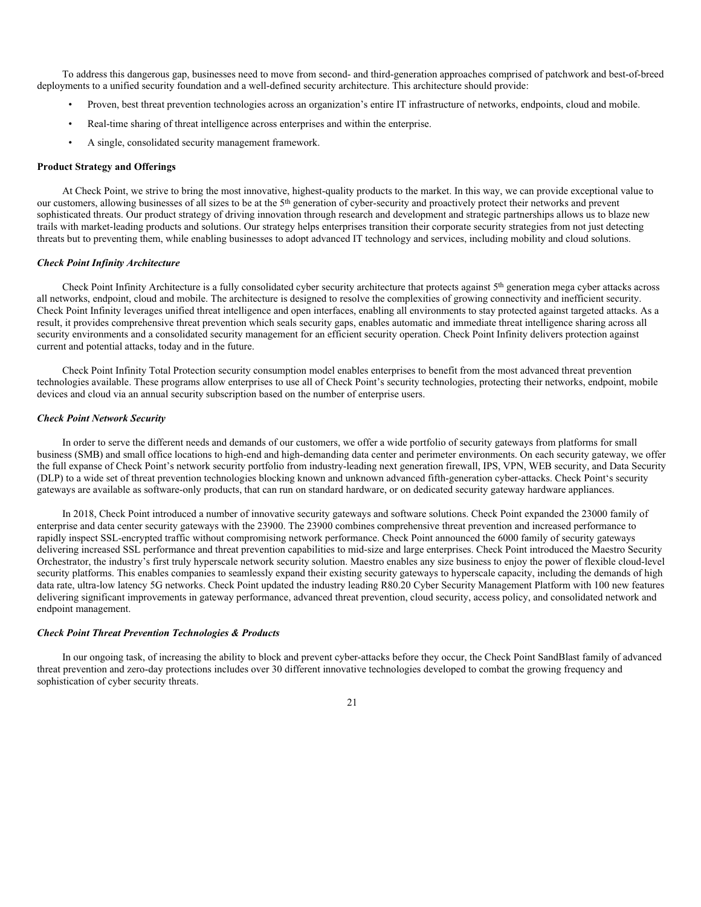To address this dangerous gap, businesses need to move from second- and third-generation approaches comprised of patchwork and best-of-breed deployments to a unified security foundation and a well-defined security architecture. This architecture should provide:

- Proven, best threat prevention technologies across an organization's entire IT infrastructure of networks, endpoints, cloud and mobile.
- Real-time sharing of threat intelligence across enterprises and within the enterprise.
- A single, consolidated security management framework.

#### **Product Strategy and Offerings**

At Check Point, we strive to bring the most innovative, highest-quality products to the market. In this way, we can provide exceptional value to our customers, allowing businesses of all sizes to be at the 5<sup>th</sup> generation of cyber-security and proactively protect their networks and prevent sophisticated threats. Our product strategy of driving innovation through research and development and strategic partnerships allows us to blaze new trails with market-leading products and solutions. Our strategy helps enterprises transition their corporate security strategies from not just detecting threats but to preventing them, while enabling businesses to adopt advanced IT technology and services, including mobility and cloud solutions.

#### *Check Point Infinity Architecture*

Check Point Infinity Architecture is a fully consolidated cyber security architecture that protects against  $5<sup>th</sup>$  generation mega cyber attacks across all networks, endpoint, cloud and mobile. The architecture is designed to resolve the complexities of growing connectivity and inefficient security. Check Point Infinity leverages unified threat intelligence and open interfaces, enabling all environments to stay protected against targeted attacks. As a result, it provides comprehensive threat prevention which seals security gaps, enables automatic and immediate threat intelligence sharing across all security environments and a consolidated security management for an efficient security operation. Check Point Infinity delivers protection against current and potential attacks, today and in the future.

Check Point Infinity Total Protection security consumption model enables enterprises to benefit from the most advanced threat prevention technologies available. These programs allow enterprises to use all of Check Point's security technologies, protecting their networks, endpoint, mobile devices and cloud via an annual security subscription based on the number of enterprise users.

#### *Check Point Network Security*

In order to serve the different needs and demands of our customers, we offer a wide portfolio of security gateways from platforms for small business (SMB) and small office locations to high-end and high-demanding data center and perimeter environments. On each security gateway, we offer the full expanse of Check Point's network security portfolio from industry-leading next generation firewall, IPS, VPN, WEB security, and Data Security (DLP) to a wide set of threat prevention technologies blocking known and unknown advanced fifth-generation cyber-attacks. Check Point's security gateways are available as software-only products, that can run on standard hardware, or on dedicated security gateway hardware appliances.

In 2018, Check Point introduced a number of innovative security gateways and software solutions. Check Point expanded the 23000 family of enterprise and data center security gateways with the 23900. The 23900 combines comprehensive threat prevention and increased performance to rapidly inspect SSL-encrypted traffic without compromising network performance. Check Point announced the 6000 family of security gateways delivering increased SSL performance and threat prevention capabilities to mid-size and large enterprises. Check Point introduced the Maestro Security Orchestrator, the industry's first truly hyperscale network security solution. Maestro enables any size business to enjoy the power of flexible cloud-level security platforms. This enables companies to seamlessly expand their existing security gateways to hyperscale capacity, including the demands of high data rate, ultra-low latency 5G networks. Check Point updated the industry leading R80.20 Cyber Security Management Platform with 100 new features delivering significant improvements in gateway performance, advanced threat prevention, cloud security, access policy, and consolidated network and endpoint management.

#### *Check Point Threat Prevention Technologies & Products*

In our ongoing task, of increasing the ability to block and prevent cyber-attacks before they occur, the Check Point SandBlast family of advanced threat prevention and zero-day protections includes over 30 different innovative technologies developed to combat the growing frequency and sophistication of cyber security threats.

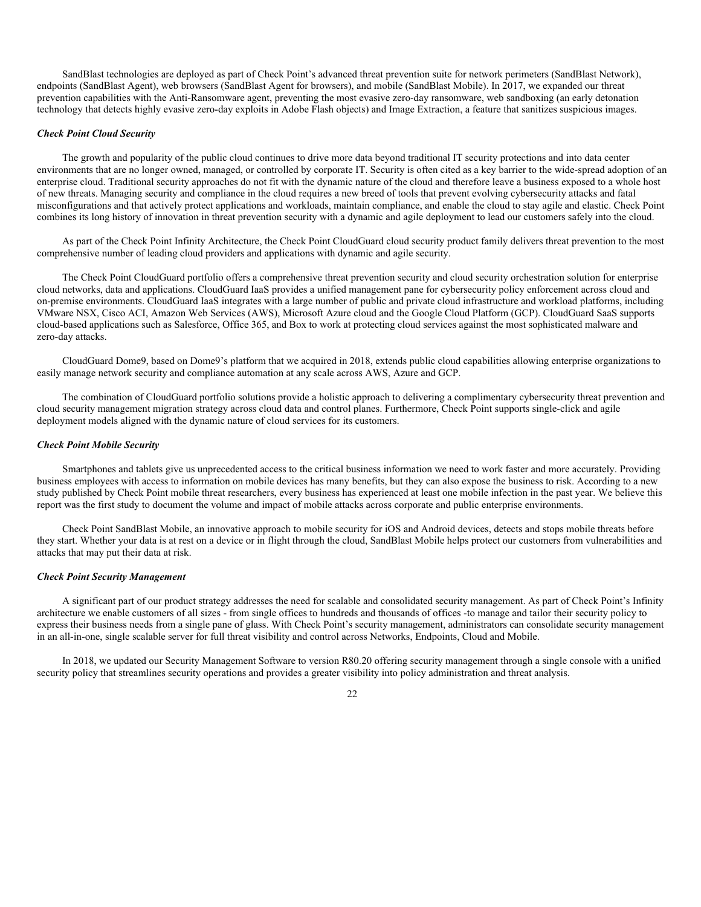SandBlast technologies are deployed as part of Check Point's advanced threat prevention suite for network perimeters (SandBlast Network), endpoints (SandBlast Agent), web browsers (SandBlast Agent for browsers), and mobile (SandBlast Mobile). In 2017, we expanded our threat prevention capabilities with the Anti-Ransomware agent, preventing the most evasive zero-day ransomware, web sandboxing (an early detonation technology that detects highly evasive zero-day exploits in Adobe Flash objects) and Image Extraction, a feature that sanitizes suspicious images.

#### *Check Point Cloud Security*

The growth and popularity of the public cloud continues to drive more data beyond traditional IT security protections and into data center environments that are no longer owned, managed, or controlled by corporate IT. Security is often cited as a key barrier to the wide-spread adoption of an enterprise cloud. Traditional security approaches do not fit with the dynamic nature of the cloud and therefore leave a business exposed to a whole host of new threats. Managing security and compliance in the cloud requires a new breed of tools that prevent evolving cybersecurity attacks and fatal misconfigurations and that actively protect applications and workloads, maintain compliance, and enable the cloud to stay agile and elastic. Check Point combines its long history of innovation in threat prevention security with a dynamic and agile deployment to lead our customers safely into the cloud.

As part of the Check Point Infinity Architecture, the Check Point CloudGuard cloud security product family delivers threat prevention to the most comprehensive number of leading cloud providers and applications with dynamic and agile security.

The Check Point CloudGuard portfolio offers a comprehensive threat prevention security and cloud security orchestration solution for enterprise cloud networks, data and applications. CloudGuard IaaS provides a unified management pane for cybersecurity policy enforcement across cloud and on-premise environments. CloudGuard IaaS integrates with a large number of public and private cloud infrastructure and workload platforms, including VMware NSX, Cisco ACI, Amazon Web Services (AWS), Microsoft Azure cloud and the Google Cloud Platform (GCP). CloudGuard SaaS supports cloud-based applications such as Salesforce, Office 365, and Box to work at protecting cloud services against the most sophisticated malware and zero-day attacks.

CloudGuard Dome9, based on Dome9's platform that we acquired in 2018, extends public cloud capabilities allowing enterprise organizations to easily manage network security and compliance automation at any scale across AWS, Azure and GCP.

The combination of CloudGuard portfolio solutions provide a holistic approach to delivering a complimentary cybersecurity threat prevention and cloud security management migration strategy across cloud data and control planes. Furthermore, Check Point supports single-click and agile deployment models aligned with the dynamic nature of cloud services for its customers.

#### *Check Point Mobile Security*

Smartphones and tablets give us unprecedented access to the critical business information we need to work faster and more accurately. Providing business employees with access to information on mobile devices has many benefits, but they can also expose the business to risk. According to a new study published by Check Point mobile threat researchers, every business has experienced at least one mobile infection in the past year. We believe this report was the first study to document the volume and impact of mobile attacks across corporate and public enterprise environments.

Check Point SandBlast Mobile, an innovative approach to mobile security for iOS and Android devices, detects and stops mobile threats before they start. Whether your data is at rest on a device or in flight through the cloud, SandBlast Mobile helps protect our customers from vulnerabilities and attacks that may put their data at risk.

#### *Check Point Security Management*

A significant part of our product strategy addresses the need for scalable and consolidated security management. As part of Check Point's Infinity architecture we enable customers of all sizes - from single offices to hundreds and thousands of offices -to manage and tailor their security policy to express their business needs from a single pane of glass. With Check Point's security management, administrators can consolidate security management in an all-in-one, single scalable server for full threat visibility and control across Networks, Endpoints, Cloud and Mobile.

In 2018, we updated our Security Management Software to version R80.20 offering security management through a single console with a unified security policy that streamlines security operations and provides a greater visibility into policy administration and threat analysis.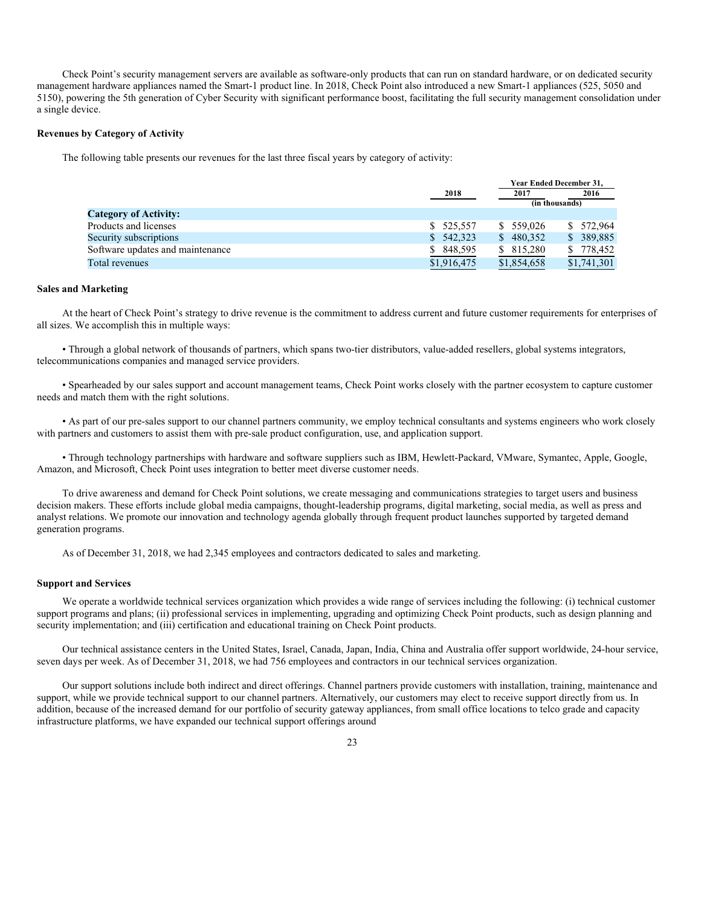Check Point's security management servers are available as software-only products that can run on standard hardware, or on dedicated security management hardware appliances named the Smart-1 product line. In 2018, Check Point also introduced a new Smart-1 appliances (525, 5050 and 5150), powering the 5th generation of Cyber Security with significant performance boost, facilitating the full security management consolidation under a single device.

# **Revenues by Category of Activity**

The following table presents our revenues for the last three fiscal years by category of activity:

|                                  |             | <b>Year Ended December 31.</b> |             |
|----------------------------------|-------------|--------------------------------|-------------|
|                                  | 2018        | 2017                           | 2016        |
|                                  |             | (in thousands)                 |             |
| <b>Category of Activity:</b>     |             |                                |             |
| Products and licenses            | \$ 525,557  | \$ 559,026                     | \$ 572,964  |
| Security subscriptions           | \$542,323   | \$480,352                      | \$ 389,885  |
| Software updates and maintenance | \$ 848,595  | \$ 815,280                     | 778,452     |
| Total revenues                   | \$1,916,475 | \$1,854,658                    | \$1,741,301 |

## **Sales and Marketing**

At the heart of Check Point's strategy to drive revenue is the commitment to address current and future customer requirements for enterprises of all sizes. We accomplish this in multiple ways:

• Through a global network of thousands of partners, which spans two-tier distributors, value-added resellers, global systems integrators, telecommunications companies and managed service providers.

• Spearheaded by our sales support and account management teams, Check Point works closely with the partner ecosystem to capture customer needs and match them with the right solutions.

• As part of our pre-sales support to our channel partners community, we employ technical consultants and systems engineers who work closely with partners and customers to assist them with pre-sale product configuration, use, and application support.

• Through technology partnerships with hardware and software suppliers such as IBM, Hewlett-Packard, VMware, Symantec, Apple, Google, Amazon, and Microsoft, Check Point uses integration to better meet diverse customer needs.

To drive awareness and demand for Check Point solutions, we create messaging and communications strategies to target users and business decision makers. These efforts include global media campaigns, thought-leadership programs, digital marketing, social media, as well as press and analyst relations. We promote our innovation and technology agenda globally through frequent product launches supported by targeted demand generation programs.

As of December 31, 2018, we had 2,345 employees and contractors dedicated to sales and marketing.

# **Support and Services**

We operate a worldwide technical services organization which provides a wide range of services including the following: (i) technical customer support programs and plans; (ii) professional services in implementing, upgrading and optimizing Check Point products, such as design planning and security implementation; and (iii) certification and educational training on Check Point products.

Our technical assistance centers in the United States, Israel, Canada, Japan, India, China and Australia offer support worldwide, 24-hour service, seven days per week. As of December 31, 2018, we had 756 employees and contractors in our technical services organization.

Our support solutions include both indirect and direct offerings. Channel partners provide customers with installation, training, maintenance and support, while we provide technical support to our channel partners. Alternatively, our customers may elect to receive support directly from us. In addition, because of the increased demand for our portfolio of security gateway appliances, from small office locations to telco grade and capacity infrastructure platforms, we have expanded our technical support offerings around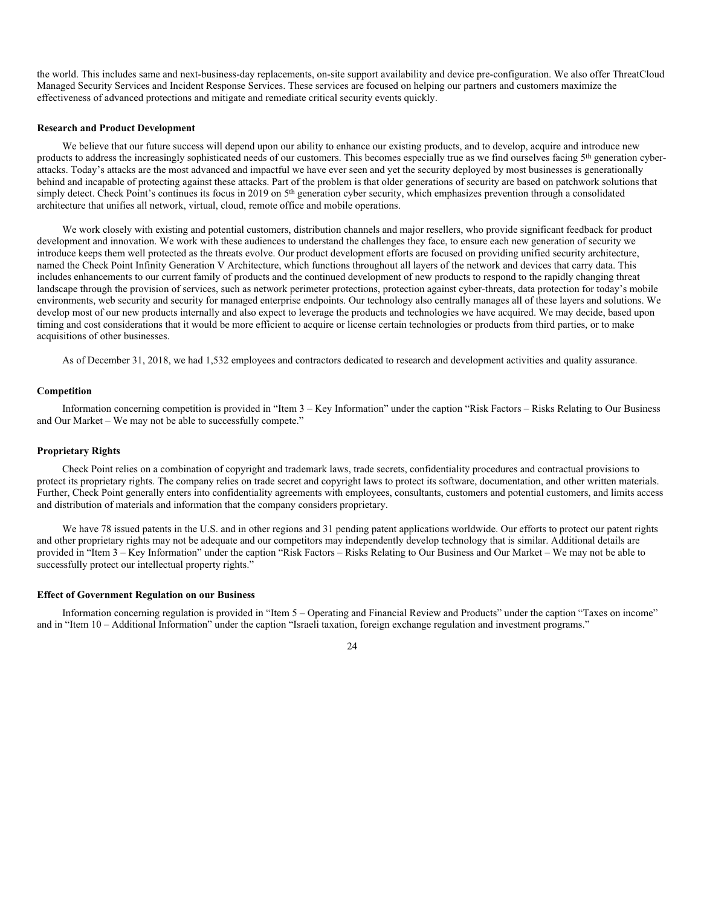the world. This includes same and next-business-day replacements, on-site support availability and device pre-configuration. We also offer ThreatCloud Managed Security Services and Incident Response Services. These services are focused on helping our partners and customers maximize the effectiveness of advanced protections and mitigate and remediate critical security events quickly.

#### **Research and Product Development**

We believe that our future success will depend upon our ability to enhance our existing products, and to develop, acquire and introduce new products to address the increasingly sophisticated needs of our customers. This becomes especially true as we find ourselves facing 5<sup>th</sup> generation cyberattacks. Today's attacks are the most advanced and impactful we have ever seen and yet the security deployed by most businesses is generationally behind and incapable of protecting against these attacks. Part of the problem is that older generations of security are based on patchwork solutions that simply detect. Check Point's continues its focus in 2019 on 5<sup>th</sup> generation cyber security, which emphasizes prevention through a consolidated architecture that unifies all network, virtual, cloud, remote office and mobile operations.

We work closely with existing and potential customers, distribution channels and major resellers, who provide significant feedback for product development and innovation. We work with these audiences to understand the challenges they face, to ensure each new generation of security we introduce keeps them well protected as the threats evolve. Our product development efforts are focused on providing unified security architecture, named the Check Point Infinity Generation V Architecture, which functions throughout all layers of the network and devices that carry data. This includes enhancements to our current family of products and the continued development of new products to respond to the rapidly changing threat landscape through the provision of services, such as network perimeter protections, protection against cyber-threats, data protection for today's mobile environments, web security and security for managed enterprise endpoints. Our technology also centrally manages all of these layers and solutions. We develop most of our new products internally and also expect to leverage the products and technologies we have acquired. We may decide, based upon timing and cost considerations that it would be more efficient to acquire or license certain technologies or products from third parties, or to make acquisitions of other businesses.

As of December 31, 2018, we had 1,532 employees and contractors dedicated to research and development activities and quality assurance.

# **Competition**

Information concerning competition is provided in "Item 3 – Key Information" under the caption "Risk Factors – Risks Relating to Our Business and Our Market – We may not be able to successfully compete."

#### **Proprietary Rights**

Check Point relies on a combination of copyright and trademark laws, trade secrets, confidentiality procedures and contractual provisions to protect its proprietary rights. The company relies on trade secret and copyright laws to protect its software, documentation, and other written materials. Further, Check Point generally enters into confidentiality agreements with employees, consultants, customers and potential customers, and limits access and distribution of materials and information that the company considers proprietary.

We have 78 issued patents in the U.S. and in other regions and 31 pending patent applications worldwide. Our efforts to protect our patent rights and other proprietary rights may not be adequate and our competitors may independently develop technology that is similar. Additional details are provided in "Item 3 – Key Information" under the caption "Risk Factors – Risks Relating to Our Business and Our Market – We may not be able to successfully protect our intellectual property rights."

#### **Effect of Government Regulation on our Business**

Information concerning regulation is provided in "Item 5 – Operating and Financial Review and Products" under the caption "Taxes on income" and in "Item 10 – Additional Information" under the caption "Israeli taxation, foreign exchange regulation and investment programs."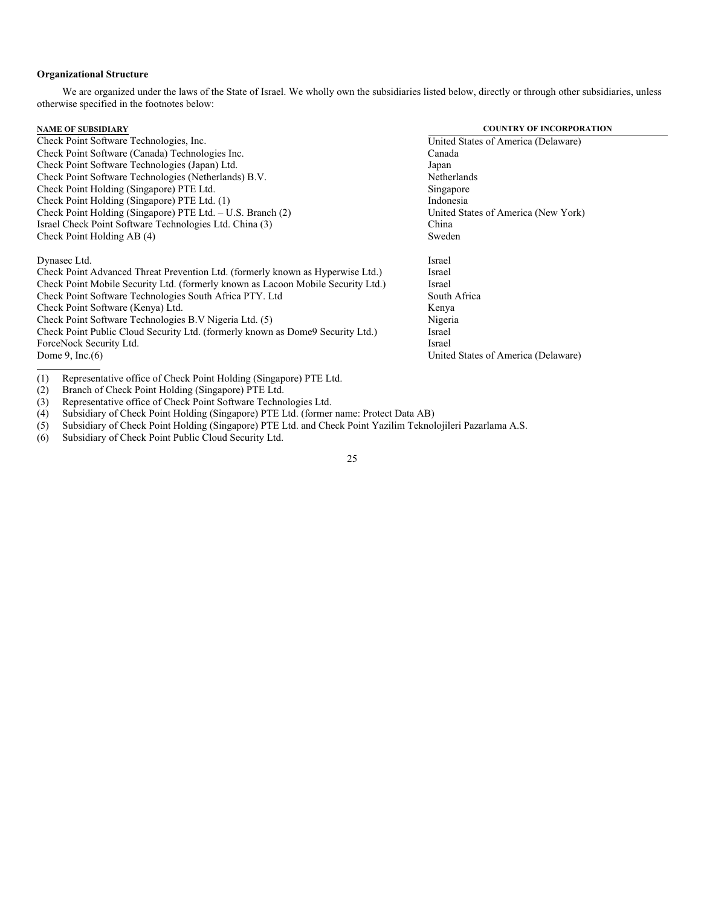# **Organizational Structure**

We are organized under the laws of the State of Israel. We wholly own the subsidiaries listed below, directly or through other subsidiaries, unless otherwise specified in the footnotes below:

Check Point Software Technologies, Inc. United States of America (Delaware) Check Point Software (Canada) Technologies Inc. Canada Check Point Software Technologies (Japan) Ltd. Japan<br>Check Point Software Technologies (Netherlands) B.V. Netherlands Software Technologies (Netherlands) B.V. Check Point Software Technologies (Netherlands) B.V. Check Point Holding (Singapore) PTE Ltd.<br>
Check Point Holding (Singapore) PTE Ltd. (1) Singapore Sheck Point Holding (Singapore) PTE Ltd. (1) Check Point Holding (Singapore) PTE Ltd. (1)<br>
Check Point Holding (Singapore) PTE Ltd. – U.S. Branch (2) United States of America (New York) Check Point Holding (Singapore) PTE Ltd. - U.S. Branch (2) Israel Check Point Software Technologies Ltd. China (3) China Check Point Holding AB (4) Sweden Check Point Holding AB (4)

Dynasec Ltd. Israel<br>Check Point Advanced Threat Prevention Ltd. (formerly known as Hyperwise Ltd.) Israel Check Point Advanced Threat Prevention Ltd. (formerly known as Hyperwise Ltd.) Check Point Mobile Security Ltd. (formerly known as Lacoon Mobile Security Ltd.) Israel Check Point Software Technologies South Africa PTY. Ltd South Africa South Africa Check Point Software (Kenya) Ltd.<br>
Check Point Software Technologies B.V Nigeria Ltd. (5) Nigeria Check Point Software Technologies B.V Nigeria Ltd. (5) Check Point Public Cloud Security Ltd. (formerly known as Dome9 Security Ltd.) Israel ForceNock Security Ltd. **Israel** Dome 9, Inc.(6) United States of America (Delaware)

- (1) Representative office of Check Point Holding (Singapore) PTE Ltd.
- (2) Branch of Check Point Holding (Singapore) PTE Ltd.
- (3) Representative office of Check Point Software Technologies Ltd.
- (4) Subsidiary of Check Point Holding (Singapore) PTE Ltd. (former name: Protect Data AB)
- (5) Subsidiary of Check Point Holding (Singapore) PTE Ltd. and Check Point Yazilim Teknolojileri Pazarlama A.S.
- (6) Subsidiary of Check Point Public Cloud Security Ltd.

# **NAME OF SUBSIDIARY COUNTRY OF INCORPORATION**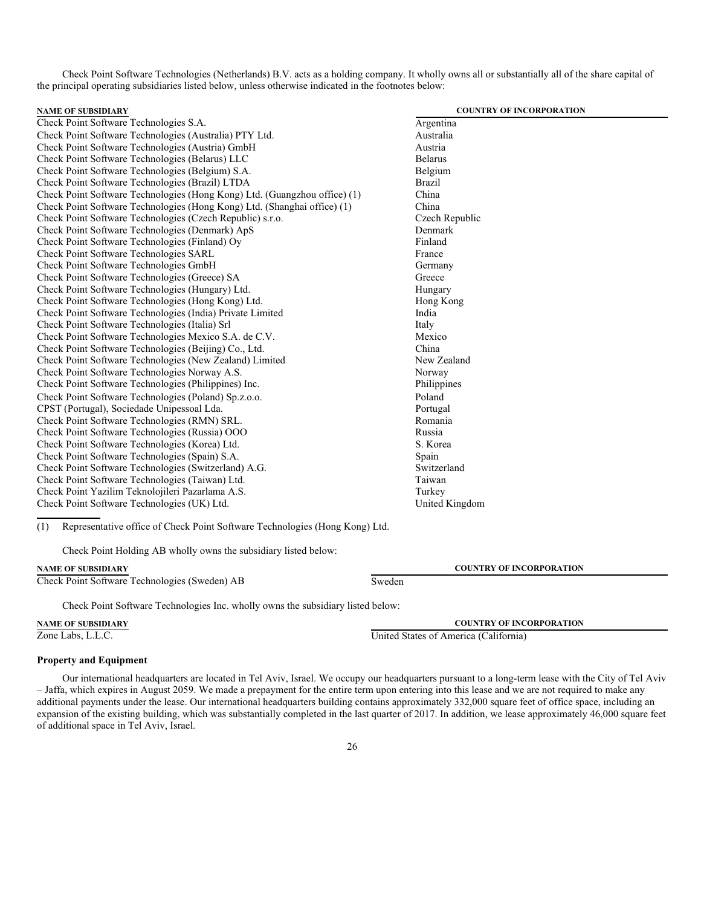Check Point Software Technologies (Netherlands) B.V. acts as a holding company. It wholly owns all or substantially all of the share capital of the principal operating subsidiaries listed below, unless otherwise indicated in the footnotes below:

|  |  | NAME OF SUBSIDIARY |  |
|--|--|--------------------|--|
|--|--|--------------------|--|

Check Point Software Technologies S.A. Argentina Check Point Software Technologies (Australia) PTY Ltd. Australia Check Point Software Technologies (Austria) GmbH<br>Check Point Software Technologies (Belarus) LLC Belarus Check Point Software Technologies (Belarus) LLC Check Point Software Technologies (Belgium) S.A. Belgium Check Point Software Technologies (Brazil) LTDA<br>Check Point Software Technologies (Hong Kong) Ltd. (Guangzhou office) (1) China Check Point Software Technologies (Hong Kong) Ltd. (Guangzhou office) (1) China Check Point Software Technologies (Hong Kong) Ltd. (Shanghai office) (1) Check Point Software Technologies (Czech Republic) s.r.o. Czech Republic Check Point Software Technologies (Denmark) ApS Denmark Check Point Software Technologies (Finland) Oy Finland Check Point Software Technologies SARL France<br>
Check Point Software Technologies GmbH<br>
Germany Check Point Software Technologies GmbH Check Point Software Technologies (Greece) SA Greece Check Point Software Technologies (Hungary) Ltd. https://www.energelea.com/2010/2010 Hungary Check Point Software Technologies (Hong Kong) Ltd. Hong Kong Check Point Software Technologies (India) Private Limited India Check Point Software Technologies (Italia) Srl<br>
Check Point Software Technologies Mexico S.A. de C.V.<br>
Mexico Check Point Software Technologies Mexico S.A. de C.V. Check Point Software Technologies (Beijing) Co., Ltd. China Check Point Software Technologies (New Zealand) Limited New Zealand Check Point Software Technologies (New Zealand) Limited Check Point Software Technologies Norway A.S. Check Point Software Technologies (Philippines) Inc. Norway Philippines Check Point Software Technologies (Poland) Sp.z.o.o. Poland<br>
CPST (Portugal), Sociedade Unipessoal Lda. Portugal CPST (Portugal), Sociedade Unipessoal Lda. Check Point Software Technologies (RMN) SRL. Romania Check Point Software Technologies (Russia) OOO Russia Check Point Software Technologies (Korea) Ltd. S. Korea Check Point Software Technologies (Spain) S.A. Spain Check Point Software Technologies (Switzerland) A.G. Switzerland Check Point Software Technologies (Taiwan) Ltd. Taiwan Check Point Yazilim Teknolojileri Pazarlama A.S. Turkey Check Point Software Technologies (UK) Ltd. United Kingdom

**COUNTRY OF INCORPORATION** 

(1) Representative office of Check Point Software Technologies (Hong Kong) Ltd.

Check Point Holding AB wholly owns the subsidiary listed below:

# **NAME OF SUBSIDIARY COUNTRY OF INCORPORATION**

Check Point Software Technologies (Sweden) AB Sweden

Check Point Software Technologies Inc. wholly owns the subsidiary listed below:

**NAME OF SUBSIDIARY COUNTRY OF INCORPORATION** Zone Labs, L.L.C. United States of America (California)

#### **Property and Equipment**

Our international headquarters are located in Tel Aviv, Israel. We occupy our headquarters pursuant to a long-term lease with the City of Tel Aviv – Jaffa, which expires in August 2059. We made a prepayment for the entire term upon entering into this lease and we are not required to make any additional payments under the lease. Our international headquarters building contains approximately 332,000 square feet of office space, including an expansion of the existing building, which was substantially completed in the last quarter of 2017. In addition, we lease approximately 46,000 square feet of additional space in Tel Aviv, Israel.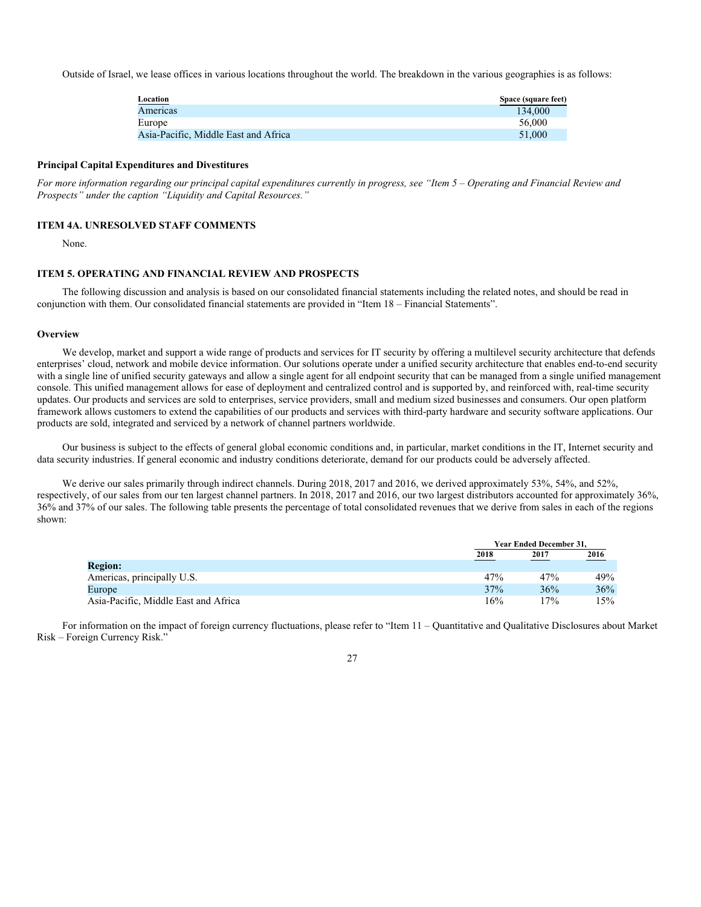Outside of Israel, we lease offices in various locations throughout the world. The breakdown in the various geographies is as follows:

| Location                             | Space (square feet) |
|--------------------------------------|---------------------|
| Americas                             | 134,000             |
| Europe                               | 56,000              |
| Asia-Pacific, Middle East and Africa | 51,000              |

#### **Principal Capital Expenditures and Divestitures**

*For more information regarding our principal capital expenditures currently in progress, see "Item 5 – Operating and Financial Review and Prospects" under the caption "Liquidity and Capital Resources."* 

#### **ITEM 4A. UNRESOLVED STAFF COMMENTS**

None.

#### **ITEM 5. OPERATING AND FINANCIAL REVIEW AND PROSPECTS**

The following discussion and analysis is based on our consolidated financial statements including the related notes, and should be read in conjunction with them. Our consolidated financial statements are provided in "Item 18 – Financial Statements".

#### **Overview**

We develop, market and support a wide range of products and services for IT security by offering a multilevel security architecture that defends enterprises' cloud, network and mobile device information. Our solutions operate under a unified security architecture that enables end-to-end security with a single line of unified security gateways and allow a single agent for all endpoint security that can be managed from a single unified management console. This unified management allows for ease of deployment and centralized control and is supported by, and reinforced with, real-time security updates. Our products and services are sold to enterprises, service providers, small and medium sized businesses and consumers. Our open platform framework allows customers to extend the capabilities of our products and services with third-party hardware and security software applications. Our products are sold, integrated and serviced by a network of channel partners worldwide.

Our business is subject to the effects of general global economic conditions and, in particular, market conditions in the IT, Internet security and data security industries. If general economic and industry conditions deteriorate, demand for our products could be adversely affected.

We derive our sales primarily through indirect channels. During 2018, 2017 and 2016, we derived approximately 53%, 54%, and 52%, respectively, of our sales from our ten largest channel partners. In 2018, 2017 and 2016, our two largest distributors accounted for approximately 36%, 36% and 37% of our sales. The following table presents the percentage of total consolidated revenues that we derive from sales in each of the regions shown:

|                                      |      | Year Ended December 31, |      |  |  |
|--------------------------------------|------|-------------------------|------|--|--|
|                                      | 2018 | 2017                    | 2016 |  |  |
| <b>Region:</b>                       |      |                         |      |  |  |
| Americas, principally U.S.           | 47%  | 47%                     | 49%  |  |  |
| Europe                               | 37%  | 36%                     | 36%  |  |  |
| Asia-Pacific, Middle East and Africa | 16%  | 17%                     | 15%  |  |  |

For information on the impact of foreign currency fluctuations, please refer to "Item 11 – Quantitative and Qualitative Disclosures about Market Risk – Foreign Currency Risk."

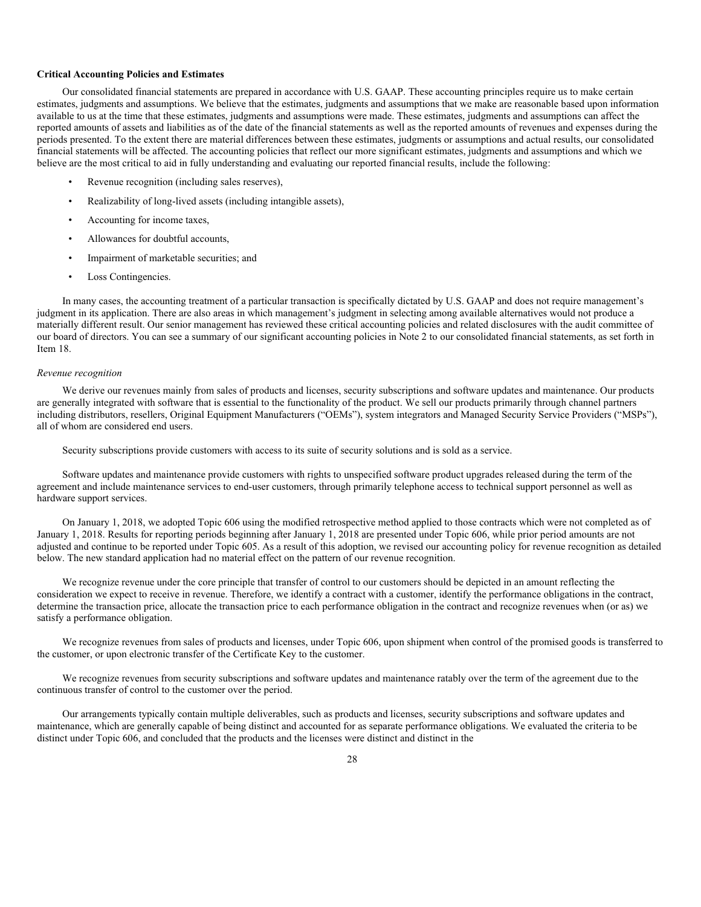#### **Critical Accounting Policies and Estimates**

Our consolidated financial statements are prepared in accordance with U.S. GAAP. These accounting principles require us to make certain estimates, judgments and assumptions. We believe that the estimates, judgments and assumptions that we make are reasonable based upon information available to us at the time that these estimates, judgments and assumptions were made. These estimates, judgments and assumptions can affect the reported amounts of assets and liabilities as of the date of the financial statements as well as the reported amounts of revenues and expenses during the periods presented. To the extent there are material differences between these estimates, judgments or assumptions and actual results, our consolidated financial statements will be affected. The accounting policies that reflect our more significant estimates, judgments and assumptions and which we believe are the most critical to aid in fully understanding and evaluating our reported financial results, include the following:

- Revenue recognition (including sales reserves),
- Realizability of long-lived assets (including intangible assets),
- Accounting for income taxes,
- Allowances for doubtful accounts,
- Impairment of marketable securities; and
- Loss Contingencies.

In many cases, the accounting treatment of a particular transaction is specifically dictated by U.S. GAAP and does not require management's judgment in its application. There are also areas in which management's judgment in selecting among available alternatives would not produce a materially different result. Our senior management has reviewed these critical accounting policies and related disclosures with the audit committee of our board of directors. You can see a summary of our significant accounting policies in Note 2 to our consolidated financial statements, as set forth in Item 18.

### *Revenue recognition*

We derive our revenues mainly from sales of products and licenses, security subscriptions and software updates and maintenance. Our products are generally integrated with software that is essential to the functionality of the product. We sell our products primarily through channel partners including distributors, resellers, Original Equipment Manufacturers ("OEMs"), system integrators and Managed Security Service Providers ("MSPs"), all of whom are considered end users.

Security subscriptions provide customers with access to its suite of security solutions and is sold as a service.

Software updates and maintenance provide customers with rights to unspecified software product upgrades released during the term of the agreement and include maintenance services to end-user customers, through primarily telephone access to technical support personnel as well as hardware support services.

On January 1, 2018, we adopted Topic 606 using the modified retrospective method applied to those contracts which were not completed as of January 1, 2018. Results for reporting periods beginning after January 1, 2018 are presented under Topic 606, while prior period amounts are not adjusted and continue to be reported under Topic 605. As a result of this adoption, we revised our accounting policy for revenue recognition as detailed below. The new standard application had no material effect on the pattern of our revenue recognition.

We recognize revenue under the core principle that transfer of control to our customers should be depicted in an amount reflecting the consideration we expect to receive in revenue. Therefore, we identify a contract with a customer, identify the performance obligations in the contract, determine the transaction price, allocate the transaction price to each performance obligation in the contract and recognize revenues when (or as) we satisfy a performance obligation.

We recognize revenues from sales of products and licenses, under Topic 606, upon shipment when control of the promised goods is transferred to the customer, or upon electronic transfer of the Certificate Key to the customer.

We recognize revenues from security subscriptions and software updates and maintenance ratably over the term of the agreement due to the continuous transfer of control to the customer over the period.

Our arrangements typically contain multiple deliverables, such as products and licenses, security subscriptions and software updates and maintenance, which are generally capable of being distinct and accounted for as separate performance obligations. We evaluated the criteria to be distinct under Topic 606, and concluded that the products and the licenses were distinct and distinct in the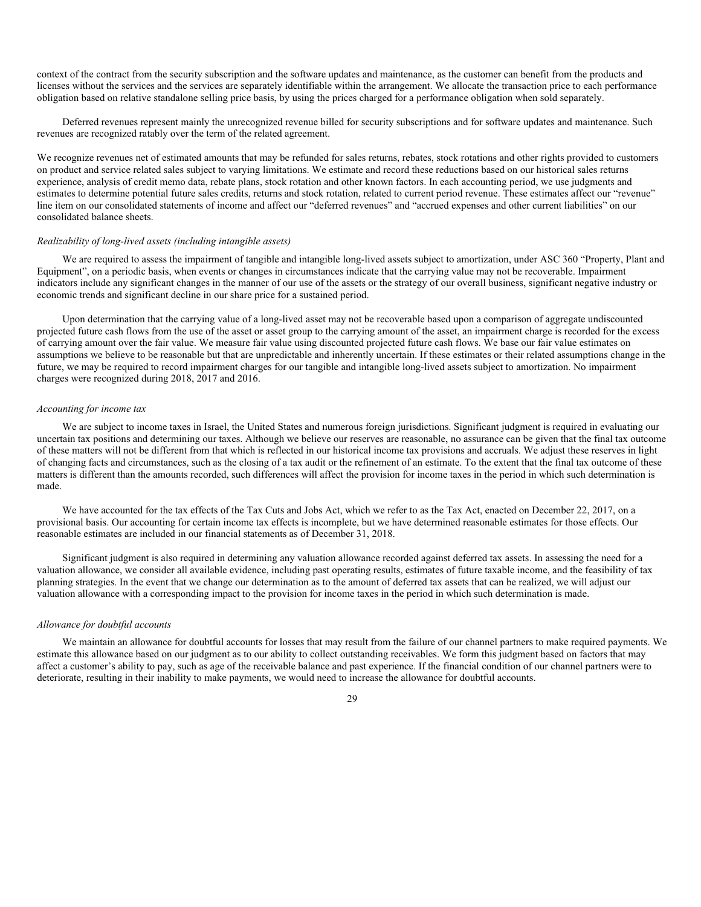context of the contract from the security subscription and the software updates and maintenance, as the customer can benefit from the products and licenses without the services and the services are separately identifiable within the arrangement. We allocate the transaction price to each performance obligation based on relative standalone selling price basis, by using the prices charged for a performance obligation when sold separately.

Deferred revenues represent mainly the unrecognized revenue billed for security subscriptions and for software updates and maintenance. Such revenues are recognized ratably over the term of the related agreement.

We recognize revenues net of estimated amounts that may be refunded for sales returns, rebates, stock rotations and other rights provided to customers on product and service related sales subject to varying limitations. We estimate and record these reductions based on our historical sales returns experience, analysis of credit memo data, rebate plans, stock rotation and other known factors. In each accounting period, we use judgments and estimates to determine potential future sales credits, returns and stock rotation, related to current period revenue. These estimates affect our "revenue" line item on our consolidated statements of income and affect our "deferred revenues" and "accrued expenses and other current liabilities" on our consolidated balance sheets.

#### *Realizability of long-lived assets (including intangible assets)*

We are required to assess the impairment of tangible and intangible long-lived assets subject to amortization, under ASC 360 "Property, Plant and Equipment", on a periodic basis, when events or changes in circumstances indicate that the carrying value may not be recoverable. Impairment indicators include any significant changes in the manner of our use of the assets or the strategy of our overall business, significant negative industry or economic trends and significant decline in our share price for a sustained period.

Upon determination that the carrying value of a long-lived asset may not be recoverable based upon a comparison of aggregate undiscounted projected future cash flows from the use of the asset or asset group to the carrying amount of the asset, an impairment charge is recorded for the excess of carrying amount over the fair value. We measure fair value using discounted projected future cash flows. We base our fair value estimates on assumptions we believe to be reasonable but that are unpredictable and inherently uncertain. If these estimates or their related assumptions change in the future, we may be required to record impairment charges for our tangible and intangible long-lived assets subject to amortization. No impairment charges were recognized during 2018, 2017 and 2016.

#### *Accounting for income tax*

We are subject to income taxes in Israel, the United States and numerous foreign jurisdictions. Significant judgment is required in evaluating our uncertain tax positions and determining our taxes. Although we believe our reserves are reasonable, no assurance can be given that the final tax outcome of these matters will not be different from that which is reflected in our historical income tax provisions and accruals. We adjust these reserves in light of changing facts and circumstances, such as the closing of a tax audit or the refinement of an estimate. To the extent that the final tax outcome of these matters is different than the amounts recorded, such differences will affect the provision for income taxes in the period in which such determination is made.

We have accounted for the tax effects of the Tax Cuts and Jobs Act, which we refer to as the Tax Act, enacted on December 22, 2017, on a provisional basis. Our accounting for certain income tax effects is incomplete, but we have determined reasonable estimates for those effects. Our reasonable estimates are included in our financial statements as of December 31, 2018.

Significant judgment is also required in determining any valuation allowance recorded against deferred tax assets. In assessing the need for a valuation allowance, we consider all available evidence, including past operating results, estimates of future taxable income, and the feasibility of tax planning strategies. In the event that we change our determination as to the amount of deferred tax assets that can be realized, we will adjust our valuation allowance with a corresponding impact to the provision for income taxes in the period in which such determination is made.

# *Allowance for doubtful accounts*

We maintain an allowance for doubtful accounts for losses that may result from the failure of our channel partners to make required payments. We estimate this allowance based on our judgment as to our ability to collect outstanding receivables. We form this judgment based on factors that may affect a customer's ability to pay, such as age of the receivable balance and past experience. If the financial condition of our channel partners were to deteriorate, resulting in their inability to make payments, we would need to increase the allowance for doubtful accounts.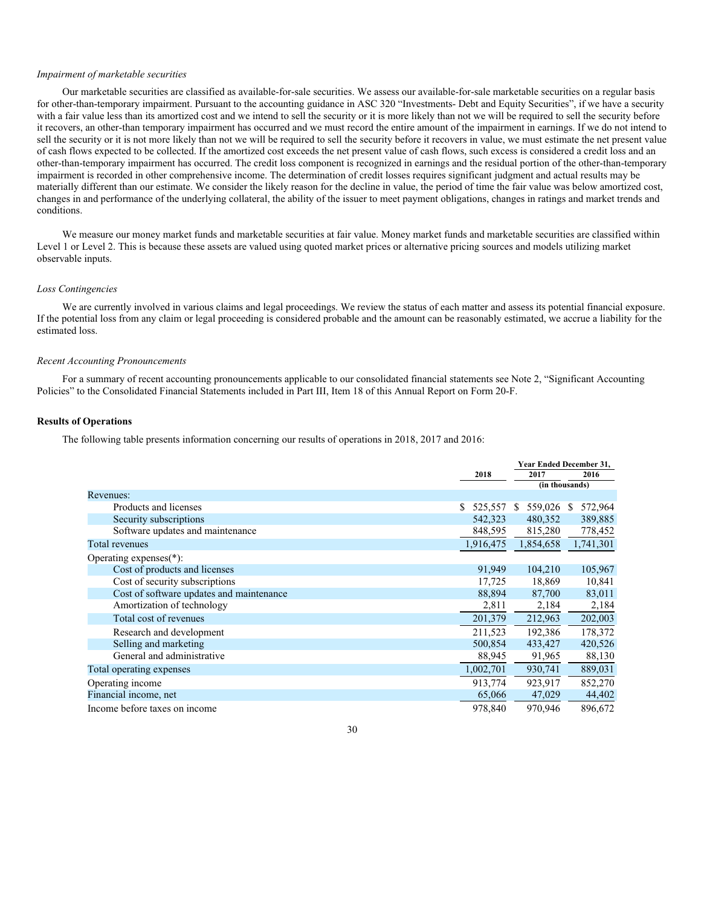#### *Impairment of marketable securities*

Our marketable securities are classified as available-for-sale securities. We assess our available-for-sale marketable securities on a regular basis for other-than-temporary impairment. Pursuant to the accounting guidance in ASC 320 "Investments- Debt and Equity Securities", if we have a security with a fair value less than its amortized cost and we intend to sell the security or it is more likely than not we will be required to sell the security before it recovers, an other-than temporary impairment has occurred and we must record the entire amount of the impairment in earnings. If we do not intend to sell the security or it is not more likely than not we will be required to sell the security before it recovers in value, we must estimate the net present value of cash flows expected to be collected. If the amortized cost exceeds the net present value of cash flows, such excess is considered a credit loss and an other-than-temporary impairment has occurred. The credit loss component is recognized in earnings and the residual portion of the other-than-temporary impairment is recorded in other comprehensive income. The determination of credit losses requires significant judgment and actual results may be materially different than our estimate. We consider the likely reason for the decline in value, the period of time the fair value was below amortized cost, changes in and performance of the underlying collateral, the ability of the issuer to meet payment obligations, changes in ratings and market trends and conditions.

We measure our money market funds and marketable securities at fair value. Money market funds and marketable securities are classified within Level 1 or Level 2. This is because these assets are valued using quoted market prices or alternative pricing sources and models utilizing market observable inputs.

#### *Loss Contingencies*

We are currently involved in various claims and legal proceedings. We review the status of each matter and assess its potential financial exposure. If the potential loss from any claim or legal proceeding is considered probable and the amount can be reasonably estimated, we accrue a liability for the estimated loss.

#### *Recent Accounting Pronouncements*

For a summary of recent accounting pronouncements applicable to our consolidated financial statements see Note 2, "Significant Accounting Policies" to the Consolidated Financial Statements included in Part III, Item 18 of this Annual Report on Form 20-F.

# **Results of Operations**

The following table presents information concerning our results of operations in 2018, 2017 and 2016:

|                                          |                  | Year Ended December 31, |                |  |
|------------------------------------------|------------------|-------------------------|----------------|--|
|                                          | 2018             | 2017                    | 2016           |  |
|                                          |                  |                         | (in thousands) |  |
| Revenues:                                |                  |                         |                |  |
| Products and licenses                    | 525,557 \$<br>S. | 559,026                 | 572,964<br>\$. |  |
| Security subscriptions                   | 542,323          | 480,352                 | 389,885        |  |
| Software updates and maintenance         | 848,595          | 815,280                 | 778,452        |  |
| Total revenues                           | 1,916,475        | 1,854,658               | 1,741,301      |  |
| Operating expenses $(*)$ :               |                  |                         |                |  |
| Cost of products and licenses            | 91,949           | 104,210                 | 105,967        |  |
| Cost of security subscriptions           | 17,725           | 18,869                  | 10,841         |  |
| Cost of software updates and maintenance | 88,894           | 87,700                  | 83,011         |  |
| Amortization of technology               | 2,811            | 2,184                   | 2,184          |  |
| Total cost of revenues                   | 201,379          | 212,963                 | 202,003        |  |
| Research and development                 | 211,523          | 192,386                 | 178,372        |  |
| Selling and marketing                    | 500,854          | 433,427                 | 420,526        |  |
| General and administrative               | 88,945           | 91,965                  | 88,130         |  |
| Total operating expenses                 | 1,002,701        | 930,741                 | 889,031        |  |
| Operating income                         | 913,774          | 923,917                 | 852,270        |  |
| Financial income, net                    | 65,066           | 47,029                  | 44,402         |  |
| Income before taxes on income            | 978,840          | 970,946                 | 896,672        |  |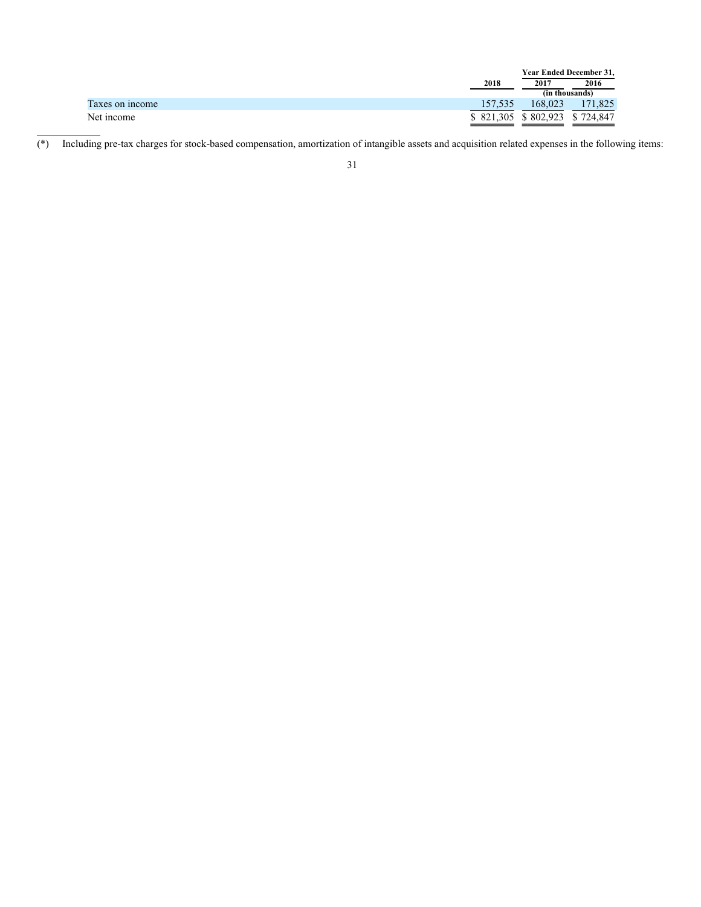|                 |            | Year Ended December 31, |           |
|-----------------|------------|-------------------------|-----------|
|                 | 2018       | 2017                    | 2016      |
|                 |            | (in thousands)          |           |
| Taxes on income | 157.535    | 168,023                 | 171.825   |
| Net income      | \$ 821,305 | \$802,923               | \$724,847 |

 $\overline{(*)}$  Including pre-tax charges for stock-based compensation, amortization of intangible assets and acquisition related expenses in the following items: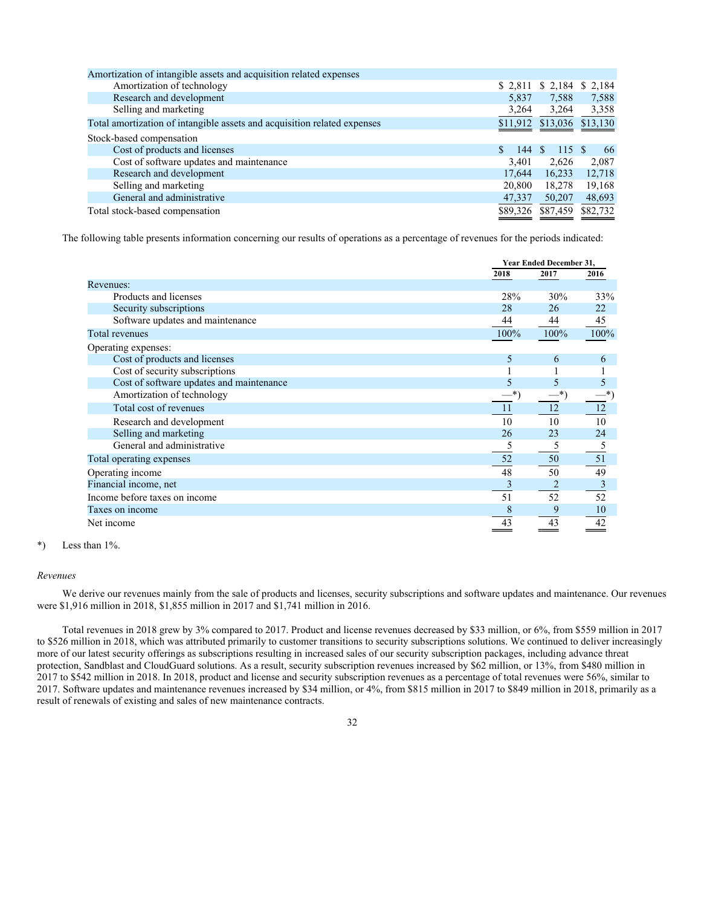| Amortization of intangible assets and acquisition related expenses       |          |                            |          |
|--------------------------------------------------------------------------|----------|----------------------------|----------|
| Amortization of technology                                               |          | $$2,811$ $$2,184$          | \$2,184  |
| Research and development                                                 | 5,837    | 7,588                      | 7,588    |
| Selling and marketing                                                    | 3,264    | 3,264                      | 3,358    |
| Total amortization of intangible assets and acquisition related expenses |          | \$11,912 \$13,036 \$13,130 |          |
| Stock-based compensation                                                 |          |                            |          |
| Cost of products and licenses                                            | 144      | -S<br>115 S                | -66      |
| Cost of software updates and maintenance                                 | 3,401    | 2,626                      | 2,087    |
| Research and development                                                 | 17,644   | 16,233                     | 12,718   |
| Selling and marketing                                                    | 20,800   | 18,278                     | 19,168   |
| General and administrative                                               | 47,337   | 50,207                     | 48,693   |
| Total stock-based compensation                                           | \$89,326 | \$87,459                   | \$82,732 |
|                                                                          |          |                            |          |

The following table presents information concerning our results of operations as a percentage of revenues for the periods indicated:

|                                          |      | Year Ended December 31, |      |  |
|------------------------------------------|------|-------------------------|------|--|
|                                          | 2018 | 2017                    | 2016 |  |
| Revenues:                                |      |                         |      |  |
| Products and licenses                    | 28%  | 30%                     | 33%  |  |
| Security subscriptions                   | 28   | 26                      | 22   |  |
| Software updates and maintenance         | 44   | 44                      | 45   |  |
| Total revenues                           | 100% | 100%                    | 100% |  |
| Operating expenses:                      |      |                         |      |  |
| Cost of products and licenses            | 5    | 6                       | 6    |  |
| Cost of security subscriptions           |      |                         |      |  |
| Cost of software updates and maintenance | 5    | 5                       | 5.   |  |
| Amortization of technology               |      |                         |      |  |
| Total cost of revenues                   | 11   | 12                      | 12   |  |
| Research and development                 | 10   | 10                      | 10   |  |
| Selling and marketing                    | 26   | 23                      | 24   |  |
| General and administrative               |      | 5                       | 5    |  |
| Total operating expenses                 | 52   | 50                      | 51   |  |
| Operating income                         | 48   | 50                      | 49   |  |
| Financial income, net                    |      |                         | 3    |  |
| Income before taxes on income            | 51   | 52                      | 52   |  |
| Taxes on income                          |      | 9                       | 10   |  |
| Net income                               | 43   | 43                      | 42   |  |

# \*) Less than  $1\%$ .

#### *Revenues*

We derive our revenues mainly from the sale of products and licenses, security subscriptions and software updates and maintenance. Our revenues were \$1,916 million in 2018, \$1,855 million in 2017 and \$1,741 million in 2016.

Total revenues in 2018 grew by 3% compared to 2017. Product and license revenues decreased by \$33 million, or 6%, from \$559 million in 2017 to \$526 million in 2018, which was attributed primarily to customer transitions to security subscriptions solutions. We continued to deliver increasingly more of our latest security offerings as subscriptions resulting in increased sales of our security subscription packages, including advance threat protection, Sandblast and CloudGuard solutions. As a result, security subscription revenues increased by \$62 million, or 13%, from \$480 million in 2017 to \$542 million in 2018. In 2018, product and license and security subscription revenues as a percentage of total revenues were 56%, similar to 2017. Software updates and maintenance revenues increased by \$34 million, or 4%, from \$815 million in 2017 to \$849 million in 2018, primarily as a result of renewals of existing and sales of new maintenance contracts.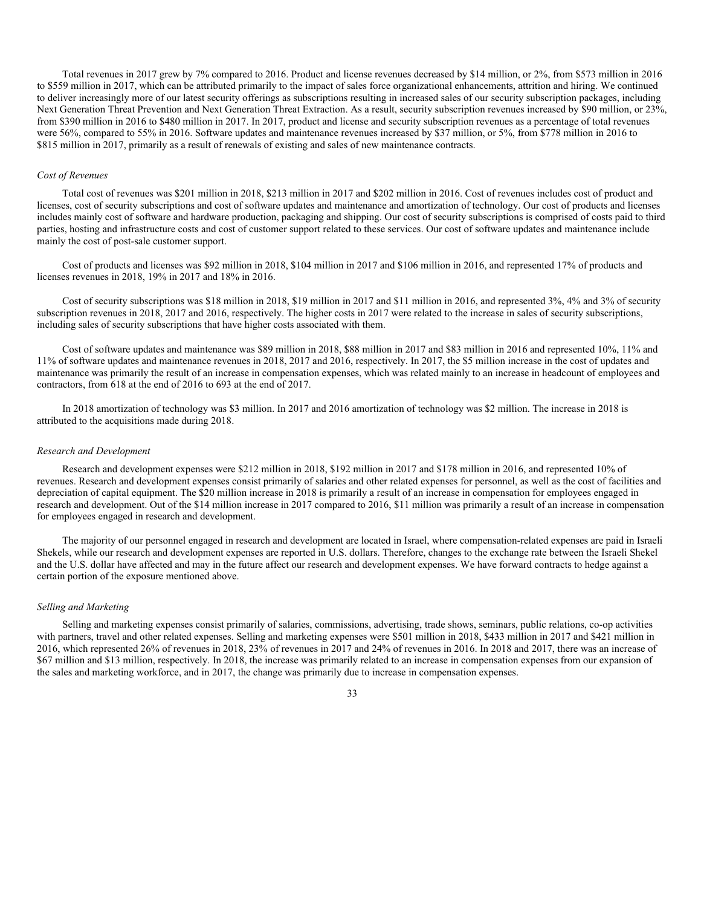Total revenues in 2017 grew by 7% compared to 2016. Product and license revenues decreased by \$14 million, or 2%, from \$573 million in 2016 to \$559 million in 2017, which can be attributed primarily to the impact of sales force organizational enhancements, attrition and hiring. We continued to deliver increasingly more of our latest security offerings as subscriptions resulting in increased sales of our security subscription packages, including Next Generation Threat Prevention and Next Generation Threat Extraction. As a result, security subscription revenues increased by \$90 million, or 23%, from \$390 million in 2016 to \$480 million in 2017. In 2017, product and license and security subscription revenues as a percentage of total revenues were 56%, compared to 55% in 2016. Software updates and maintenance revenues increased by \$37 million, or 5%, from \$778 million in 2016 to \$815 million in 2017, primarily as a result of renewals of existing and sales of new maintenance contracts.

#### *Cost of Revenues*

Total cost of revenues was \$201 million in 2018, \$213 million in 2017 and \$202 million in 2016. Cost of revenues includes cost of product and licenses, cost of security subscriptions and cost of software updates and maintenance and amortization of technology. Our cost of products and licenses includes mainly cost of software and hardware production, packaging and shipping. Our cost of security subscriptions is comprised of costs paid to third parties, hosting and infrastructure costs and cost of customer support related to these services. Our cost of software updates and maintenance include mainly the cost of post-sale customer support.

Cost of products and licenses was \$92 million in 2018, \$104 million in 2017 and \$106 million in 2016, and represented 17% of products and licenses revenues in 2018, 19% in 2017 and 18% in 2016.

Cost of security subscriptions was \$18 million in 2018, \$19 million in 2017 and \$11 million in 2016, and represented 3%, 4% and 3% of security subscription revenues in 2018, 2017 and 2016, respectively. The higher costs in 2017 were related to the increase in sales of security subscriptions, including sales of security subscriptions that have higher costs associated with them.

Cost of software updates and maintenance was \$89 million in 2018, \$88 million in 2017 and \$83 million in 2016 and represented 10%, 11% and 11% of software updates and maintenance revenues in 2018, 2017 and 2016, respectively. In 2017, the \$5 million increase in the cost of updates and maintenance was primarily the result of an increase in compensation expenses, which was related mainly to an increase in headcount of employees and contractors, from 618 at the end of 2016 to 693 at the end of 2017.

In 2018 amortization of technology was \$3 million. In 2017 and 2016 amortization of technology was \$2 million. The increase in 2018 is attributed to the acquisitions made during 2018.

#### *Research and Development*

Research and development expenses were \$212 million in 2018, \$192 million in 2017 and \$178 million in 2016, and represented 10% of revenues. Research and development expenses consist primarily of salaries and other related expenses for personnel, as well as the cost of facilities and depreciation of capital equipment. The \$20 million increase in 2018 is primarily a result of an increase in compensation for employees engaged in research and development. Out of the \$14 million increase in 2017 compared to 2016, \$11 million was primarily a result of an increase in compensation for employees engaged in research and development.

The majority of our personnel engaged in research and development are located in Israel, where compensation-related expenses are paid in Israeli Shekels, while our research and development expenses are reported in U.S. dollars. Therefore, changes to the exchange rate between the Israeli Shekel and the U.S. dollar have affected and may in the future affect our research and development expenses. We have forward contracts to hedge against a certain portion of the exposure mentioned above.

#### *Selling and Marketing*

Selling and marketing expenses consist primarily of salaries, commissions, advertising, trade shows, seminars, public relations, co-op activities with partners, travel and other related expenses. Selling and marketing expenses were \$501 million in 2018, \$433 million in 2017 and \$421 million in 2016, which represented 26% of revenues in 2018, 23% of revenues in 2017 and 24% of revenues in 2016. In 2018 and 2017, there was an increase of \$67 million and \$13 million, respectively. In 2018, the increase was primarily related to an increase in compensation expenses from our expansion of the sales and marketing workforce, and in 2017, the change was primarily due to increase in compensation expenses.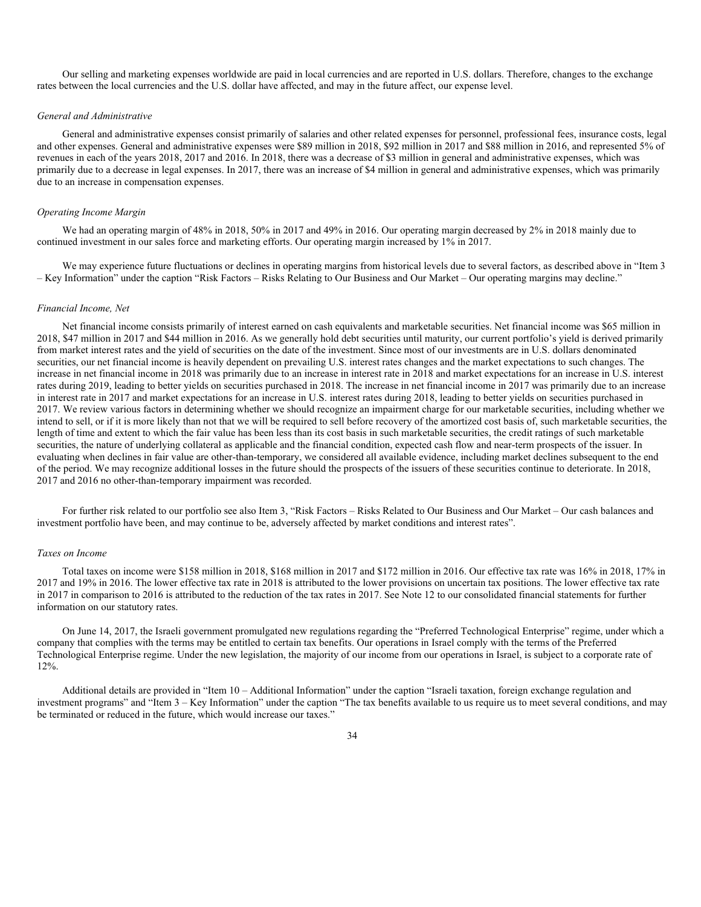Our selling and marketing expenses worldwide are paid in local currencies and are reported in U.S. dollars. Therefore, changes to the exchange rates between the local currencies and the U.S. dollar have affected, and may in the future affect, our expense level.

#### *General and Administrative*

General and administrative expenses consist primarily of salaries and other related expenses for personnel, professional fees, insurance costs, legal and other expenses. General and administrative expenses were \$89 million in 2018, \$92 million in 2017 and \$88 million in 2016, and represented 5% of revenues in each of the years 2018, 2017 and 2016. In 2018, there was a decrease of \$3 million in general and administrative expenses, which was primarily due to a decrease in legal expenses. In 2017, there was an increase of \$4 million in general and administrative expenses, which was primarily due to an increase in compensation expenses.

#### *Operating Income Margin*

We had an operating margin of 48% in 2018, 50% in 2017 and 49% in 2016. Our operating margin decreased by 2% in 2018 mainly due to continued investment in our sales force and marketing efforts. Our operating margin increased by 1% in 2017.

We may experience future fluctuations or declines in operating margins from historical levels due to several factors, as described above in "Item 3 – Key Information" under the caption "Risk Factors – Risks Relating to Our Business and Our Market – Our operating margins may decline."

#### *Financial Income, Net*

Net financial income consists primarily of interest earned on cash equivalents and marketable securities. Net financial income was \$65 million in 2018, \$47 million in 2017 and \$44 million in 2016. As we generally hold debt securities until maturity, our current portfolio's yield is derived primarily from market interest rates and the yield of securities on the date of the investment. Since most of our investments are in U.S. dollars denominated securities, our net financial income is heavily dependent on prevailing U.S. interest rates changes and the market expectations to such changes. The increase in net financial income in 2018 was primarily due to an increase in interest rate in 2018 and market expectations for an increase in U.S. interest rates during 2019, leading to better yields on securities purchased in 2018. The increase in net financial income in 2017 was primarily due to an increase in interest rate in 2017 and market expectations for an increase in U.S. interest rates during 2018, leading to better yields on securities purchased in 2017. We review various factors in determining whether we should recognize an impairment charge for our marketable securities, including whether we intend to sell, or if it is more likely than not that we will be required to sell before recovery of the amortized cost basis of, such marketable securities, the length of time and extent to which the fair value has been less than its cost basis in such marketable securities, the credit ratings of such marketable securities, the nature of underlying collateral as applicable and the financial condition, expected cash flow and near-term prospects of the issuer. In evaluating when declines in fair value are other-than-temporary, we considered all available evidence, including market declines subsequent to the end of the period. We may recognize additional losses in the future should the prospects of the issuers of these securities continue to deteriorate. In 2018, 2017 and 2016 no other-than-temporary impairment was recorded.

For further risk related to our portfolio see also Item 3, "Risk Factors – Risks Related to Our Business and Our Market – Our cash balances and investment portfolio have been, and may continue to be, adversely affected by market conditions and interest rates".

#### *Taxes on Income*

Total taxes on income were \$158 million in 2018, \$168 million in 2017 and \$172 million in 2016. Our effective tax rate was 16% in 2018, 17% in 2017 and 19% in 2016. The lower effective tax rate in 2018 is attributed to the lower provisions on uncertain tax positions. The lower effective tax rate in 2017 in comparison to 2016 is attributed to the reduction of the tax rates in 2017. See Note 12 to our consolidated financial statements for further information on our statutory rates.

On June 14, 2017, the Israeli government promulgated new regulations regarding the "Preferred Technological Enterprise" regime, under which a company that complies with the terms may be entitled to certain tax benefits. Our operations in Israel comply with the terms of the Preferred Technological Enterprise regime. Under the new legislation, the majority of our income from our operations in Israel, is subject to a corporate rate of 12%.

Additional details are provided in "Item 10 – Additional Information" under the caption "Israeli taxation, foreign exchange regulation and investment programs" and "Item 3 – Key Information" under the caption "The tax benefits available to us require us to meet several conditions, and may be terminated or reduced in the future, which would increase our taxes."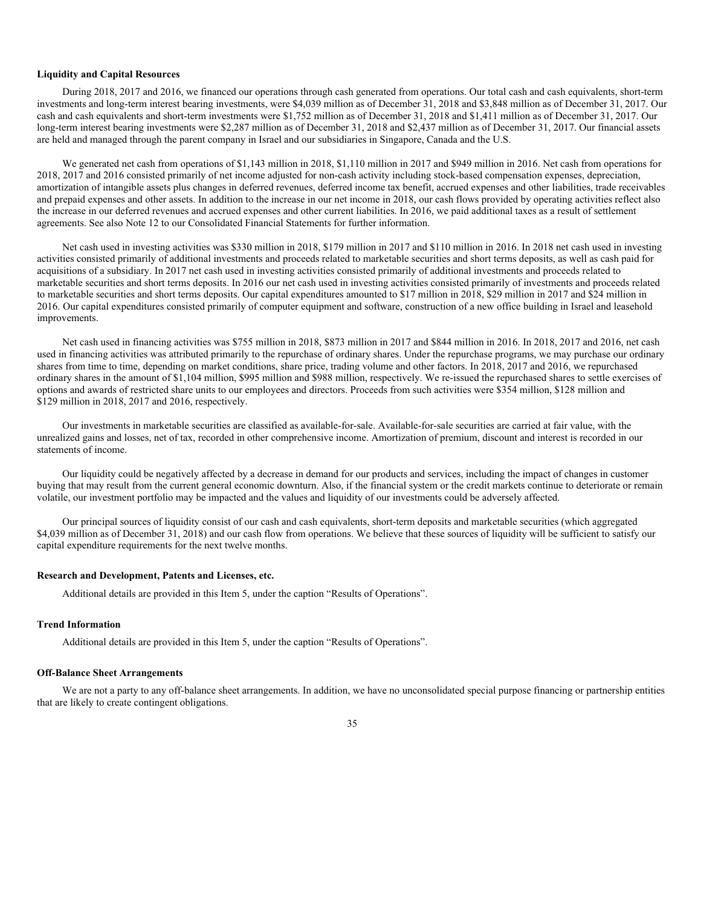# **Liquidity and Capital Resources**

During 2018, 2017 and 2016, we financed our operations through cash generated from operations. Our total cash and cash equivalents, short-term investments and long-term interest bearing investments, were \$4,039 million as of December 31, 2018 and \$3,848 million as of December 31, 2017. Our cash and cash equivalents and short-term investments were \$1,752 million as of December 31, 2018 and \$1,411 million as of December 31, 2017. Our long-term interest bearing investments were \$2,287 million as of December 31, 2018 and \$2,437 million as of December 31, 2017. Our financial assets are held and managed through the parent company in Israel and our subsidiaries in Singapore, Canada and the U.S.

We generated net cash from operations of \$1,143 million in 2018, \$1,110 million in 2017 and \$949 million in 2016. Net cash from operations for 2018, 2017 and 2016 consisted primarily of net income adjusted for non-cash activity including stock-based compensation expenses, depreciation, amortization of intangible assets plus changes in deferred revenues, deferred income tax benefit, accrued expenses and other liabilities, trade receivables and prepaid expenses and other assets. In addition to the increase in our net income in 2018, our cash flows provided by operating activities reflect also the increase in our deferred revenues and accrued expenses and other current liabilities. In 2016, we paid additional taxes as a result of settlement agreements. See also Note 12 to our Consolidated Financial Statements for further information.

Net cash used in investing activities was \$330 million in 2018, \$179 million in 2017 and \$110 million in 2016. In 2018 net cash used in investing activities consisted primarily of additional investments and proceeds related to marketable securities and short terms deposits, as well as cash paid for acquisitions of a subsidiary. In 2017 net cash used in investing activities consisted primarily of additional investments and proceeds related to marketable securities and short terms deposits. In 2016 our net cash used in investing activities consisted primarily of investments and proceeds related to marketable securities and short terms deposits. Our capital expenditures amounted to \$17 million in 2018, \$29 million in 2017 and \$24 million in 2016. Our capital expenditures consisted primarily of computer equipment and software, construction of a new office building in Israel and leasehold improvements.

Net cash used in financing activities was \$755 million in 2018, \$873 million in 2017 and \$844 million in 2016. In 2018, 2017 and 2016, net cash used in financing activities was attributed primarily to the repurchase of ordinary shares. Under the repurchase programs, we may purchase our ordinary shares from time to time, depending on market conditions, share price, trading volume and other factors. In 2018, 2017 and 2016, we repurchased ordinary shares in the amount of \$1,104 million, \$995 million and \$988 million, respectively. We re-issued the repurchased shares to settle exercises of options and awards of restricted share units to our employees and directors. Proceeds from such activities were \$354 million, \$128 million and \$129 million in 2018, 2017 and 2016, respectively.

Our investments in marketable securities are classified as available-for-sale. Available-for-sale securities are carried at fair value, with the unrealized gains and losses, net of tax, recorded in other comprehensive income. Amortization of premium, discount and interest is recorded in our statements of income.

Our liquidity could be negatively affected by a decrease in demand for our products and services, including the impact of changes in customer buying that may result from the current general economic downturn. Also, if the financial system or the credit markets continue to deteriorate or remain volatile, our investment portfolio may be impacted and the values and liquidity of our investments could be adversely affected.

Our principal sources of liquidity consist of our cash and cash equivalents, short-term deposits and marketable securities (which aggregated \$4,039 million as of December 31, 2018) and our cash flow from operations. We believe that these sources of liquidity will be sufficient to satisfy our capital expenditure requirements for the next twelve months.

#### **Research and Development, Patents and Licenses, etc.**

Additional details are provided in this Item 5, under the caption "Results of Operations".

#### **Trend Information**

Additional details are provided in this Item 5, under the caption "Results of Operations".

# **Off-Balance Sheet Arrangements**

We are not a party to any off-balance sheet arrangements. In addition, we have no unconsolidated special purpose financing or partnership entities that are likely to create contingent obligations.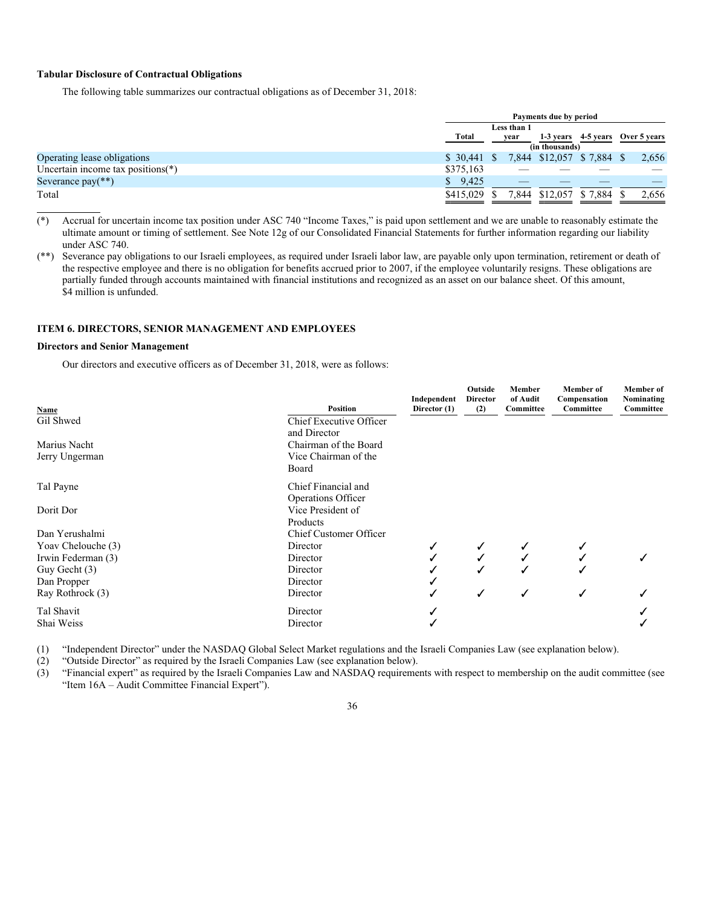## **Tabular Disclosure of Contractual Obligations**

The following table summarizes our contractual obligations as of December 31, 2018:

|                                      | Payments due by period |             |                           |  |                                  |
|--------------------------------------|------------------------|-------------|---------------------------|--|----------------------------------|
|                                      |                        | Less than 1 |                           |  |                                  |
|                                      | Total                  | vear        |                           |  | 1-3 years 4-5 years Over 5 years |
|                                      |                        |             | (in thousands)            |  |                                  |
| Operating lease obligations          | $$30,441$ \$           |             | 7,844 \$12,057 \$7,884 \$ |  | 2,656                            |
| Uncertain income tax positions $(*)$ | \$375,163              |             |                           |  |                                  |
| Severance $pay(**)$                  | \$9,425                |             |                           |  |                                  |
| Total                                | \$415,029              | 4.844       | \$12,057 \$7,884          |  | 2,656                            |

(\*) Accrual for uncertain income tax position under ASC 740 "Income Taxes," is paid upon settlement and we are unable to reasonably estimate the ultimate amount or timing of settlement. See Note 12g of our Consolidated Financial Statements for further information regarding our liability under ASC 740.

(\*\*) Severance pay obligations to our Israeli employees, as required under Israeli labor law, are payable only upon termination, retirement or death of the respective employee and there is no obligation for benefits accrued prior to 2007, if the employee voluntarily resigns. These obligations are partially funded through accounts maintained with financial institutions and recognized as an asset on our balance sheet. Of this amount, \$4 million is unfunded.

## **ITEM 6. DIRECTORS, SENIOR MANAGEMENT AND EMPLOYEES**

### **Directors and Senior Management**

Our directors and executive officers as of December 31, 2018, were as follows:

| Name               | <b>Position</b>                           | Independent<br>Director (1) | Outside<br><b>Director</b><br>(2) | Member<br>of Audit<br>Committee | <b>Member</b> of<br>Compensation<br>Committee | <b>Member</b> of<br>Nominating<br>Committee |
|--------------------|-------------------------------------------|-----------------------------|-----------------------------------|---------------------------------|-----------------------------------------------|---------------------------------------------|
| Gil Shwed          | Chief Executive Officer<br>and Director   |                             |                                   |                                 |                                               |                                             |
| Marius Nacht       | Chairman of the Board                     |                             |                                   |                                 |                                               |                                             |
| Jerry Ungerman     | Vice Chairman of the<br>Board             |                             |                                   |                                 |                                               |                                             |
| Tal Payne          | Chief Financial and<br>Operations Officer |                             |                                   |                                 |                                               |                                             |
| Dorit Dor          | Vice President of<br>Products             |                             |                                   |                                 |                                               |                                             |
| Dan Yerushalmi     | Chief Customer Officer                    |                             |                                   |                                 |                                               |                                             |
| Yoav Chelouche (3) | Director                                  |                             |                                   |                                 |                                               |                                             |
| Irwin Federman (3) | Director                                  |                             |                                   |                                 |                                               |                                             |
| Guy Gecht (3)      | Director                                  |                             |                                   |                                 |                                               |                                             |
| Dan Propper        | Director                                  |                             |                                   |                                 |                                               |                                             |
| Ray Rothrock (3)   | Director                                  |                             | ✓                                 | ✓                               | ✓                                             |                                             |
| Tal Shavit         | Director                                  |                             |                                   |                                 |                                               |                                             |
| Shai Weiss         | Director                                  |                             |                                   |                                 |                                               |                                             |
|                    |                                           |                             |                                   |                                 |                                               |                                             |

(1) "Independent Director" under the NASDAQ Global Select Market regulations and the Israeli Companies Law (see explanation below).

(2) "Outside Director" as required by the Israeli Companies Law (see explanation below).

(3) "Financial expert" as required by the Israeli Companies Law and NASDAQ requirements with respect to membership on the audit committee (see "Item 16A – Audit Committee Financial Expert").

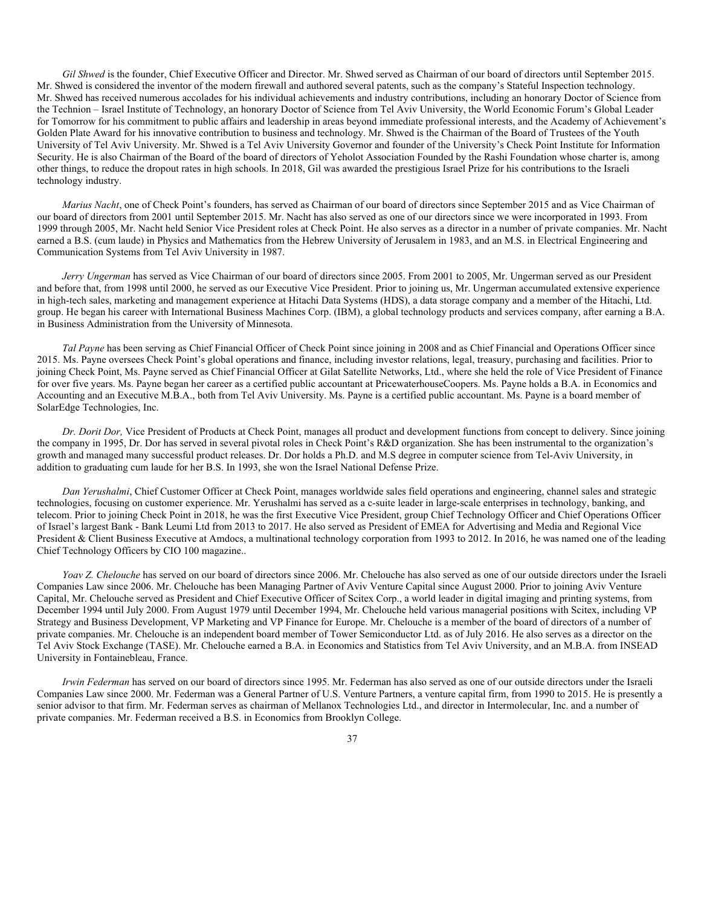*Gil Shwed* is the founder, Chief Executive Officer and Director. Mr. Shwed served as Chairman of our board of directors until September 2015. Mr. Shwed is considered the inventor of the modern firewall and authored several patents, such as the company's Stateful Inspection technology. Mr. Shwed has received numerous accolades for his individual achievements and industry contributions, including an honorary Doctor of Science from the Technion – Israel Institute of Technology, an honorary Doctor of Science from Tel Aviv University, the World Economic Forum's Global Leader for Tomorrow for his commitment to public affairs and leadership in areas beyond immediate professional interests, and the Academy of Achievement's Golden Plate Award for his innovative contribution to business and technology. Mr. Shwed is the Chairman of the Board of Trustees of the Youth University of Tel Aviv University. Mr. Shwed is a Tel Aviv University Governor and founder of the University's Check Point Institute for Information Security. He is also Chairman of the Board of the board of directors of Yeholot Association Founded by the Rashi Foundation whose charter is, among other things, to reduce the dropout rates in high schools. In 2018, Gil was awarded the prestigious Israel Prize for his contributions to the Israeli technology industry.

*Marius Nacht*, one of Check Point's founders, has served as Chairman of our board of directors since September 2015 and as Vice Chairman of our board of directors from 2001 until September 2015. Mr. Nacht has also served as one of our directors since we were incorporated in 1993. From 1999 through 2005, Mr. Nacht held Senior Vice President roles at Check Point. He also serves as a director in a number of private companies. Mr. Nacht earned a B.S. (cum laude) in Physics and Mathematics from the Hebrew University of Jerusalem in 1983, and an M.S. in Electrical Engineering and Communication Systems from Tel Aviv University in 1987.

*Jerry Ungerman* has served as Vice Chairman of our board of directors since 2005. From 2001 to 2005, Mr. Ungerman served as our President and before that, from 1998 until 2000, he served as our Executive Vice President. Prior to joining us, Mr. Ungerman accumulated extensive experience in high-tech sales, marketing and management experience at Hitachi Data Systems (HDS), a data storage company and a member of the Hitachi, Ltd. group. He began his career with International Business Machines Corp. (IBM), a global technology products and services company, after earning a B.A. in Business Administration from the University of Minnesota.

*Tal Payne* has been serving as Chief Financial Officer of Check Point since joining in 2008 and as Chief Financial and Operations Officer since 2015. Ms. Payne oversees Check Point's global operations and finance, including investor relations, legal, treasury, purchasing and facilities. Prior to joining Check Point, Ms. Payne served as Chief Financial Officer at Gilat Satellite Networks, Ltd., where she held the role of Vice President of Finance for over five years. Ms. Payne began her career as a certified public accountant at PricewaterhouseCoopers. Ms. Payne holds a B.A. in Economics and Accounting and an Executive M.B.A., both from Tel Aviv University. Ms. Payne is a certified public accountant. Ms. Payne is a board member of SolarEdge Technologies, Inc.

*Dr. Dorit Dor,* Vice President of Products at Check Point, manages all product and development functions from concept to delivery. Since joining the company in 1995, Dr. Dor has served in several pivotal roles in Check Point's R&D organization. She has been instrumental to the organization's growth and managed many successful product releases. Dr. Dor holds a Ph.D. and M.S degree in computer science from Tel-Aviv University, in addition to graduating cum laude for her B.S. In 1993, she won the Israel National Defense Prize.

*Dan Yerushalmi*, Chief Customer Officer at Check Point, manages worldwide sales field operations and engineering, channel sales and strategic technologies, focusing on customer experience. Mr. Yerushalmi has served as a c-suite leader in large-scale enterprises in technology, banking, and telecom. Prior to joining Check Point in 2018, he was the first Executive Vice President, group Chief Technology Officer and Chief Operations Officer of Israel's largest Bank - Bank Leumi Ltd from 2013 to 2017. He also served as President of EMEA for Advertising and Media and Regional Vice President & Client Business Executive at Amdocs, a multinational technology corporation from 1993 to 2012. In 2016, he was named one of the leading Chief Technology Officers by CIO 100 magazine..

*Yoav Z. Chelouche* has served on our board of directors since 2006. Mr. Chelouche has also served as one of our outside directors under the Israeli Companies Law since 2006. Mr. Chelouche has been Managing Partner of Aviv Venture Capital since August 2000. Prior to joining Aviv Venture Capital, Mr. Chelouche served as President and Chief Executive Officer of Scitex Corp., a world leader in digital imaging and printing systems, from December 1994 until July 2000. From August 1979 until December 1994, Mr. Chelouche held various managerial positions with Scitex, including VP Strategy and Business Development, VP Marketing and VP Finance for Europe. Mr. Chelouche is a member of the board of directors of a number of private companies. Mr. Chelouche is an independent board member of Tower Semiconductor Ltd. as of July 2016. He also serves as a director on the Tel Aviv Stock Exchange (TASE). Mr. Chelouche earned a B.A. in Economics and Statistics from Tel Aviv University, and an M.B.A. from INSEAD University in Fontainebleau, France.

*Irwin Federman* has served on our board of directors since 1995. Mr. Federman has also served as one of our outside directors under the Israeli Companies Law since 2000. Mr. Federman was a General Partner of U.S. Venture Partners, a venture capital firm, from 1990 to 2015. He is presently a senior advisor to that firm. Mr. Federman serves as chairman of Mellanox Technologies Ltd., and director in Intermolecular, Inc. and a number of private companies. Mr. Federman received a B.S. in Economics from Brooklyn College.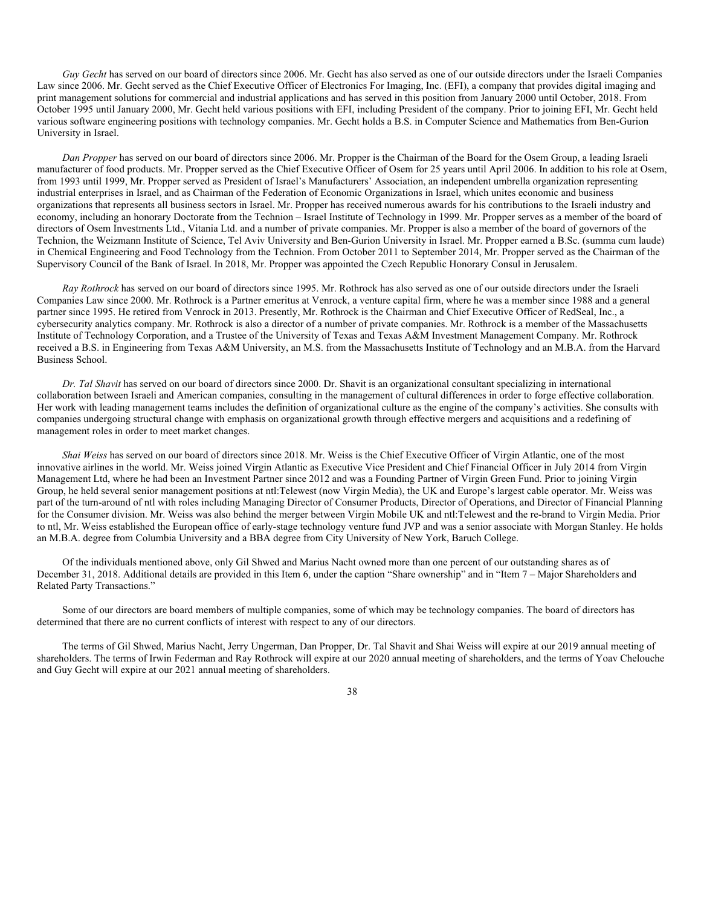*Guy Gecht* has served on our board of directors since 2006. Mr. Gecht has also served as one of our outside directors under the Israeli Companies Law since 2006. Mr. Gecht served as the Chief Executive Officer of Electronics For Imaging, Inc. (EFI), a company that provides digital imaging and print management solutions for commercial and industrial applications and has served in this position from January 2000 until October, 2018. From October 1995 until January 2000, Mr. Gecht held various positions with EFI, including President of the company. Prior to joining EFI, Mr. Gecht held various software engineering positions with technology companies. Mr. Gecht holds a B.S. in Computer Science and Mathematics from Ben-Gurion University in Israel.

*Dan Propper* has served on our board of directors since 2006. Mr. Propper is the Chairman of the Board for the Osem Group, a leading Israeli manufacturer of food products. Mr. Propper served as the Chief Executive Officer of Osem for 25 years until April 2006. In addition to his role at Osem, from 1993 until 1999, Mr. Propper served as President of Israel's Manufacturers' Association, an independent umbrella organization representing industrial enterprises in Israel, and as Chairman of the Federation of Economic Organizations in Israel, which unites economic and business organizations that represents all business sectors in Israel. Mr. Propper has received numerous awards for his contributions to the Israeli industry and economy, including an honorary Doctorate from the Technion – Israel Institute of Technology in 1999. Mr. Propper serves as a member of the board of directors of Osem Investments Ltd., Vitania Ltd. and a number of private companies. Mr. Propper is also a member of the board of governors of the Technion, the Weizmann Institute of Science, Tel Aviv University and Ben-Gurion University in Israel. Mr. Propper earned a B.Sc. (summa cum laude) in Chemical Engineering and Food Technology from the Technion. From October 2011 to September 2014, Mr. Propper served as the Chairman of the Supervisory Council of the Bank of Israel. In 2018, Mr. Propper was appointed the Czech Republic Honorary Consul in Jerusalem.

*Ray Rothrock* has served on our board of directors since 1995. Mr. Rothrock has also served as one of our outside directors under the Israeli Companies Law since 2000. Mr. Rothrock is a Partner emeritus at Venrock, a venture capital firm, where he was a member since 1988 and a general partner since 1995. He retired from Venrock in 2013. Presently, Mr. Rothrock is the Chairman and Chief Executive Officer of RedSeal, Inc., a cybersecurity analytics company. Mr. Rothrock is also a director of a number of private companies. Mr. Rothrock is a member of the Massachusetts Institute of Technology Corporation, and a Trustee of the University of Texas and Texas A&M Investment Management Company. Mr. Rothrock received a B.S. in Engineering from Texas A&M University, an M.S. from the Massachusetts Institute of Technology and an M.B.A. from the Harvard Business School.

*Dr. Tal Shavit* has served on our board of directors since 2000. Dr. Shavit is an organizational consultant specializing in international collaboration between Israeli and American companies, consulting in the management of cultural differences in order to forge effective collaboration. Her work with leading management teams includes the definition of organizational culture as the engine of the company's activities. She consults with companies undergoing structural change with emphasis on organizational growth through effective mergers and acquisitions and a redefining of management roles in order to meet market changes.

*Shai Weiss* has served on our board of directors since 2018. Mr. Weiss is the Chief Executive Officer of Virgin Atlantic, one of the most innovative airlines in the world. Mr. Weiss joined Virgin Atlantic as Executive Vice President and Chief Financial Officer in July 2014 from Virgin Management Ltd, where he had been an Investment Partner since 2012 and was a Founding Partner of Virgin Green Fund. Prior to joining Virgin Group, he held several senior management positions at ntl:Telewest (now Virgin Media), the UK and Europe's largest cable operator. Mr. Weiss was part of the turn-around of ntl with roles including Managing Director of Consumer Products, Director of Operations, and Director of Financial Planning for the Consumer division. Mr. Weiss was also behind the merger between Virgin Mobile UK and ntl:Telewest and the re-brand to Virgin Media. Prior to ntl, Mr. Weiss established the European office of early-stage technology venture fund JVP and was a senior associate with Morgan Stanley. He holds an M.B.A. degree from Columbia University and a BBA degree from City University of New York, Baruch College.

Of the individuals mentioned above, only Gil Shwed and Marius Nacht owned more than one percent of our outstanding shares as of December 31, 2018. Additional details are provided in this Item 6, under the caption "Share ownership" and in "Item 7 – Major Shareholders and Related Party Transactions."

Some of our directors are board members of multiple companies, some of which may be technology companies. The board of directors has determined that there are no current conflicts of interest with respect to any of our directors.

The terms of Gil Shwed, Marius Nacht, Jerry Ungerman, Dan Propper, Dr. Tal Shavit and Shai Weiss will expire at our 2019 annual meeting of shareholders. The terms of Irwin Federman and Ray Rothrock will expire at our 2020 annual meeting of shareholders, and the terms of Yoav Chelouche and Guy Gecht will expire at our 2021 annual meeting of shareholders.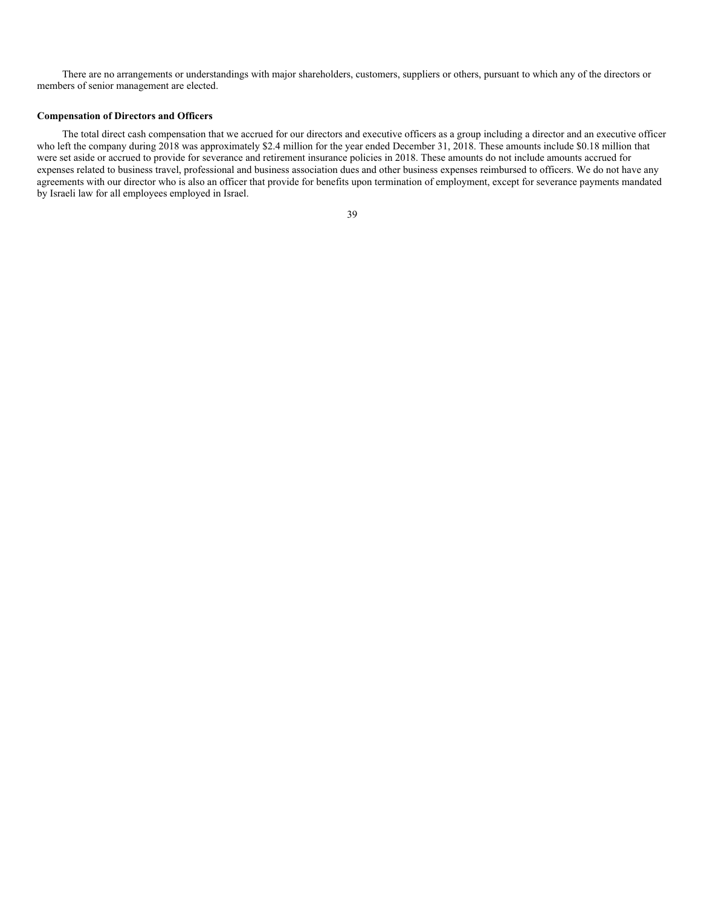There are no arrangements or understandings with major shareholders, customers, suppliers or others, pursuant to which any of the directors or members of senior management are elected.

#### **Compensation of Directors and Officers**

The total direct cash compensation that we accrued for our directors and executive officers as a group including a director and an executive officer who left the company during 2018 was approximately \$2.4 million for the year ended December 31, 2018. These amounts include \$0.18 million that were set aside or accrued to provide for severance and retirement insurance policies in 2018. These amounts do not include amounts accrued for expenses related to business travel, professional and business association dues and other business expenses reimbursed to officers. We do not have any agreements with our director who is also an officer that provide for benefits upon termination of employment, except for severance payments mandated by Israeli law for all employees employed in Israel.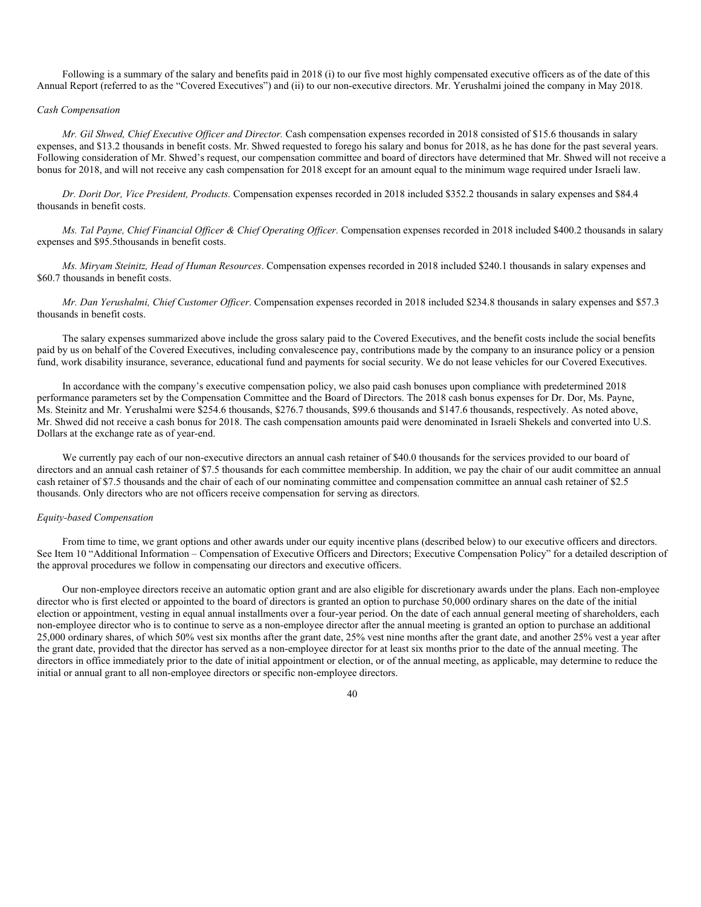Following is a summary of the salary and benefits paid in 2018 (i) to our five most highly compensated executive officers as of the date of this Annual Report (referred to as the "Covered Executives") and (ii) to our non-executive directors. Mr. Yerushalmi joined the company in May 2018.

#### *Cash Compensation*

*Mr. Gil Shwed, Chief Executive Officer and Director.* Cash compensation expenses recorded in 2018 consisted of \$15.6 thousands in salary expenses, and \$13.2 thousands in benefit costs. Mr. Shwed requested to forego his salary and bonus for 2018, as he has done for the past several years. Following consideration of Mr. Shwed's request, our compensation committee and board of directors have determined that Mr. Shwed will not receive a bonus for 2018, and will not receive any cash compensation for 2018 except for an amount equal to the minimum wage required under Israeli law.

*Dr. Dorit Dor, Vice President, Products.* Compensation expenses recorded in 2018 included \$352.2 thousands in salary expenses and \$84.4 thousands in benefit costs.

*Ms. Tal Payne, Chief Financial Officer & Chief Operating Officer.* Compensation expenses recorded in 2018 included \$400.2 thousands in salary expenses and \$95.5thousands in benefit costs.

*Ms. Miryam Steinitz, Head of Human Resources*. Compensation expenses recorded in 2018 included \$240.1 thousands in salary expenses and \$60.7 thousands in benefit costs.

*Mr. Dan Yerushalmi, Chief Customer Officer*. Compensation expenses recorded in 2018 included \$234.8 thousands in salary expenses and \$57.3 thousands in benefit costs.

The salary expenses summarized above include the gross salary paid to the Covered Executives, and the benefit costs include the social benefits paid by us on behalf of the Covered Executives, including convalescence pay, contributions made by the company to an insurance policy or a pension fund, work disability insurance, severance, educational fund and payments for social security. We do not lease vehicles for our Covered Executives.

In accordance with the company's executive compensation policy, we also paid cash bonuses upon compliance with predetermined 2018 performance parameters set by the Compensation Committee and the Board of Directors. The 2018 cash bonus expenses for Dr. Dor, Ms. Payne, Ms. Steinitz and Mr. Yerushalmi were \$254.6 thousands, \$276.7 thousands, \$99.6 thousands and \$147.6 thousands, respectively. As noted above, Mr. Shwed did not receive a cash bonus for 2018. The cash compensation amounts paid were denominated in Israeli Shekels and converted into U.S. Dollars at the exchange rate as of year-end.

We currently pay each of our non-executive directors an annual cash retainer of \$40.0 thousands for the services provided to our board of directors and an annual cash retainer of \$7.5 thousands for each committee membership. In addition, we pay the chair of our audit committee an annual cash retainer of \$7.5 thousands and the chair of each of our nominating committee and compensation committee an annual cash retainer of \$2.5 thousands. Only directors who are not officers receive compensation for serving as directors.

#### *Equity-based Compensation*

From time to time, we grant options and other awards under our equity incentive plans (described below) to our executive officers and directors. See Item 10 "Additional Information – Compensation of Executive Officers and Directors; Executive Compensation Policy" for a detailed description of the approval procedures we follow in compensating our directors and executive officers.

Our non-employee directors receive an automatic option grant and are also eligible for discretionary awards under the plans. Each non-employee director who is first elected or appointed to the board of directors is granted an option to purchase 50,000 ordinary shares on the date of the initial election or appointment, vesting in equal annual installments over a four-year period. On the date of each annual general meeting of shareholders, each non-employee director who is to continue to serve as a non-employee director after the annual meeting is granted an option to purchase an additional 25,000 ordinary shares, of which 50% vest six months after the grant date, 25% vest nine months after the grant date, and another 25% vest a year after the grant date, provided that the director has served as a non-employee director for at least six months prior to the date of the annual meeting. The directors in office immediately prior to the date of initial appointment or election, or of the annual meeting, as applicable, may determine to reduce the initial or annual grant to all non-employee directors or specific non-employee directors.

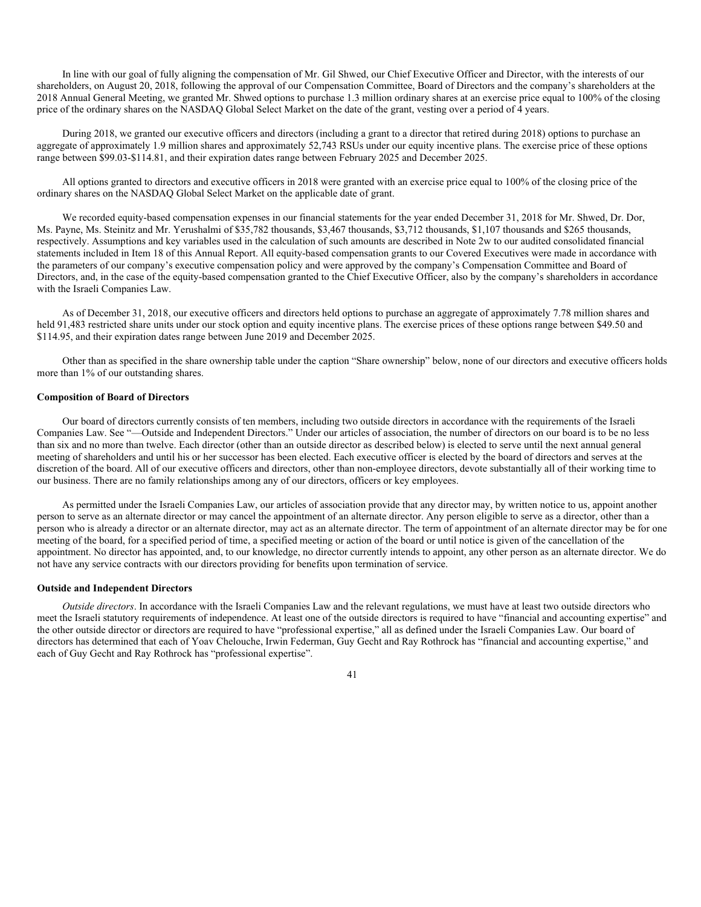In line with our goal of fully aligning the compensation of Mr. Gil Shwed, our Chief Executive Officer and Director, with the interests of our shareholders, on August 20, 2018, following the approval of our Compensation Committee, Board of Directors and the company's shareholders at the 2018 Annual General Meeting, we granted Mr. Shwed options to purchase 1.3 million ordinary shares at an exercise price equal to 100% of the closing price of the ordinary shares on the NASDAQ Global Select Market on the date of the grant, vesting over a period of 4 years.

During 2018, we granted our executive officers and directors (including a grant to a director that retired during 2018) options to purchase an aggregate of approximately 1.9 million shares and approximately 52,743 RSUs under our equity incentive plans. The exercise price of these options range between \$99.03-\$114.81, and their expiration dates range between February 2025 and December 2025.

All options granted to directors and executive officers in 2018 were granted with an exercise price equal to 100% of the closing price of the ordinary shares on the NASDAQ Global Select Market on the applicable date of grant.

We recorded equity-based compensation expenses in our financial statements for the year ended December 31, 2018 for Mr. Shwed, Dr. Dor, Ms. Payne, Ms. Steinitz and Mr. Yerushalmi of \$35,782 thousands, \$3,467 thousands, \$3,712 thousands, \$1,107 thousands and \$265 thousands, respectively. Assumptions and key variables used in the calculation of such amounts are described in Note 2w to our audited consolidated financial statements included in Item 18 of this Annual Report. All equity-based compensation grants to our Covered Executives were made in accordance with the parameters of our company's executive compensation policy and were approved by the company's Compensation Committee and Board of Directors, and, in the case of the equity-based compensation granted to the Chief Executive Officer, also by the company's shareholders in accordance with the Israeli Companies Law.

As of December 31, 2018, our executive officers and directors held options to purchase an aggregate of approximately 7.78 million shares and held 91,483 restricted share units under our stock option and equity incentive plans. The exercise prices of these options range between \$49.50 and \$114.95, and their expiration dates range between June 2019 and December 2025.

Other than as specified in the share ownership table under the caption "Share ownership" below, none of our directors and executive officers holds more than 1% of our outstanding shares.

## **Composition of Board of Directors**

Our board of directors currently consists of ten members, including two outside directors in accordance with the requirements of the Israeli Companies Law. See "—Outside and Independent Directors." Under our articles of association, the number of directors on our board is to be no less than six and no more than twelve. Each director (other than an outside director as described below) is elected to serve until the next annual general meeting of shareholders and until his or her successor has been elected. Each executive officer is elected by the board of directors and serves at the discretion of the board. All of our executive officers and directors, other than non-employee directors, devote substantially all of their working time to our business. There are no family relationships among any of our directors, officers or key employees.

As permitted under the Israeli Companies Law, our articles of association provide that any director may, by written notice to us, appoint another person to serve as an alternate director or may cancel the appointment of an alternate director. Any person eligible to serve as a director, other than a person who is already a director or an alternate director, may act as an alternate director. The term of appointment of an alternate director may be for one meeting of the board, for a specified period of time, a specified meeting or action of the board or until notice is given of the cancellation of the appointment. No director has appointed, and, to our knowledge, no director currently intends to appoint, any other person as an alternate director. We do not have any service contracts with our directors providing for benefits upon termination of service.

#### **Outside and Independent Directors**

*Outside directors*. In accordance with the Israeli Companies Law and the relevant regulations, we must have at least two outside directors who meet the Israeli statutory requirements of independence. At least one of the outside directors is required to have "financial and accounting expertise" and the other outside director or directors are required to have "professional expertise," all as defined under the Israeli Companies Law. Our board of directors has determined that each of Yoav Chelouche, Irwin Federman, Guy Gecht and Ray Rothrock has "financial and accounting expertise," and each of Guy Gecht and Ray Rothrock has "professional expertise".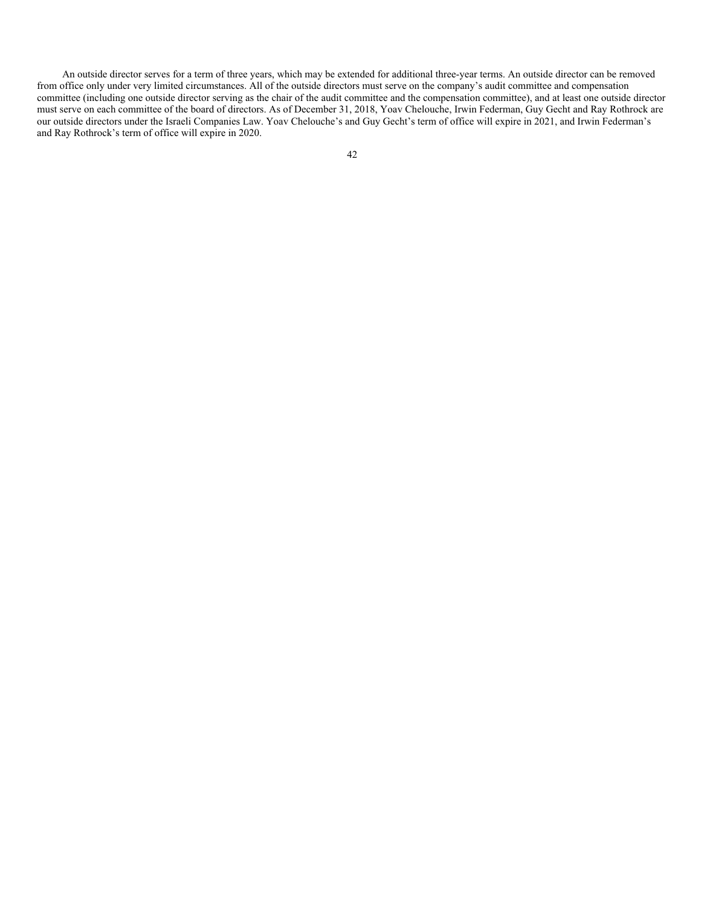An outside director serves for a term of three years, which may be extended for additional three-year terms. An outside director can be removed from office only under very limited circumstances. All of the outside directors must serve on the company's audit committee and compensation committee (including one outside director serving as the chair of the audit committee and the compensation committee), and at least one outside director must serve on each committee of the board of directors. As of December 31, 2018, Yoav Chelouche, Irwin Federman, Guy Gecht and Ray Rothrock are our outside directors under the Israeli Companies Law. Yoav Chelouche's and Guy Gecht's term of office will expire in 2021, and Irwin Federman's and Ray Rothrock's term of office will expire in 2020.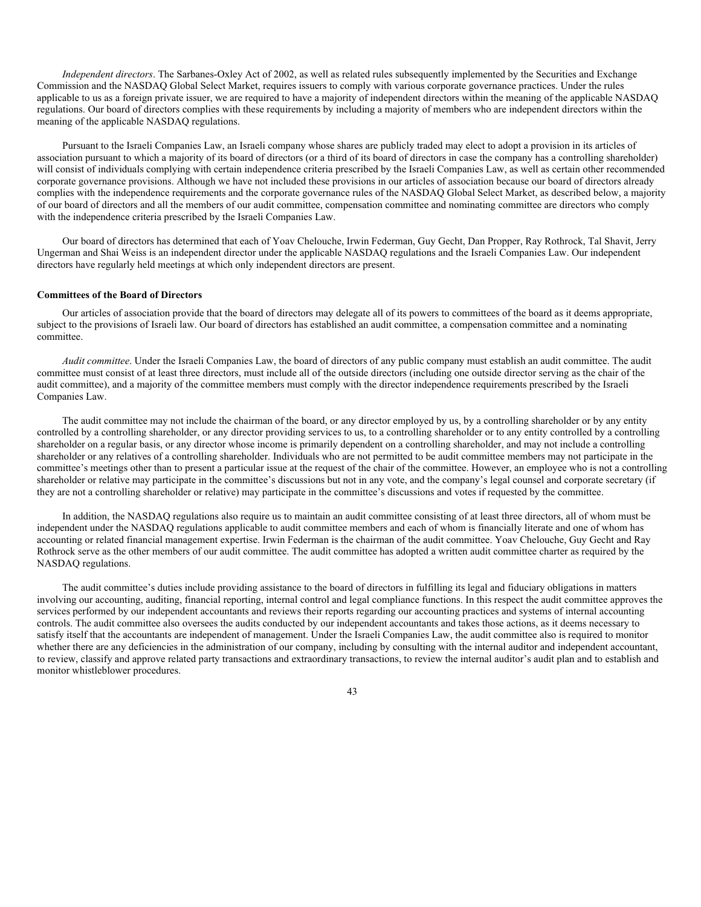*Independent directors*. The Sarbanes-Oxley Act of 2002, as well as related rules subsequently implemented by the Securities and Exchange Commission and the NASDAQ Global Select Market, requires issuers to comply with various corporate governance practices. Under the rules applicable to us as a foreign private issuer, we are required to have a majority of independent directors within the meaning of the applicable NASDAQ regulations. Our board of directors complies with these requirements by including a majority of members who are independent directors within the meaning of the applicable NASDAQ regulations.

Pursuant to the Israeli Companies Law, an Israeli company whose shares are publicly traded may elect to adopt a provision in its articles of association pursuant to which a majority of its board of directors (or a third of its board of directors in case the company has a controlling shareholder) will consist of individuals complying with certain independence criteria prescribed by the Israeli Companies Law, as well as certain other recommended corporate governance provisions. Although we have not included these provisions in our articles of association because our board of directors already complies with the independence requirements and the corporate governance rules of the NASDAQ Global Select Market, as described below, a majority of our board of directors and all the members of our audit committee, compensation committee and nominating committee are directors who comply with the independence criteria prescribed by the Israeli Companies Law.

Our board of directors has determined that each of Yoav Chelouche, Irwin Federman, Guy Gecht, Dan Propper, Ray Rothrock, Tal Shavit, Jerry Ungerman and Shai Weiss is an independent director under the applicable NASDAQ regulations and the Israeli Companies Law. Our independent directors have regularly held meetings at which only independent directors are present.

#### **Committees of the Board of Directors**

Our articles of association provide that the board of directors may delegate all of its powers to committees of the board as it deems appropriate, subject to the provisions of Israeli law. Our board of directors has established an audit committee, a compensation committee and a nominating committee.

*Audit committee*. Under the Israeli Companies Law, the board of directors of any public company must establish an audit committee. The audit committee must consist of at least three directors, must include all of the outside directors (including one outside director serving as the chair of the audit committee), and a majority of the committee members must comply with the director independence requirements prescribed by the Israeli Companies Law.

The audit committee may not include the chairman of the board, or any director employed by us, by a controlling shareholder or by any entity controlled by a controlling shareholder, or any director providing services to us, to a controlling shareholder or to any entity controlled by a controlling shareholder on a regular basis, or any director whose income is primarily dependent on a controlling shareholder, and may not include a controlling shareholder or any relatives of a controlling shareholder. Individuals who are not permitted to be audit committee members may not participate in the committee's meetings other than to present a particular issue at the request of the chair of the committee. However, an employee who is not a controlling shareholder or relative may participate in the committee's discussions but not in any vote, and the company's legal counsel and corporate secretary (if they are not a controlling shareholder or relative) may participate in the committee's discussions and votes if requested by the committee.

In addition, the NASDAQ regulations also require us to maintain an audit committee consisting of at least three directors, all of whom must be independent under the NASDAQ regulations applicable to audit committee members and each of whom is financially literate and one of whom has accounting or related financial management expertise. Irwin Federman is the chairman of the audit committee. Yoav Chelouche, Guy Gecht and Ray Rothrock serve as the other members of our audit committee. The audit committee has adopted a written audit committee charter as required by the NASDAQ regulations.

The audit committee's duties include providing assistance to the board of directors in fulfilling its legal and fiduciary obligations in matters involving our accounting, auditing, financial reporting, internal control and legal compliance functions. In this respect the audit committee approves the services performed by our independent accountants and reviews their reports regarding our accounting practices and systems of internal accounting controls. The audit committee also oversees the audits conducted by our independent accountants and takes those actions, as it deems necessary to satisfy itself that the accountants are independent of management. Under the Israeli Companies Law, the audit committee also is required to monitor whether there are any deficiencies in the administration of our company, including by consulting with the internal auditor and independent accountant, to review, classify and approve related party transactions and extraordinary transactions, to review the internal auditor's audit plan and to establish and monitor whistleblower procedures.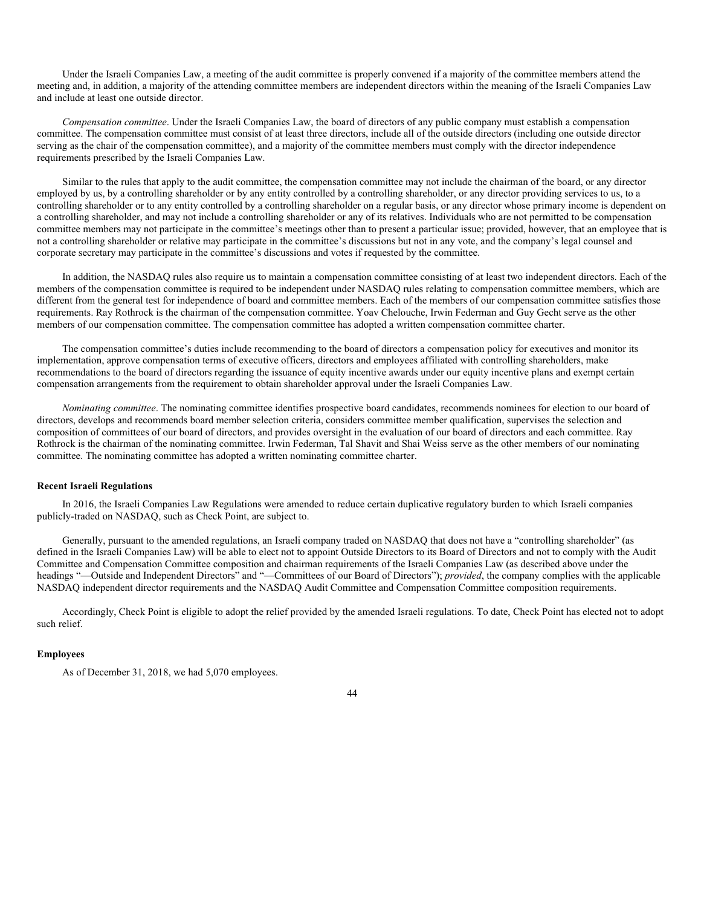Under the Israeli Companies Law, a meeting of the audit committee is properly convened if a majority of the committee members attend the meeting and, in addition, a majority of the attending committee members are independent directors within the meaning of the Israeli Companies Law and include at least one outside director.

*Compensation committee*. Under the Israeli Companies Law, the board of directors of any public company must establish a compensation committee. The compensation committee must consist of at least three directors, include all of the outside directors (including one outside director serving as the chair of the compensation committee), and a majority of the committee members must comply with the director independence requirements prescribed by the Israeli Companies Law.

Similar to the rules that apply to the audit committee, the compensation committee may not include the chairman of the board, or any director employed by us, by a controlling shareholder or by any entity controlled by a controlling shareholder, or any director providing services to us, to a controlling shareholder or to any entity controlled by a controlling shareholder on a regular basis, or any director whose primary income is dependent on a controlling shareholder, and may not include a controlling shareholder or any of its relatives. Individuals who are not permitted to be compensation committee members may not participate in the committee's meetings other than to present a particular issue; provided, however, that an employee that is not a controlling shareholder or relative may participate in the committee's discussions but not in any vote, and the company's legal counsel and corporate secretary may participate in the committee's discussions and votes if requested by the committee.

In addition, the NASDAQ rules also require us to maintain a compensation committee consisting of at least two independent directors. Each of the members of the compensation committee is required to be independent under NASDAQ rules relating to compensation committee members, which are different from the general test for independence of board and committee members. Each of the members of our compensation committee satisfies those requirements. Ray Rothrock is the chairman of the compensation committee. Yoav Chelouche, Irwin Federman and Guy Gecht serve as the other members of our compensation committee. The compensation committee has adopted a written compensation committee charter.

The compensation committee's duties include recommending to the board of directors a compensation policy for executives and monitor its implementation, approve compensation terms of executive officers, directors and employees affiliated with controlling shareholders, make recommendations to the board of directors regarding the issuance of equity incentive awards under our equity incentive plans and exempt certain compensation arrangements from the requirement to obtain shareholder approval under the Israeli Companies Law.

*Nominating committee*. The nominating committee identifies prospective board candidates, recommends nominees for election to our board of directors, develops and recommends board member selection criteria, considers committee member qualification, supervises the selection and composition of committees of our board of directors, and provides oversight in the evaluation of our board of directors and each committee. Ray Rothrock is the chairman of the nominating committee. Irwin Federman, Tal Shavit and Shai Weiss serve as the other members of our nominating committee. The nominating committee has adopted a written nominating committee charter.

#### **Recent Israeli Regulations**

In 2016, the Israeli Companies Law Regulations were amended to reduce certain duplicative regulatory burden to which Israeli companies publicly-traded on NASDAQ, such as Check Point, are subject to.

Generally, pursuant to the amended regulations, an Israeli company traded on NASDAQ that does not have a "controlling shareholder" (as defined in the Israeli Companies Law) will be able to elect not to appoint Outside Directors to its Board of Directors and not to comply with the Audit Committee and Compensation Committee composition and chairman requirements of the Israeli Companies Law (as described above under the headings "—Outside and Independent Directors" and "—Committees of our Board of Directors"); *provided*, the company complies with the applicable NASDAQ independent director requirements and the NASDAQ Audit Committee and Compensation Committee composition requirements.

Accordingly, Check Point is eligible to adopt the relief provided by the amended Israeli regulations. To date, Check Point has elected not to adopt such relief.

#### **Employees**

As of December 31, 2018, we had 5,070 employees.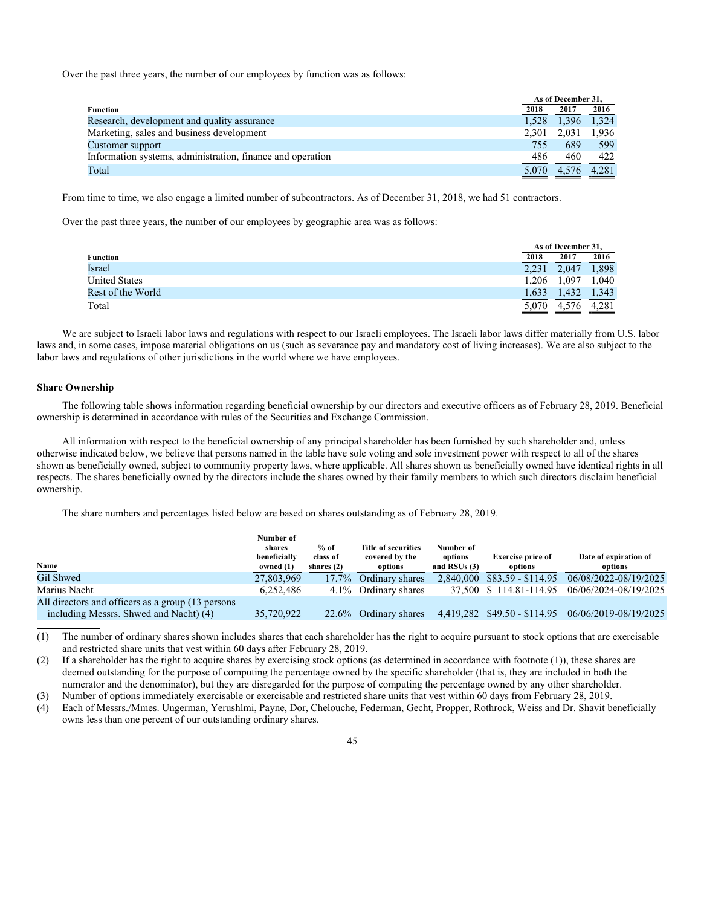Over the past three years, the number of our employees by function was as follows:

|                                                            | As of December 31, |       |       |  |  |
|------------------------------------------------------------|--------------------|-------|-------|--|--|
| <b>Function</b>                                            | 2018               | 2017  | 2016  |  |  |
| Research, development and quality assurance                | 1.528              | 1.396 | 1,324 |  |  |
| Marketing, sales and business development                  | 2.301              | 2.031 | 1,936 |  |  |
| Customer support                                           | 755                | 689   | 599   |  |  |
| Information systems, administration, finance and operation | 486                | 460   | 422   |  |  |
| Total                                                      | 5.070              | 4,576 | 4.281 |  |  |

From time to time, we also engage a limited number of subcontractors. As of December 31, 2018, we had 51 contractors.

Over the past three years, the number of our employees by geographic area was as follows:

|                      |       | As of December 31, |       |  |  |  |  |
|----------------------|-------|--------------------|-------|--|--|--|--|
| <b>Function</b>      | 2018  | 2017               | 2016  |  |  |  |  |
| Israel               | 2,231 | 2.047              | 1,898 |  |  |  |  |
| <b>United States</b> | 1.206 | 1.097              | 1.040 |  |  |  |  |
| Rest of the World    | 1,633 | 1,432              | 1,343 |  |  |  |  |
| Total                | 5,070 | 4,576              | 4,281 |  |  |  |  |

We are subject to Israeli labor laws and regulations with respect to our Israeli employees. The Israeli labor laws differ materially from U.S. labor laws and, in some cases, impose material obligations on us (such as severance pay and mandatory cost of living increases). We are also subject to the labor laws and regulations of other jurisdictions in the world where we have employees.

#### **Share Ownership**

The following table shows information regarding beneficial ownership by our directors and executive officers as of February 28, 2019. Beneficial ownership is determined in accordance with rules of the Securities and Exchange Commission.

All information with respect to the beneficial ownership of any principal shareholder has been furnished by such shareholder and, unless otherwise indicated below, we believe that persons named in the table have sole voting and sole investment power with respect to all of the shares shown as beneficially owned, subject to community property laws, where applicable. All shares shown as beneficially owned have identical rights in all respects. The shares beneficially owned by the directors include the shares owned by their family members to which such directors disclaim beneficial ownership.

The share numbers and percentages listed below are based on shares outstanding as of February 28, 2019.

| <b>Name</b>                                                                                  | Number of<br>shares<br>beneficially<br>owned (1) | $%$ of<br>class of<br>shares $(2)$ | <b>Title of securities</b><br>covered by the<br>options | Number of<br>options<br>and $RSUs(3)$ | <b>Exercise price of</b><br>options | Date of expiration of<br>options                   |
|----------------------------------------------------------------------------------------------|--------------------------------------------------|------------------------------------|---------------------------------------------------------|---------------------------------------|-------------------------------------|----------------------------------------------------|
| Gil Shwed                                                                                    | 27,803,969                                       |                                    | 17.7% Ordinary shares                                   |                                       | $2,840,000$ \$83.59 - \$114.95      | 06/08/2022-08/19/2025                              |
| Marius Nacht                                                                                 | 6,252,486                                        |                                    | 4.1% Ordinary shares                                    |                                       | 37,500 \$ 114.81-114.95             | 06/06/2024-08/19/2025                              |
| All directors and officers as a group (13 persons)<br>including Messrs. Shwed and Nacht) (4) | 35,720,922                                       |                                    | 22.6% Ordinary shares                                   |                                       |                                     | 4,419,282 \$49.50 - \$114.95 06/06/2019-08/19/2025 |

(1) The number of ordinary shares shown includes shares that each shareholder has the right to acquire pursuant to stock options that are exercisable and restricted share units that vest within 60 days after February 28, 2019.

(2) If a shareholder has the right to acquire shares by exercising stock options (as determined in accordance with footnote (1)), these shares are deemed outstanding for the purpose of computing the percentage owned by the specific shareholder (that is, they are included in both the numerator and the denominator), but they are disregarded for the purpose of computing the percentage owned by any other shareholder.

(3) Number of options immediately exercisable or exercisable and restricted share units that vest within 60 days from February 28, 2019.

(4) Each of Messrs./Mmes. Ungerman, Yerushlmi, Payne, Dor, Chelouche, Federman, Gecht, Propper, Rothrock, Weiss and Dr. Shavit beneficially owns less than one percent of our outstanding ordinary shares.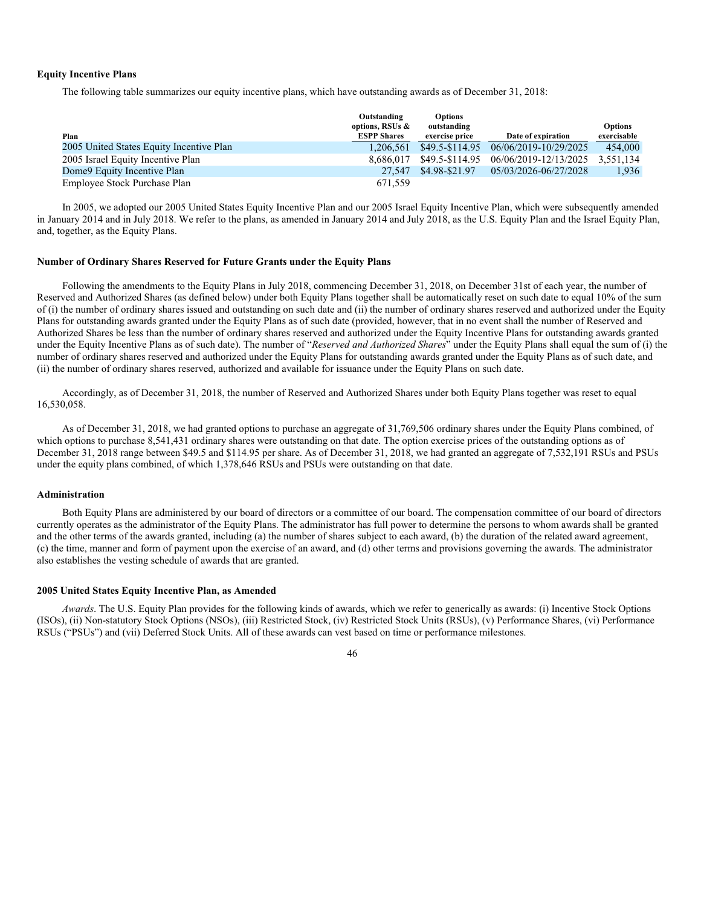# **Equity Incentive Plans**

The following table summarizes our equity incentive plans, which have outstanding awards as of December 31, 2018:

|                                          | Outstanding        | <b>Options</b>  |                       |                |
|------------------------------------------|--------------------|-----------------|-----------------------|----------------|
|                                          | options, RSUs $\&$ | outstanding     |                       | <b>Options</b> |
| Plan                                     | <b>ESPP Shares</b> | exercise price  | Date of expiration    | exercisable    |
| 2005 United States Equity Incentive Plan | 1.206.561          | \$49.5-\$114.95 | 06/06/2019-10/29/2025 | 454,000        |
| 2005 Israel Equity Incentive Plan        | 8.686.017          | \$49.5-\$114.95 | 06/06/2019-12/13/2025 | 3.551.134      |
| Dome9 Equity Incentive Plan              | 27.547             | \$4.98-\$21.97  | 05/03/2026-06/27/2028 | 1.936          |
| Employee Stock Purchase Plan             | 671,559            |                 |                       |                |

In 2005, we adopted our 2005 United States Equity Incentive Plan and our 2005 Israel Equity Incentive Plan, which were subsequently amended in January 2014 and in July 2018. We refer to the plans, as amended in January 2014 and July 2018, as the U.S. Equity Plan and the Israel Equity Plan, and, together, as the Equity Plans.

### **Number of Ordinary Shares Reserved for Future Grants under the Equity Plans**

Following the amendments to the Equity Plans in July 2018, commencing December 31, 2018, on December 31st of each year, the number of Reserved and Authorized Shares (as defined below) under both Equity Plans together shall be automatically reset on such date to equal 10% of the sum of (i) the number of ordinary shares issued and outstanding on such date and (ii) the number of ordinary shares reserved and authorized under the Equity Plans for outstanding awards granted under the Equity Plans as of such date (provided, however, that in no event shall the number of Reserved and Authorized Shares be less than the number of ordinary shares reserved and authorized under the Equity Incentive Plans for outstanding awards granted under the Equity Incentive Plans as of such date). The number of "*Reserved and Authorized Shares*" under the Equity Plans shall equal the sum of (i) the number of ordinary shares reserved and authorized under the Equity Plans for outstanding awards granted under the Equity Plans as of such date, and (ii) the number of ordinary shares reserved, authorized and available for issuance under the Equity Plans on such date.

Accordingly, as of December 31, 2018, the number of Reserved and Authorized Shares under both Equity Plans together was reset to equal 16,530,058.

As of December 31, 2018, we had granted options to purchase an aggregate of 31,769,506 ordinary shares under the Equity Plans combined, of which options to purchase 8,541,431 ordinary shares were outstanding on that date. The option exercise prices of the outstanding options as of December 31, 2018 range between \$49.5 and \$114.95 per share. As of December 31, 2018, we had granted an aggregate of 7,532,191 RSUs and PSUs under the equity plans combined, of which 1,378,646 RSUs and PSUs were outstanding on that date.

#### **Administration**

Both Equity Plans are administered by our board of directors or a committee of our board. The compensation committee of our board of directors currently operates as the administrator of the Equity Plans. The administrator has full power to determine the persons to whom awards shall be granted and the other terms of the awards granted, including (a) the number of shares subject to each award, (b) the duration of the related award agreement, (c) the time, manner and form of payment upon the exercise of an award, and (d) other terms and provisions governing the awards. The administrator also establishes the vesting schedule of awards that are granted.

#### **2005 United States Equity Incentive Plan, as Amended**

*Awards*. The U.S. Equity Plan provides for the following kinds of awards, which we refer to generically as awards: (i) Incentive Stock Options (ISOs), (ii) Non-statutory Stock Options (NSOs), (iii) Restricted Stock, (iv) Restricted Stock Units (RSUs), (v) Performance Shares, (vi) Performance RSUs ("PSUs") and (vii) Deferred Stock Units. All of these awards can vest based on time or performance milestones.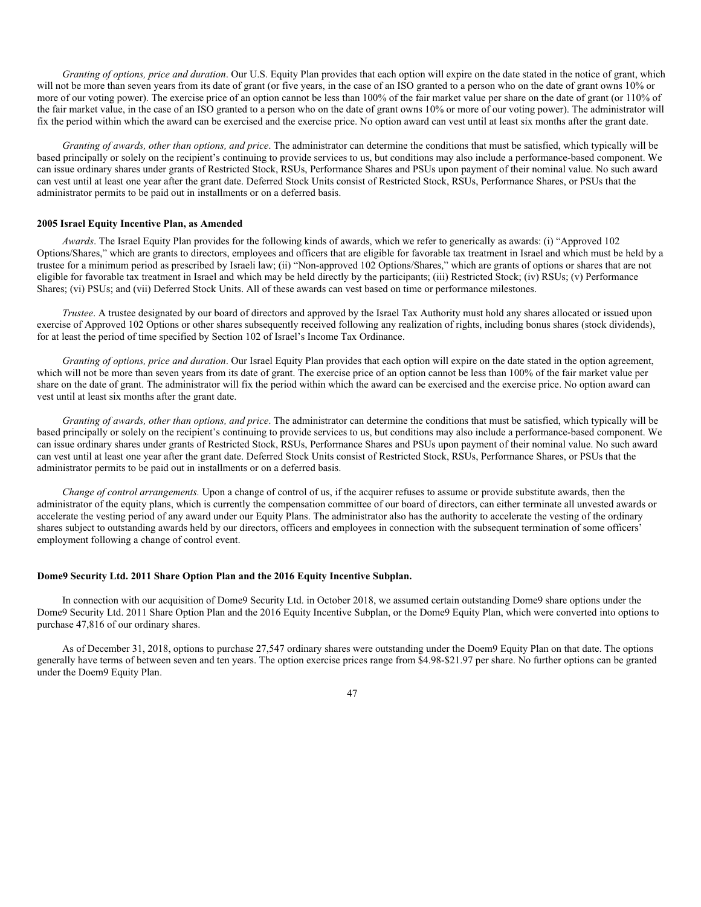*Granting of options, price and duration*. Our U.S. Equity Plan provides that each option will expire on the date stated in the notice of grant, which will not be more than seven years from its date of grant (or five years, in the case of an ISO granted to a person who on the date of grant owns 10% or more of our voting power). The exercise price of an option cannot be less than 100% of the fair market value per share on the date of grant (or 110% of the fair market value, in the case of an ISO granted to a person who on the date of grant owns 10% or more of our voting power). The administrator will fix the period within which the award can be exercised and the exercise price. No option award can vest until at least six months after the grant date.

*Granting of awards, other than options, and price*. The administrator can determine the conditions that must be satisfied, which typically will be based principally or solely on the recipient's continuing to provide services to us, but conditions may also include a performance-based component. We can issue ordinary shares under grants of Restricted Stock, RSUs, Performance Shares and PSUs upon payment of their nominal value. No such award can vest until at least one year after the grant date. Deferred Stock Units consist of Restricted Stock, RSUs, Performance Shares, or PSUs that the administrator permits to be paid out in installments or on a deferred basis.

#### **2005 Israel Equity Incentive Plan, as Amended**

*Awards*. The Israel Equity Plan provides for the following kinds of awards, which we refer to generically as awards: (i) "Approved 102 Options/Shares," which are grants to directors, employees and officers that are eligible for favorable tax treatment in Israel and which must be held by a trustee for a minimum period as prescribed by Israeli law; (ii) "Non-approved 102 Options/Shares," which are grants of options or shares that are not eligible for favorable tax treatment in Israel and which may be held directly by the participants; (iii) Restricted Stock; (iv) RSUs; (v) Performance Shares; (vi) PSUs; and (vii) Deferred Stock Units. All of these awards can vest based on time or performance milestones.

*Trustee*. A trustee designated by our board of directors and approved by the Israel Tax Authority must hold any shares allocated or issued upon exercise of Approved 102 Options or other shares subsequently received following any realization of rights, including bonus shares (stock dividends), for at least the period of time specified by Section 102 of Israel's Income Tax Ordinance.

*Granting of options, price and duration*. Our Israel Equity Plan provides that each option will expire on the date stated in the option agreement, which will not be more than seven years from its date of grant. The exercise price of an option cannot be less than 100% of the fair market value per share on the date of grant. The administrator will fix the period within which the award can be exercised and the exercise price. No option award can vest until at least six months after the grant date.

*Granting of awards, other than options, and price*. The administrator can determine the conditions that must be satisfied, which typically will be based principally or solely on the recipient's continuing to provide services to us, but conditions may also include a performance-based component. We can issue ordinary shares under grants of Restricted Stock, RSUs, Performance Shares and PSUs upon payment of their nominal value. No such award can vest until at least one year after the grant date. Deferred Stock Units consist of Restricted Stock, RSUs, Performance Shares, or PSUs that the administrator permits to be paid out in installments or on a deferred basis.

*Change of control arrangements.* Upon a change of control of us, if the acquirer refuses to assume or provide substitute awards, then the administrator of the equity plans, which is currently the compensation committee of our board of directors, can either terminate all unvested awards or accelerate the vesting period of any award under our Equity Plans. The administrator also has the authority to accelerate the vesting of the ordinary shares subject to outstanding awards held by our directors, officers and employees in connection with the subsequent termination of some officers' employment following a change of control event.

#### **Dome9 Security Ltd. 2011 Share Option Plan and the 2016 Equity Incentive Subplan.**

In connection with our acquisition of Dome9 Security Ltd. in October 2018, we assumed certain outstanding Dome9 share options under the Dome9 Security Ltd. 2011 Share Option Plan and the 2016 Equity Incentive Subplan, or the Dome9 Equity Plan, which were converted into options to purchase 47,816 of our ordinary shares.

As of December 31, 2018, options to purchase 27,547 ordinary shares were outstanding under the Doem9 Equity Plan on that date. The options generally have terms of between seven and ten years. The option exercise prices range from \$4.98-\$21.97 per share. No further options can be granted under the Doem9 Equity Plan.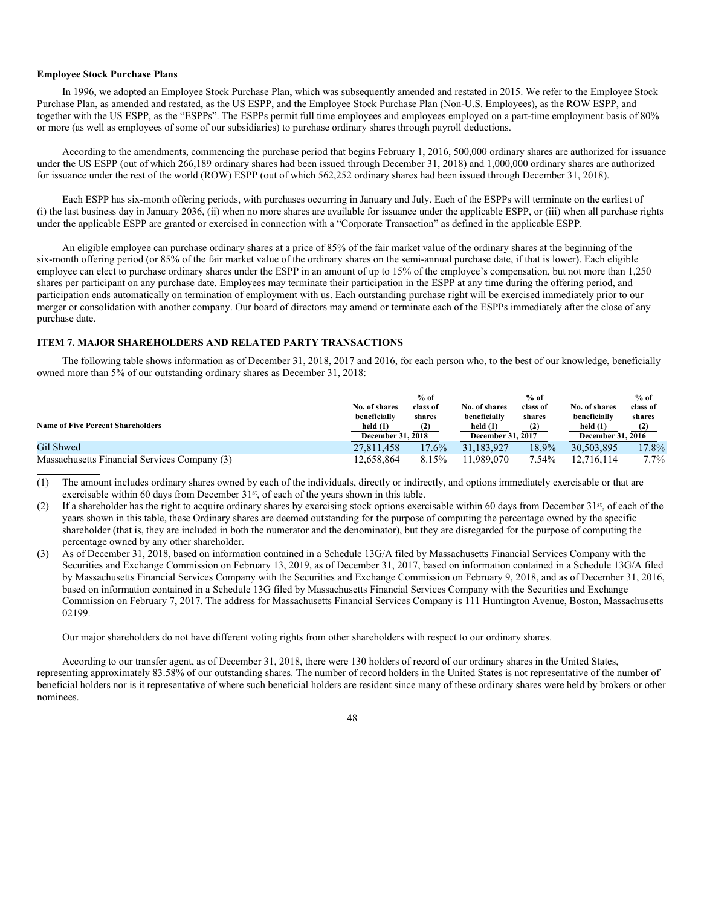#### **Employee Stock Purchase Plans**

In 1996, we adopted an Employee Stock Purchase Plan, which was subsequently amended and restated in 2015. We refer to the Employee Stock Purchase Plan, as amended and restated, as the US ESPP, and the Employee Stock Purchase Plan (Non-U.S. Employees), as the ROW ESPP, and together with the US ESPP, as the "ESPPs". The ESPPs permit full time employees and employees employed on a part-time employment basis of 80% or more (as well as employees of some of our subsidiaries) to purchase ordinary shares through payroll deductions.

According to the amendments, commencing the purchase period that begins February 1, 2016, 500,000 ordinary shares are authorized for issuance under the US ESPP (out of which 266,189 ordinary shares had been issued through December 31, 2018) and 1,000,000 ordinary shares are authorized for issuance under the rest of the world (ROW) ESPP (out of which 562,252 ordinary shares had been issued through December 31, 2018).

Each ESPP has six-month offering periods, with purchases occurring in January and July. Each of the ESPPs will terminate on the earliest of (i) the last business day in January 2036, (ii) when no more shares are available for issuance under the applicable ESPP, or (iii) when all purchase rights under the applicable ESPP are granted or exercised in connection with a "Corporate Transaction" as defined in the applicable ESPP.

An eligible employee can purchase ordinary shares at a price of 85% of the fair market value of the ordinary shares at the beginning of the six-month offering period (or 85% of the fair market value of the ordinary shares on the semi-annual purchase date, if that is lower). Each eligible employee can elect to purchase ordinary shares under the ESPP in an amount of up to 15% of the employee's compensation, but not more than 1,250 shares per participant on any purchase date. Employees may terminate their participation in the ESPP at any time during the offering period, and participation ends automatically on termination of employment with us. Each outstanding purchase right will be exercised immediately prior to our merger or consolidation with another company. Our board of directors may amend or terminate each of the ESPPs immediately after the close of any purchase date.

## **ITEM 7. MAJOR SHAREHOLDERS AND RELATED PARTY TRANSACTIONS**

The following table shows information as of December 31, 2018, 2017 and 2016, for each person who, to the best of our knowledge, beneficially owned more than 5% of our outstanding ordinary shares as December 31, 2018:

| <b>Name of Five Percent Shareholders</b>     | No. of shares<br>beneficially<br>held $(1)$ | $%$ of<br>class of<br>shares<br>(2) | No. of shares<br>beneficially<br>held $(1)$ | $%$ of<br>class of<br>shares<br>(2) | No. of shares<br>beneficially<br>held $(1)$ | $%$ of<br>class of<br>shares<br>(2) |
|----------------------------------------------|---------------------------------------------|-------------------------------------|---------------------------------------------|-------------------------------------|---------------------------------------------|-------------------------------------|
|                                              | <b>December 31, 2018</b>                    |                                     | <b>December 31, 2017</b>                    |                                     | <b>December 31, 2016</b>                    |                                     |
| Gil Shwed                                    | 27,811,458                                  | $17.6\%$                            | 31.183.927                                  | 18.9%                               | 30.503.895                                  | $17.8\%$                            |
| Massachusetts Financial Services Company (3) | 12.658.864                                  | 8.15%                               | 11.989.070                                  | $7.54\%$                            | 12.716.114                                  | $7.7\%$                             |

(1) The amount includes ordinary shares owned by each of the individuals, directly or indirectly, and options immediately exercisable or that are exercisable within 60 days from December 31<sup>st</sup>, of each of the years shown in this table.

- (2) If a shareholder has the right to acquire ordinary shares by exercising stock options exercisable within 60 days from December 31st, of each of the years shown in this table, these Ordinary shares are deemed outstanding for the purpose of computing the percentage owned by the specific shareholder (that is, they are included in both the numerator and the denominator), but they are disregarded for the purpose of computing the percentage owned by any other shareholder.
- (3) As of December 31, 2018, based on information contained in a Schedule 13G/A filed by Massachusetts Financial Services Company with the Securities and Exchange Commission on February 13, 2019, as of December 31, 2017, based on information contained in a Schedule 13G/A filed by Massachusetts Financial Services Company with the Securities and Exchange Commission on February 9, 2018, and as of December 31, 2016, based on information contained in a Schedule 13G filed by Massachusetts Financial Services Company with the Securities and Exchange Commission on February 7, 2017. The address for Massachusetts Financial Services Company is 111 Huntington Avenue, Boston, Massachusetts 02199.

Our major shareholders do not have different voting rights from other shareholders with respect to our ordinary shares.

According to our transfer agent, as of December 31, 2018, there were 130 holders of record of our ordinary shares in the United States, representing approximately 83.58% of our outstanding shares. The number of record holders in the United States is not representative of the number of beneficial holders nor is it representative of where such beneficial holders are resident since many of these ordinary shares were held by brokers or other nominees.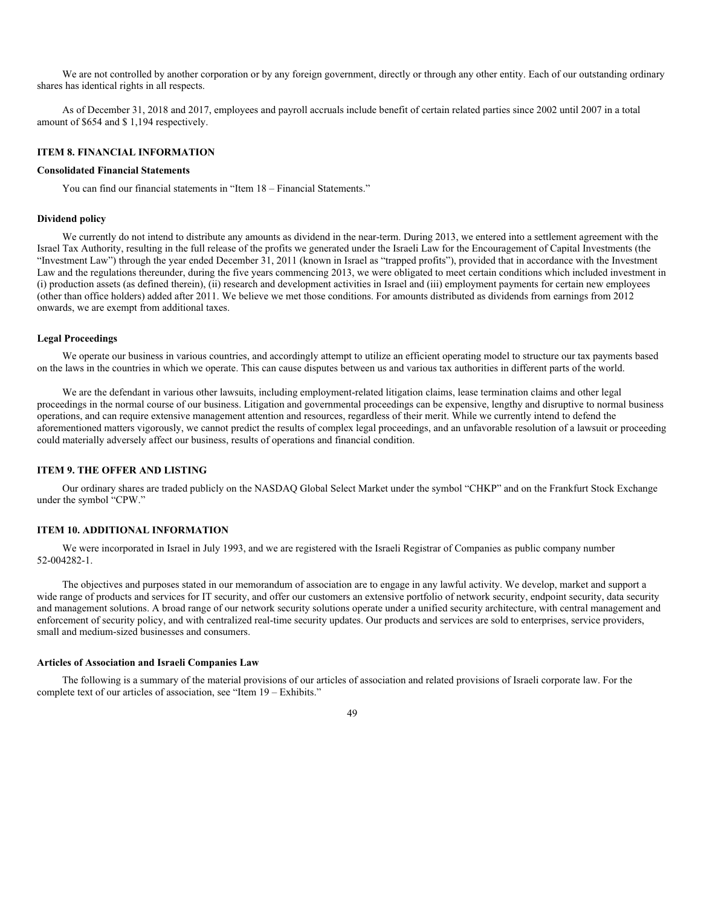We are not controlled by another corporation or by any foreign government, directly or through any other entity. Each of our outstanding ordinary shares has identical rights in all respects.

As of December 31, 2018 and 2017, employees and payroll accruals include benefit of certain related parties since 2002 until 2007 in a total amount of \$654 and \$ 1,194 respectively.

## **ITEM 8. FINANCIAL INFORMATION**

## **Consolidated Financial Statements**

You can find our financial statements in "Item 18 – Financial Statements."

## **Dividend policy**

We currently do not intend to distribute any amounts as dividend in the near-term. During 2013, we entered into a settlement agreement with the Israel Tax Authority, resulting in the full release of the profits we generated under the Israeli Law for the Encouragement of Capital Investments (the "Investment Law") through the year ended December 31, 2011 (known in Israel as "trapped profits"), provided that in accordance with the Investment Law and the regulations thereunder, during the five years commencing 2013, we were obligated to meet certain conditions which included investment in (i) production assets (as defined therein), (ii) research and development activities in Israel and (iii) employment payments for certain new employees (other than office holders) added after 2011. We believe we met those conditions. For amounts distributed as dividends from earnings from 2012 onwards, we are exempt from additional taxes.

#### **Legal Proceedings**

We operate our business in various countries, and accordingly attempt to utilize an efficient operating model to structure our tax payments based on the laws in the countries in which we operate. This can cause disputes between us and various tax authorities in different parts of the world.

We are the defendant in various other lawsuits, including employment-related litigation claims, lease termination claims and other legal proceedings in the normal course of our business. Litigation and governmental proceedings can be expensive, lengthy and disruptive to normal business operations, and can require extensive management attention and resources, regardless of their merit. While we currently intend to defend the aforementioned matters vigorously, we cannot predict the results of complex legal proceedings, and an unfavorable resolution of a lawsuit or proceeding could materially adversely affect our business, results of operations and financial condition.

## **ITEM 9. THE OFFER AND LISTING**

Our ordinary shares are traded publicly on the NASDAQ Global Select Market under the symbol "CHKP" and on the Frankfurt Stock Exchange under the symbol "CPW."

## **ITEM 10. ADDITIONAL INFORMATION**

We were incorporated in Israel in July 1993, and we are registered with the Israeli Registrar of Companies as public company number 52-004282-1.

The objectives and purposes stated in our memorandum of association are to engage in any lawful activity. We develop, market and support a wide range of products and services for IT security, and offer our customers an extensive portfolio of network security, endpoint security, data security and management solutions. A broad range of our network security solutions operate under a unified security architecture, with central management and enforcement of security policy, and with centralized real-time security updates. Our products and services are sold to enterprises, service providers, small and medium-sized businesses and consumers.

#### **Articles of Association and Israeli Companies Law**

The following is a summary of the material provisions of our articles of association and related provisions of Israeli corporate law. For the complete text of our articles of association, see "Item 19 – Exhibits."

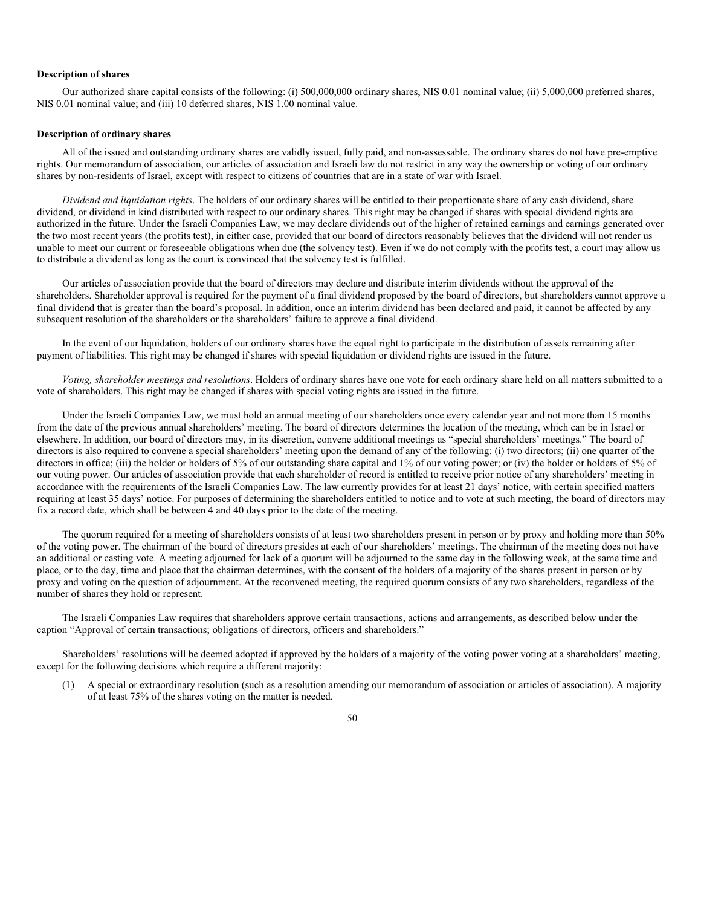## **Description of shares**

Our authorized share capital consists of the following: (i) 500,000,000 ordinary shares, NIS 0.01 nominal value; (ii) 5,000,000 preferred shares, NIS 0.01 nominal value; and (iii) 10 deferred shares, NIS 1.00 nominal value.

### **Description of ordinary shares**

All of the issued and outstanding ordinary shares are validly issued, fully paid, and non-assessable. The ordinary shares do not have pre-emptive rights. Our memorandum of association, our articles of association and Israeli law do not restrict in any way the ownership or voting of our ordinary shares by non-residents of Israel, except with respect to citizens of countries that are in a state of war with Israel.

*Dividend and liquidation rights*. The holders of our ordinary shares will be entitled to their proportionate share of any cash dividend, share dividend, or dividend in kind distributed with respect to our ordinary shares. This right may be changed if shares with special dividend rights are authorized in the future. Under the Israeli Companies Law, we may declare dividends out of the higher of retained earnings and earnings generated over the two most recent years (the profits test), in either case, provided that our board of directors reasonably believes that the dividend will not render us unable to meet our current or foreseeable obligations when due (the solvency test). Even if we do not comply with the profits test, a court may allow us to distribute a dividend as long as the court is convinced that the solvency test is fulfilled.

Our articles of association provide that the board of directors may declare and distribute interim dividends without the approval of the shareholders. Shareholder approval is required for the payment of a final dividend proposed by the board of directors, but shareholders cannot approve a final dividend that is greater than the board's proposal. In addition, once an interim dividend has been declared and paid, it cannot be affected by any subsequent resolution of the shareholders or the shareholders' failure to approve a final dividend.

In the event of our liquidation, holders of our ordinary shares have the equal right to participate in the distribution of assets remaining after payment of liabilities. This right may be changed if shares with special liquidation or dividend rights are issued in the future.

*Voting, shareholder meetings and resolutions*. Holders of ordinary shares have one vote for each ordinary share held on all matters submitted to a vote of shareholders. This right may be changed if shares with special voting rights are issued in the future.

Under the Israeli Companies Law, we must hold an annual meeting of our shareholders once every calendar year and not more than 15 months from the date of the previous annual shareholders' meeting. The board of directors determines the location of the meeting, which can be in Israel or elsewhere. In addition, our board of directors may, in its discretion, convene additional meetings as "special shareholders' meetings." The board of directors is also required to convene a special shareholders' meeting upon the demand of any of the following: (i) two directors; (ii) one quarter of the directors in office; (iii) the holder or holders of 5% of our outstanding share capital and 1% of our voting power; or (iv) the holder or holders of 5% of our voting power. Our articles of association provide that each shareholder of record is entitled to receive prior notice of any shareholders' meeting in accordance with the requirements of the Israeli Companies Law. The law currently provides for at least 21 days' notice, with certain specified matters requiring at least 35 days' notice. For purposes of determining the shareholders entitled to notice and to vote at such meeting, the board of directors may fix a record date, which shall be between 4 and 40 days prior to the date of the meeting.

The quorum required for a meeting of shareholders consists of at least two shareholders present in person or by proxy and holding more than 50% of the voting power. The chairman of the board of directors presides at each of our shareholders' meetings. The chairman of the meeting does not have an additional or casting vote. A meeting adjourned for lack of a quorum will be adjourned to the same day in the following week, at the same time and place, or to the day, time and place that the chairman determines, with the consent of the holders of a majority of the shares present in person or by proxy and voting on the question of adjournment. At the reconvened meeting, the required quorum consists of any two shareholders, regardless of the number of shares they hold or represent.

The Israeli Companies Law requires that shareholders approve certain transactions, actions and arrangements, as described below under the caption "Approval of certain transactions; obligations of directors, officers and shareholders."

Shareholders' resolutions will be deemed adopted if approved by the holders of a majority of the voting power voting at a shareholders' meeting, except for the following decisions which require a different majority:

(1) A special or extraordinary resolution (such as a resolution amending our memorandum of association or articles of association). A majority of at least 75% of the shares voting on the matter is needed.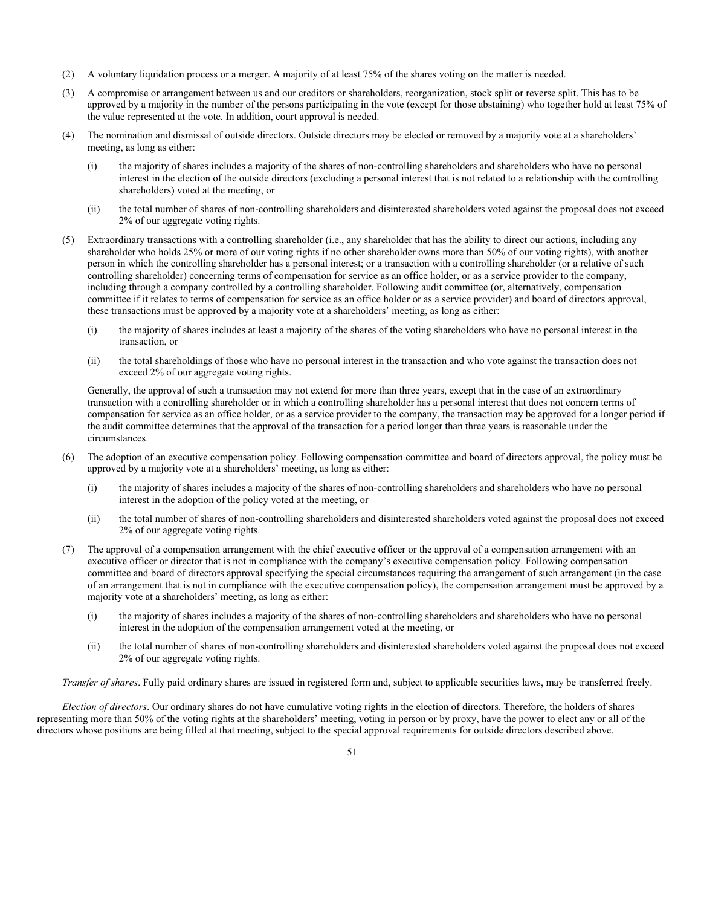- (2) A voluntary liquidation process or a merger. A majority of at least 75% of the shares voting on the matter is needed.
- (3) A compromise or arrangement between us and our creditors or shareholders, reorganization, stock split or reverse split. This has to be approved by a majority in the number of the persons participating in the vote (except for those abstaining) who together hold at least 75% of the value represented at the vote. In addition, court approval is needed.
- (4) The nomination and dismissal of outside directors. Outside directors may be elected or removed by a majority vote at a shareholders' meeting, as long as either:
	- (i) the majority of shares includes a majority of the shares of non-controlling shareholders and shareholders who have no personal interest in the election of the outside directors (excluding a personal interest that is not related to a relationship with the controlling shareholders) voted at the meeting, or
	- (ii) the total number of shares of non-controlling shareholders and disinterested shareholders voted against the proposal does not exceed 2% of our aggregate voting rights.
- (5) Extraordinary transactions with a controlling shareholder (i.e., any shareholder that has the ability to direct our actions, including any shareholder who holds 25% or more of our voting rights if no other shareholder owns more than 50% of our voting rights), with another person in which the controlling shareholder has a personal interest; or a transaction with a controlling shareholder (or a relative of such controlling shareholder) concerning terms of compensation for service as an office holder, or as a service provider to the company, including through a company controlled by a controlling shareholder. Following audit committee (or, alternatively, compensation committee if it relates to terms of compensation for service as an office holder or as a service provider) and board of directors approval, these transactions must be approved by a majority vote at a shareholders' meeting, as long as either:
	- (i) the majority of shares includes at least a majority of the shares of the voting shareholders who have no personal interest in the transaction, or
	- (ii) the total shareholdings of those who have no personal interest in the transaction and who vote against the transaction does not exceed 2% of our aggregate voting rights.

Generally, the approval of such a transaction may not extend for more than three years, except that in the case of an extraordinary transaction with a controlling shareholder or in which a controlling shareholder has a personal interest that does not concern terms of compensation for service as an office holder, or as a service provider to the company, the transaction may be approved for a longer period if the audit committee determines that the approval of the transaction for a period longer than three years is reasonable under the circumstances.

- (6) The adoption of an executive compensation policy. Following compensation committee and board of directors approval, the policy must be approved by a majority vote at a shareholders' meeting, as long as either:
	- (i) the majority of shares includes a majority of the shares of non-controlling shareholders and shareholders who have no personal interest in the adoption of the policy voted at the meeting, or
	- (ii) the total number of shares of non-controlling shareholders and disinterested shareholders voted against the proposal does not exceed 2% of our aggregate voting rights.
- (7) The approval of a compensation arrangement with the chief executive officer or the approval of a compensation arrangement with an executive officer or director that is not in compliance with the company's executive compensation policy. Following compensation committee and board of directors approval specifying the special circumstances requiring the arrangement of such arrangement (in the case of an arrangement that is not in compliance with the executive compensation policy), the compensation arrangement must be approved by a majority vote at a shareholders' meeting, as long as either:
	- (i) the majority of shares includes a majority of the shares of non-controlling shareholders and shareholders who have no personal interest in the adoption of the compensation arrangement voted at the meeting, or
	- (ii) the total number of shares of non-controlling shareholders and disinterested shareholders voted against the proposal does not exceed 2% of our aggregate voting rights.

*Transfer of shares*. Fully paid ordinary shares are issued in registered form and, subject to applicable securities laws, may be transferred freely.

*Election of directors*. Our ordinary shares do not have cumulative voting rights in the election of directors. Therefore, the holders of shares representing more than 50% of the voting rights at the shareholders' meeting, voting in person or by proxy, have the power to elect any or all of the directors whose positions are being filled at that meeting, subject to the special approval requirements for outside directors described above.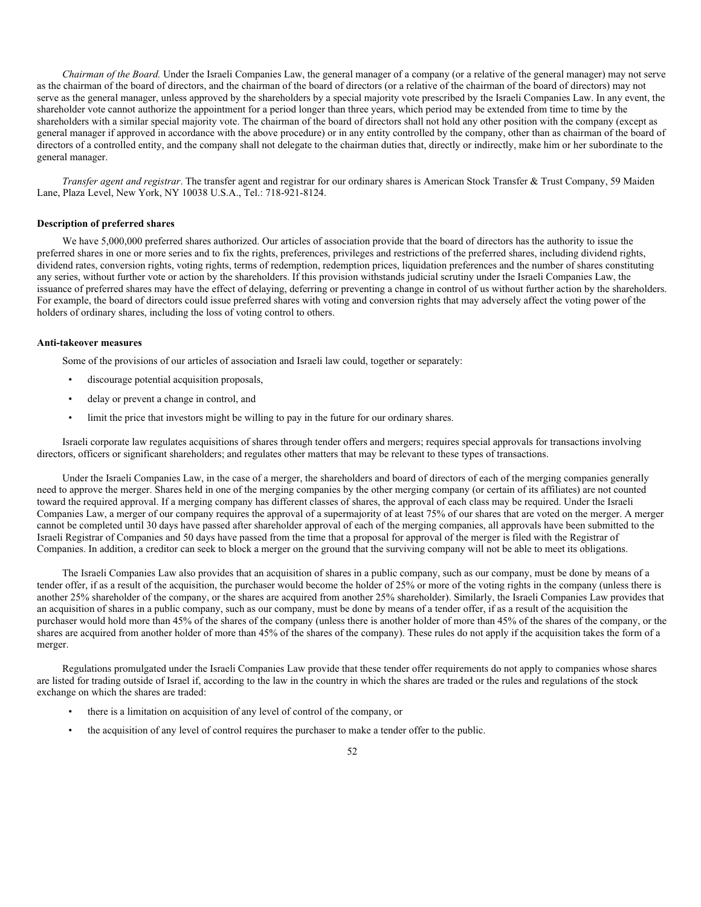*Chairman of the Board.* Under the Israeli Companies Law, the general manager of a company (or a relative of the general manager) may not serve as the chairman of the board of directors, and the chairman of the board of directors (or a relative of the chairman of the board of directors) may not serve as the general manager, unless approved by the shareholders by a special majority vote prescribed by the Israeli Companies Law. In any event, the shareholder vote cannot authorize the appointment for a period longer than three years, which period may be extended from time to time by the shareholders with a similar special majority vote. The chairman of the board of directors shall not hold any other position with the company (except as general manager if approved in accordance with the above procedure) or in any entity controlled by the company, other than as chairman of the board of directors of a controlled entity, and the company shall not delegate to the chairman duties that, directly or indirectly, make him or her subordinate to the general manager.

*Transfer agent and registrar*. The transfer agent and registrar for our ordinary shares is American Stock Transfer & Trust Company, 59 Maiden Lane, Plaza Level, New York, NY 10038 U.S.A., Tel.: 718-921-8124.

#### **Description of preferred shares**

We have 5,000,000 preferred shares authorized. Our articles of association provide that the board of directors has the authority to issue the preferred shares in one or more series and to fix the rights, preferences, privileges and restrictions of the preferred shares, including dividend rights, dividend rates, conversion rights, voting rights, terms of redemption, redemption prices, liquidation preferences and the number of shares constituting any series, without further vote or action by the shareholders. If this provision withstands judicial scrutiny under the Israeli Companies Law, the issuance of preferred shares may have the effect of delaying, deferring or preventing a change in control of us without further action by the shareholders. For example, the board of directors could issue preferred shares with voting and conversion rights that may adversely affect the voting power of the holders of ordinary shares, including the loss of voting control to others.

#### **Anti-takeover measures**

Some of the provisions of our articles of association and Israeli law could, together or separately:

- discourage potential acquisition proposals,
- delay or prevent a change in control, and
- limit the price that investors might be willing to pay in the future for our ordinary shares.

Israeli corporate law regulates acquisitions of shares through tender offers and mergers; requires special approvals for transactions involving directors, officers or significant shareholders; and regulates other matters that may be relevant to these types of transactions.

Under the Israeli Companies Law, in the case of a merger, the shareholders and board of directors of each of the merging companies generally need to approve the merger. Shares held in one of the merging companies by the other merging company (or certain of its affiliates) are not counted toward the required approval. If a merging company has different classes of shares, the approval of each class may be required. Under the Israeli Companies Law, a merger of our company requires the approval of a supermajority of at least 75% of our shares that are voted on the merger. A merger cannot be completed until 30 days have passed after shareholder approval of each of the merging companies, all approvals have been submitted to the Israeli Registrar of Companies and 50 days have passed from the time that a proposal for approval of the merger is filed with the Registrar of Companies. In addition, a creditor can seek to block a merger on the ground that the surviving company will not be able to meet its obligations.

The Israeli Companies Law also provides that an acquisition of shares in a public company, such as our company, must be done by means of a tender offer, if as a result of the acquisition, the purchaser would become the holder of 25% or more of the voting rights in the company (unless there is another 25% shareholder of the company, or the shares are acquired from another 25% shareholder). Similarly, the Israeli Companies Law provides that an acquisition of shares in a public company, such as our company, must be done by means of a tender offer, if as a result of the acquisition the purchaser would hold more than 45% of the shares of the company (unless there is another holder of more than 45% of the shares of the company, or the shares are acquired from another holder of more than 45% of the shares of the company). These rules do not apply if the acquisition takes the form of a merger.

Regulations promulgated under the Israeli Companies Law provide that these tender offer requirements do not apply to companies whose shares are listed for trading outside of Israel if, according to the law in the country in which the shares are traded or the rules and regulations of the stock exchange on which the shares are traded:

- there is a limitation on acquisition of any level of control of the company, or
- the acquisition of any level of control requires the purchaser to make a tender offer to the public.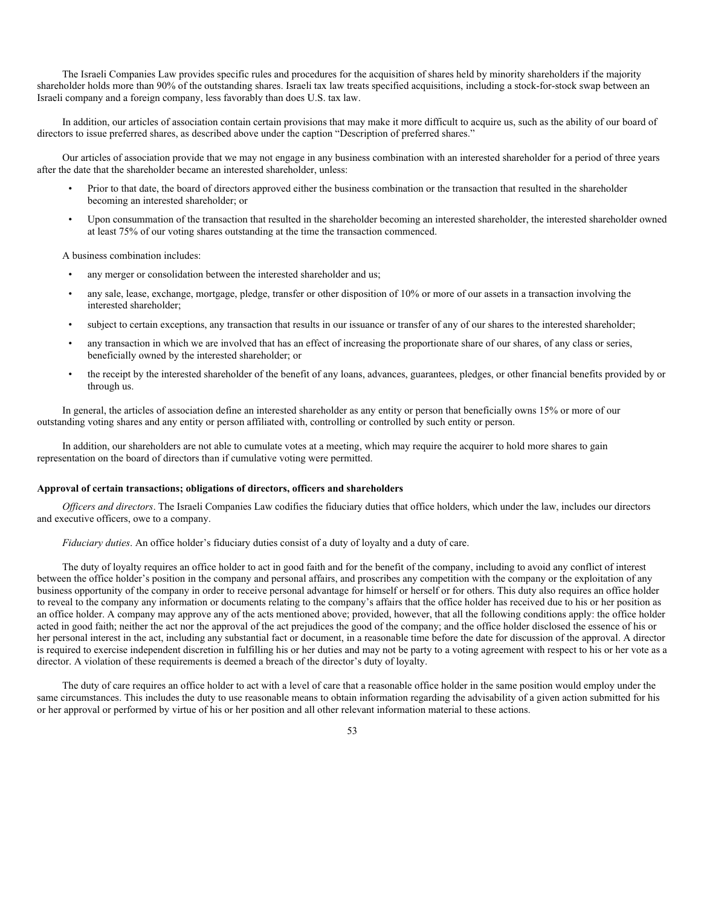The Israeli Companies Law provides specific rules and procedures for the acquisition of shares held by minority shareholders if the majority shareholder holds more than 90% of the outstanding shares. Israeli tax law treats specified acquisitions, including a stock-for-stock swap between an Israeli company and a foreign company, less favorably than does U.S. tax law.

In addition, our articles of association contain certain provisions that may make it more difficult to acquire us, such as the ability of our board of directors to issue preferred shares, as described above under the caption "Description of preferred shares."

Our articles of association provide that we may not engage in any business combination with an interested shareholder for a period of three years after the date that the shareholder became an interested shareholder, unless:

- Prior to that date, the board of directors approved either the business combination or the transaction that resulted in the shareholder becoming an interested shareholder; or
- Upon consummation of the transaction that resulted in the shareholder becoming an interested shareholder, the interested shareholder owned at least 75% of our voting shares outstanding at the time the transaction commenced.

A business combination includes:

- any merger or consolidation between the interested shareholder and us;
- any sale, lease, exchange, mortgage, pledge, transfer or other disposition of 10% or more of our assets in a transaction involving the interested shareholder;
- subject to certain exceptions, any transaction that results in our issuance or transfer of any of our shares to the interested shareholder;
- any transaction in which we are involved that has an effect of increasing the proportionate share of our shares, of any class or series, beneficially owned by the interested shareholder; or
- the receipt by the interested shareholder of the benefit of any loans, advances, guarantees, pledges, or other financial benefits provided by or through us.

In general, the articles of association define an interested shareholder as any entity or person that beneficially owns 15% or more of our outstanding voting shares and any entity or person affiliated with, controlling or controlled by such entity or person.

In addition, our shareholders are not able to cumulate votes at a meeting, which may require the acquirer to hold more shares to gain representation on the board of directors than if cumulative voting were permitted.

#### **Approval of certain transactions; obligations of directors, officers and shareholders**

*Officers and directors*. The Israeli Companies Law codifies the fiduciary duties that office holders, which under the law, includes our directors and executive officers, owe to a company.

*Fiduciary duties*. An office holder's fiduciary duties consist of a duty of loyalty and a duty of care.

The duty of loyalty requires an office holder to act in good faith and for the benefit of the company, including to avoid any conflict of interest between the office holder's position in the company and personal affairs, and proscribes any competition with the company or the exploitation of any business opportunity of the company in order to receive personal advantage for himself or herself or for others. This duty also requires an office holder to reveal to the company any information or documents relating to the company's affairs that the office holder has received due to his or her position as an office holder. A company may approve any of the acts mentioned above; provided, however, that all the following conditions apply: the office holder acted in good faith; neither the act nor the approval of the act prejudices the good of the company; and the office holder disclosed the essence of his or her personal interest in the act, including any substantial fact or document, in a reasonable time before the date for discussion of the approval. A director is required to exercise independent discretion in fulfilling his or her duties and may not be party to a voting agreement with respect to his or her vote as a director. A violation of these requirements is deemed a breach of the director's duty of loyalty.

The duty of care requires an office holder to act with a level of care that a reasonable office holder in the same position would employ under the same circumstances. This includes the duty to use reasonable means to obtain information regarding the advisability of a given action submitted for his or her approval or performed by virtue of his or her position and all other relevant information material to these actions.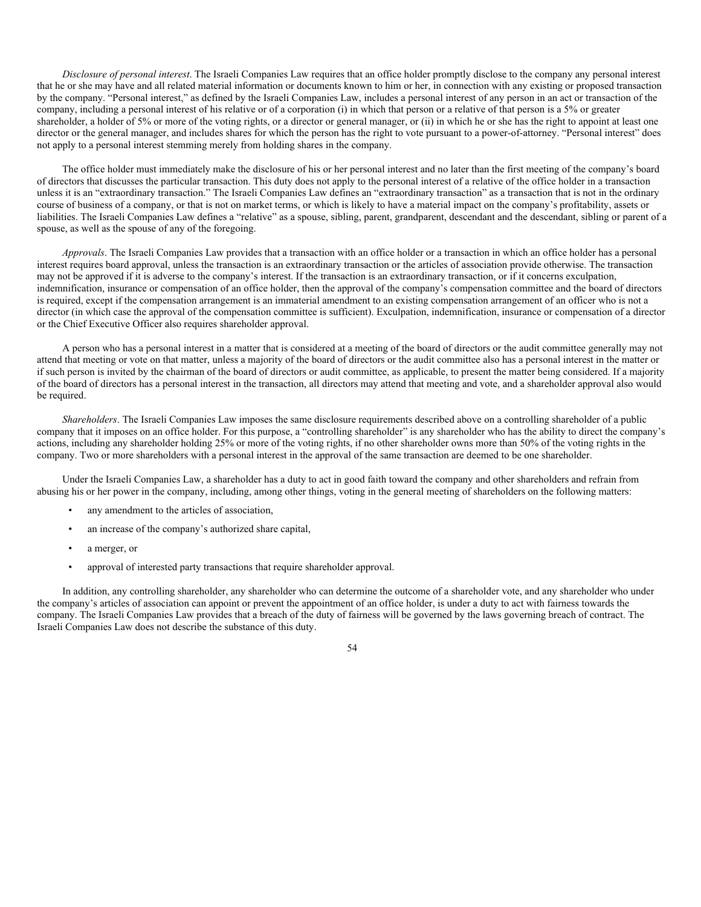*Disclosure of personal interest*. The Israeli Companies Law requires that an office holder promptly disclose to the company any personal interest that he or she may have and all related material information or documents known to him or her, in connection with any existing or proposed transaction by the company. "Personal interest," as defined by the Israeli Companies Law, includes a personal interest of any person in an act or transaction of the company, including a personal interest of his relative or of a corporation (i) in which that person or a relative of that person is a 5% or greater shareholder, a holder of 5% or more of the voting rights, or a director or general manager, or (ii) in which he or she has the right to appoint at least one director or the general manager, and includes shares for which the person has the right to vote pursuant to a power-of-attorney. "Personal interest" does not apply to a personal interest stemming merely from holding shares in the company.

The office holder must immediately make the disclosure of his or her personal interest and no later than the first meeting of the company's board of directors that discusses the particular transaction. This duty does not apply to the personal interest of a relative of the office holder in a transaction unless it is an "extraordinary transaction." The Israeli Companies Law defines an "extraordinary transaction" as a transaction that is not in the ordinary course of business of a company, or that is not on market terms, or which is likely to have a material impact on the company's profitability, assets or liabilities. The Israeli Companies Law defines a "relative" as a spouse, sibling, parent, grandparent, descendant and the descendant, sibling or parent of a spouse, as well as the spouse of any of the foregoing.

*Approvals*. The Israeli Companies Law provides that a transaction with an office holder or a transaction in which an office holder has a personal interest requires board approval, unless the transaction is an extraordinary transaction or the articles of association provide otherwise. The transaction may not be approved if it is adverse to the company's interest. If the transaction is an extraordinary transaction, or if it concerns exculpation, indemnification, insurance or compensation of an office holder, then the approval of the company's compensation committee and the board of directors is required, except if the compensation arrangement is an immaterial amendment to an existing compensation arrangement of an officer who is not a director (in which case the approval of the compensation committee is sufficient). Exculpation, indemnification, insurance or compensation of a director or the Chief Executive Officer also requires shareholder approval.

A person who has a personal interest in a matter that is considered at a meeting of the board of directors or the audit committee generally may not attend that meeting or vote on that matter, unless a majority of the board of directors or the audit committee also has a personal interest in the matter or if such person is invited by the chairman of the board of directors or audit committee, as applicable, to present the matter being considered. If a majority of the board of directors has a personal interest in the transaction, all directors may attend that meeting and vote, and a shareholder approval also would be required.

*Shareholders*. The Israeli Companies Law imposes the same disclosure requirements described above on a controlling shareholder of a public company that it imposes on an office holder. For this purpose, a "controlling shareholder" is any shareholder who has the ability to direct the company's actions, including any shareholder holding 25% or more of the voting rights, if no other shareholder owns more than 50% of the voting rights in the company. Two or more shareholders with a personal interest in the approval of the same transaction are deemed to be one shareholder.

Under the Israeli Companies Law, a shareholder has a duty to act in good faith toward the company and other shareholders and refrain from abusing his or her power in the company, including, among other things, voting in the general meeting of shareholders on the following matters:

- any amendment to the articles of association,
- an increase of the company's authorized share capital,
- a merger, or
- approval of interested party transactions that require shareholder approval.

In addition, any controlling shareholder, any shareholder who can determine the outcome of a shareholder vote, and any shareholder who under the company's articles of association can appoint or prevent the appointment of an office holder, is under a duty to act with fairness towards the company. The Israeli Companies Law provides that a breach of the duty of fairness will be governed by the laws governing breach of contract. The Israeli Companies Law does not describe the substance of this duty.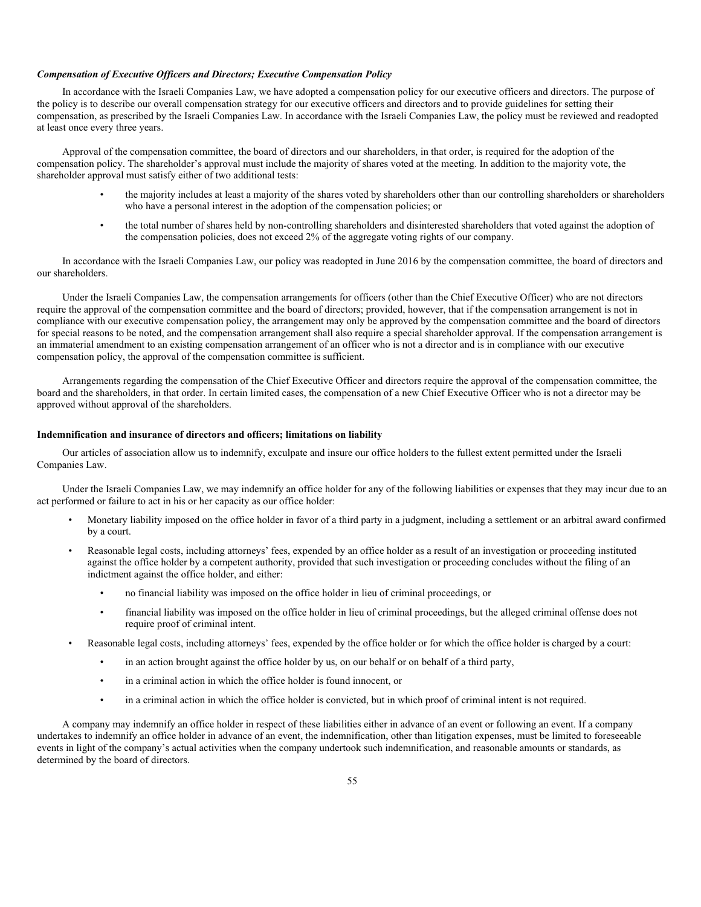## *Compensation of Executive Officers and Directors; Executive Compensation Policy*

In accordance with the Israeli Companies Law, we have adopted a compensation policy for our executive officers and directors. The purpose of the policy is to describe our overall compensation strategy for our executive officers and directors and to provide guidelines for setting their compensation, as prescribed by the Israeli Companies Law. In accordance with the Israeli Companies Law, the policy must be reviewed and readopted at least once every three years.

Approval of the compensation committee, the board of directors and our shareholders, in that order, is required for the adoption of the compensation policy. The shareholder's approval must include the majority of shares voted at the meeting. In addition to the majority vote, the shareholder approval must satisfy either of two additional tests:

- the majority includes at least a majority of the shares voted by shareholders other than our controlling shareholders or shareholders who have a personal interest in the adoption of the compensation policies; or
- the total number of shares held by non-controlling shareholders and disinterested shareholders that voted against the adoption of the compensation policies, does not exceed 2% of the aggregate voting rights of our company.

In accordance with the Israeli Companies Law, our policy was readopted in June 2016 by the compensation committee, the board of directors and our shareholders.

Under the Israeli Companies Law, the compensation arrangements for officers (other than the Chief Executive Officer) who are not directors require the approval of the compensation committee and the board of directors; provided, however, that if the compensation arrangement is not in compliance with our executive compensation policy, the arrangement may only be approved by the compensation committee and the board of directors for special reasons to be noted, and the compensation arrangement shall also require a special shareholder approval. If the compensation arrangement is an immaterial amendment to an existing compensation arrangement of an officer who is not a director and is in compliance with our executive compensation policy, the approval of the compensation committee is sufficient.

Arrangements regarding the compensation of the Chief Executive Officer and directors require the approval of the compensation committee, the board and the shareholders, in that order. In certain limited cases, the compensation of a new Chief Executive Officer who is not a director may be approved without approval of the shareholders.

#### **Indemnification and insurance of directors and officers; limitations on liability**

Our articles of association allow us to indemnify, exculpate and insure our office holders to the fullest extent permitted under the Israeli Companies Law.

Under the Israeli Companies Law, we may indemnify an office holder for any of the following liabilities or expenses that they may incur due to an act performed or failure to act in his or her capacity as our office holder:

- Monetary liability imposed on the office holder in favor of a third party in a judgment, including a settlement or an arbitral award confirmed by a court.
- Reasonable legal costs, including attorneys' fees, expended by an office holder as a result of an investigation or proceeding instituted against the office holder by a competent authority, provided that such investigation or proceeding concludes without the filing of an indictment against the office holder, and either:
	- no financial liability was imposed on the office holder in lieu of criminal proceedings, or
	- financial liability was imposed on the office holder in lieu of criminal proceedings, but the alleged criminal offense does not require proof of criminal intent.
- Reasonable legal costs, including attorneys' fees, expended by the office holder or for which the office holder is charged by a court:
	- in an action brought against the office holder by us, on our behalf or on behalf of a third party,
	- in a criminal action in which the office holder is found innocent, or
	- in a criminal action in which the office holder is convicted, but in which proof of criminal intent is not required.

A company may indemnify an office holder in respect of these liabilities either in advance of an event or following an event. If a company undertakes to indemnify an office holder in advance of an event, the indemnification, other than litigation expenses, must be limited to foreseeable events in light of the company's actual activities when the company undertook such indemnification, and reasonable amounts or standards, as determined by the board of directors.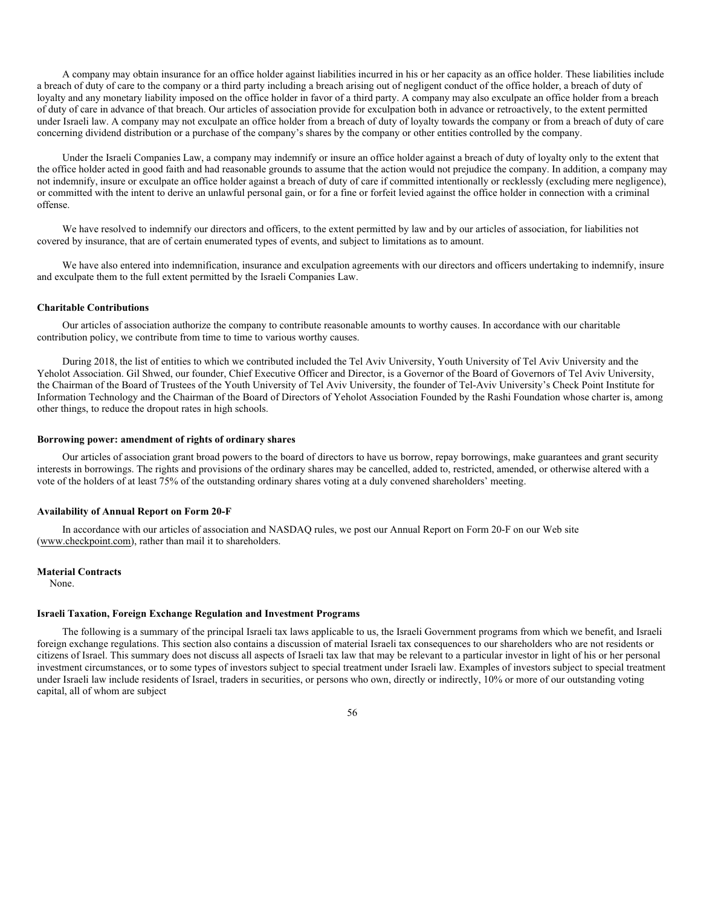A company may obtain insurance for an office holder against liabilities incurred in his or her capacity as an office holder. These liabilities include a breach of duty of care to the company or a third party including a breach arising out of negligent conduct of the office holder, a breach of duty of loyalty and any monetary liability imposed on the office holder in favor of a third party. A company may also exculpate an office holder from a breach of duty of care in advance of that breach. Our articles of association provide for exculpation both in advance or retroactively, to the extent permitted under Israeli law. A company may not exculpate an office holder from a breach of duty of loyalty towards the company or from a breach of duty of care concerning dividend distribution or a purchase of the company's shares by the company or other entities controlled by the company.

Under the Israeli Companies Law, a company may indemnify or insure an office holder against a breach of duty of loyalty only to the extent that the office holder acted in good faith and had reasonable grounds to assume that the action would not prejudice the company. In addition, a company may not indemnify, insure or exculpate an office holder against a breach of duty of care if committed intentionally or recklessly (excluding mere negligence), or committed with the intent to derive an unlawful personal gain, or for a fine or forfeit levied against the office holder in connection with a criminal offense.

We have resolved to indemnify our directors and officers, to the extent permitted by law and by our articles of association, for liabilities not covered by insurance, that are of certain enumerated types of events, and subject to limitations as to amount.

We have also entered into indemnification, insurance and exculpation agreements with our directors and officers undertaking to indemnify, insure and exculpate them to the full extent permitted by the Israeli Companies Law.

#### **Charitable Contributions**

Our articles of association authorize the company to contribute reasonable amounts to worthy causes. In accordance with our charitable contribution policy, we contribute from time to time to various worthy causes.

During 2018, the list of entities to which we contributed included the Tel Aviv University, Youth University of Tel Aviv University and the Yeholot Association. Gil Shwed, our founder, Chief Executive Officer and Director, is a Governor of the Board of Governors of Tel Aviv University, the Chairman of the Board of Trustees of the Youth University of Tel Aviv University, the founder of Tel-Aviv University's Check Point Institute for Information Technology and the Chairman of the Board of Directors of Yeholot Association Founded by the Rashi Foundation whose charter is, among other things, to reduce the dropout rates in high schools.

#### **Borrowing power: amendment of rights of ordinary shares**

Our articles of association grant broad powers to the board of directors to have us borrow, repay borrowings, make guarantees and grant security interests in borrowings. The rights and provisions of the ordinary shares may be cancelled, added to, restricted, amended, or otherwise altered with a vote of the holders of at least 75% of the outstanding ordinary shares voting at a duly convened shareholders' meeting.

### **Availability of Annual Report on Form 20-F**

In accordance with our articles of association and NASDAQ rules, we post our Annual Report on Form 20-F on our Web site (www.checkpoint.com), rather than mail it to shareholders.

#### **Material Contracts**

None.

#### **Israeli Taxation, Foreign Exchange Regulation and Investment Programs**

The following is a summary of the principal Israeli tax laws applicable to us, the Israeli Government programs from which we benefit, and Israeli foreign exchange regulations. This section also contains a discussion of material Israeli tax consequences to our shareholders who are not residents or citizens of Israel. This summary does not discuss all aspects of Israeli tax law that may be relevant to a particular investor in light of his or her personal investment circumstances, or to some types of investors subject to special treatment under Israeli law. Examples of investors subject to special treatment under Israeli law include residents of Israel, traders in securities, or persons who own, directly or indirectly, 10% or more of our outstanding voting capital, all of whom are subject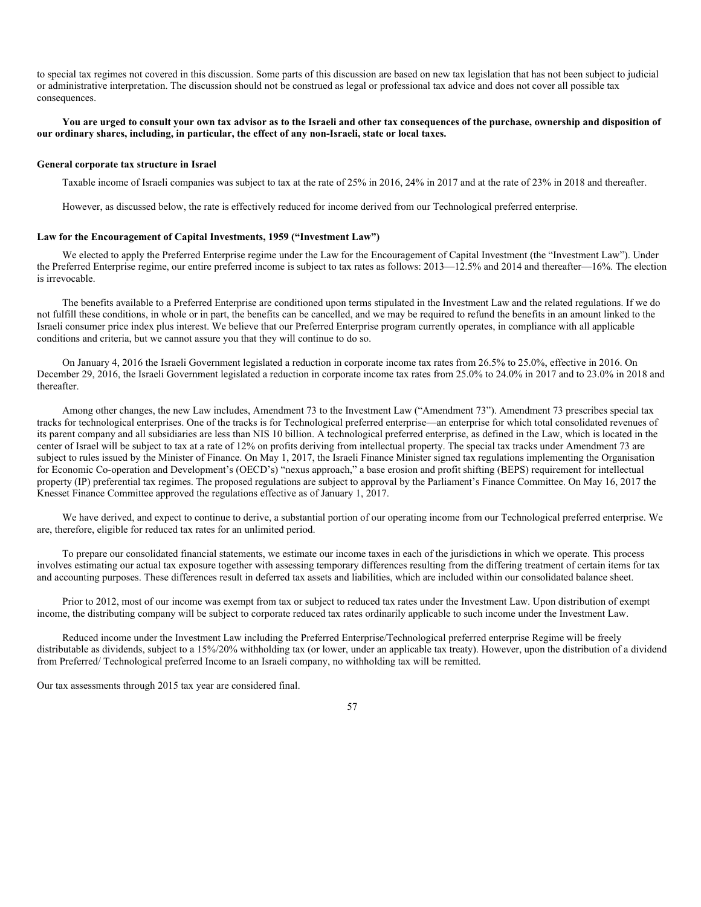to special tax regimes not covered in this discussion. Some parts of this discussion are based on new tax legislation that has not been subject to judicial or administrative interpretation. The discussion should not be construed as legal or professional tax advice and does not cover all possible tax consequences.

# **You are urged to consult your own tax advisor as to the Israeli and other tax consequences of the purchase, ownership and disposition of our ordinary shares, including, in particular, the effect of any non-Israeli, state or local taxes.**

#### **General corporate tax structure in Israel**

Taxable income of Israeli companies was subject to tax at the rate of 25% in 2016, 24% in 2017 and at the rate of 23% in 2018 and thereafter.

However, as discussed below, the rate is effectively reduced for income derived from our Technological preferred enterprise.

#### **Law for the Encouragement of Capital Investments, 1959 ("Investment Law")**

We elected to apply the Preferred Enterprise regime under the Law for the Encouragement of Capital Investment (the "Investment Law"). Under the Preferred Enterprise regime, our entire preferred income is subject to tax rates as follows: 2013—12.5% and 2014 and thereafter—16%. The election is irrevocable.

The benefits available to a Preferred Enterprise are conditioned upon terms stipulated in the Investment Law and the related regulations. If we do not fulfill these conditions, in whole or in part, the benefits can be cancelled, and we may be required to refund the benefits in an amount linked to the Israeli consumer price index plus interest. We believe that our Preferred Enterprise program currently operates, in compliance with all applicable conditions and criteria, but we cannot assure you that they will continue to do so.

On January 4, 2016 the Israeli Government legislated a reduction in corporate income tax rates from 26.5% to 25.0%, effective in 2016. On December 29, 2016, the Israeli Government legislated a reduction in corporate income tax rates from 25.0% to 24.0% in 2017 and to 23.0% in 2018 and thereafter.

Among other changes, the new Law includes, Amendment 73 to the Investment Law ("Amendment 73"). Amendment 73 prescribes special tax tracks for technological enterprises. One of the tracks is for Technological preferred enterprise—an enterprise for which total consolidated revenues of its parent company and all subsidiaries are less than NIS 10 billion. A technological preferred enterprise, as defined in the Law, which is located in the center of Israel will be subject to tax at a rate of 12% on profits deriving from intellectual property. The special tax tracks under Amendment 73 are subject to rules issued by the Minister of Finance. On May 1, 2017, the Israeli Finance Minister signed tax regulations implementing the Organisation for Economic Co-operation and Development's (OECD's) "nexus approach," a base erosion and profit shifting (BEPS) requirement for intellectual property (IP) preferential tax regimes. The proposed regulations are subject to approval by the Parliament's Finance Committee. On May 16, 2017 the Knesset Finance Committee approved the regulations effective as of January 1, 2017.

We have derived, and expect to continue to derive, a substantial portion of our operating income from our Technological preferred enterprise. We are, therefore, eligible for reduced tax rates for an unlimited period.

To prepare our consolidated financial statements, we estimate our income taxes in each of the jurisdictions in which we operate. This process involves estimating our actual tax exposure together with assessing temporary differences resulting from the differing treatment of certain items for tax and accounting purposes. These differences result in deferred tax assets and liabilities, which are included within our consolidated balance sheet.

Prior to 2012, most of our income was exempt from tax or subject to reduced tax rates under the Investment Law. Upon distribution of exempt income, the distributing company will be subject to corporate reduced tax rates ordinarily applicable to such income under the Investment Law.

Reduced income under the Investment Law including the Preferred Enterprise/Technological preferred enterprise Regime will be freely distributable as dividends, subject to a 15%/20% withholding tax (or lower, under an applicable tax treaty). However, upon the distribution of a dividend from Preferred/ Technological preferred Income to an Israeli company, no withholding tax will be remitted.

Our tax assessments through 2015 tax year are considered final.

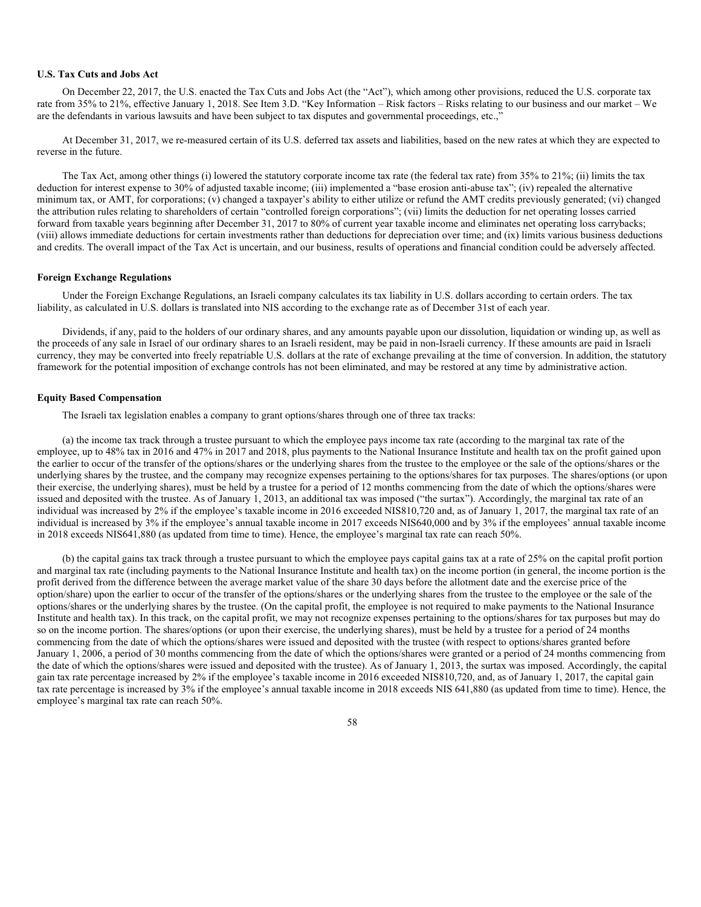## **U.S. Tax Cuts and Jobs Act**

On December 22, 2017, the U.S. enacted the Tax Cuts and Jobs Act (the "Act"), which among other provisions, reduced the U.S. corporate tax rate from 35% to 21%, effective January 1, 2018. See Item 3.D. "Key Information – Risk factors – Risks relating to our business and our market – We are the defendants in various lawsuits and have been subject to tax disputes and governmental proceedings, etc.,"

At December 31, 2017, we re-measured certain of its U.S. deferred tax assets and liabilities, based on the new rates at which they are expected to reverse in the future.

The Tax Act, among other things (i) lowered the statutory corporate income tax rate (the federal tax rate) from 35% to 21%; (ii) limits the tax deduction for interest expense to 30% of adjusted taxable income; (iii) implemented a "base erosion anti-abuse tax"; (iv) repealed the alternative minimum tax, or AMT, for corporations; (v) changed a taxpayer's ability to either utilize or refund the AMT credits previously generated; (vi) changed the attribution rules relating to shareholders of certain "controlled foreign corporations"; (vii) limits the deduction for net operating losses carried forward from taxable years beginning after December 31, 2017 to 80% of current year taxable income and eliminates net operating loss carrybacks; (viii) allows immediate deductions for certain investments rather than deductions for depreciation over time; and (ix) limits various business deductions and credits. The overall impact of the Tax Act is uncertain, and our business, results of operations and financial condition could be adversely affected.

#### **Foreign Exchange Regulations**

Under the Foreign Exchange Regulations, an Israeli company calculates its tax liability in U.S. dollars according to certain orders. The tax liability, as calculated in U.S. dollars is translated into NIS according to the exchange rate as of December 31st of each year.

Dividends, if any, paid to the holders of our ordinary shares, and any amounts payable upon our dissolution, liquidation or winding up, as well as the proceeds of any sale in Israel of our ordinary shares to an Israeli resident, may be paid in non-Israeli currency. If these amounts are paid in Israeli currency, they may be converted into freely repatriable U.S. dollars at the rate of exchange prevailing at the time of conversion. In addition, the statutory framework for the potential imposition of exchange controls has not been eliminated, and may be restored at any time by administrative action.

### **Equity Based Compensation**

The Israeli tax legislation enables a company to grant options/shares through one of three tax tracks:

(a) the income tax track through a trustee pursuant to which the employee pays income tax rate (according to the marginal tax rate of the employee, up to 48% tax in 2016 and 47% in 2017 and 2018, plus payments to the National Insurance Institute and health tax on the profit gained upon the earlier to occur of the transfer of the options/shares or the underlying shares from the trustee to the employee or the sale of the options/shares or the underlying shares by the trustee, and the company may recognize expenses pertaining to the options/shares for tax purposes. The shares/options (or upon their exercise, the underlying shares), must be held by a trustee for a period of 12 months commencing from the date of which the options/shares were issued and deposited with the trustee. As of January 1, 2013, an additional tax was imposed ("the surtax"). Accordingly, the marginal tax rate of an individual was increased by 2% if the employee's taxable income in 2016 exceeded NIS810,720 and, as of January 1, 2017, the marginal tax rate of an individual is increased by 3% if the employee's annual taxable income in 2017 exceeds NIS640,000 and by 3% if the employees' annual taxable income in 2018 exceeds NIS641,880 (as updated from time to time). Hence, the employee's marginal tax rate can reach 50%.

(b) the capital gains tax track through a trustee pursuant to which the employee pays capital gains tax at a rate of 25% on the capital profit portion and marginal tax rate (including payments to the National Insurance Institute and health tax) on the income portion (in general, the income portion is the profit derived from the difference between the average market value of the share 30 days before the allotment date and the exercise price of the option/share) upon the earlier to occur of the transfer of the options/shares or the underlying shares from the trustee to the employee or the sale of the options/shares or the underlying shares by the trustee. (On the capital profit, the employee is not required to make payments to the National Insurance Institute and health tax). In this track, on the capital profit, we may not recognize expenses pertaining to the options/shares for tax purposes but may do so on the income portion. The shares/options (or upon their exercise, the underlying shares), must be held by a trustee for a period of 24 months commencing from the date of which the options/shares were issued and deposited with the trustee (with respect to options/shares granted before January 1, 2006, a period of 30 months commencing from the date of which the options/shares were granted or a period of 24 months commencing from the date of which the options/shares were issued and deposited with the trustee). As of January 1, 2013, the surtax was imposed. Accordingly, the capital gain tax rate percentage increased by 2% if the employee's taxable income in 2016 exceeded NIS810,720, and, as of January 1, 2017, the capital gain tax rate percentage is increased by 3% if the employee's annual taxable income in 2018 exceeds NIS 641,880 (as updated from time to time). Hence, the employee's marginal tax rate can reach 50%.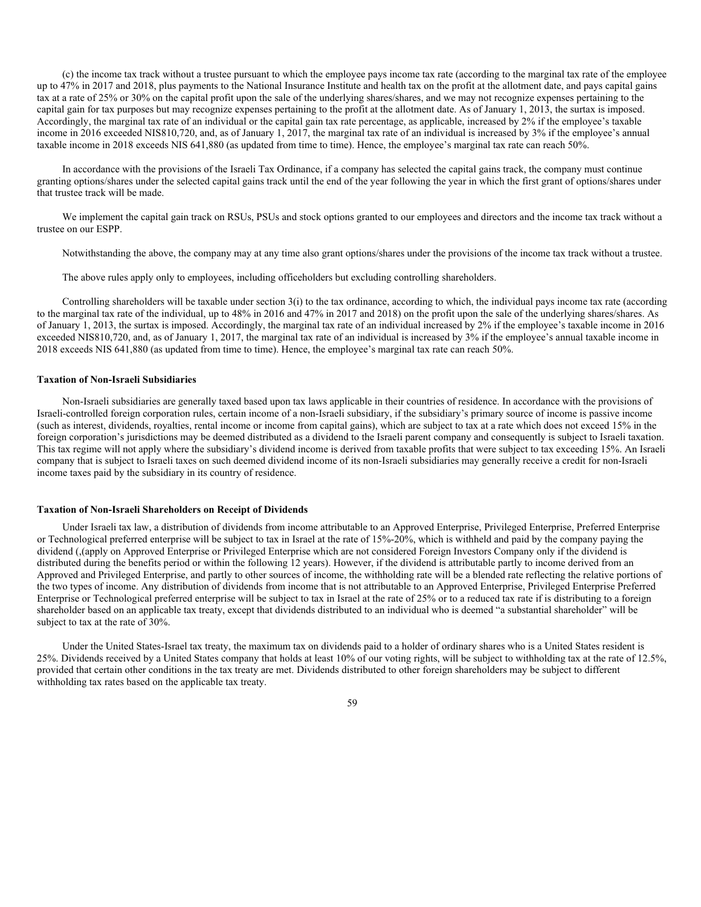(c) the income tax track without a trustee pursuant to which the employee pays income tax rate (according to the marginal tax rate of the employee up to 47% in 2017 and 2018, plus payments to the National Insurance Institute and health tax on the profit at the allotment date, and pays capital gains tax at a rate of 25% or 30% on the capital profit upon the sale of the underlying shares/shares, and we may not recognize expenses pertaining to the capital gain for tax purposes but may recognize expenses pertaining to the profit at the allotment date. As of January 1, 2013, the surtax is imposed. Accordingly, the marginal tax rate of an individual or the capital gain tax rate percentage, as applicable, increased by 2% if the employee's taxable income in 2016 exceeded NIS810,720, and, as of January 1, 2017, the marginal tax rate of an individual is increased by 3% if the employee's annual taxable income in 2018 exceeds NIS 641,880 (as updated from time to time). Hence, the employee's marginal tax rate can reach 50%.

In accordance with the provisions of the Israeli Tax Ordinance, if a company has selected the capital gains track, the company must continue granting options/shares under the selected capital gains track until the end of the year following the year in which the first grant of options/shares under that trustee track will be made.

We implement the capital gain track on RSUs, PSUs and stock options granted to our employees and directors and the income tax track without a trustee on our ESPP.

Notwithstanding the above, the company may at any time also grant options/shares under the provisions of the income tax track without a trustee.

The above rules apply only to employees, including officeholders but excluding controlling shareholders.

Controlling shareholders will be taxable under section  $3(i)$  to the tax ordinance, according to which, the individual pays income tax rate (according to the marginal tax rate of the individual, up to 48% in 2016 and 47% in 2017 and 2018) on the profit upon the sale of the underlying shares/shares. As of January 1, 2013, the surtax is imposed. Accordingly, the marginal tax rate of an individual increased by 2% if the employee's taxable income in 2016 exceeded NIS810,720, and, as of January 1, 2017, the marginal tax rate of an individual is increased by 3% if the employee's annual taxable income in 2018 exceeds NIS 641,880 (as updated from time to time). Hence, the employee's marginal tax rate can reach 50%.

## **Taxation of Non-Israeli Subsidiaries**

Non-Israeli subsidiaries are generally taxed based upon tax laws applicable in their countries of residence. In accordance with the provisions of Israeli-controlled foreign corporation rules, certain income of a non-Israeli subsidiary, if the subsidiary's primary source of income is passive income (such as interest, dividends, royalties, rental income or income from capital gains), which are subject to tax at a rate which does not exceed 15% in the foreign corporation's jurisdictions may be deemed distributed as a dividend to the Israeli parent company and consequently is subject to Israeli taxation. This tax regime will not apply where the subsidiary's dividend income is derived from taxable profits that were subject to tax exceeding 15%. An Israeli company that is subject to Israeli taxes on such deemed dividend income of its non-Israeli subsidiaries may generally receive a credit for non-Israeli income taxes paid by the subsidiary in its country of residence.

### **Taxation of Non-Israeli Shareholders on Receipt of Dividends**

Under Israeli tax law, a distribution of dividends from income attributable to an Approved Enterprise, Privileged Enterprise, Preferred Enterprise or Technological preferred enterprise will be subject to tax in Israel at the rate of 15%-20%, which is withheld and paid by the company paying the dividend (,(apply on Approved Enterprise or Privileged Enterprise which are not considered Foreign Investors Company only if the dividend is distributed during the benefits period or within the following 12 years). However, if the dividend is attributable partly to income derived from an Approved and Privileged Enterprise, and partly to other sources of income, the withholding rate will be a blended rate reflecting the relative portions of the two types of income. Any distribution of dividends from income that is not attributable to an Approved Enterprise, Privileged Enterprise Preferred Enterprise or Technological preferred enterprise will be subject to tax in Israel at the rate of 25% or to a reduced tax rate if is distributing to a foreign shareholder based on an applicable tax treaty, except that dividends distributed to an individual who is deemed "a substantial shareholder" will be subject to tax at the rate of 30%.

Under the United States-Israel tax treaty, the maximum tax on dividends paid to a holder of ordinary shares who is a United States resident is 25%. Dividends received by a United States company that holds at least 10% of our voting rights, will be subject to withholding tax at the rate of 12.5%, provided that certain other conditions in the tax treaty are met. Dividends distributed to other foreign shareholders may be subject to different withholding tax rates based on the applicable tax treaty.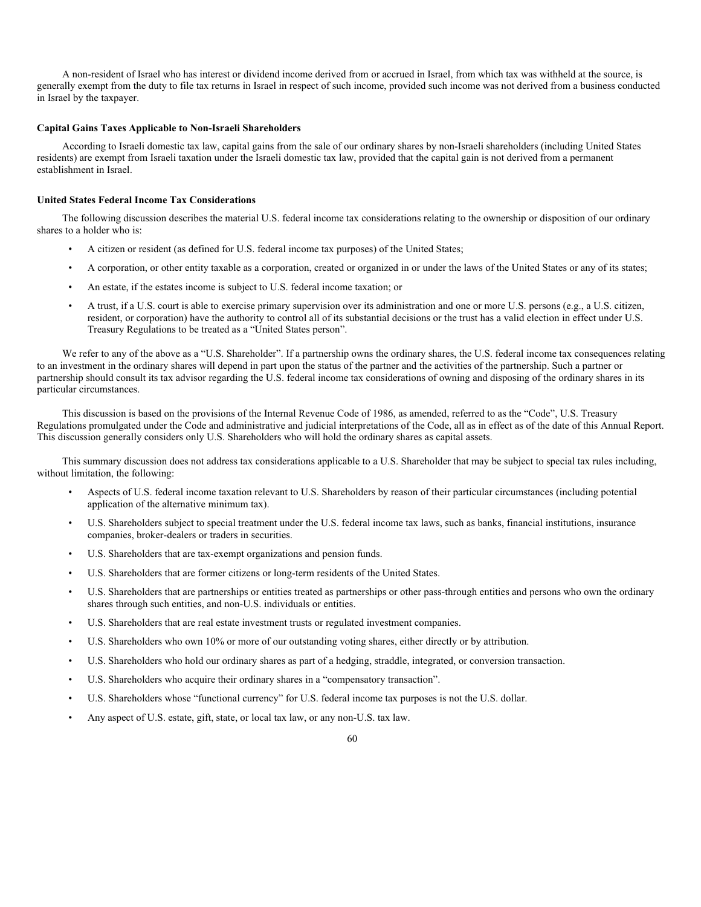A non-resident of Israel who has interest or dividend income derived from or accrued in Israel, from which tax was withheld at the source, is generally exempt from the duty to file tax returns in Israel in respect of such income, provided such income was not derived from a business conducted in Israel by the taxpayer.

#### **Capital Gains Taxes Applicable to Non-Israeli Shareholders**

According to Israeli domestic tax law, capital gains from the sale of our ordinary shares by non-Israeli shareholders (including United States residents) are exempt from Israeli taxation under the Israeli domestic tax law, provided that the capital gain is not derived from a permanent establishment in Israel.

#### **United States Federal Income Tax Considerations**

The following discussion describes the material U.S. federal income tax considerations relating to the ownership or disposition of our ordinary shares to a holder who is:

- A citizen or resident (as defined for U.S. federal income tax purposes) of the United States;
- A corporation, or other entity taxable as a corporation, created or organized in or under the laws of the United States or any of its states;
- An estate, if the estates income is subject to U.S. federal income taxation; or
- A trust, if a U.S. court is able to exercise primary supervision over its administration and one or more U.S. persons (e.g., a U.S. citizen, resident, or corporation) have the authority to control all of its substantial decisions or the trust has a valid election in effect under U.S. Treasury Regulations to be treated as a "United States person".

We refer to any of the above as a "U.S. Shareholder". If a partnership owns the ordinary shares, the U.S. federal income tax consequences relating to an investment in the ordinary shares will depend in part upon the status of the partner and the activities of the partnership. Such a partner or partnership should consult its tax advisor regarding the U.S. federal income tax considerations of owning and disposing of the ordinary shares in its particular circumstances.

This discussion is based on the provisions of the Internal Revenue Code of 1986, as amended, referred to as the "Code", U.S. Treasury Regulations promulgated under the Code and administrative and judicial interpretations of the Code, all as in effect as of the date of this Annual Report. This discussion generally considers only U.S. Shareholders who will hold the ordinary shares as capital assets.

This summary discussion does not address tax considerations applicable to a U.S. Shareholder that may be subject to special tax rules including, without limitation, the following:

- Aspects of U.S. federal income taxation relevant to U.S. Shareholders by reason of their particular circumstances (including potential application of the alternative minimum tax).
- U.S. Shareholders subject to special treatment under the U.S. federal income tax laws, such as banks, financial institutions, insurance companies, broker-dealers or traders in securities.
- U.S. Shareholders that are tax-exempt organizations and pension funds.
- U.S. Shareholders that are former citizens or long-term residents of the United States.
- U.S. Shareholders that are partnerships or entities treated as partnerships or other pass-through entities and persons who own the ordinary shares through such entities, and non-U.S. individuals or entities.
- U.S. Shareholders that are real estate investment trusts or regulated investment companies.
- U.S. Shareholders who own 10% or more of our outstanding voting shares, either directly or by attribution.
- U.S. Shareholders who hold our ordinary shares as part of a hedging, straddle, integrated, or conversion transaction.
- U.S. Shareholders who acquire their ordinary shares in a "compensatory transaction".
- U.S. Shareholders whose "functional currency" for U.S. federal income tax purposes is not the U.S. dollar.
- Any aspect of U.S. estate, gift, state, or local tax law, or any non-U.S. tax law.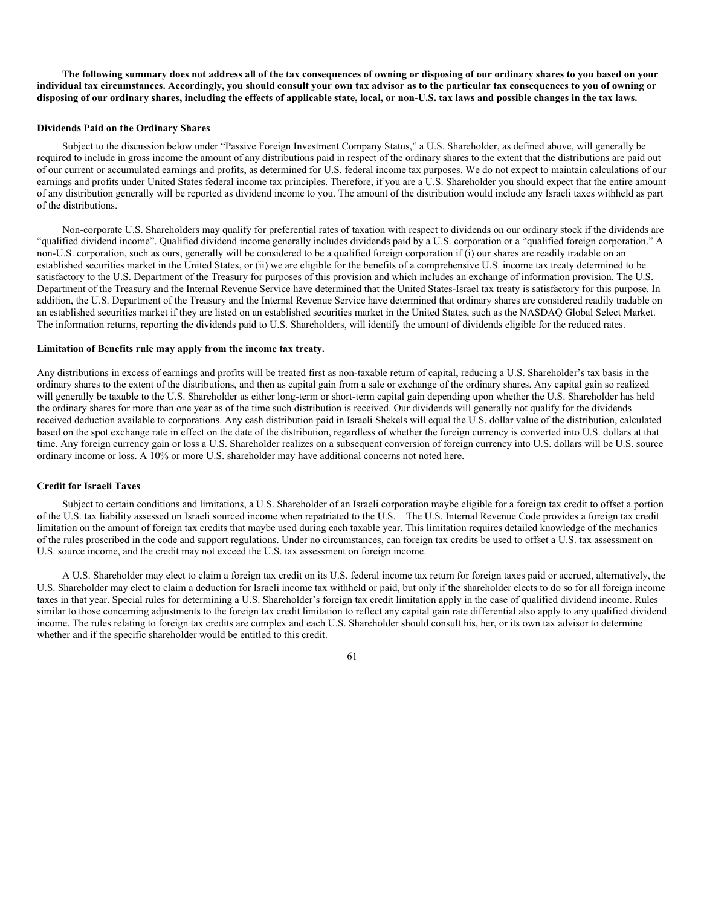**The following summary does not address all of the tax consequences of owning or disposing of our ordinary shares to you based on your individual tax circumstances. Accordingly, you should consult your own tax advisor as to the particular tax consequences to you of owning or disposing of our ordinary shares, including the effects of applicable state, local, or non-U.S. tax laws and possible changes in the tax laws.** 

#### **Dividends Paid on the Ordinary Shares**

Subject to the discussion below under "Passive Foreign Investment Company Status," a U.S. Shareholder, as defined above, will generally be required to include in gross income the amount of any distributions paid in respect of the ordinary shares to the extent that the distributions are paid out of our current or accumulated earnings and profits, as determined for U.S. federal income tax purposes. We do not expect to maintain calculations of our earnings and profits under United States federal income tax principles. Therefore, if you are a U.S. Shareholder you should expect that the entire amount of any distribution generally will be reported as dividend income to you. The amount of the distribution would include any Israeli taxes withheld as part of the distributions.

Non-corporate U.S. Shareholders may qualify for preferential rates of taxation with respect to dividends on our ordinary stock if the dividends are "qualified dividend income". Qualified dividend income generally includes dividends paid by a U.S. corporation or a "qualified foreign corporation." A non-U.S. corporation, such as ours, generally will be considered to be a qualified foreign corporation if (i) our shares are readily tradable on an established securities market in the United States, or (ii) we are eligible for the benefits of a comprehensive U.S. income tax treaty determined to be satisfactory to the U.S. Department of the Treasury for purposes of this provision and which includes an exchange of information provision. The U.S. Department of the Treasury and the Internal Revenue Service have determined that the United States-Israel tax treaty is satisfactory for this purpose. In addition, the U.S. Department of the Treasury and the Internal Revenue Service have determined that ordinary shares are considered readily tradable on an established securities market if they are listed on an established securities market in the United States, such as the NASDAQ Global Select Market. The information returns, reporting the dividends paid to U.S. Shareholders, will identify the amount of dividends eligible for the reduced rates.

### **Limitation of Benefits rule may apply from the income tax treaty.**

Any distributions in excess of earnings and profits will be treated first as non-taxable return of capital, reducing a U.S. Shareholder's tax basis in the ordinary shares to the extent of the distributions, and then as capital gain from a sale or exchange of the ordinary shares. Any capital gain so realized will generally be taxable to the U.S. Shareholder as either long-term or short-term capital gain depending upon whether the U.S. Shareholder has held the ordinary shares for more than one year as of the time such distribution is received. Our dividends will generally not qualify for the dividends received deduction available to corporations. Any cash distribution paid in Israeli Shekels will equal the U.S. dollar value of the distribution, calculated based on the spot exchange rate in effect on the date of the distribution, regardless of whether the foreign currency is converted into U.S. dollars at that time. Any foreign currency gain or loss a U.S. Shareholder realizes on a subsequent conversion of foreign currency into U.S. dollars will be U.S. source ordinary income or loss. A 10% or more U.S. shareholder may have additional concerns not noted here.

#### **Credit for Israeli Taxes**

Subject to certain conditions and limitations, a U.S. Shareholder of an Israeli corporation maybe eligible for a foreign tax credit to offset a portion of the U.S. tax liability assessed on Israeli sourced income when repatriated to the U.S. The U.S. Internal Revenue Code provides a foreign tax credit limitation on the amount of foreign tax credits that maybe used during each taxable year. This limitation requires detailed knowledge of the mechanics of the rules proscribed in the code and support regulations. Under no circumstances, can foreign tax credits be used to offset a U.S. tax assessment on U.S. source income, and the credit may not exceed the U.S. tax assessment on foreign income.

A U.S. Shareholder may elect to claim a foreign tax credit on its U.S. federal income tax return for foreign taxes paid or accrued, alternatively, the U.S. Shareholder may elect to claim a deduction for Israeli income tax withheld or paid, but only if the shareholder elects to do so for all foreign income taxes in that year. Special rules for determining a U.S. Shareholder's foreign tax credit limitation apply in the case of qualified dividend income. Rules similar to those concerning adjustments to the foreign tax credit limitation to reflect any capital gain rate differential also apply to any qualified dividend income. The rules relating to foreign tax credits are complex and each U.S. Shareholder should consult his, her, or its own tax advisor to determine whether and if the specific shareholder would be entitled to this credit.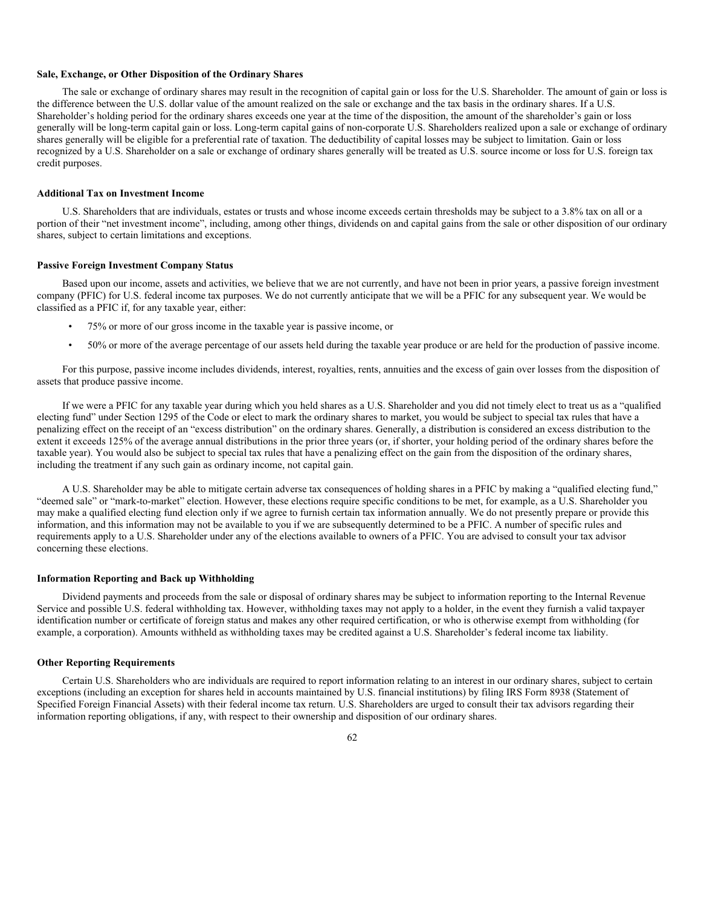#### **Sale, Exchange, or Other Disposition of the Ordinary Shares**

The sale or exchange of ordinary shares may result in the recognition of capital gain or loss for the U.S. Shareholder. The amount of gain or loss is the difference between the U.S. dollar value of the amount realized on the sale or exchange and the tax basis in the ordinary shares. If a U.S. Shareholder's holding period for the ordinary shares exceeds one year at the time of the disposition, the amount of the shareholder's gain or loss generally will be long-term capital gain or loss. Long-term capital gains of non-corporate U.S. Shareholders realized upon a sale or exchange of ordinary shares generally will be eligible for a preferential rate of taxation. The deductibility of capital losses may be subject to limitation. Gain or loss recognized by a U.S. Shareholder on a sale or exchange of ordinary shares generally will be treated as U.S. source income or loss for U.S. foreign tax credit purposes.

#### **Additional Tax on Investment Income**

U.S. Shareholders that are individuals, estates or trusts and whose income exceeds certain thresholds may be subject to a 3.8% tax on all or a portion of their "net investment income", including, among other things, dividends on and capital gains from the sale or other disposition of our ordinary shares, subject to certain limitations and exceptions.

#### **Passive Foreign Investment Company Status**

Based upon our income, assets and activities, we believe that we are not currently, and have not been in prior years, a passive foreign investment company (PFIC) for U.S. federal income tax purposes. We do not currently anticipate that we will be a PFIC for any subsequent year. We would be classified as a PFIC if, for any taxable year, either:

- 75% or more of our gross income in the taxable year is passive income, or
- 50% or more of the average percentage of our assets held during the taxable year produce or are held for the production of passive income.

For this purpose, passive income includes dividends, interest, royalties, rents, annuities and the excess of gain over losses from the disposition of assets that produce passive income.

If we were a PFIC for any taxable year during which you held shares as a U.S. Shareholder and you did not timely elect to treat us as a "qualified electing fund" under Section 1295 of the Code or elect to mark the ordinary shares to market, you would be subject to special tax rules that have a penalizing effect on the receipt of an "excess distribution" on the ordinary shares. Generally, a distribution is considered an excess distribution to the extent it exceeds 125% of the average annual distributions in the prior three years (or, if shorter, your holding period of the ordinary shares before the taxable year). You would also be subject to special tax rules that have a penalizing effect on the gain from the disposition of the ordinary shares, including the treatment if any such gain as ordinary income, not capital gain.

A U.S. Shareholder may be able to mitigate certain adverse tax consequences of holding shares in a PFIC by making a "qualified electing fund," "deemed sale" or "mark-to-market" election. However, these elections require specific conditions to be met, for example, as a U.S. Shareholder you may make a qualified electing fund election only if we agree to furnish certain tax information annually. We do not presently prepare or provide this information, and this information may not be available to you if we are subsequently determined to be a PFIC. A number of specific rules and requirements apply to a U.S. Shareholder under any of the elections available to owners of a PFIC. You are advised to consult your tax advisor concerning these elections.

## **Information Reporting and Back up Withholding**

Dividend payments and proceeds from the sale or disposal of ordinary shares may be subject to information reporting to the Internal Revenue Service and possible U.S. federal withholding tax. However, withholding taxes may not apply to a holder, in the event they furnish a valid taxpayer identification number or certificate of foreign status and makes any other required certification, or who is otherwise exempt from withholding (for example, a corporation). Amounts withheld as withholding taxes may be credited against a U.S. Shareholder's federal income tax liability.

## **Other Reporting Requirements**

Certain U.S. Shareholders who are individuals are required to report information relating to an interest in our ordinary shares, subject to certain exceptions (including an exception for shares held in accounts maintained by U.S. financial institutions) by filing IRS Form 8938 (Statement of Specified Foreign Financial Assets) with their federal income tax return. U.S. Shareholders are urged to consult their tax advisors regarding their information reporting obligations, if any, with respect to their ownership and disposition of our ordinary shares.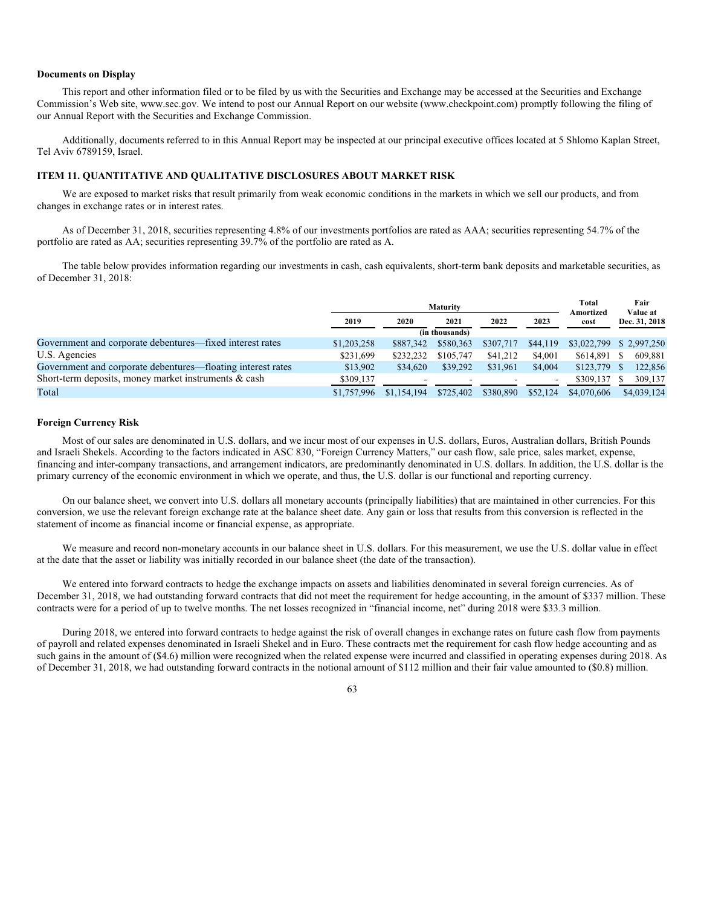## **Documents on Display**

This report and other information filed or to be filed by us with the Securities and Exchange may be accessed at the Securities and Exchange Commission's Web site, www.sec.gov. We intend to post our Annual Report on our website (www.checkpoint.com) promptly following the filing of our Annual Report with the Securities and Exchange Commission.

Additionally, documents referred to in this Annual Report may be inspected at our principal executive offices located at 5 Shlomo Kaplan Street, Tel Aviv 6789159, Israel.

# **ITEM 11. QUANTITATIVE AND QUALITATIVE DISCLOSURES ABOUT MARKET RISK**

We are exposed to market risks that result primarily from weak economic conditions in the markets in which we sell our products, and from changes in exchange rates or in interest rates.

As of December 31, 2018, securities representing 4.8% of our investments portfolios are rated as AAA; securities representing 54.7% of the portfolio are rated as AA; securities representing 39.7% of the portfolio are rated as A.

The table below provides information regarding our investments in cash, cash equivalents, short-term bank deposits and marketable securities, as of December 31, 2018:

|                                                             |             | Total<br>Amortized | Fair<br>Value at |           |          |                          |               |
|-------------------------------------------------------------|-------------|--------------------|------------------|-----------|----------|--------------------------|---------------|
|                                                             | 2019        | 2020               | 2021             | 2022      | 2023     | cost                     | Dec. 31, 2018 |
|                                                             |             |                    | (in thousands)   |           |          |                          |               |
| Government and corporate debentures—fixed interest rates    | \$1,203,258 | \$887,342          | \$580,363        | \$307,717 | \$44,119 | \$3,022,799 \$ 2,997,250 |               |
| U.S. Agencies                                               | \$231,699   | \$232.232          | \$105,747        | \$41,212  | \$4,001  | $$614.891$ \$            | 609.881       |
| Government and corporate debentures—floating interest rates | \$13,902    | \$34,620           | \$39,292         | \$31.961  | \$4,004  | $$123.779$ \$            | 122,856       |
| Short-term deposits, money market instruments $\&$ cash     | \$309,137   |                    |                  |           |          | \$309,137                | 309.137       |
| Total                                                       | \$1,757,996 | \$1,154,194        | \$725,402        | \$380,890 | \$52,124 | \$4,070,606              | \$4,039,124   |

#### **Foreign Currency Risk**

Most of our sales are denominated in U.S. dollars, and we incur most of our expenses in U.S. dollars, Euros, Australian dollars, British Pounds and Israeli Shekels. According to the factors indicated in ASC 830, "Foreign Currency Matters," our cash flow, sale price, sales market, expense, financing and inter-company transactions, and arrangement indicators, are predominantly denominated in U.S. dollars. In addition, the U.S. dollar is the primary currency of the economic environment in which we operate, and thus, the U.S. dollar is our functional and reporting currency.

On our balance sheet, we convert into U.S. dollars all monetary accounts (principally liabilities) that are maintained in other currencies. For this conversion, we use the relevant foreign exchange rate at the balance sheet date. Any gain or loss that results from this conversion is reflected in the statement of income as financial income or financial expense, as appropriate.

We measure and record non-monetary accounts in our balance sheet in U.S. dollars. For this measurement, we use the U.S. dollar value in effect at the date that the asset or liability was initially recorded in our balance sheet (the date of the transaction).

We entered into forward contracts to hedge the exchange impacts on assets and liabilities denominated in several foreign currencies. As of December 31, 2018, we had outstanding forward contracts that did not meet the requirement for hedge accounting, in the amount of \$337 million. These contracts were for a period of up to twelve months. The net losses recognized in "financial income, net" during 2018 were \$33.3 million.

During 2018, we entered into forward contracts to hedge against the risk of overall changes in exchange rates on future cash flow from payments of payroll and related expenses denominated in Israeli Shekel and in Euro. These contracts met the requirement for cash flow hedge accounting and as such gains in the amount of (\$4.6) million were recognized when the related expense were incurred and classified in operating expenses during 2018. As of December 31, 2018, we had outstanding forward contracts in the notional amount of \$112 million and their fair value amounted to (\$0.8) million.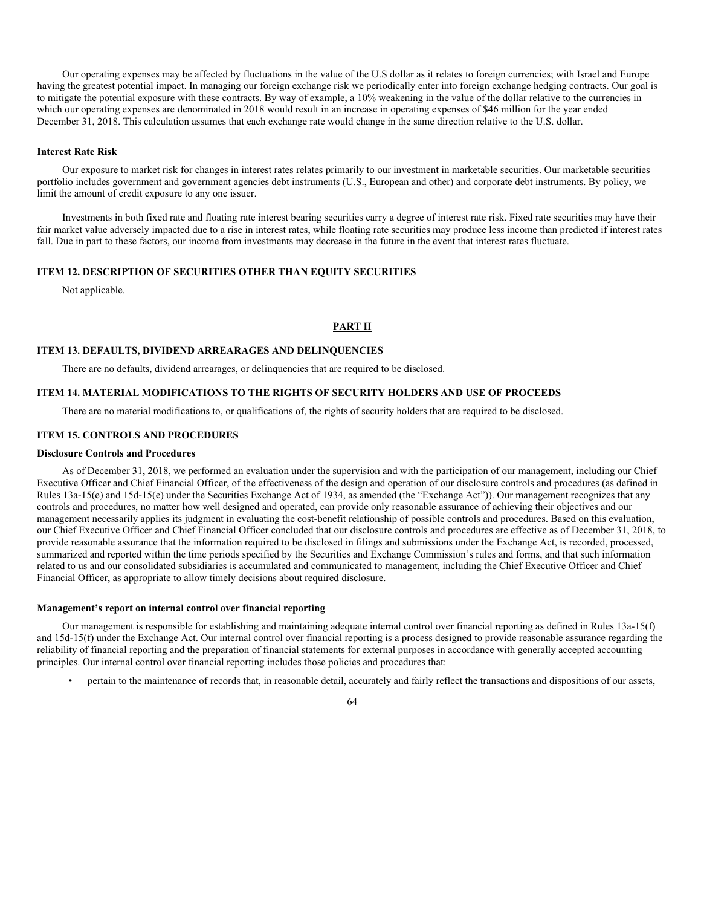Our operating expenses may be affected by fluctuations in the value of the U.S dollar as it relates to foreign currencies; with Israel and Europe having the greatest potential impact. In managing our foreign exchange risk we periodically enter into foreign exchange hedging contracts. Our goal is to mitigate the potential exposure with these contracts. By way of example, a 10% weakening in the value of the dollar relative to the currencies in which our operating expenses are denominated in 2018 would result in an increase in operating expenses of \$46 million for the year ended December 31, 2018. This calculation assumes that each exchange rate would change in the same direction relative to the U.S. dollar.

### **Interest Rate Risk**

Our exposure to market risk for changes in interest rates relates primarily to our investment in marketable securities. Our marketable securities portfolio includes government and government agencies debt instruments (U.S., European and other) and corporate debt instruments. By policy, we limit the amount of credit exposure to any one issuer.

Investments in both fixed rate and floating rate interest bearing securities carry a degree of interest rate risk. Fixed rate securities may have their fair market value adversely impacted due to a rise in interest rates, while floating rate securities may produce less income than predicted if interest rates fall. Due in part to these factors, our income from investments may decrease in the future in the event that interest rates fluctuate.

## **ITEM 12. DESCRIPTION OF SECURITIES OTHER THAN EQUITY SECURITIES**

Not applicable.

## **PART II**

#### **ITEM 13. DEFAULTS, DIVIDEND ARREARAGES AND DELINQUENCIES**

There are no defaults, dividend arrearages, or delinquencies that are required to be disclosed.

## **ITEM 14. MATERIAL MODIFICATIONS TO THE RIGHTS OF SECURITY HOLDERS AND USE OF PROCEEDS**

There are no material modifications to, or qualifications of, the rights of security holders that are required to be disclosed.

#### **ITEM 15. CONTROLS AND PROCEDURES**

## **Disclosure Controls and Procedures**

As of December 31, 2018, we performed an evaluation under the supervision and with the participation of our management, including our Chief Executive Officer and Chief Financial Officer, of the effectiveness of the design and operation of our disclosure controls and procedures (as defined in Rules 13a-15(e) and 15d-15(e) under the Securities Exchange Act of 1934, as amended (the "Exchange Act")). Our management recognizes that any controls and procedures, no matter how well designed and operated, can provide only reasonable assurance of achieving their objectives and our management necessarily applies its judgment in evaluating the cost-benefit relationship of possible controls and procedures. Based on this evaluation, our Chief Executive Officer and Chief Financial Officer concluded that our disclosure controls and procedures are effective as of December 31, 2018, to provide reasonable assurance that the information required to be disclosed in filings and submissions under the Exchange Act, is recorded, processed, summarized and reported within the time periods specified by the Securities and Exchange Commission's rules and forms, and that such information related to us and our consolidated subsidiaries is accumulated and communicated to management, including the Chief Executive Officer and Chief Financial Officer, as appropriate to allow timely decisions about required disclosure.

#### **Management's report on internal control over financial reporting**

Our management is responsible for establishing and maintaining adequate internal control over financial reporting as defined in Rules 13a-15(f) and 15d-15(f) under the Exchange Act. Our internal control over financial reporting is a process designed to provide reasonable assurance regarding the reliability of financial reporting and the preparation of financial statements for external purposes in accordance with generally accepted accounting principles. Our internal control over financial reporting includes those policies and procedures that:

• pertain to the maintenance of records that, in reasonable detail, accurately and fairly reflect the transactions and dispositions of our assets,

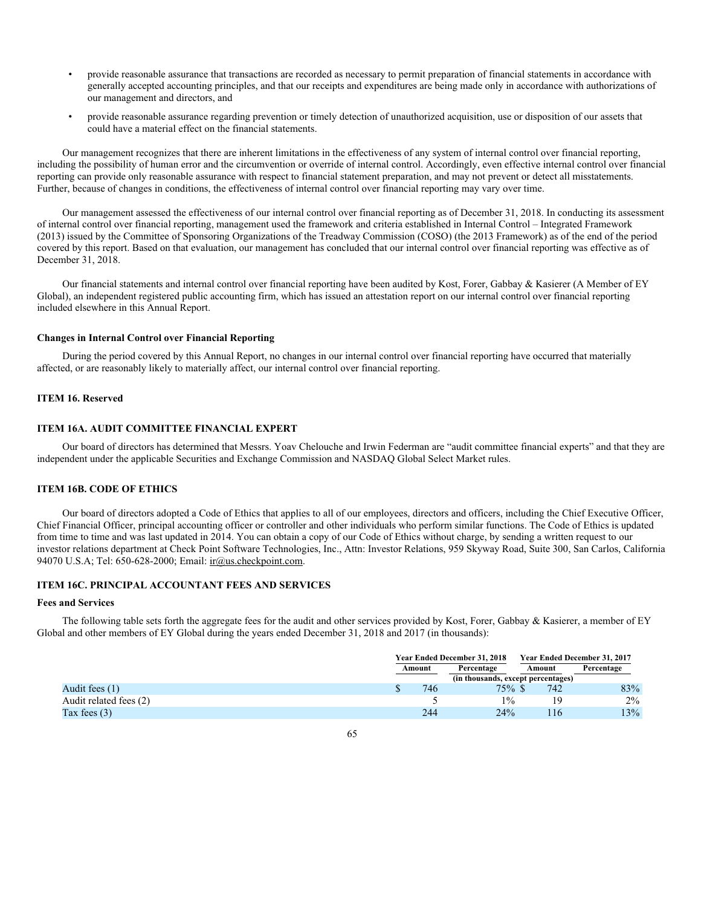- provide reasonable assurance that transactions are recorded as necessary to permit preparation of financial statements in accordance with generally accepted accounting principles, and that our receipts and expenditures are being made only in accordance with authorizations of our management and directors, and
- provide reasonable assurance regarding prevention or timely detection of unauthorized acquisition, use or disposition of our assets that could have a material effect on the financial statements.

Our management recognizes that there are inherent limitations in the effectiveness of any system of internal control over financial reporting, including the possibility of human error and the circumvention or override of internal control. Accordingly, even effective internal control over financial reporting can provide only reasonable assurance with respect to financial statement preparation, and may not prevent or detect all misstatements. Further, because of changes in conditions, the effectiveness of internal control over financial reporting may vary over time.

Our management assessed the effectiveness of our internal control over financial reporting as of December 31, 2018. In conducting its assessment of internal control over financial reporting, management used the framework and criteria established in Internal Control – Integrated Framework (2013) issued by the Committee of Sponsoring Organizations of the Treadway Commission (COSO) (the 2013 Framework) as of the end of the period covered by this report. Based on that evaluation, our management has concluded that our internal control over financial reporting was effective as of December 31, 2018.

Our financial statements and internal control over financial reporting have been audited by Kost, Forer, Gabbay & Kasierer (A Member of EY Global), an independent registered public accounting firm, which has issued an attestation report on our internal control over financial reporting included elsewhere in this Annual Report.

#### **Changes in Internal Control over Financial Reporting**

During the period covered by this Annual Report, no changes in our internal control over financial reporting have occurred that materially affected, or are reasonably likely to materially affect, our internal control over financial reporting.

#### **ITEM 16. Reserved**

## **ITEM 16A. AUDIT COMMITTEE FINANCIAL EXPERT**

Our board of directors has determined that Messrs. Yoav Chelouche and Irwin Federman are "audit committee financial experts" and that they are independent under the applicable Securities and Exchange Commission and NASDAQ Global Select Market rules.

## **ITEM 16B. CODE OF ETHICS**

Our board of directors adopted a Code of Ethics that applies to all of our employees, directors and officers, including the Chief Executive Officer, Chief Financial Officer, principal accounting officer or controller and other individuals who perform similar functions. The Code of Ethics is updated from time to time and was last updated in 2014. You can obtain a copy of our Code of Ethics without charge, by sending a written request to our investor relations department at Check Point Software Technologies, Inc., Attn: Investor Relations, 959 Skyway Road, Suite 300, San Carlos, California 94070 U.S.A; Tel: 650-628-2000; Email: ir@us.checkpoint.com.

# **ITEM 16C. PRINCIPAL ACCOUNTANT FEES AND SERVICES**

# **Fees and Services**

The following table sets forth the aggregate fees for the audit and other services provided by Kost, Forer, Gabbay & Kasierer, a member of EY Global and other members of EY Global during the years ended December 31, 2018 and 2017 (in thousands):

|                        |                      | Year Ended December 31, 2018       |        | <b>Year Ended December 31, 2017</b> |
|------------------------|----------------------|------------------------------------|--------|-------------------------------------|
|                        | Percentage<br>Amount |                                    | Amount | Percentage                          |
|                        |                      | (in thousands, except percentages) |        |                                     |
| Audit fees $(1)$       | 746                  | $75\%$ \$                          | 742    | 83%                                 |
| Audit related fees (2) |                      | $1\%$                              | 19     | $2\%$                               |
| Tax fees $(3)$         | 244                  | 24%                                | 116    | 13%                                 |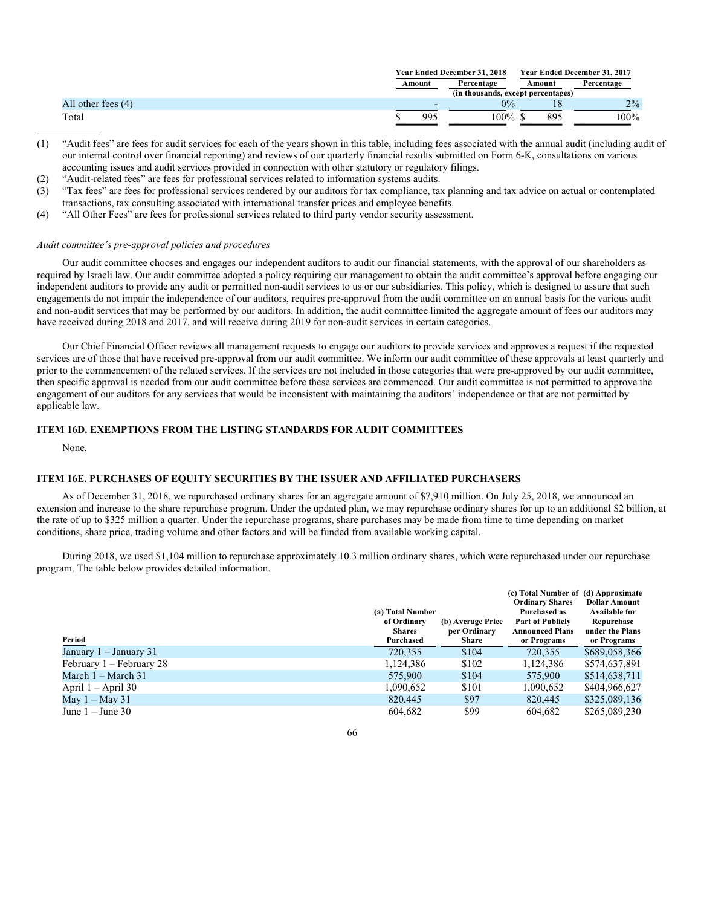|                      |        | Year Ended December 31, 2018       |        | <b>Year Ended December 31, 2017</b> |
|----------------------|--------|------------------------------------|--------|-------------------------------------|
|                      | Amount | Percentage                         | Amount | Percentage                          |
|                      |        | (in thousands, except percentages) |        |                                     |
| All other fees $(4)$ |        | 0%                                 |        | $2\%$                               |
| Total                | 995    | $100\%$                            | 895    | 100%                                |

- (1) "Audit fees" are fees for audit services for each of the years shown in this table, including fees associated with the annual audit (including audit of our internal control over financial reporting) and reviews of our quarterly financial results submitted on Form 6-K, consultations on various accounting issues and audit services provided in connection with other statutory or regulatory filings.
- (2) "Audit-related fees" are fees for professional services related to information systems audits.
- (3) "Tax fees" are fees for professional services rendered by our auditors for tax compliance, tax planning and tax advice on actual or contemplated transactions, tax consulting associated with international transfer prices and employee benefits.
- (4) "All Other Fees" are fees for professional services related to third party vendor security assessment.

## *Audit committee's pre-approval policies and procedures*

Our audit committee chooses and engages our independent auditors to audit our financial statements, with the approval of our shareholders as required by Israeli law. Our audit committee adopted a policy requiring our management to obtain the audit committee's approval before engaging our independent auditors to provide any audit or permitted non-audit services to us or our subsidiaries. This policy, which is designed to assure that such engagements do not impair the independence of our auditors, requires pre-approval from the audit committee on an annual basis for the various audit and non-audit services that may be performed by our auditors. In addition, the audit committee limited the aggregate amount of fees our auditors may have received during 2018 and 2017, and will receive during 2019 for non-audit services in certain categories.

Our Chief Financial Officer reviews all management requests to engage our auditors to provide services and approves a request if the requested services are of those that have received pre-approval from our audit committee. We inform our audit committee of these approvals at least quarterly and prior to the commencement of the related services. If the services are not included in those categories that were pre-approved by our audit committee, then specific approval is needed from our audit committee before these services are commenced. Our audit committee is not permitted to approve the engagement of our auditors for any services that would be inconsistent with maintaining the auditors' independence or that are not permitted by applicable law.

## **ITEM 16D. EXEMPTIONS FROM THE LISTING STANDARDS FOR AUDIT COMMITTEES**

None.

# **ITEM 16E. PURCHASES OF EQUITY SECURITIES BY THE ISSUER AND AFFILIATED PURCHASERS**

As of December 31, 2018, we repurchased ordinary shares for an aggregate amount of \$7,910 million. On July 25, 2018, we announced an extension and increase to the share repurchase program. Under the updated plan, we may repurchase ordinary shares for up to an additional \$2 billion, at the rate of up to \$325 million a quarter. Under the repurchase programs, share purchases may be made from time to time depending on market conditions, share price, trading volume and other factors and will be funded from available working capital.

During 2018, we used \$1,104 million to repurchase approximately 10.3 million ordinary shares, which were repurchased under our repurchase program. The table below provides detailed information.

|                    |                            |                  |                   | (c) Total Number of (d) Approximate |                      |
|--------------------|----------------------------|------------------|-------------------|-------------------------------------|----------------------|
|                    |                            |                  |                   | <b>Ordinary Shares</b>              | <b>Dollar Amount</b> |
|                    |                            | (a) Total Number |                   | Purchased as                        | <b>Available for</b> |
|                    |                            | of Ordinary      | (b) Average Price | <b>Part of Publicly</b>             | Repurchase           |
|                    |                            | <b>Shares</b>    | per Ordinary      | <b>Announced Plans</b>              | under the Plans      |
| Period             |                            | Purchased        | Share             | or Programs                         | or Programs          |
|                    | January $1 -$ January 31   | 720.355          | \$104             | 720.355                             | \$689,058,366        |
|                    | February $1 -$ February 28 | 1,124,386        | \$102             | 1.124.386                           | \$574,637,891        |
|                    | March 1 – March 31         | 575,900          | \$104             | 575,900                             | \$514,638,711        |
|                    | April $1 -$ April 30       | 1,090,652        | \$101             | 1,090,652                           | \$404,966,627        |
| May $1 -$ May 31   |                            | 820,445          | \$97              | 820,445                             | \$325,089,136        |
| June $1 -$ June 30 |                            | 604.682          | \$99              | 604.682                             | \$265,089,230        |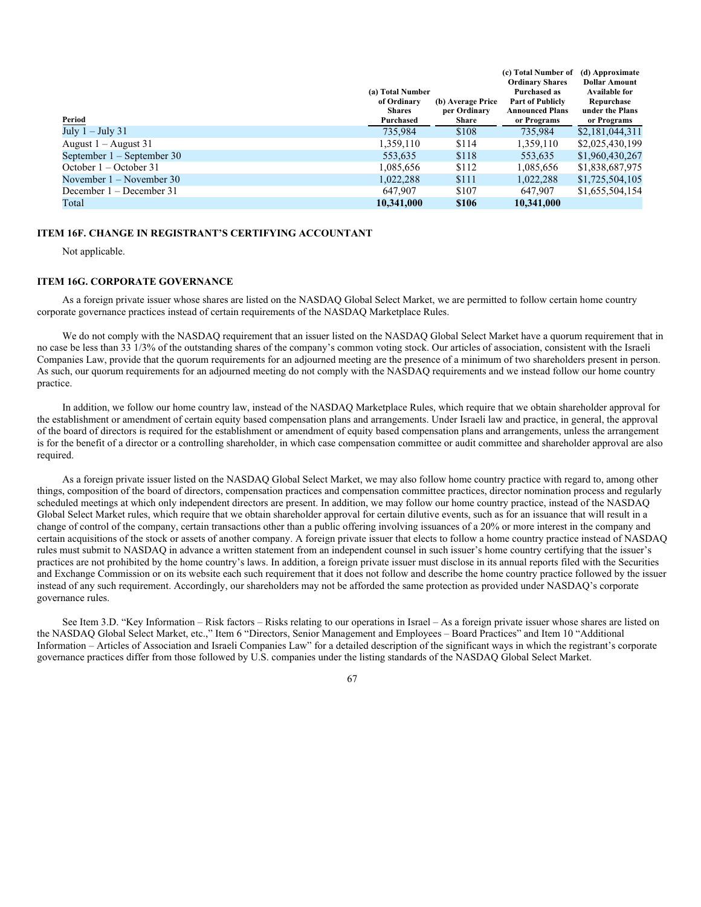| Period                       | (a) Total Number<br>of Ordinary<br><b>Shares</b><br>Purchased | (b) Average Price<br>per Ordinary<br>Share | (c) Total Number of<br><b>Ordinary Shares</b><br>Purchased as<br><b>Part of Publicly</b><br><b>Announced Plans</b><br>or Programs | (d) Approximate<br><b>Dollar Amount</b><br><b>Available for</b><br>Repurchase<br>under the Plans<br>or Programs |
|------------------------------|---------------------------------------------------------------|--------------------------------------------|-----------------------------------------------------------------------------------------------------------------------------------|-----------------------------------------------------------------------------------------------------------------|
| July $1 -$ July 31           | 735,984                                                       | \$108                                      | 735,984                                                                                                                           | \$2,181,044,311                                                                                                 |
| August $1 -$ August 31       | 1,359,110                                                     | \$114                                      | 1,359,110                                                                                                                         | \$2,025,430,199                                                                                                 |
| September $1 -$ September 30 | 553,635                                                       | \$118                                      | 553,635                                                                                                                           | \$1,960,430,267                                                                                                 |
| October $1 -$ October 31     | 1,085,656                                                     | \$112                                      | 1,085,656                                                                                                                         | \$1,838,687,975                                                                                                 |
| November $1 -$ November 30   | 1.022.288                                                     | \$111                                      | 1,022,288                                                                                                                         | \$1,725,504,105                                                                                                 |
| December 1 – December 31     | 647.907                                                       | \$107                                      | 647.907                                                                                                                           | \$1,655,504,154                                                                                                 |
| Total                        | 10,341,000                                                    | \$106                                      | 10,341,000                                                                                                                        |                                                                                                                 |

# **ITEM 16F. CHANGE IN REGISTRANT'S CERTIFYING ACCOUNTANT**

Not applicable.

## **ITEM 16G. CORPORATE GOVERNANCE**

As a foreign private issuer whose shares are listed on the NASDAQ Global Select Market, we are permitted to follow certain home country corporate governance practices instead of certain requirements of the NASDAQ Marketplace Rules.

We do not comply with the NASDAQ requirement that an issuer listed on the NASDAQ Global Select Market have a quorum requirement that in no case be less than 33 1/3% of the outstanding shares of the company's common voting stock. Our articles of association, consistent with the Israeli Companies Law, provide that the quorum requirements for an adjourned meeting are the presence of a minimum of two shareholders present in person. As such, our quorum requirements for an adjourned meeting do not comply with the NASDAQ requirements and we instead follow our home country practice.

In addition, we follow our home country law, instead of the NASDAQ Marketplace Rules, which require that we obtain shareholder approval for the establishment or amendment of certain equity based compensation plans and arrangements. Under Israeli law and practice, in general, the approval of the board of directors is required for the establishment or amendment of equity based compensation plans and arrangements, unless the arrangement is for the benefit of a director or a controlling shareholder, in which case compensation committee or audit committee and shareholder approval are also required.

As a foreign private issuer listed on the NASDAQ Global Select Market, we may also follow home country practice with regard to, among other things, composition of the board of directors, compensation practices and compensation committee practices, director nomination process and regularly scheduled meetings at which only independent directors are present. In addition, we may follow our home country practice, instead of the NASDAQ Global Select Market rules, which require that we obtain shareholder approval for certain dilutive events, such as for an issuance that will result in a change of control of the company, certain transactions other than a public offering involving issuances of a 20% or more interest in the company and certain acquisitions of the stock or assets of another company. A foreign private issuer that elects to follow a home country practice instead of NASDAQ rules must submit to NASDAQ in advance a written statement from an independent counsel in such issuer's home country certifying that the issuer's practices are not prohibited by the home country's laws. In addition, a foreign private issuer must disclose in its annual reports filed with the Securities and Exchange Commission or on its website each such requirement that it does not follow and describe the home country practice followed by the issuer instead of any such requirement. Accordingly, our shareholders may not be afforded the same protection as provided under NASDAQ's corporate governance rules.

See Item 3.D. "Key Information – Risk factors – Risks relating to our operations in Israel – As a foreign private issuer whose shares are listed on the NASDAQ Global Select Market, etc.," Item 6 "Directors, Senior Management and Employees – Board Practices" and Item 10 "Additional Information – Articles of Association and Israeli Companies Law" for a detailed description of the significant ways in which the registrant's corporate governance practices differ from those followed by U.S. companies under the listing standards of the NASDAQ Global Select Market.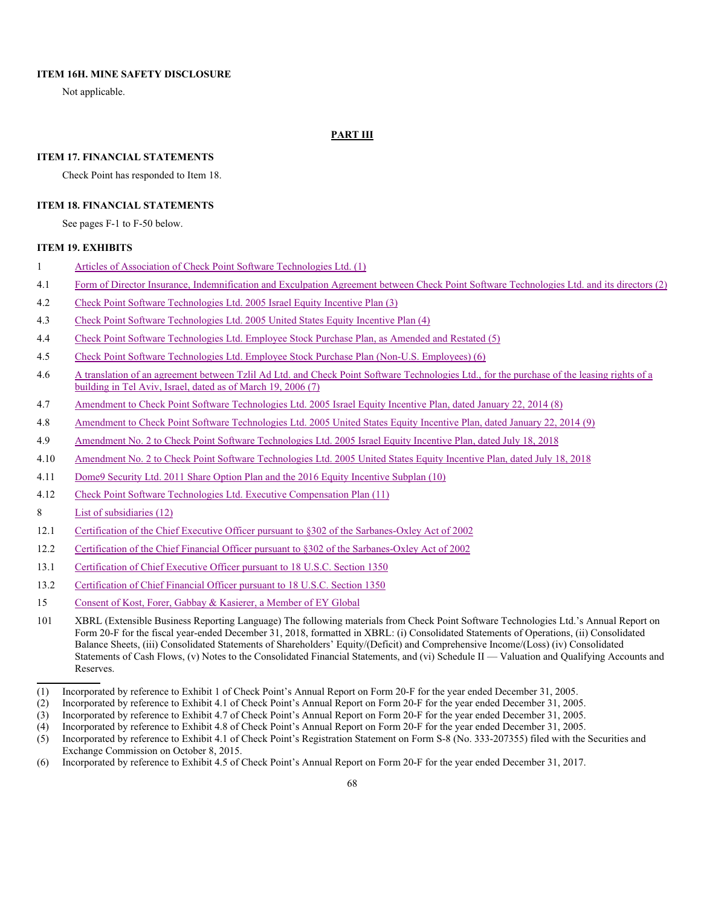## **ITEM 16H. MINE SAFETY DISCLOSURE**

Not applicable.

# **PART III**

# **ITEM 17. FINANCIAL STATEMENTS**

Check Point has responded to Item 18.

# **ITEM 18. FINANCIAL STATEMENTS**

See pages F-1 to F-50 below.

# **ITEM 19. EXHIBITS**

- 1 Articles of Association of Check Point Software Technologies Ltd. (1)
- 4.1 Form of Director Insurance, Indemnification and Exculpation Agreement between Check Point Software Technologies Ltd. and its directors (2)
- 4.2 Check Point Software Technologies Ltd. 2005 Israel Equity Incentive Plan (3)
- 4.3 Check Point Software Technologies Ltd. 2005 United States Equity Incentive Plan (4)
- 4.4 Check Point Software Technologies Ltd. Employee Stock Purchase Plan, as Amended and Restated (5)
- 4.5 Check Point Software Technologies Ltd. Employee Stock Purchase Plan (Non-U.S. Employees) (6)
- 4.6 A translation of an agreement between Tzlil Ad Ltd. and Check Point Software Technologies Ltd., for the purchase of the leasing rights of a building in Tel Aviv, Israel, dated as of March 19, 2006 (7)
- 4.7 Amendment to Check Point Software Technologies Ltd. 2005 Israel Equity Incentive Plan, dated January 22, 2014 (8)
- 4.8 Amendment to Check Point Software Technologies Ltd. 2005 United States Equity Incentive Plan, dated January 22, 2014 (9)
- 4.9 Amendment No. 2 to Check Point Software Technologies Ltd. 2005 Israel Equity Incentive Plan, dated July 18, 2018
- 4.10 Amendment No. 2 to Check Point Software Technologies Ltd. 2005 United States Equity Incentive Plan, dated July 18, 2018
- 4.11 Dome9 Security Ltd. 2011 Share Option Plan and the 2016 Equity Incentive Subplan (10)
- 4.12 Check Point Software Technologies Ltd. Executive Compensation Plan (11)
- 8 List of subsidiaries (12)
- 12.1 Certification of the Chief Executive Officer pursuant to §302 of the Sarbanes-Oxley Act of 2002
- 12.2 Certification of the Chief Financial Officer pursuant to §302 of the Sarbanes-Oxley Act of 2002
- 13.1 Certification of Chief Executive Officer pursuant to 18 U.S.C. Section 1350
- 13.2 Certification of Chief Financial Officer pursuant to 18 U.S.C. Section 1350
- 15 Consent of Kost, Forer, Gabbay & Kasierer, a Member of EY Global
- 101 XBRL (Extensible Business Reporting Language) The following materials from Check Point Software Technologies Ltd.'s Annual Report on Form 20-F for the fiscal year-ended December 31, 2018, formatted in XBRL: (i) Consolidated Statements of Operations, (ii) Consolidated Balance Sheets, (iii) Consolidated Statements of Shareholders' Equity/(Deficit) and Comprehensive Income/(Loss) (iv) Consolidated Statements of Cash Flows, (v) Notes to the Consolidated Financial Statements, and (vi) Schedule II — Valuation and Qualifying Accounts and Reserves.

- (2) Incorporated by reference to Exhibit 4.1 of Check Point's Annual Report on Form 20-F for the year ended December 31, 2005.
- (3) Incorporated by reference to Exhibit 4.7 of Check Point's Annual Report on Form 20-F for the year ended December 31, 2005.
- (4) Incorporated by reference to Exhibit 4.8 of Check Point's Annual Report on Form 20-F for the year ended December 31, 2005.
- (5) Incorporated by reference to Exhibit 4.1 of Check Point's Registration Statement on Form S-8 (No. 333-207355) filed with the Securities and Exchange Commission on October 8, 2015.
- (6) Incorporated by reference to Exhibit 4.5 of Check Point's Annual Report on Form 20-F for the year ended December 31, 2017.

<sup>(1)</sup> Incorporated by reference to Exhibit 1 of Check Point's Annual Report on Form 20-F for the year ended December 31, 2005.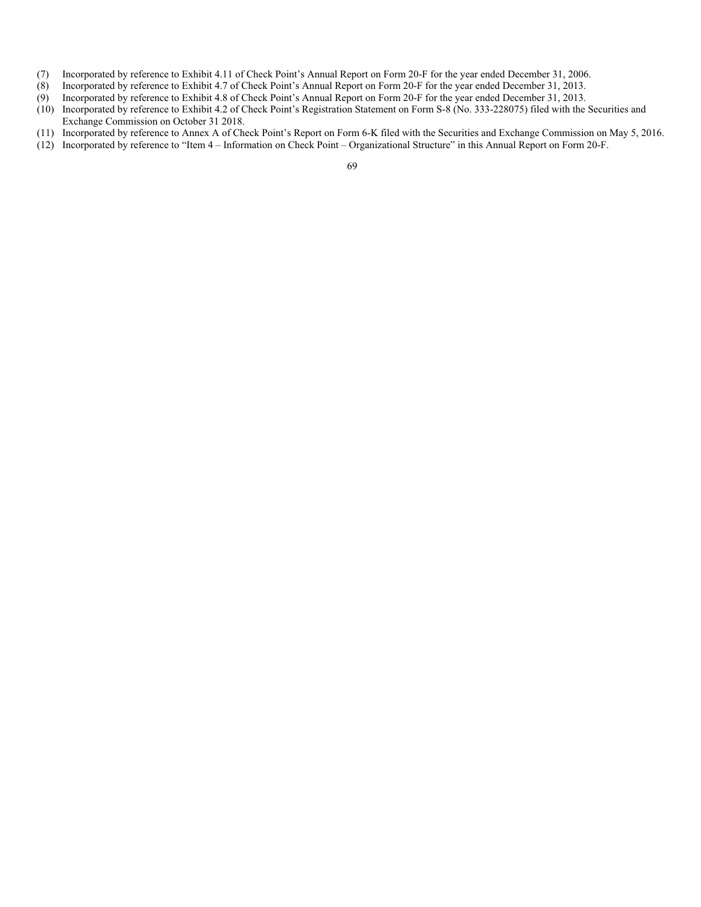- (7) Incorporated by reference to Exhibit 4.11 of Check Point's Annual Report on Form 20-F for the year ended December 31, 2006.
- (8) Incorporated by reference to Exhibit 4.7 of Check Point's Annual Report on Form 20-F for the year ended December 31, 2013.
- (9) Incorporated by reference to Exhibit 4.8 of Check Point's Annual Report on Form 20-F for the year ended December 31, 2013.
- (10) Incorporated by reference to Exhibit 4.2 of Check Point's Registration Statement on Form S-8 (No. 333-228075) filed with the Securities and Exchange Commission on October 31 2018.
- (11) Incorporated by reference to Annex A of Check Point's Report on Form 6-K filed with the Securities and Exchange Commission on May 5, 2016.
- (12) Incorporated by reference to "Item 4 Information on Check Point Organizational Structure" in this Annual Report on Form 20-F.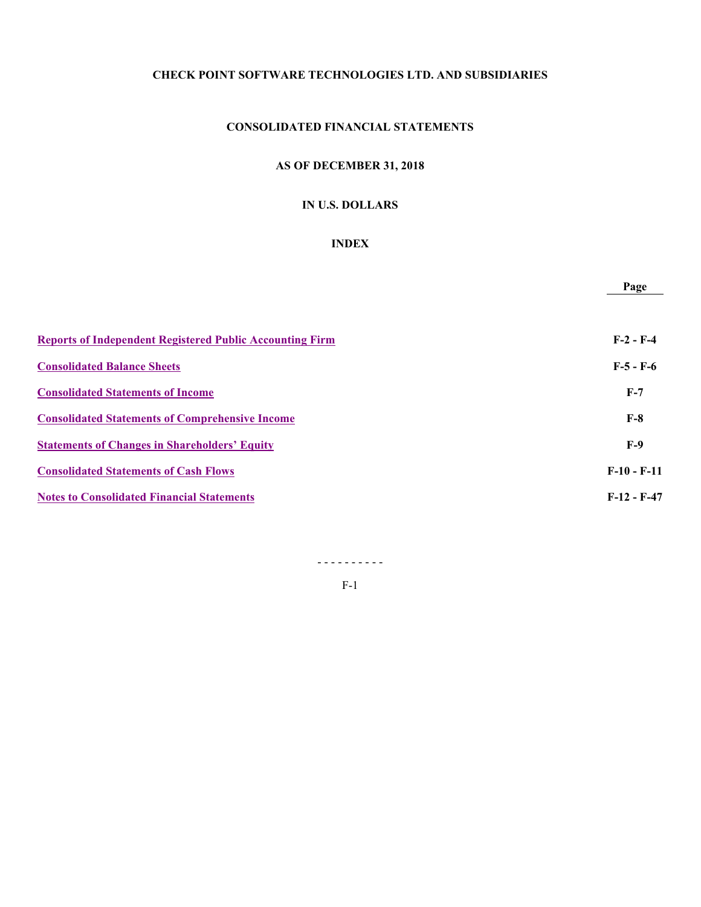# **CHECK POINT SOFTWARE TECHNOLOGIES LTD. AND SUBSIDIARIES**

# **CONSOLIDATED FINANCIAL STATEMENTS**

# **AS OF DECEMBER 31, 2018**

# **IN U.S. DOLLARS**

# **INDEX**

|                                                                 | Page          |
|-----------------------------------------------------------------|---------------|
|                                                                 |               |
| <b>Reports of Independent Registered Public Accounting Firm</b> | $F-2 - F-4$   |
| <b>Consolidated Balance Sheets</b>                              | $F-5 - F-6$   |
| <b>Consolidated Statements of Income</b>                        | $F-7$         |
| <b>Consolidated Statements of Comprehensive Income</b>          | $F-8$         |
| <b>Statements of Changes in Shareholders' Equity</b>            | $F-9$         |
| <b>Consolidated Statements of Cash Flows</b>                    | $F-10 - F-11$ |
| <b>Notes to Consolidated Financial Statements</b>               | $F-12 - F-47$ |

- - - - - - - - - -

F-1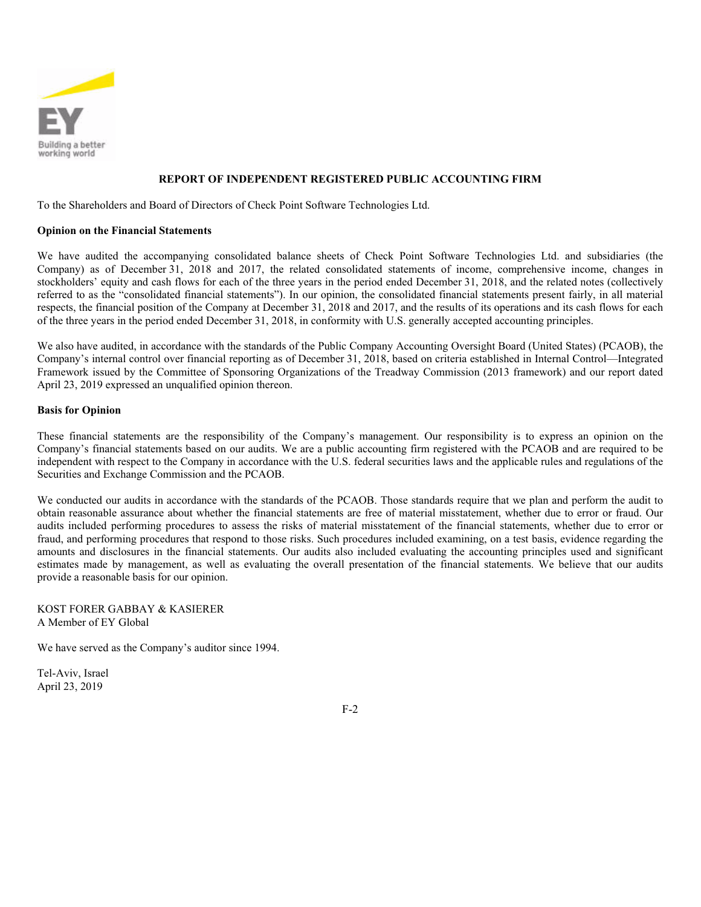

# **REPORT OF INDEPENDENT REGISTERED PUBLIC ACCOUNTING FIRM**

To the Shareholders and Board of Directors of Check Point Software Technologies Ltd.

# **Opinion on the Financial Statements**

We have audited the accompanying consolidated balance sheets of Check Point Software Technologies Ltd. and subsidiaries (the Company) as of December 31, 2018 and 2017, the related consolidated statements of income, comprehensive income, changes in stockholders' equity and cash flows for each of the three years in the period ended December 31, 2018, and the related notes (collectively referred to as the "consolidated financial statements"). In our opinion, the consolidated financial statements present fairly, in all material respects, the financial position of the Company at December 31, 2018 and 2017, and the results of its operations and its cash flows for each of the three years in the period ended December 31, 2018, in conformity with U.S. generally accepted accounting principles.

We also have audited, in accordance with the standards of the Public Company Accounting Oversight Board (United States) (PCAOB), the Company's internal control over financial reporting as of December 31, 2018, based on criteria established in Internal Control—Integrated Framework issued by the Committee of Sponsoring Organizations of the Treadway Commission (2013 framework) and our report dated April 23, 2019 expressed an unqualified opinion thereon.

# **Basis for Opinion**

These financial statements are the responsibility of the Company's management. Our responsibility is to express an opinion on the Company's financial statements based on our audits. We are a public accounting firm registered with the PCAOB and are required to be independent with respect to the Company in accordance with the U.S. federal securities laws and the applicable rules and regulations of the Securities and Exchange Commission and the PCAOB.

We conducted our audits in accordance with the standards of the PCAOB. Those standards require that we plan and perform the audit to obtain reasonable assurance about whether the financial statements are free of material misstatement, whether due to error or fraud. Our audits included performing procedures to assess the risks of material misstatement of the financial statements, whether due to error or fraud, and performing procedures that respond to those risks. Such procedures included examining, on a test basis, evidence regarding the amounts and disclosures in the financial statements. Our audits also included evaluating the accounting principles used and significant estimates made by management, as well as evaluating the overall presentation of the financial statements. We believe that our audits provide a reasonable basis for our opinion.

KOST FORER GABBAY & KASIERER A Member of EY Global

We have served as the Company's auditor since 1994.

Tel-Aviv, Israel April 23, 2019

 $F-2$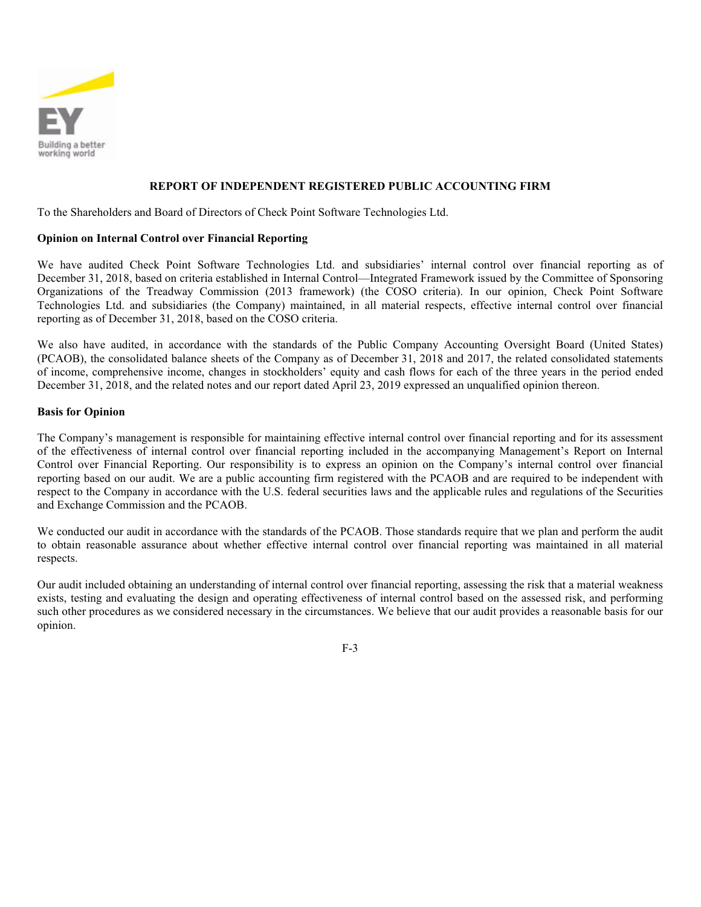

### **REPORT OF INDEPENDENT REGISTERED PUBLIC ACCOUNTING FIRM**

To the Shareholders and Board of Directors of Check Point Software Technologies Ltd.

### **Opinion on Internal Control over Financial Reporting**

We have audited Check Point Software Technologies Ltd. and subsidiaries' internal control over financial reporting as of December 31, 2018, based on criteria established in Internal Control—Integrated Framework issued by the Committee of Sponsoring Organizations of the Treadway Commission (2013 framework) (the COSO criteria). In our opinion, Check Point Software Technologies Ltd. and subsidiaries (the Company) maintained, in all material respects, effective internal control over financial reporting as of December 31, 2018, based on the COSO criteria.

We also have audited, in accordance with the standards of the Public Company Accounting Oversight Board (United States) (PCAOB), the consolidated balance sheets of the Company as of December 31, 2018 and 2017, the related consolidated statements of income, comprehensive income, changes in stockholders' equity and cash flows for each of the three years in the period ended December 31, 2018, and the related notes and our report dated April 23, 2019 expressed an unqualified opinion thereon.

### **Basis for Opinion**

The Company's management is responsible for maintaining effective internal control over financial reporting and for its assessment of the effectiveness of internal control over financial reporting included in the accompanying Management's Report on Internal Control over Financial Reporting. Our responsibility is to express an opinion on the Company's internal control over financial reporting based on our audit. We are a public accounting firm registered with the PCAOB and are required to be independent with respect to the Company in accordance with the U.S. federal securities laws and the applicable rules and regulations of the Securities and Exchange Commission and the PCAOB.

We conducted our audit in accordance with the standards of the PCAOB. Those standards require that we plan and perform the audit to obtain reasonable assurance about whether effective internal control over financial reporting was maintained in all material respects.

Our audit included obtaining an understanding of internal control over financial reporting, assessing the risk that a material weakness exists, testing and evaluating the design and operating effectiveness of internal control based on the assessed risk, and performing such other procedures as we considered necessary in the circumstances. We believe that our audit provides a reasonable basis for our opinion.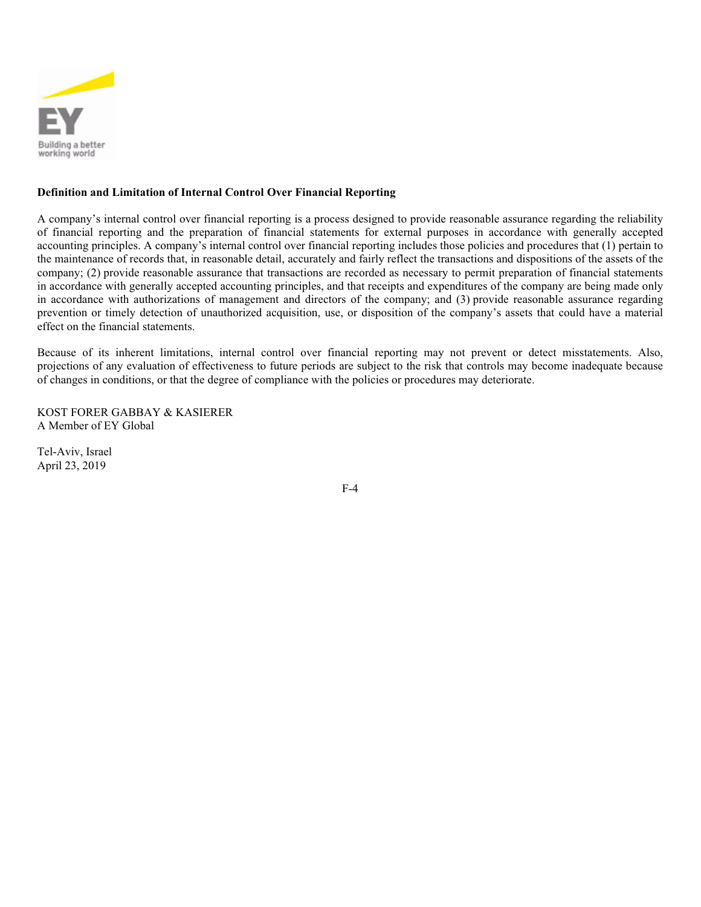

### **Definition and Limitation of Internal Control Over Financial Reporting**

A company's internal control over financial reporting is a process designed to provide reasonable assurance regarding the reliability of financial reporting and the preparation of financial statements for external purposes in accordance with generally accepted accounting principles. A company's internal control over financial reporting includes those policies and procedures that (1) pertain to the maintenance of records that, in reasonable detail, accurately and fairly reflect the transactions and dispositions of the assets of the company; (2) provide reasonable assurance that transactions are recorded as necessary to permit preparation of financial statements in accordance with generally accepted accounting principles, and that receipts and expenditures of the company are being made only in accordance with authorizations of management and directors of the company; and (3) provide reasonable assurance regarding prevention or timely detection of unauthorized acquisition, use, or disposition of the company's assets that could have a material effect on the financial statements.

Because of its inherent limitations, internal control over financial reporting may not prevent or detect misstatements. Also, projections of any evaluation of effectiveness to future periods are subject to the risk that controls may become inadequate because of changes in conditions, or that the degree of compliance with the policies or procedures may deteriorate.

KOST FORER GABBAY & KASIERER A Member of EY Global

Tel-Aviv, Israel April 23, 2019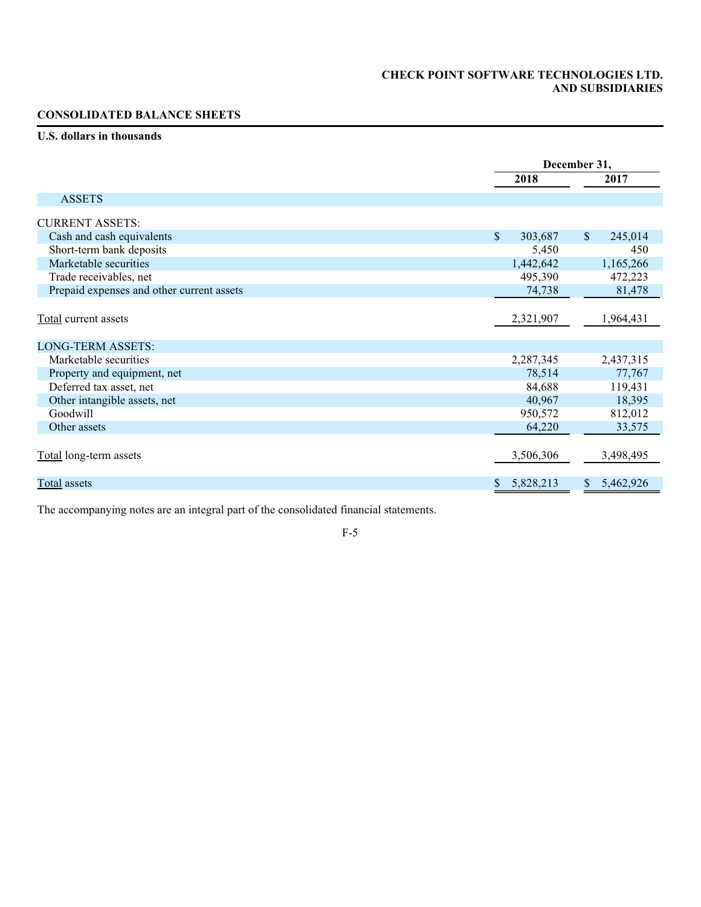# **CONSOLIDATED BALANCE SHEETS**

## **U.S. dollars in thousands**

|                                           | December 31,    |               |           |
|-------------------------------------------|-----------------|---------------|-----------|
|                                           | 2018            |               | 2017      |
| <b>ASSETS</b>                             |                 |               |           |
| <b>CURRENT ASSETS:</b>                    |                 |               |           |
| Cash and cash equivalents                 | \$<br>303,687   | $\mathcal{S}$ | 245,014   |
| Short-term bank deposits                  | 5,450           |               | 450       |
| Marketable securities                     | 1,442,642       |               | 1,165,266 |
| Trade receivables, net                    | 495,390         |               | 472,223   |
| Prepaid expenses and other current assets | 74,738          |               | 81,478    |
| Total current assets                      | 2,321,907       |               | 1,964,431 |
| <b>LONG-TERM ASSETS:</b>                  |                 |               |           |
| Marketable securities                     | 2,287,345       |               | 2,437,315 |
| Property and equipment, net               | 78,514          |               | 77,767    |
| Deferred tax asset, net                   | 84,688          |               | 119,431   |
| Other intangible assets, net              | 40,967          |               | 18,395    |
| Goodwill                                  | 950,572         |               | 812,012   |
| Other assets                              | 64,220          |               | 33,575    |
| Total long-term assets                    | 3,506,306       |               | 3,498,495 |
| Total assets                              | \$<br>5,828,213 |               | 5,462,926 |

The accompanying notes are an integral part of the consolidated financial statements.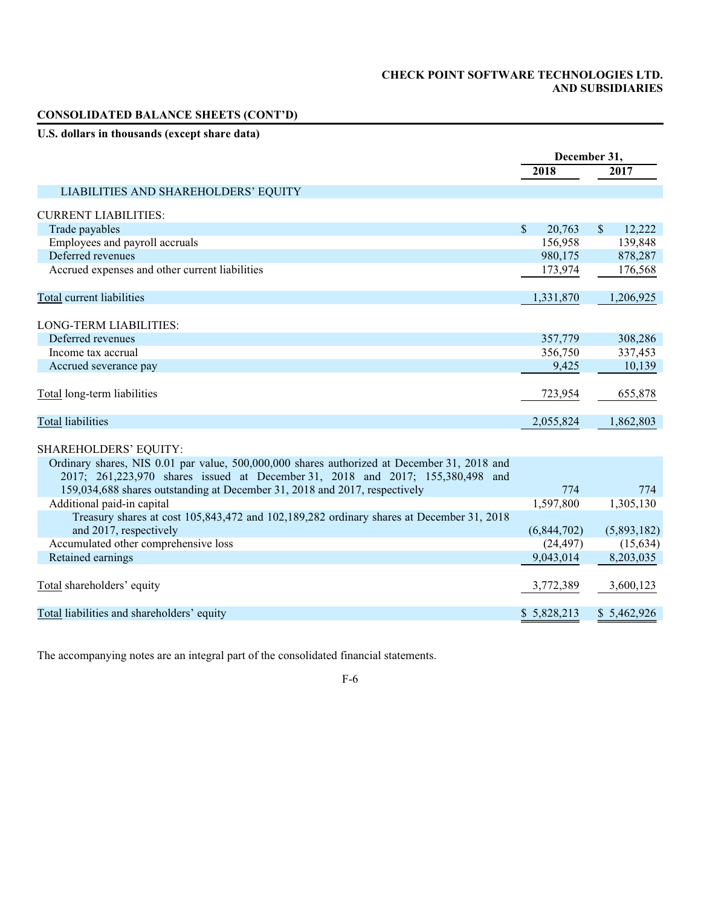# **CONSOLIDATED BALANCE SHEETS (CONT'D)**

|                                                                                             | December 31, |                        |
|---------------------------------------------------------------------------------------------|--------------|------------------------|
|                                                                                             | 2018         | 2017                   |
| LIABILITIES AND SHAREHOLDERS' EQUITY                                                        |              |                        |
|                                                                                             |              |                        |
| <b>CURRENT LIABILITIES:</b>                                                                 |              |                        |
| Trade payables                                                                              | \$<br>20,763 | 12,222<br>$\mathbb{S}$ |
| Employees and payroll accruals                                                              | 156,958      | 139,848                |
| Deferred revenues                                                                           | 980,175      | 878,287                |
| Accrued expenses and other current liabilities                                              | 173,974      | 176,568                |
|                                                                                             |              |                        |
| Total current liabilities                                                                   | 1,331,870    | 1,206,925              |
|                                                                                             |              |                        |
| <b>LONG-TERM LIABILITIES:</b>                                                               |              |                        |
| Deferred revenues                                                                           | 357,779      | 308,286                |
| Income tax accrual                                                                          | 356,750      | 337,453                |
| Accrued severance pay                                                                       | 9,425        | 10,139                 |
|                                                                                             |              |                        |
| Total long-term liabilities                                                                 | 723,954      | 655,878                |
|                                                                                             |              |                        |
| Total liabilities                                                                           | 2,055,824    | 1,862,803              |
|                                                                                             |              |                        |
| <b>SHAREHOLDERS' EQUITY:</b>                                                                |              |                        |
| Ordinary shares, NIS 0.01 par value, 500,000,000 shares authorized at December 31, 2018 and |              |                        |
| 2017; 261,223,970 shares issued at December 31, 2018 and 2017; 155,380,498 and              |              |                        |
| 159,034,688 shares outstanding at December 31, 2018 and 2017, respectively                  | 774          | 774                    |
| Additional paid-in capital                                                                  | 1,597,800    | 1,305,130              |
| Treasury shares at cost 105,843,472 and 102,189,282 ordinary shares at December 31, 2018    |              |                        |
| and 2017, respectively                                                                      | (6,844,702)  | (5,893,182)            |
| Accumulated other comprehensive loss                                                        | (24, 497)    | (15, 634)              |
| Retained earnings                                                                           | 9,043,014    | 8,203,035              |
|                                                                                             |              |                        |
| Total shareholders' equity                                                                  | 3,772,389    | 3,600,123              |
|                                                                                             |              |                        |
| Total liabilities and shareholders' equity                                                  | \$5,828,213  | \$5,462,926            |

The accompanying notes are an integral part of the consolidated financial statements.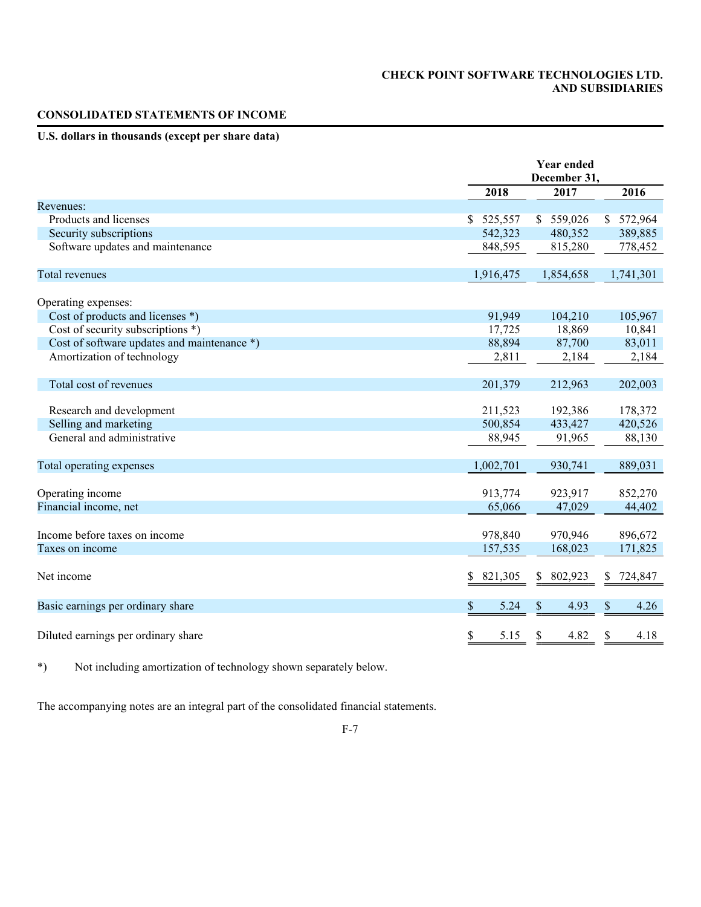## **CONSOLIDATED STATEMENTS OF INCOME**

### **U.S. dollars in thousands (except per share data)**

|                                             |                          | <b>Year ended</b><br>December 31, |               |  |  |
|---------------------------------------------|--------------------------|-----------------------------------|---------------|--|--|
|                                             | 2018                     | 2017                              | 2016          |  |  |
| Revenues:                                   |                          |                                   |               |  |  |
| Products and licenses                       | 525,557<br><sup>\$</sup> | 559,026<br>\$                     | 572,964<br>\$ |  |  |
| Security subscriptions                      | 542,323                  | 480,352                           | 389,885       |  |  |
| Software updates and maintenance            | 848,595                  | 815,280                           | 778,452       |  |  |
| <b>Total revenues</b>                       | 1,916,475                | 1,854,658                         | 1,741,301     |  |  |
| Operating expenses:                         |                          |                                   |               |  |  |
| Cost of products and licenses *)            | 91,949                   | 104,210                           | 105,967       |  |  |
| Cost of security subscriptions *)           | 17,725                   | 18,869                            | 10,841        |  |  |
| Cost of software updates and maintenance *) | 88,894                   | 87,700                            | 83,011        |  |  |
| Amortization of technology                  | 2,811                    | 2,184                             | 2,184         |  |  |
|                                             |                          |                                   |               |  |  |
| Total cost of revenues                      | 201,379                  | 212,963                           | 202,003       |  |  |
| Research and development                    | 211,523                  | 192,386                           | 178,372       |  |  |
| Selling and marketing                       | 500,854                  | 433,427                           | 420,526       |  |  |
| General and administrative                  | 88,945                   | 91,965                            | 88,130        |  |  |
| Total operating expenses                    | 1,002,701                | 930,741                           | 889,031       |  |  |
| Operating income                            | 913,774                  | 923,917                           | 852,270       |  |  |
| Financial income, net                       | 65,066                   | 47,029                            | 44,402        |  |  |
|                                             |                          |                                   |               |  |  |
| Income before taxes on income               | 978,840                  | 970,946                           | 896,672       |  |  |
| Taxes on income                             | 157,535                  | 168,023                           | 171,825       |  |  |
| Net income                                  | 821,305<br>S             | 802,923<br>\$                     | 724,847<br>S  |  |  |
|                                             |                          |                                   |               |  |  |
| Basic earnings per ordinary share           | \$<br>5.24               | $\$$<br>4.93                      | \$<br>4.26    |  |  |
| Diluted earnings per ordinary share         | \$<br>5.15               | \$<br>4.82                        | \$<br>4.18    |  |  |

\*) Not including amortization of technology shown separately below.

The accompanying notes are an integral part of the consolidated financial statements.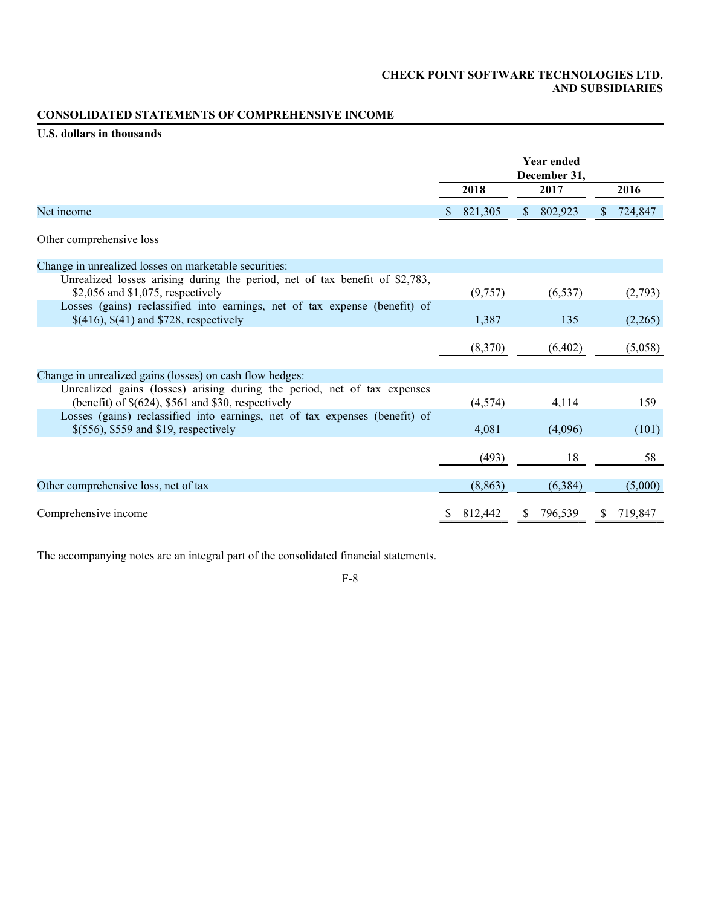# **CONSOLIDATED STATEMENTS OF COMPREHENSIVE INCOME**

# **U.S. dollars in thousands**

|                                                                                                                                        |    | <b>Year ended</b><br>December 31, |              |          |  |         |
|----------------------------------------------------------------------------------------------------------------------------------------|----|-----------------------------------|--------------|----------|--|---------|
|                                                                                                                                        |    | 2018                              |              | 2017     |  | 2016    |
| Net income                                                                                                                             |    | 821,305                           | $\mathbb{S}$ | 802,923  |  | 724,847 |
| Other comprehensive loss                                                                                                               |    |                                   |              |          |  |         |
| Change in unrealized losses on marketable securities:                                                                                  |    |                                   |              |          |  |         |
| Unrealized losses arising during the period, net of tax benefit of \$2,783,<br>\$2,056 and \$1,075, respectively                       |    | (9,757)                           |              | (6, 537) |  | (2,793) |
| Losses (gains) reclassified into earnings, net of tax expense (benefit) of<br>$$(416), $(41)$ and $$728$ , respectively                |    | 1,387                             |              | 135      |  | (2,265) |
|                                                                                                                                        |    | (8,370)                           |              | (6,402)  |  | (5,058) |
| Change in unrealized gains (losses) on cash flow hedges:                                                                               |    |                                   |              |          |  |         |
| Unrealized gains (losses) arising during the period, net of tax expenses<br>(benefit) of $\$(624)$ , $\$561$ and $\$30$ , respectively |    | (4,574)                           |              | 4,114    |  | 159     |
| Losses (gains) reclassified into earnings, net of tax expenses (benefit) of<br>$$(556)$ , \$559 and \$19, respectively                 |    | 4,081                             |              | (4,096)  |  | (101)   |
|                                                                                                                                        |    | (493)                             |              | 18       |  | 58      |
| Other comprehensive loss, net of tax                                                                                                   |    | (8, 863)                          |              | (6,384)  |  | (5,000) |
| Comprehensive income                                                                                                                   | S. | 812,442                           | S.           | 796,539  |  | 719,847 |

The accompanying notes are an integral part of the consolidated financial statements.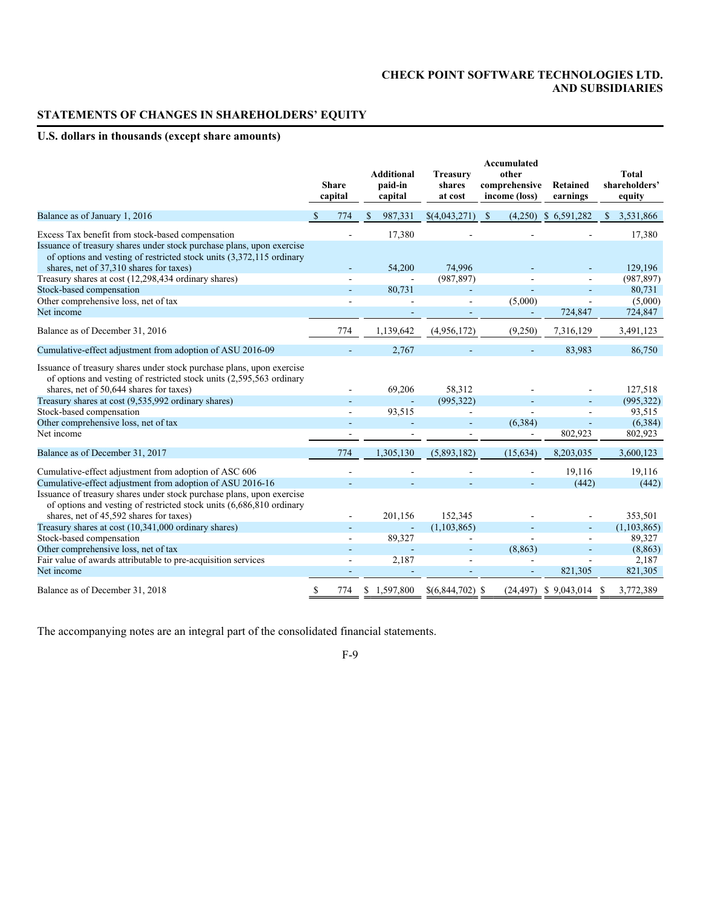# **STATEMENTS OF CHANGES IN SHAREHOLDERS' EQUITY**

## **U.S. dollars in thousands (except share amounts)**

|                                                                                                                                                                                          |               | <b>Share</b><br>capital |   | <b>Additional</b><br>paid-in<br>capital | <b>Treasury</b><br>shares<br>at cost |      | Accumulated<br>other<br>comprehensive<br>income (loss) | Retained<br>earnings         |              | <b>Total</b><br>shareholders'<br>equity |
|------------------------------------------------------------------------------------------------------------------------------------------------------------------------------------------|---------------|-------------------------|---|-----------------------------------------|--------------------------------------|------|--------------------------------------------------------|------------------------------|--------------|-----------------------------------------|
| Balance as of January 1, 2016                                                                                                                                                            | <sup>\$</sup> | 774                     | S | 987,331                                 | \$(4,043,271)                        | - \$ |                                                        | $(4,250)$ \$ 6,591,282       | $\mathbb{S}$ | 3,531,866                               |
| Excess Tax benefit from stock-based compensation                                                                                                                                         |               |                         |   | 17,380                                  |                                      |      |                                                        |                              |              | 17,380                                  |
| Issuance of treasury shares under stock purchase plans, upon exercise<br>of options and vesting of restricted stock units (3,372,115 ordinary<br>shares, net of 37,310 shares for taxes) |               |                         |   | 54,200                                  | 74,996                               |      |                                                        |                              |              | 129,196                                 |
| Treasury shares at cost (12,298,434 ordinary shares)                                                                                                                                     |               |                         |   |                                         | (987, 897)                           |      |                                                        |                              |              | (987, 897)                              |
| Stock-based compensation                                                                                                                                                                 |               | $\mathbf{r}$            |   | 80,731                                  |                                      |      | $\mathbf{r}$                                           |                              |              | 80,731                                  |
| Other comprehensive loss, net of tax                                                                                                                                                     |               |                         |   |                                         |                                      |      | (5,000)                                                |                              |              | (5,000)                                 |
| Net income                                                                                                                                                                               |               |                         |   |                                         |                                      |      | $\blacksquare$                                         | 724,847                      |              | 724,847                                 |
| Balance as of December 31, 2016                                                                                                                                                          |               | 774                     |   | 1,139,642                               | (4,956,172)                          |      | (9,250)                                                | 7,316,129                    |              | 3,491,123                               |
| Cumulative-effect adjustment from adoption of ASU 2016-09                                                                                                                                |               |                         |   | 2,767                                   |                                      |      |                                                        | 83,983                       |              | 86,750                                  |
| Issuance of treasury shares under stock purchase plans, upon exercise<br>of options and vesting of restricted stock units (2,595,563 ordinary<br>shares, net of 50,644 shares for taxes) |               |                         |   | 69,206                                  | 58,312                               |      |                                                        |                              |              | 127,518                                 |
| Treasury shares at cost (9,535,992 ordinary shares)                                                                                                                                      |               |                         |   |                                         | (995, 322)                           |      |                                                        |                              |              | (995, 322)                              |
| Stock-based compensation                                                                                                                                                                 |               | $\mathbf{r}$            |   | 93,515                                  |                                      |      |                                                        |                              |              | 93,515                                  |
| Other comprehensive loss, net of tax                                                                                                                                                     |               |                         |   |                                         |                                      |      | (6, 384)                                               | $\blacksquare$               |              | (6,384)                                 |
| Net income                                                                                                                                                                               |               |                         |   |                                         |                                      |      |                                                        | 802,923                      |              | 802,923                                 |
| Balance as of December 31, 2017                                                                                                                                                          |               | 774                     |   | 1,305,130                               | (5,893,182)                          |      | (15, 634)                                              | 8,203,035                    |              | 3,600,123                               |
| Cumulative-effect adjustment from adoption of ASC 606<br>Cumulative-effect adjustment from adoption of ASU 2016-16                                                                       |               |                         |   |                                         |                                      |      |                                                        | 19,116<br>(442)              |              | 19,116<br>(442)                         |
| Issuance of treasury shares under stock purchase plans, upon exercise<br>of options and vesting of restricted stock units (6,686,810 ordinary                                            |               |                         |   |                                         |                                      |      |                                                        |                              |              |                                         |
| shares, net of 45,592 shares for taxes)                                                                                                                                                  |               |                         |   | 201,156                                 | 152,345                              |      |                                                        |                              |              | 353,501                                 |
| Treasury shares at cost (10,341,000 ordinary shares)                                                                                                                                     |               |                         |   |                                         | (1,103,865)                          |      |                                                        |                              |              | (1, 103, 865)                           |
| Stock-based compensation                                                                                                                                                                 |               | $\sim$                  |   | 89,327                                  |                                      |      | $\sim$                                                 |                              |              | 89,327                                  |
| Other comprehensive loss, net of tax                                                                                                                                                     |               | $\equiv$                |   | $\blacksquare$                          | $\equiv$                             |      | (8, 863)                                               | $\qquad \qquad \blacksquare$ |              | (8, 863)                                |
| Fair value of awards attributable to pre-acquisition services                                                                                                                            |               | $\mathbf{r}$            |   | 2,187                                   |                                      |      |                                                        |                              |              | 2,187                                   |
| Net income                                                                                                                                                                               |               |                         |   |                                         | ٠                                    |      | $\sim$                                                 | 821,305                      |              | 821,305                                 |
| Balance as of December 31, 2018                                                                                                                                                          |               |                         |   | 774 \$ 1,597,800                        | $$(6,844,702)$ \                     |      | (24, 497)                                              | \$9,043,014                  | -S           | 3,772,389                               |

The accompanying notes are an integral part of the consolidated financial statements.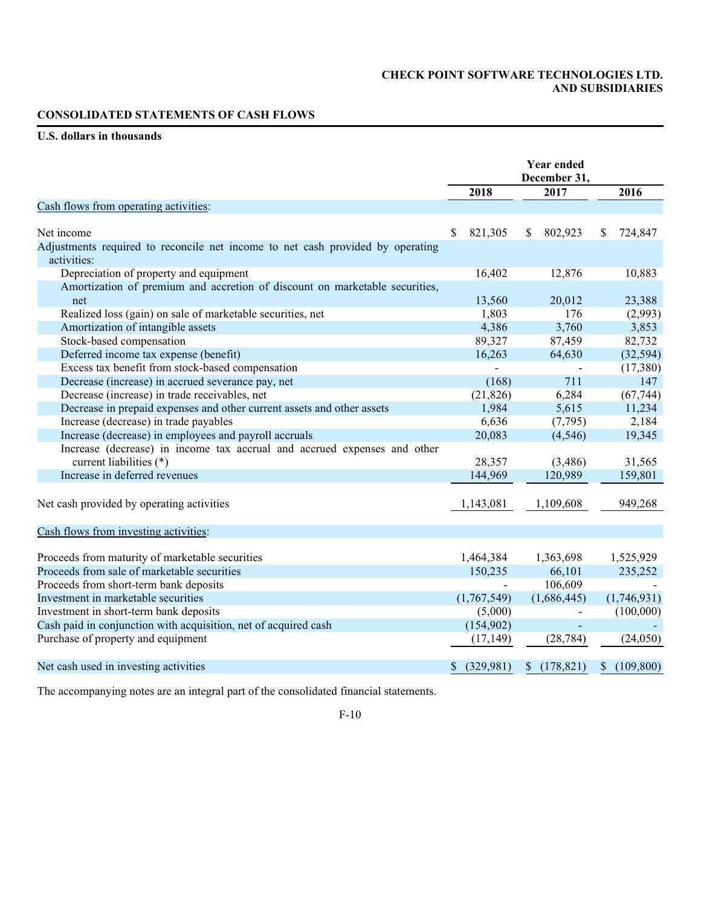# **CONSOLIDATED STATEMENTS OF CASH FLOWS**

## **U.S. dollars in thousands**

|                                                                                                     |                  | <b>Year ended</b><br>December 31, |                  |
|-----------------------------------------------------------------------------------------------------|------------------|-----------------------------------|------------------|
|                                                                                                     | 2018             | 2017                              | 2016             |
| Cash flows from operating activities:                                                               |                  |                                   |                  |
| Net income                                                                                          | \$<br>821,305    | $\mathbb{S}$<br>802,923           | \$<br>724,847    |
| Adjustments required to reconcile net income to net cash provided by operating<br>activities:       |                  |                                   |                  |
| Depreciation of property and equipment                                                              | 16,402           | 12,876                            | 10,883           |
| Amortization of premium and accretion of discount on marketable securities,<br>net                  | 13,560           | 20,012                            | 23,388           |
| Realized loss (gain) on sale of marketable securities, net                                          | 1,803            | 176                               | (2,993)          |
| Amortization of intangible assets                                                                   | 4,386            | 3,760                             | 3,853            |
| Stock-based compensation                                                                            | 89,327           | 87,459                            | 82,732           |
| Deferred income tax expense (benefit)                                                               | 16,263           | 64,630                            | (32, 594)        |
| Excess tax benefit from stock-based compensation                                                    |                  |                                   | (17, 380)        |
| Decrease (increase) in accrued severance pay, net                                                   | (168)            | 711                               | 147              |
| Decrease (increase) in trade receivables, net                                                       | (21, 826)        | 6,284                             | (67, 744)        |
| Decrease in prepaid expenses and other current assets and other assets                              | 1,984            | 5,615                             | 11,234           |
| Increase (decrease) in trade payables                                                               | 6,636            | (7,795)                           | 2,184            |
| Increase (decrease) in employees and payroll accruals                                               | 20,083           | (4,546)                           | 19,345           |
| Increase (decrease) in income tax accrual and accrued expenses and other<br>current liabilities (*) | 28,357           | (3,486)                           | 31,565           |
| Increase in deferred revenues                                                                       | 144,969          | 120,989                           | 159,801          |
| Net cash provided by operating activities                                                           | 1,143,081        | 1,109,608                         | 949,268          |
| Cash flows from investing activities:                                                               |                  |                                   |                  |
| Proceeds from maturity of marketable securities                                                     | 1,464,384        | 1,363,698                         | 1,525,929        |
| Proceeds from sale of marketable securities                                                         | 150,235          | 66,101                            | 235,252          |
| Proceeds from short-term bank deposits                                                              |                  | 106,609                           |                  |
| Investment in marketable securities                                                                 | (1,767,549)      | (1,686,445)                       | (1,746,931)      |
| Investment in short-term bank deposits                                                              | (5,000)          |                                   | (100,000)        |
| Cash paid in conjunction with acquisition, net of acquired cash                                     | (154,902)        |                                   |                  |
| Purchase of property and equipment                                                                  | (17, 149)        | (28, 784)                         | (24,050)         |
| Net cash used in investing activities                                                               | (329, 981)<br>\$ | (178, 821)<br>$\mathbb{S}$        | \$<br>(109, 800) |

The accompanying notes are an integral part of the consolidated financial statements.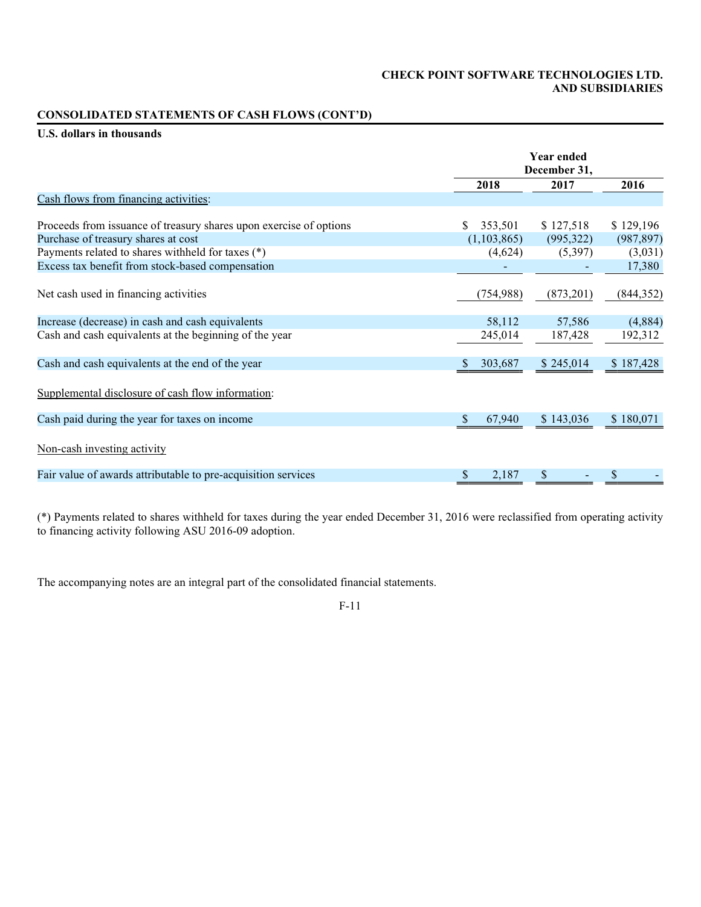## **CONSOLIDATED STATEMENTS OF CASH FLOWS (CONT'D)**

## **U.S. dollars in thousands**

|                                                                    | <b>Year ended</b><br>December 31, |            |              |  |
|--------------------------------------------------------------------|-----------------------------------|------------|--------------|--|
|                                                                    | 2018                              | 2017       | 2016         |  |
| Cash flows from financing activities:                              |                                   |            |              |  |
| Proceeds from issuance of treasury shares upon exercise of options | 353,501                           | \$127,518  | \$129,196    |  |
| Purchase of treasury shares at cost                                | (1,103,865)                       | (995, 322) | (987, 897)   |  |
| Payments related to shares withheld for taxes (*)                  | (4,624)                           | (5,397)    | (3,031)      |  |
| Excess tax benefit from stock-based compensation                   |                                   |            | 17,380       |  |
| Net cash used in financing activities                              | (754, 988)                        | (873,201)  | (844, 352)   |  |
| Increase (decrease) in cash and cash equivalents                   | 58,112                            | 57,586     | (4,884)      |  |
| Cash and cash equivalents at the beginning of the year             | 245,014                           | 187,428    | 192,312      |  |
| Cash and cash equivalents at the end of the year                   | 303,687<br>S                      | \$245,014  | \$187,428    |  |
| Supplemental disclosure of cash flow information:                  |                                   |            |              |  |
| Cash paid during the year for taxes on income                      | 67,940                            | \$143,036  | \$180,071    |  |
| Non-cash investing activity                                        |                                   |            |              |  |
| Fair value of awards attributable to pre-acquisition services      | 2,187<br>\$                       | \$         | $\mathbb{S}$ |  |

(\*) Payments related to shares withheld for taxes during the year ended December 31, 2016 were reclassified from operating activity to financing activity following ASU 2016-09 adoption.

The accompanying notes are an integral part of the consolidated financial statements.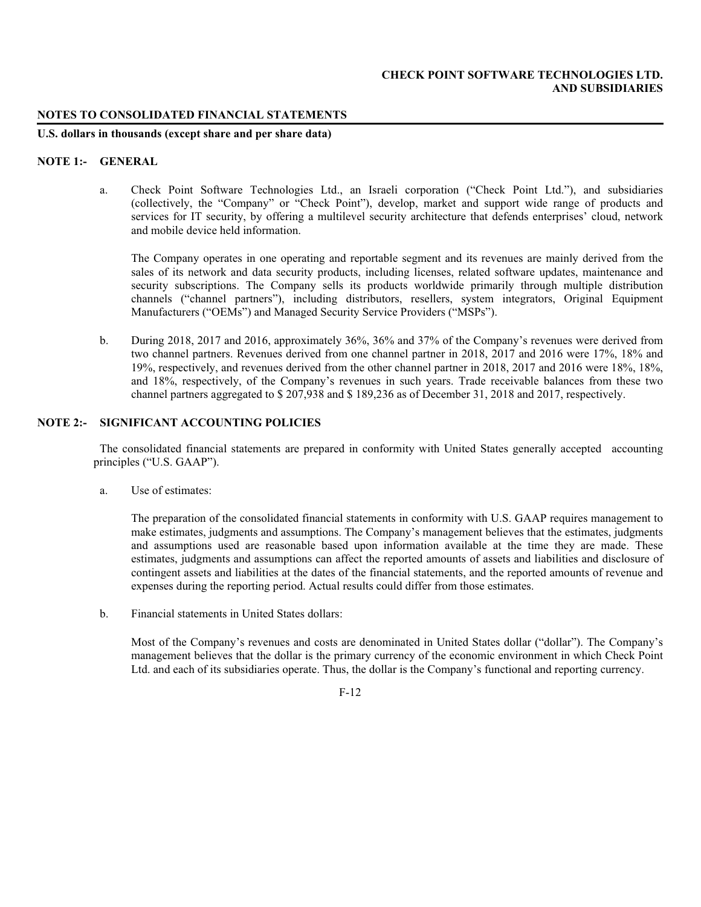### **U.S. dollars in thousands (except share and per share data)**

### **NOTE 1:- GENERAL**

a. Check Point Software Technologies Ltd., an Israeli corporation ("Check Point Ltd."), and subsidiaries (collectively, the "Company" or "Check Point"), develop, market and support wide range of products and services for IT security, by offering a multilevel security architecture that defends enterprises' cloud, network and mobile device held information.

The Company operates in one operating and reportable segment and its revenues are mainly derived from the sales of its network and data security products, including licenses, related software updates, maintenance and security subscriptions. The Company sells its products worldwide primarily through multiple distribution channels ("channel partners"), including distributors, resellers, system integrators, Original Equipment Manufacturers ("OEMs") and Managed Security Service Providers ("MSPs").

b. During 2018, 2017 and 2016, approximately 36%, 36% and 37% of the Company's revenues were derived from two channel partners. Revenues derived from one channel partner in 2018, 2017 and 2016 were 17%, 18% and 19%, respectively, and revenues derived from the other channel partner in 2018, 2017 and 2016 were 18%, 18%, and 18%, respectively, of the Company's revenues in such years. Trade receivable balances from these two channel partners aggregated to \$ 207,938 and \$ 189,236 as of December 31, 2018 and 2017, respectively.

## **NOTE 2:- SIGNIFICANT ACCOUNTING POLICIES**

The consolidated financial statements are prepared in conformity with United States generally accepted accounting principles ("U.S. GAAP").

a. Use of estimates:

The preparation of the consolidated financial statements in conformity with U.S. GAAP requires management to make estimates, judgments and assumptions. The Company's management believes that the estimates, judgments and assumptions used are reasonable based upon information available at the time they are made. These estimates, judgments and assumptions can affect the reported amounts of assets and liabilities and disclosure of contingent assets and liabilities at the dates of the financial statements, and the reported amounts of revenue and expenses during the reporting period. Actual results could differ from those estimates.

b. Financial statements in United States dollars:

Most of the Company's revenues and costs are denominated in United States dollar ("dollar"). The Company's management believes that the dollar is the primary currency of the economic environment in which Check Point Ltd. and each of its subsidiaries operate. Thus, the dollar is the Company's functional and reporting currency.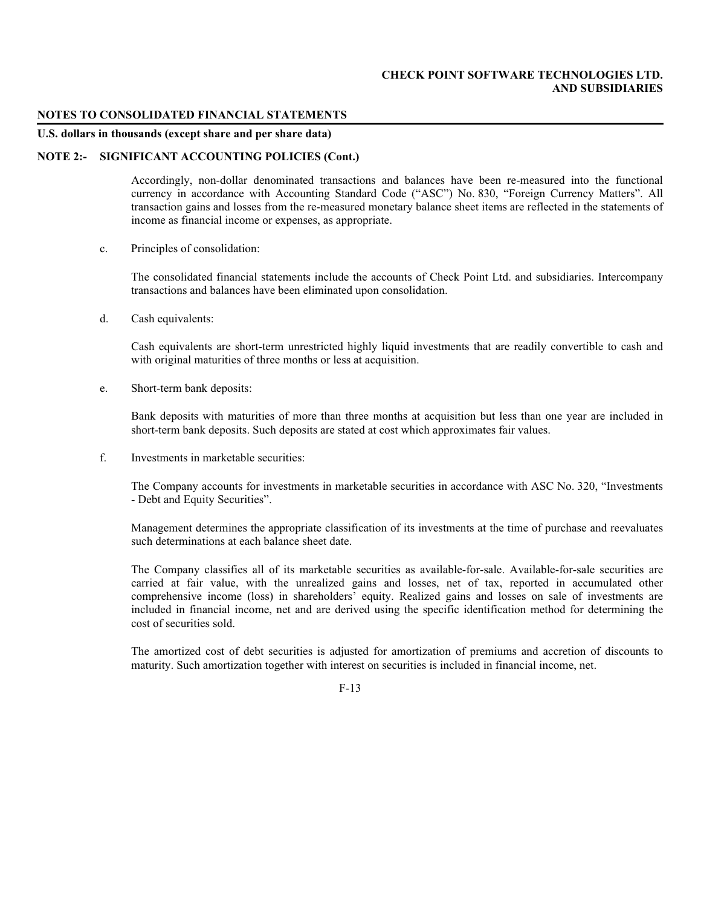### **U.S. dollars in thousands (except share and per share data)**

### **NOTE 2:- SIGNIFICANT ACCOUNTING POLICIES (Cont.)**

Accordingly, non-dollar denominated transactions and balances have been re-measured into the functional currency in accordance with Accounting Standard Code ("ASC") No. 830, "Foreign Currency Matters". All transaction gains and losses from the re-measured monetary balance sheet items are reflected in the statements of income as financial income or expenses, as appropriate.

c. Principles of consolidation:

The consolidated financial statements include the accounts of Check Point Ltd. and subsidiaries. Intercompany transactions and balances have been eliminated upon consolidation.

d. Cash equivalents:

Cash equivalents are short-term unrestricted highly liquid investments that are readily convertible to cash and with original maturities of three months or less at acquisition.

e. Short-term bank deposits:

Bank deposits with maturities of more than three months at acquisition but less than one year are included in short-term bank deposits. Such deposits are stated at cost which approximates fair values.

f. Investments in marketable securities:

The Company accounts for investments in marketable securities in accordance with ASC No. 320, "Investments - Debt and Equity Securities".

Management determines the appropriate classification of its investments at the time of purchase and reevaluates such determinations at each balance sheet date.

The Company classifies all of its marketable securities as available-for-sale. Available-for-sale securities are carried at fair value, with the unrealized gains and losses, net of tax, reported in accumulated other comprehensive income (loss) in shareholders' equity. Realized gains and losses on sale of investments are included in financial income, net and are derived using the specific identification method for determining the cost of securities sold.

The amortized cost of debt securities is adjusted for amortization of premiums and accretion of discounts to maturity. Such amortization together with interest on securities is included in financial income, net.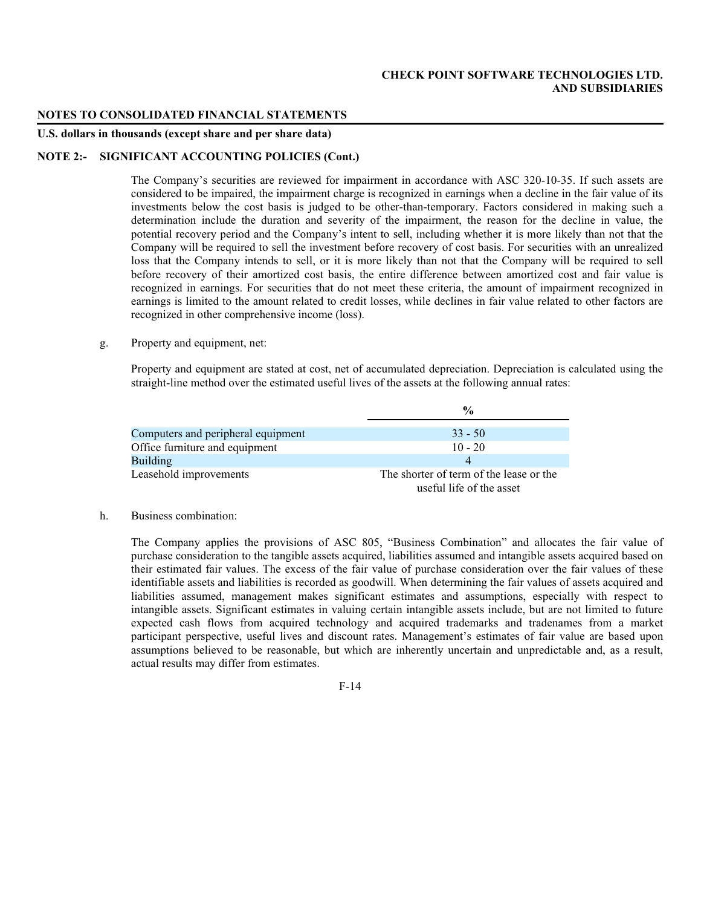#### **U.S. dollars in thousands (except share and per share data)**

### **NOTE 2:- SIGNIFICANT ACCOUNTING POLICIES (Cont.)**

The Company's securities are reviewed for impairment in accordance with ASC 320-10-35. If such assets are considered to be impaired, the impairment charge is recognized in earnings when a decline in the fair value of its investments below the cost basis is judged to be other-than-temporary. Factors considered in making such a determination include the duration and severity of the impairment, the reason for the decline in value, the potential recovery period and the Company's intent to sell, including whether it is more likely than not that the Company will be required to sell the investment before recovery of cost basis. For securities with an unrealized loss that the Company intends to sell, or it is more likely than not that the Company will be required to sell before recovery of their amortized cost basis, the entire difference between amortized cost and fair value is recognized in earnings. For securities that do not meet these criteria, the amount of impairment recognized in earnings is limited to the amount related to credit losses, while declines in fair value related to other factors are recognized in other comprehensive income (loss).

#### g. Property and equipment, net:

Property and equipment are stated at cost, net of accumulated depreciation. Depreciation is calculated using the straight-line method over the estimated useful lives of the assets at the following annual rates:

|                                    | $\frac{0}{0}$                           |
|------------------------------------|-----------------------------------------|
| Computers and peripheral equipment | $33 - 50$                               |
| Office furniture and equipment     | $10 - 20$                               |
| <b>Building</b>                    | 4                                       |
| Leasehold improvements             | The shorter of term of the lease or the |
|                                    | useful life of the asset                |

#### h. Business combination:

The Company applies the provisions of ASC 805, "Business Combination" and allocates the fair value of purchase consideration to the tangible assets acquired, liabilities assumed and intangible assets acquired based on their estimated fair values. The excess of the fair value of purchase consideration over the fair values of these identifiable assets and liabilities is recorded as goodwill. When determining the fair values of assets acquired and liabilities assumed, management makes significant estimates and assumptions, especially with respect to intangible assets. Significant estimates in valuing certain intangible assets include, but are not limited to future expected cash flows from acquired technology and acquired trademarks and tradenames from a market participant perspective, useful lives and discount rates. Management's estimates of fair value are based upon assumptions believed to be reasonable, but which are inherently uncertain and unpredictable and, as a result, actual results may differ from estimates.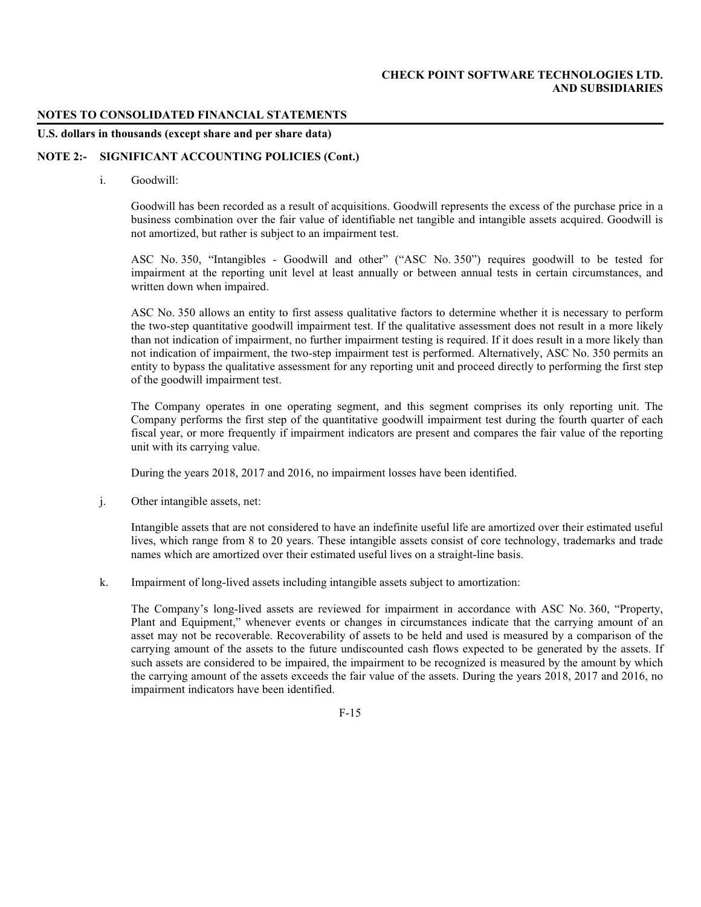### **U.S. dollars in thousands (except share and per share data)**

### **NOTE 2:- SIGNIFICANT ACCOUNTING POLICIES (Cont.)**

i. Goodwill:

Goodwill has been recorded as a result of acquisitions. Goodwill represents the excess of the purchase price in a business combination over the fair value of identifiable net tangible and intangible assets acquired. Goodwill is not amortized, but rather is subject to an impairment test.

ASC No. 350, "Intangibles - Goodwill and other" ("ASC No. 350") requires goodwill to be tested for impairment at the reporting unit level at least annually or between annual tests in certain circumstances, and written down when impaired.

ASC No. 350 allows an entity to first assess qualitative factors to determine whether it is necessary to perform the two-step quantitative goodwill impairment test. If the qualitative assessment does not result in a more likely than not indication of impairment, no further impairment testing is required. If it does result in a more likely than not indication of impairment, the two-step impairment test is performed. Alternatively, ASC No. 350 permits an entity to bypass the qualitative assessment for any reporting unit and proceed directly to performing the first step of the goodwill impairment test.

The Company operates in one operating segment, and this segment comprises its only reporting unit. The Company performs the first step of the quantitative goodwill impairment test during the fourth quarter of each fiscal year, or more frequently if impairment indicators are present and compares the fair value of the reporting unit with its carrying value.

During the years 2018, 2017 and 2016, no impairment losses have been identified.

j. Other intangible assets, net:

Intangible assets that are not considered to have an indefinite useful life are amortized over their estimated useful lives, which range from 8 to 20 years. These intangible assets consist of core technology, trademarks and trade names which are amortized over their estimated useful lives on a straight-line basis.

k. Impairment of long-lived assets including intangible assets subject to amortization:

The Company's long-lived assets are reviewed for impairment in accordance with ASC No. 360, "Property, Plant and Equipment," whenever events or changes in circumstances indicate that the carrying amount of an asset may not be recoverable. Recoverability of assets to be held and used is measured by a comparison of the carrying amount of the assets to the future undiscounted cash flows expected to be generated by the assets. If such assets are considered to be impaired, the impairment to be recognized is measured by the amount by which the carrying amount of the assets exceeds the fair value of the assets. During the years 2018, 2017 and 2016, no impairment indicators have been identified.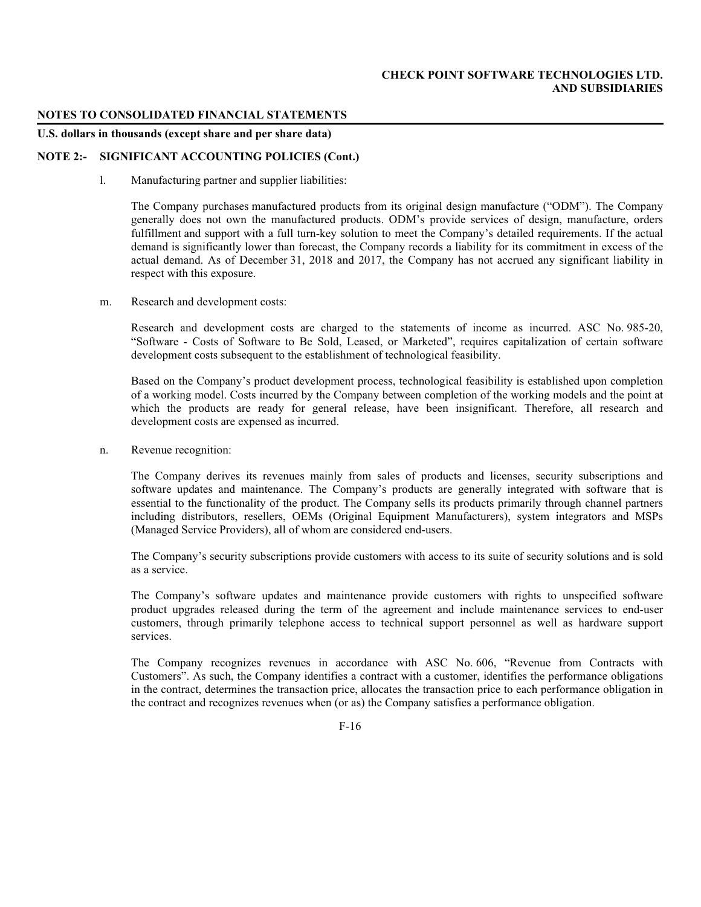### **U.S. dollars in thousands (except share and per share data)**

### **NOTE 2:- SIGNIFICANT ACCOUNTING POLICIES (Cont.)**

l. Manufacturing partner and supplier liabilities:

The Company purchases manufactured products from its original design manufacture ("ODM"). The Company generally does not own the manufactured products. ODM's provide services of design, manufacture, orders fulfillment and support with a full turn-key solution to meet the Company's detailed requirements. If the actual demand is significantly lower than forecast, the Company records a liability for its commitment in excess of the actual demand. As of December 31, 2018 and 2017, the Company has not accrued any significant liability in respect with this exposure.

m. Research and development costs:

Research and development costs are charged to the statements of income as incurred. ASC No. 985-20, "Software - Costs of Software to Be Sold, Leased, or Marketed", requires capitalization of certain software development costs subsequent to the establishment of technological feasibility.

Based on the Company's product development process, technological feasibility is established upon completion of a working model. Costs incurred by the Company between completion of the working models and the point at which the products are ready for general release, have been insignificant. Therefore, all research and development costs are expensed as incurred.

n. Revenue recognition:

The Company derives its revenues mainly from sales of products and licenses, security subscriptions and software updates and maintenance. The Company's products are generally integrated with software that is essential to the functionality of the product. The Company sells its products primarily through channel partners including distributors, resellers, OEMs (Original Equipment Manufacturers), system integrators and MSPs (Managed Service Providers), all of whom are considered end-users.

The Company's security subscriptions provide customers with access to its suite of security solutions and is sold as a service.

The Company's software updates and maintenance provide customers with rights to unspecified software product upgrades released during the term of the agreement and include maintenance services to end-user customers, through primarily telephone access to technical support personnel as well as hardware support services.

The Company recognizes revenues in accordance with ASC No. 606, "Revenue from Contracts with Customers". As such, the Company identifies a contract with a customer, identifies the performance obligations in the contract, determines the transaction price, allocates the transaction price to each performance obligation in the contract and recognizes revenues when (or as) the Company satisfies a performance obligation.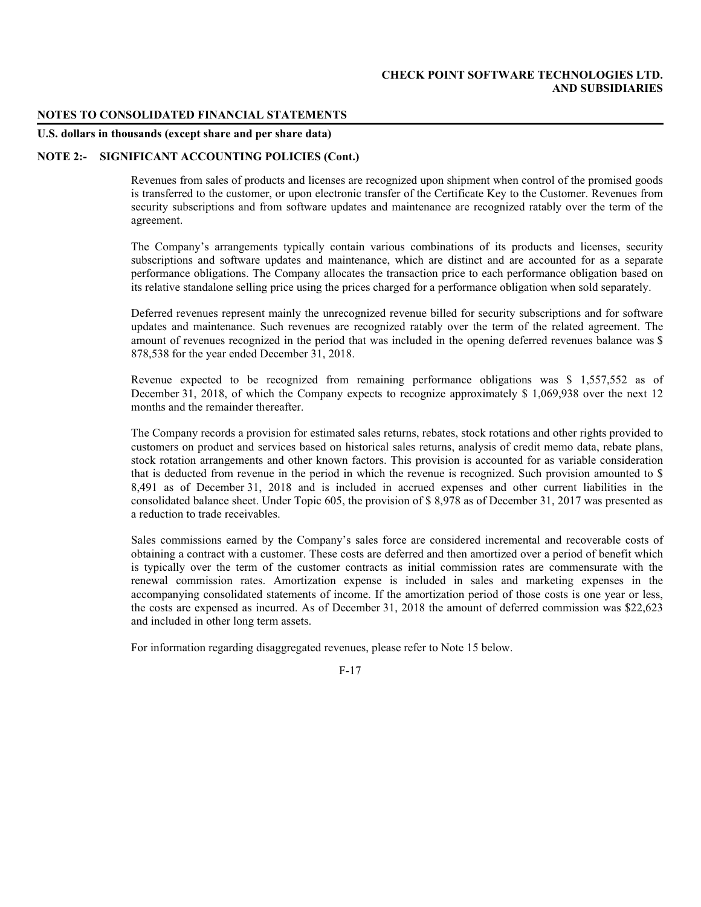### **U.S. dollars in thousands (except share and per share data)**

### **NOTE 2:- SIGNIFICANT ACCOUNTING POLICIES (Cont.)**

Revenues from sales of products and licenses are recognized upon shipment when control of the promised goods is transferred to the customer, or upon electronic transfer of the Certificate Key to the Customer. Revenues from security subscriptions and from software updates and maintenance are recognized ratably over the term of the agreement.

The Company's arrangements typically contain various combinations of its products and licenses, security subscriptions and software updates and maintenance, which are distinct and are accounted for as a separate performance obligations. The Company allocates the transaction price to each performance obligation based on its relative standalone selling price using the prices charged for a performance obligation when sold separately.

Deferred revenues represent mainly the unrecognized revenue billed for security subscriptions and for software updates and maintenance. Such revenues are recognized ratably over the term of the related agreement. The amount of revenues recognized in the period that was included in the opening deferred revenues balance was \$ 878,538 for the year ended December 31, 2018.

Revenue expected to be recognized from remaining performance obligations was \$ 1,557,552 as of December 31, 2018, of which the Company expects to recognize approximately \$ 1,069,938 over the next 12 months and the remainder thereafter.

The Company records a provision for estimated sales returns, rebates, stock rotations and other rights provided to customers on product and services based on historical sales returns, analysis of credit memo data, rebate plans, stock rotation arrangements and other known factors. This provision is accounted for as variable consideration that is deducted from revenue in the period in which the revenue is recognized. Such provision amounted to \$ 8,491 as of December 31, 2018 and is included in accrued expenses and other current liabilities in the consolidated balance sheet. Under Topic 605, the provision of \$ 8,978 as of December 31, 2017 was presented as a reduction to trade receivables.

Sales commissions earned by the Company's sales force are considered incremental and recoverable costs of obtaining a contract with a customer. These costs are deferred and then amortized over a period of benefit which is typically over the term of the customer contracts as initial commission rates are commensurate with the renewal commission rates. Amortization expense is included in sales and marketing expenses in the accompanying consolidated statements of income. If the amortization period of those costs is one year or less, the costs are expensed as incurred. As of December 31, 2018 the amount of deferred commission was \$22,623 and included in other long term assets.

For information regarding disaggregated revenues, please refer to Note 15 below.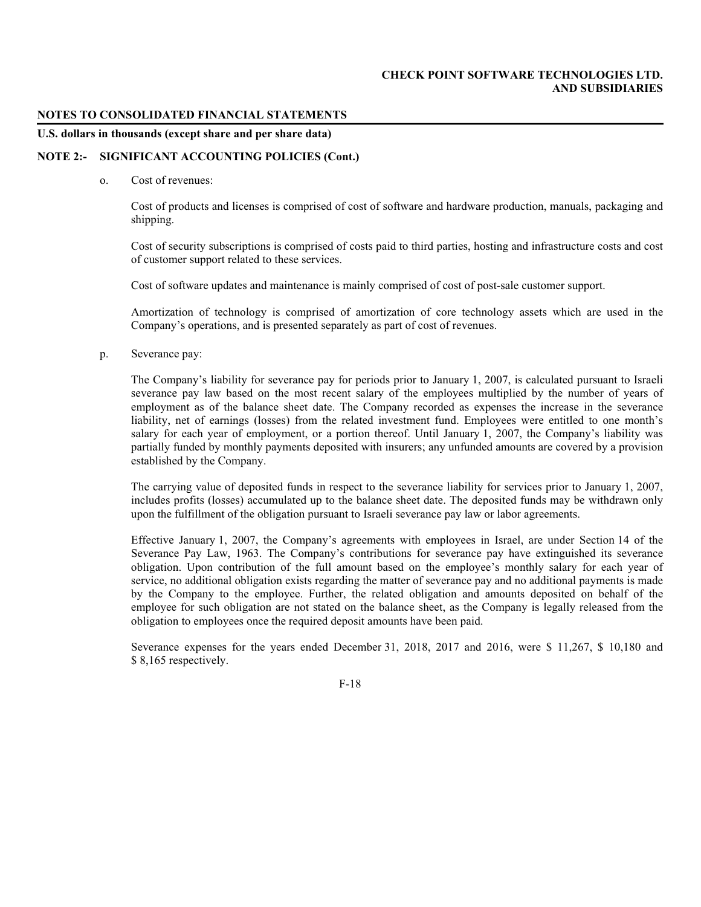### **U.S. dollars in thousands (except share and per share data)**

### **NOTE 2:- SIGNIFICANT ACCOUNTING POLICIES (Cont.)**

o. Cost of revenues:

Cost of products and licenses is comprised of cost of software and hardware production, manuals, packaging and shipping.

Cost of security subscriptions is comprised of costs paid to third parties, hosting and infrastructure costs and cost of customer support related to these services.

Cost of software updates and maintenance is mainly comprised of cost of post-sale customer support.

Amortization of technology is comprised of amortization of core technology assets which are used in the Company's operations, and is presented separately as part of cost of revenues.

p. Severance pay:

The Company's liability for severance pay for periods prior to January 1, 2007, is calculated pursuant to Israeli severance pay law based on the most recent salary of the employees multiplied by the number of years of employment as of the balance sheet date. The Company recorded as expenses the increase in the severance liability, net of earnings (losses) from the related investment fund. Employees were entitled to one month's salary for each year of employment, or a portion thereof. Until January 1, 2007, the Company's liability was partially funded by monthly payments deposited with insurers; any unfunded amounts are covered by a provision established by the Company.

The carrying value of deposited funds in respect to the severance liability for services prior to January 1, 2007, includes profits (losses) accumulated up to the balance sheet date. The deposited funds may be withdrawn only upon the fulfillment of the obligation pursuant to Israeli severance pay law or labor agreements.

Effective January 1, 2007, the Company's agreements with employees in Israel, are under Section 14 of the Severance Pay Law, 1963. The Company's contributions for severance pay have extinguished its severance obligation. Upon contribution of the full amount based on the employee's monthly salary for each year of service, no additional obligation exists regarding the matter of severance pay and no additional payments is made by the Company to the employee. Further, the related obligation and amounts deposited on behalf of the employee for such obligation are not stated on the balance sheet, as the Company is legally released from the obligation to employees once the required deposit amounts have been paid.

Severance expenses for the years ended December 31, 2018, 2017 and 2016, were \$ 11,267, \$ 10,180 and \$ 8,165 respectively.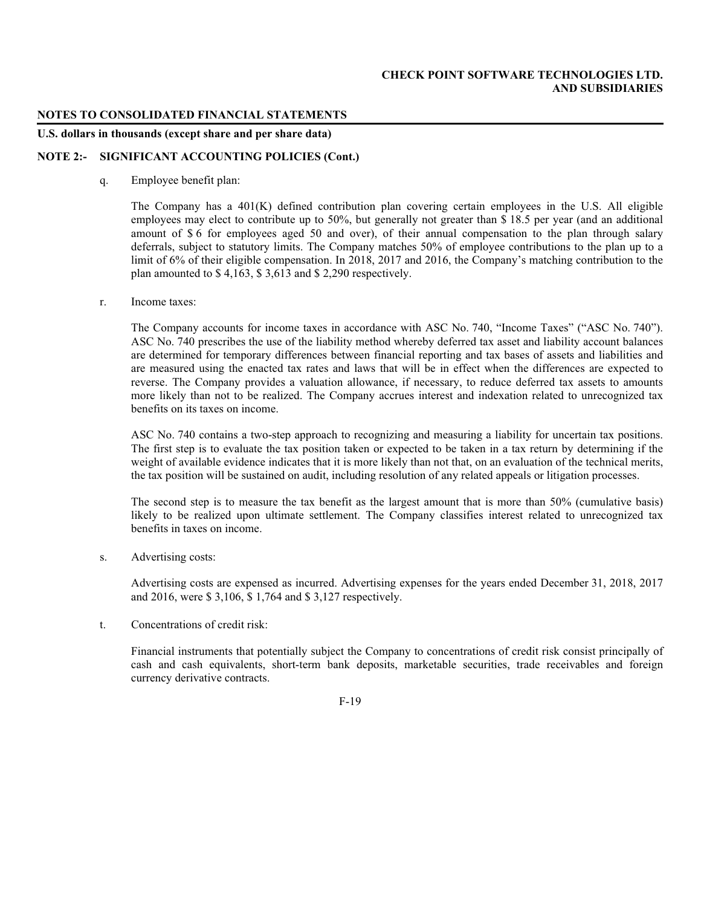### **U.S. dollars in thousands (except share and per share data)**

### **NOTE 2:- SIGNIFICANT ACCOUNTING POLICIES (Cont.)**

q. Employee benefit plan:

The Company has a 401(K) defined contribution plan covering certain employees in the U.S. All eligible employees may elect to contribute up to 50%, but generally not greater than \$ 18.5 per year (and an additional amount of \$ 6 for employees aged 50 and over), of their annual compensation to the plan through salary deferrals, subject to statutory limits. The Company matches 50% of employee contributions to the plan up to a limit of 6% of their eligible compensation. In 2018, 2017 and 2016, the Company's matching contribution to the plan amounted to \$ 4,163, \$ 3,613 and \$ 2,290 respectively.

r. Income taxes:

The Company accounts for income taxes in accordance with ASC No. 740, "Income Taxes" ("ASC No. 740"). ASC No. 740 prescribes the use of the liability method whereby deferred tax asset and liability account balances are determined for temporary differences between financial reporting and tax bases of assets and liabilities and are measured using the enacted tax rates and laws that will be in effect when the differences are expected to reverse. The Company provides a valuation allowance, if necessary, to reduce deferred tax assets to amounts more likely than not to be realized. The Company accrues interest and indexation related to unrecognized tax benefits on its taxes on income.

ASC No. 740 contains a two-step approach to recognizing and measuring a liability for uncertain tax positions. The first step is to evaluate the tax position taken or expected to be taken in a tax return by determining if the weight of available evidence indicates that it is more likely than not that, on an evaluation of the technical merits, the tax position will be sustained on audit, including resolution of any related appeals or litigation processes.

The second step is to measure the tax benefit as the largest amount that is more than 50% (cumulative basis) likely to be realized upon ultimate settlement. The Company classifies interest related to unrecognized tax benefits in taxes on income.

s. Advertising costs:

Advertising costs are expensed as incurred. Advertising expenses for the years ended December 31, 2018, 2017 and 2016, were \$ 3,106, \$ 1,764 and \$ 3,127 respectively.

t. Concentrations of credit risk:

Financial instruments that potentially subject the Company to concentrations of credit risk consist principally of cash and cash equivalents, short-term bank deposits, marketable securities, trade receivables and foreign currency derivative contracts.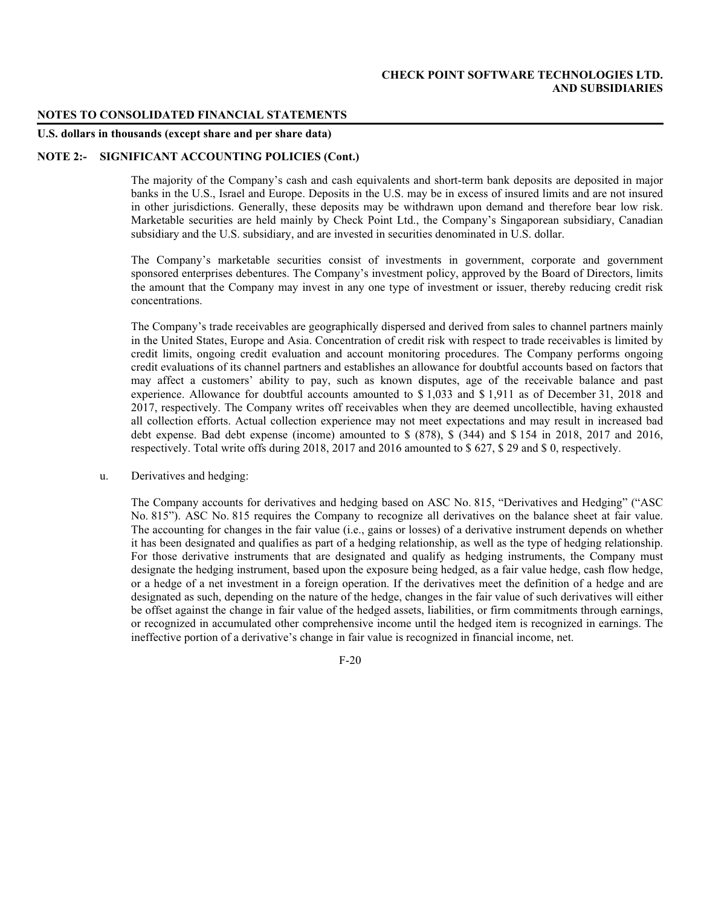### **U.S. dollars in thousands (except share and per share data)**

### **NOTE 2:- SIGNIFICANT ACCOUNTING POLICIES (Cont.)**

The majority of the Company's cash and cash equivalents and short-term bank deposits are deposited in major banks in the U.S., Israel and Europe. Deposits in the U.S. may be in excess of insured limits and are not insured in other jurisdictions. Generally, these deposits may be withdrawn upon demand and therefore bear low risk. Marketable securities are held mainly by Check Point Ltd., the Company's Singaporean subsidiary, Canadian subsidiary and the U.S. subsidiary, and are invested in securities denominated in U.S. dollar.

The Company's marketable securities consist of investments in government, corporate and government sponsored enterprises debentures. The Company's investment policy, approved by the Board of Directors, limits the amount that the Company may invest in any one type of investment or issuer, thereby reducing credit risk concentrations.

The Company's trade receivables are geographically dispersed and derived from sales to channel partners mainly in the United States, Europe and Asia. Concentration of credit risk with respect to trade receivables is limited by credit limits, ongoing credit evaluation and account monitoring procedures. The Company performs ongoing credit evaluations of its channel partners and establishes an allowance for doubtful accounts based on factors that may affect a customers' ability to pay, such as known disputes, age of the receivable balance and past experience. Allowance for doubtful accounts amounted to \$ 1,033 and \$ 1,911 as of December 31, 2018 and 2017, respectively. The Company writes off receivables when they are deemed uncollectible, having exhausted all collection efforts. Actual collection experience may not meet expectations and may result in increased bad debt expense. Bad debt expense (income) amounted to \$ (878), \$ (344) and \$ 154 in 2018, 2017 and 2016, respectively. Total write offs during 2018, 2017 and 2016 amounted to \$ 627, \$ 29 and \$ 0, respectively.

#### u. Derivatives and hedging:

The Company accounts for derivatives and hedging based on ASC No. 815, "Derivatives and Hedging" ("ASC No. 815"). ASC No. 815 requires the Company to recognize all derivatives on the balance sheet at fair value. The accounting for changes in the fair value (i.e., gains or losses) of a derivative instrument depends on whether it has been designated and qualifies as part of a hedging relationship, as well as the type of hedging relationship. For those derivative instruments that are designated and qualify as hedging instruments, the Company must designate the hedging instrument, based upon the exposure being hedged, as a fair value hedge, cash flow hedge, or a hedge of a net investment in a foreign operation. If the derivatives meet the definition of a hedge and are designated as such, depending on the nature of the hedge, changes in the fair value of such derivatives will either be offset against the change in fair value of the hedged assets, liabilities, or firm commitments through earnings, or recognized in accumulated other comprehensive income until the hedged item is recognized in earnings. The ineffective portion of a derivative's change in fair value is recognized in financial income, net.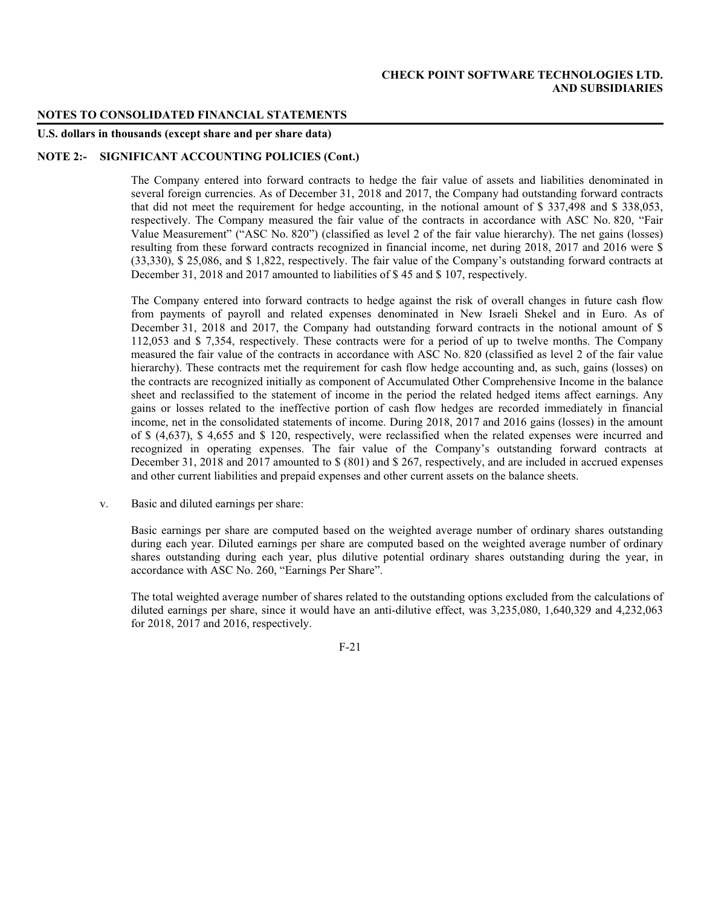### **U.S. dollars in thousands (except share and per share data)**

### **NOTE 2:- SIGNIFICANT ACCOUNTING POLICIES (Cont.)**

The Company entered into forward contracts to hedge the fair value of assets and liabilities denominated in several foreign currencies. As of December 31, 2018 and 2017, the Company had outstanding forward contracts that did not meet the requirement for hedge accounting, in the notional amount of \$ 337,498 and \$ 338,053, respectively. The Company measured the fair value of the contracts in accordance with ASC No. 820, "Fair Value Measurement" ("ASC No. 820") (classified as level 2 of the fair value hierarchy). The net gains (losses) resulting from these forward contracts recognized in financial income, net during 2018, 2017 and 2016 were \$ (33,330), \$ 25,086, and \$ 1,822, respectively. The fair value of the Company's outstanding forward contracts at December 31, 2018 and 2017 amounted to liabilities of \$ 45 and \$ 107, respectively.

The Company entered into forward contracts to hedge against the risk of overall changes in future cash flow from payments of payroll and related expenses denominated in New Israeli Shekel and in Euro. As of December 31, 2018 and 2017, the Company had outstanding forward contracts in the notional amount of \$ 112,053 and \$ 7,354, respectively. These contracts were for a period of up to twelve months. The Company measured the fair value of the contracts in accordance with ASC No. 820 (classified as level 2 of the fair value hierarchy). These contracts met the requirement for cash flow hedge accounting and, as such, gains (losses) on the contracts are recognized initially as component of Accumulated Other Comprehensive Income in the balance sheet and reclassified to the statement of income in the period the related hedged items affect earnings. Any gains or losses related to the ineffective portion of cash flow hedges are recorded immediately in financial income, net in the consolidated statements of income. During 2018, 2017 and 2016 gains (losses) in the amount of \$ (4,637), \$ 4,655 and \$ 120, respectively, were reclassified when the related expenses were incurred and recognized in operating expenses. The fair value of the Company's outstanding forward contracts at December 31, 2018 and 2017 amounted to \$ (801) and \$ 267, respectively, and are included in accrued expenses and other current liabilities and prepaid expenses and other current assets on the balance sheets.

v. Basic and diluted earnings per share:

Basic earnings per share are computed based on the weighted average number of ordinary shares outstanding during each year. Diluted earnings per share are computed based on the weighted average number of ordinary shares outstanding during each year, plus dilutive potential ordinary shares outstanding during the year, in accordance with ASC No. 260, "Earnings Per Share".

The total weighted average number of shares related to the outstanding options excluded from the calculations of diluted earnings per share, since it would have an anti-dilutive effect, was 3,235,080, 1,640,329 and 4,232,063 for 2018, 2017 and 2016, respectively.

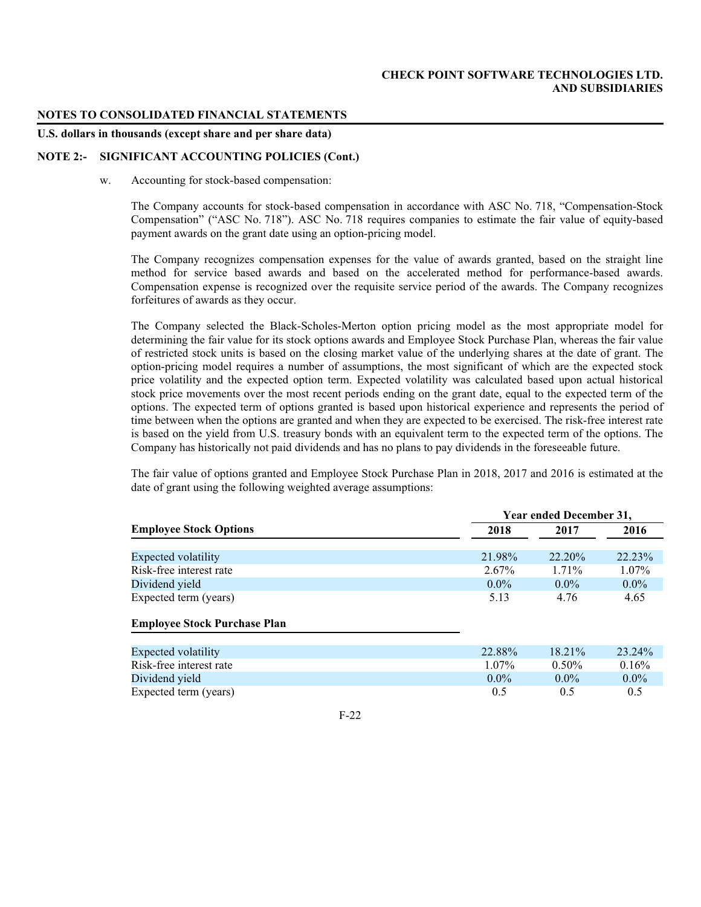### **U.S. dollars in thousands (except share and per share data)**

### **NOTE 2:- SIGNIFICANT ACCOUNTING POLICIES (Cont.)**

#### w. Accounting for stock-based compensation:

The Company accounts for stock-based compensation in accordance with ASC No. 718, "Compensation-Stock Compensation" ("ASC No. 718"). ASC No. 718 requires companies to estimate the fair value of equity-based payment awards on the grant date using an option-pricing model.

The Company recognizes compensation expenses for the value of awards granted, based on the straight line method for service based awards and based on the accelerated method for performance-based awards. Compensation expense is recognized over the requisite service period of the awards. The Company recognizes forfeitures of awards as they occur.

The Company selected the Black-Scholes-Merton option pricing model as the most appropriate model for determining the fair value for its stock options awards and Employee Stock Purchase Plan, whereas the fair value of restricted stock units is based on the closing market value of the underlying shares at the date of grant. The option-pricing model requires a number of assumptions, the most significant of which are the expected stock price volatility and the expected option term. Expected volatility was calculated based upon actual historical stock price movements over the most recent periods ending on the grant date, equal to the expected term of the options. The expected term of options granted is based upon historical experience and represents the period of time between when the options are granted and when they are expected to be exercised. The risk-free interest rate is based on the yield from U.S. treasury bonds with an equivalent term to the expected term of the options. The Company has historically not paid dividends and has no plans to pay dividends in the foreseeable future.

The fair value of options granted and Employee Stock Purchase Plan in 2018, 2017 and 2016 is estimated at the date of grant using the following weighted average assumptions:

|                               |          | Year ended December 31, |          |  |  |  |  |
|-------------------------------|----------|-------------------------|----------|--|--|--|--|
| <b>Employee Stock Options</b> | 2018     | 2017                    |          |  |  |  |  |
|                               |          |                         |          |  |  |  |  |
| <b>Expected volatility</b>    | 21.98%   | 22.20%                  | 22.23%   |  |  |  |  |
| Risk-free interest rate       | $2.67\%$ | $1.71\%$                | $1.07\%$ |  |  |  |  |
| Dividend yield                | $0.0\%$  | $0.0\%$                 | $0.0\%$  |  |  |  |  |
| Expected term (years)         | 5.13     | 4.76                    | 4.65     |  |  |  |  |
|                               |          |                         |          |  |  |  |  |

#### **Employee Stock Purchase Plan**

| Expected volatility     | 22.88%   | $18.21\%$ | 23.24%  |
|-------------------------|----------|-----------|---------|
| Risk-free interest rate | $1.07\%$ | $0.50\%$  | 0.16%   |
| Dividend yield          | $0.0\%$  | $0.0\%$   | $0.0\%$ |
| Expected term (years)   | 0.5      | 05        | 0.5     |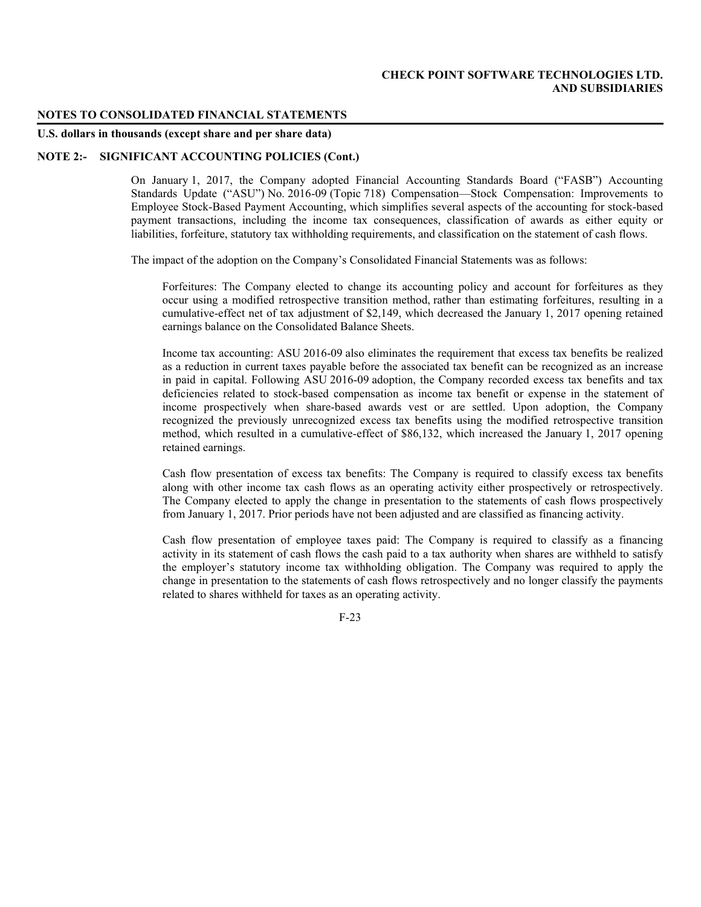#### **U.S. dollars in thousands (except share and per share data)**

### **NOTE 2:- SIGNIFICANT ACCOUNTING POLICIES (Cont.)**

On January 1, 2017, the Company adopted Financial Accounting Standards Board ("FASB") Accounting Standards Update ("ASU") No. 2016-09 (Topic 718) Compensation—Stock Compensation: Improvements to Employee Stock-Based Payment Accounting, which simplifies several aspects of the accounting for stock-based payment transactions, including the income tax consequences, classification of awards as either equity or liabilities, forfeiture, statutory tax withholding requirements, and classification on the statement of cash flows.

The impact of the adoption on the Company's Consolidated Financial Statements was as follows:

Forfeitures: The Company elected to change its accounting policy and account for forfeitures as they occur using a modified retrospective transition method, rather than estimating forfeitures, resulting in a cumulative-effect net of tax adjustment of \$2,149, which decreased the January 1, 2017 opening retained earnings balance on the Consolidated Balance Sheets.

Income tax accounting: ASU 2016-09 also eliminates the requirement that excess tax benefits be realized as a reduction in current taxes payable before the associated tax benefit can be recognized as an increase in paid in capital. Following ASU 2016-09 adoption, the Company recorded excess tax benefits and tax deficiencies related to stock-based compensation as income tax benefit or expense in the statement of income prospectively when share-based awards vest or are settled. Upon adoption, the Company recognized the previously unrecognized excess tax benefits using the modified retrospective transition method, which resulted in a cumulative-effect of \$86,132, which increased the January 1, 2017 opening retained earnings.

Cash flow presentation of excess tax benefits: The Company is required to classify excess tax benefits along with other income tax cash flows as an operating activity either prospectively or retrospectively. The Company elected to apply the change in presentation to the statements of cash flows prospectively from January 1, 2017. Prior periods have not been adjusted and are classified as financing activity.

Cash flow presentation of employee taxes paid: The Company is required to classify as a financing activity in its statement of cash flows the cash paid to a tax authority when shares are withheld to satisfy the employer's statutory income tax withholding obligation. The Company was required to apply the change in presentation to the statements of cash flows retrospectively and no longer classify the payments related to shares withheld for taxes as an operating activity.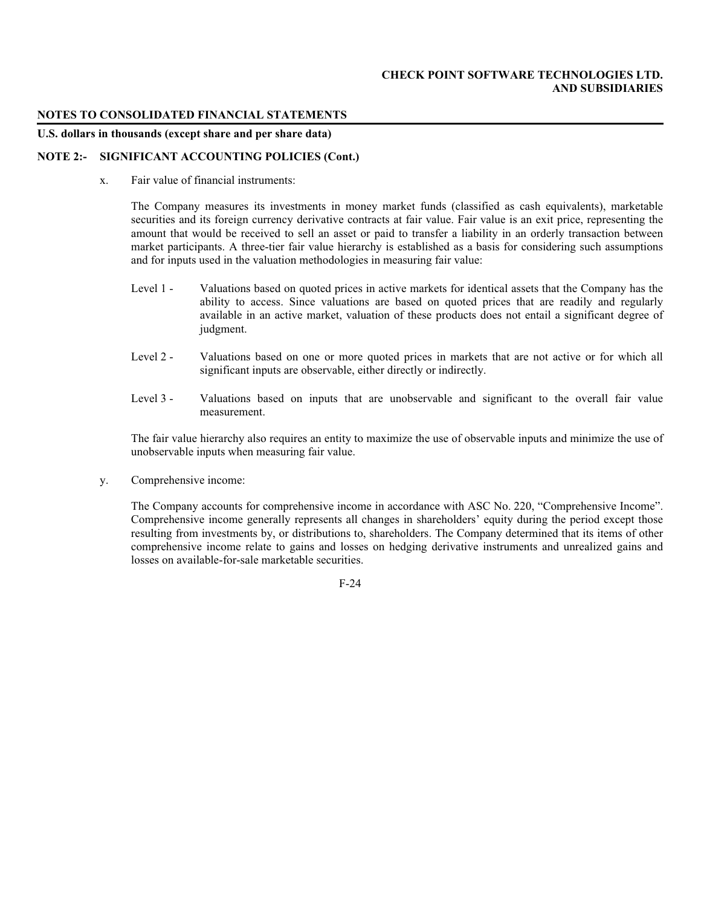### **U.S. dollars in thousands (except share and per share data)**

### **NOTE 2:- SIGNIFICANT ACCOUNTING POLICIES (Cont.)**

x. Fair value of financial instruments:

The Company measures its investments in money market funds (classified as cash equivalents), marketable securities and its foreign currency derivative contracts at fair value. Fair value is an exit price, representing the amount that would be received to sell an asset or paid to transfer a liability in an orderly transaction between market participants. A three-tier fair value hierarchy is established as a basis for considering such assumptions and for inputs used in the valuation methodologies in measuring fair value:

- Level 1 Valuations based on quoted prices in active markets for identical assets that the Company has the ability to access. Since valuations are based on quoted prices that are readily and regularly available in an active market, valuation of these products does not entail a significant degree of judgment.
- Level 2 Valuations based on one or more quoted prices in markets that are not active or for which all significant inputs are observable, either directly or indirectly.
- Level 3 Valuations based on inputs that are unobservable and significant to the overall fair value measurement.

The fair value hierarchy also requires an entity to maximize the use of observable inputs and minimize the use of unobservable inputs when measuring fair value.

y. Comprehensive income:

The Company accounts for comprehensive income in accordance with ASC No. 220, "Comprehensive Income". Comprehensive income generally represents all changes in shareholders' equity during the period except those resulting from investments by, or distributions to, shareholders. The Company determined that its items of other comprehensive income relate to gains and losses on hedging derivative instruments and unrealized gains and losses on available-for-sale marketable securities.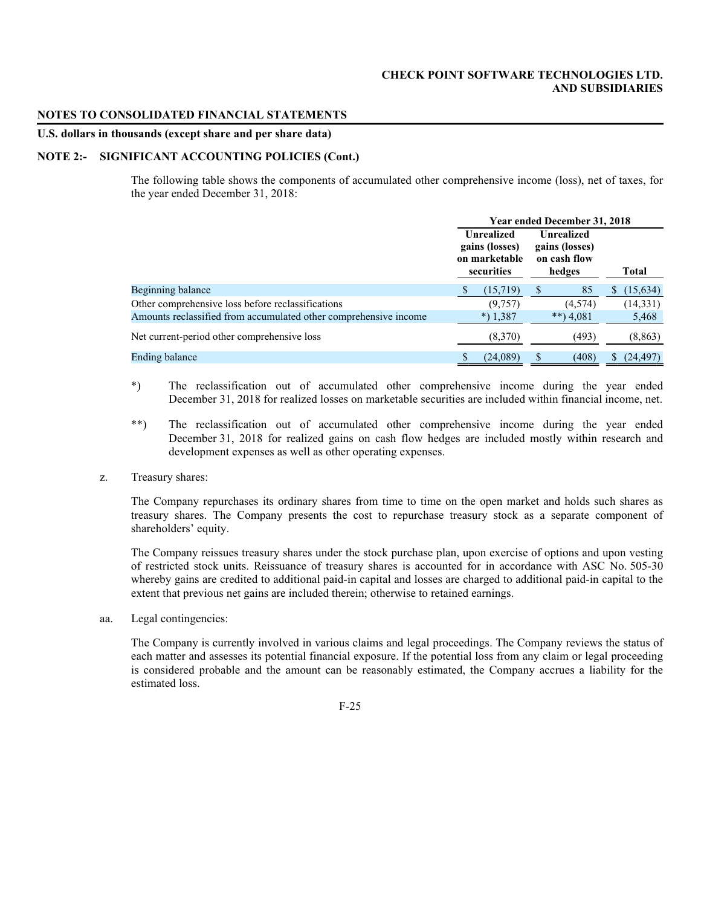### **U.S. dollars in thousands (except share and per share data)**

### **NOTE 2:- SIGNIFICANT ACCOUNTING POLICIES (Cont.)**

The following table shows the components of accumulated other comprehensive income (loss), net of taxes, for the year ended December 31, 2018:

|                                                                  | Year ended December 31, 2018                                       |                                                               |           |  |  |
|------------------------------------------------------------------|--------------------------------------------------------------------|---------------------------------------------------------------|-----------|--|--|
|                                                                  | <b>Unrealized</b><br>gains (losses)<br>on marketable<br>securities | <b>Unrealized</b><br>gains (losses)<br>on cash flow<br>hedges | Total     |  |  |
| Beginning balance                                                | (15,719)                                                           | 85                                                            | (15, 634) |  |  |
| Other comprehensive loss before reclassifications                | (9,757)                                                            | (4, 574)                                                      | (14, 331) |  |  |
| Amounts reclassified from accumulated other comprehensive income | $*$ ) 1,387                                                        | **) $4.081$                                                   | 5,468     |  |  |
| Net current-period other comprehensive loss                      | (8,370)                                                            | (493)                                                         | (8, 863)  |  |  |
| Ending balance                                                   | (24,089)                                                           | (408)<br>S                                                    | (24, 497) |  |  |

- \*) The reclassification out of accumulated other comprehensive income during the year ended December 31, 2018 for realized losses on marketable securities are included within financial income, net.
- \*\*) The reclassification out of accumulated other comprehensive income during the year ended December 31, 2018 for realized gains on cash flow hedges are included mostly within research and development expenses as well as other operating expenses.
- z. Treasury shares:

The Company repurchases its ordinary shares from time to time on the open market and holds such shares as treasury shares. The Company presents the cost to repurchase treasury stock as a separate component of shareholders' equity.

The Company reissues treasury shares under the stock purchase plan, upon exercise of options and upon vesting of restricted stock units. Reissuance of treasury shares is accounted for in accordance with ASC No. 505-30 whereby gains are credited to additional paid-in capital and losses are charged to additional paid-in capital to the extent that previous net gains are included therein; otherwise to retained earnings.

aa. Legal contingencies:

The Company is currently involved in various claims and legal proceedings. The Company reviews the status of each matter and assesses its potential financial exposure. If the potential loss from any claim or legal proceeding is considered probable and the amount can be reasonably estimated, the Company accrues a liability for the estimated loss.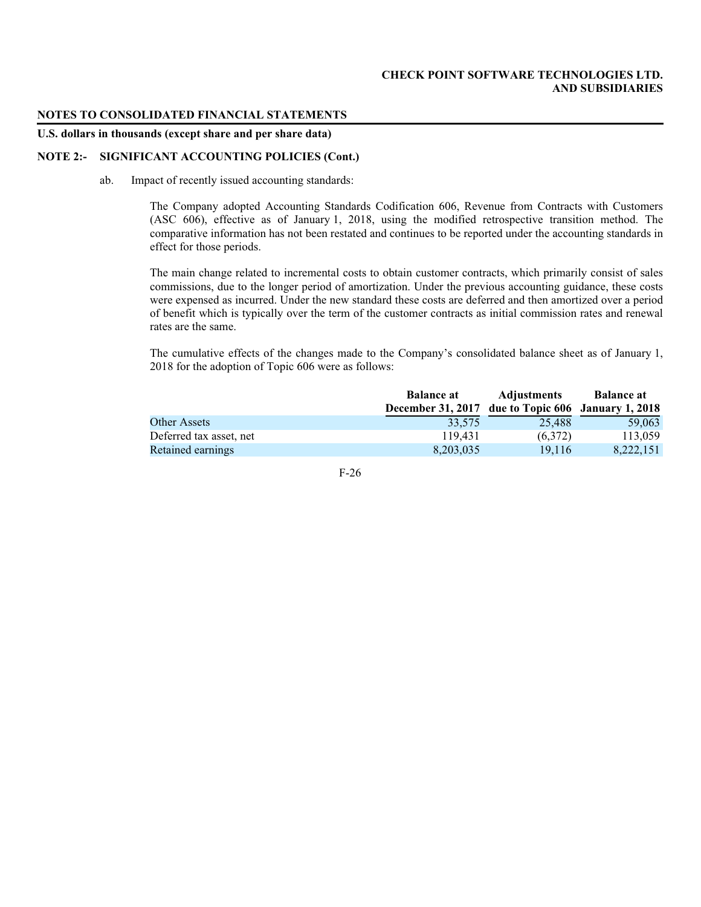### **U.S. dollars in thousands (except share and per share data)**

### **NOTE 2:- SIGNIFICANT ACCOUNTING POLICIES (Cont.)**

### ab. Impact of recently issued accounting standards:

The Company adopted Accounting Standards Codification 606, Revenue from Contracts with Customers (ASC 606), effective as of January 1, 2018, using the modified retrospective transition method. The comparative information has not been restated and continues to be reported under the accounting standards in effect for those periods.

The main change related to incremental costs to obtain customer contracts, which primarily consist of sales commissions, due to the longer period of amortization. Under the previous accounting guidance, these costs were expensed as incurred. Under the new standard these costs are deferred and then amortized over a period of benefit which is typically over the term of the customer contracts as initial commission rates and renewal rates are the same.

The cumulative effects of the changes made to the Company's consolidated balance sheet as of January 1, 2018 for the adoption of Topic 606 were as follows:

|                         | <b>Balance at</b>                                  | Adjustments | <b>Balance at</b> |
|-------------------------|----------------------------------------------------|-------------|-------------------|
|                         | December 31, 2017 due to Topic 606 January 1, 2018 |             |                   |
| <b>Other Assets</b>     | 33.575                                             | 25.488      | 59,063            |
| Deferred tax asset, net | 119.431                                            | (6.372)     | 113,059           |
| Retained earnings       | 8.203.035                                          | 19.116      | 8.222.151         |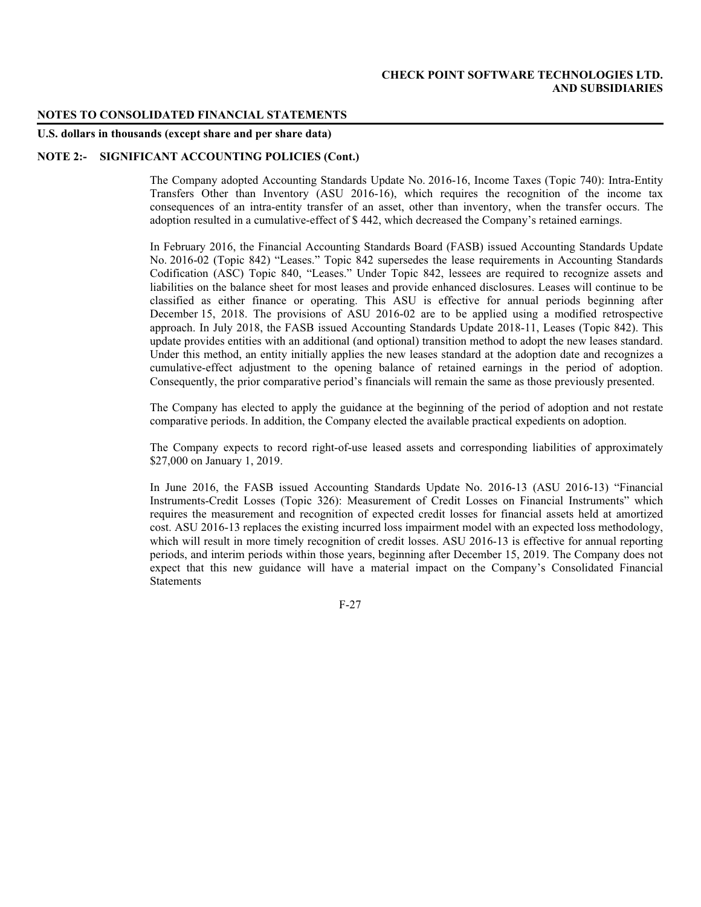### **U.S. dollars in thousands (except share and per share data)**

### **NOTE 2:- SIGNIFICANT ACCOUNTING POLICIES (Cont.)**

The Company adopted Accounting Standards Update No. 2016-16, Income Taxes (Topic 740): Intra-Entity Transfers Other than Inventory (ASU 2016-16), which requires the recognition of the income tax consequences of an intra-entity transfer of an asset, other than inventory, when the transfer occurs. The adoption resulted in a cumulative-effect of \$ 442, which decreased the Company's retained earnings.

In February 2016, the Financial Accounting Standards Board (FASB) issued Accounting Standards Update No. 2016-02 (Topic 842) "Leases." Topic 842 supersedes the lease requirements in Accounting Standards Codification (ASC) Topic 840, "Leases." Under Topic 842, lessees are required to recognize assets and liabilities on the balance sheet for most leases and provide enhanced disclosures. Leases will continue to be classified as either finance or operating. This ASU is effective for annual periods beginning after December 15, 2018. The provisions of ASU 2016-02 are to be applied using a modified retrospective approach. In July 2018, the FASB issued Accounting Standards Update 2018-11, Leases (Topic 842). This update provides entities with an additional (and optional) transition method to adopt the new leases standard. Under this method, an entity initially applies the new leases standard at the adoption date and recognizes a cumulative-effect adjustment to the opening balance of retained earnings in the period of adoption. Consequently, the prior comparative period's financials will remain the same as those previously presented.

The Company has elected to apply the guidance at the beginning of the period of adoption and not restate comparative periods. In addition, the Company elected the available practical expedients on adoption.

The Company expects to record right-of-use leased assets and corresponding liabilities of approximately \$27,000 on January 1, 2019.

In June 2016, the FASB issued Accounting Standards Update No. 2016-13 (ASU 2016-13) "Financial Instruments-Credit Losses (Topic 326): Measurement of Credit Losses on Financial Instruments" which requires the measurement and recognition of expected credit losses for financial assets held at amortized cost. ASU 2016-13 replaces the existing incurred loss impairment model with an expected loss methodology, which will result in more timely recognition of credit losses. ASU 2016-13 is effective for annual reporting periods, and interim periods within those years, beginning after December 15, 2019. The Company does not expect that this new guidance will have a material impact on the Company's Consolidated Financial **Statements**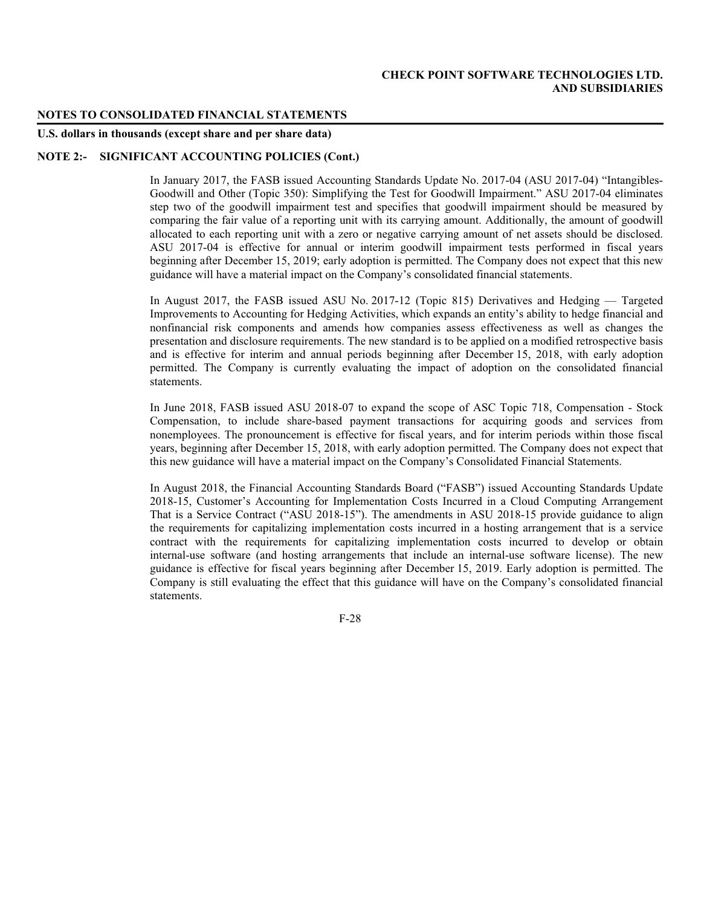### **U.S. dollars in thousands (except share and per share data)**

### **NOTE 2:- SIGNIFICANT ACCOUNTING POLICIES (Cont.)**

In January 2017, the FASB issued Accounting Standards Update No. 2017-04 (ASU 2017-04) "Intangibles-Goodwill and Other (Topic 350): Simplifying the Test for Goodwill Impairment." ASU 2017-04 eliminates step two of the goodwill impairment test and specifies that goodwill impairment should be measured by comparing the fair value of a reporting unit with its carrying amount. Additionally, the amount of goodwill allocated to each reporting unit with a zero or negative carrying amount of net assets should be disclosed. ASU 2017-04 is effective for annual or interim goodwill impairment tests performed in fiscal years beginning after December 15, 2019; early adoption is permitted. The Company does not expect that this new guidance will have a material impact on the Company's consolidated financial statements.

In August 2017, the FASB issued ASU No. 2017-12 (Topic 815) Derivatives and Hedging — Targeted Improvements to Accounting for Hedging Activities, which expands an entity's ability to hedge financial and nonfinancial risk components and amends how companies assess effectiveness as well as changes the presentation and disclosure requirements. The new standard is to be applied on a modified retrospective basis and is effective for interim and annual periods beginning after December 15, 2018, with early adoption permitted. The Company is currently evaluating the impact of adoption on the consolidated financial statements.

In June 2018, FASB issued ASU 2018-07 to expand the scope of ASC Topic 718, Compensation - Stock Compensation, to include share-based payment transactions for acquiring goods and services from nonemployees. The pronouncement is effective for fiscal years, and for interim periods within those fiscal years, beginning after December 15, 2018, with early adoption permitted. The Company does not expect that this new guidance will have a material impact on the Company's Consolidated Financial Statements.

In August 2018, the Financial Accounting Standards Board ("FASB") issued Accounting Standards Update 2018-15, Customer's Accounting for Implementation Costs Incurred in a Cloud Computing Arrangement That is a Service Contract ("ASU 2018-15"). The amendments in ASU 2018-15 provide guidance to align the requirements for capitalizing implementation costs incurred in a hosting arrangement that is a service contract with the requirements for capitalizing implementation costs incurred to develop or obtain internal-use software (and hosting arrangements that include an internal-use software license). The new guidance is effective for fiscal years beginning after December 15, 2019. Early adoption is permitted. The Company is still evaluating the effect that this guidance will have on the Company's consolidated financial statements.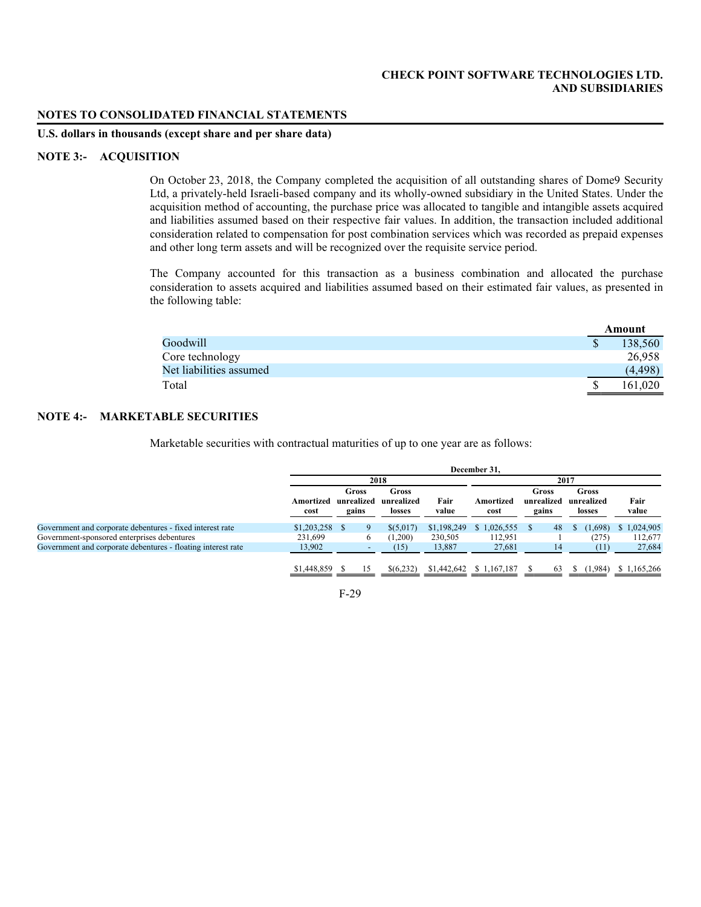#### **U.S. dollars in thousands (except share and per share data)**

### **NOTE 3:- ACQUISITION**

On October 23, 2018, the Company completed the acquisition of all outstanding shares of Dome9 Security Ltd, a privately-held Israeli-based company and its wholly-owned subsidiary in the United States. Under the acquisition method of accounting, the purchase price was allocated to tangible and intangible assets acquired and liabilities assumed based on their respective fair values. In addition, the transaction included additional consideration related to compensation for post combination services which was recorded as prepaid expenses and other long term assets and will be recognized over the requisite service period.

The Company accounted for this transaction as a business combination and allocated the purchase consideration to assets acquired and liabilities assumed based on their estimated fair values, as presented in the following table:

|                         | Amount   |
|-------------------------|----------|
| Goodwill                | 138,560  |
| Core technology         | 26,958   |
| Net liabilities assumed | (4, 498) |
| Total                   | 161.020  |

### **NOTE 4:- MARKETABLE SECURITIES**

Marketable securities with contractual maturities of up to one year are as follows:

|                                                              | December 31,      |  |                              |                               |               |                           |                              |                               |               |
|--------------------------------------------------------------|-------------------|--|------------------------------|-------------------------------|---------------|---------------------------|------------------------------|-------------------------------|---------------|
|                                                              |                   |  |                              | 2018                          |               |                           |                              | 2017                          |               |
|                                                              | Amortized<br>cost |  | Gross<br>unrealized<br>gains | Gross<br>unrealized<br>losses | Fair<br>value | Amortized<br>cost         | Gross<br>unrealized<br>gains | Gross<br>unrealized<br>losses | Fair<br>value |
| Government and corporate debentures - fixed interest rate    |                   |  |                              | \$(5,017)                     | \$1,198,249   | \$1,026,555               | 48                           | (1,698)                       | \$1,024,905   |
| Government-sponsored enterprises debentures                  | 231,699           |  | 6                            | (1,200)                       | 230,505       | 112,951                   |                              | (275)                         | 112,677       |
| Government and corporate debentures - floating interest rate | 13,902            |  |                              | (15)                          | 13,887        | 27,681                    | $\overline{14}$              | (11)                          | 27,684        |
|                                                              | \$1,448,859       |  | 15                           | \$(6,232)                     |               | $$1,442,642$ $$1,167,187$ | 63                           | (1.984)                       | \$1,165,266   |

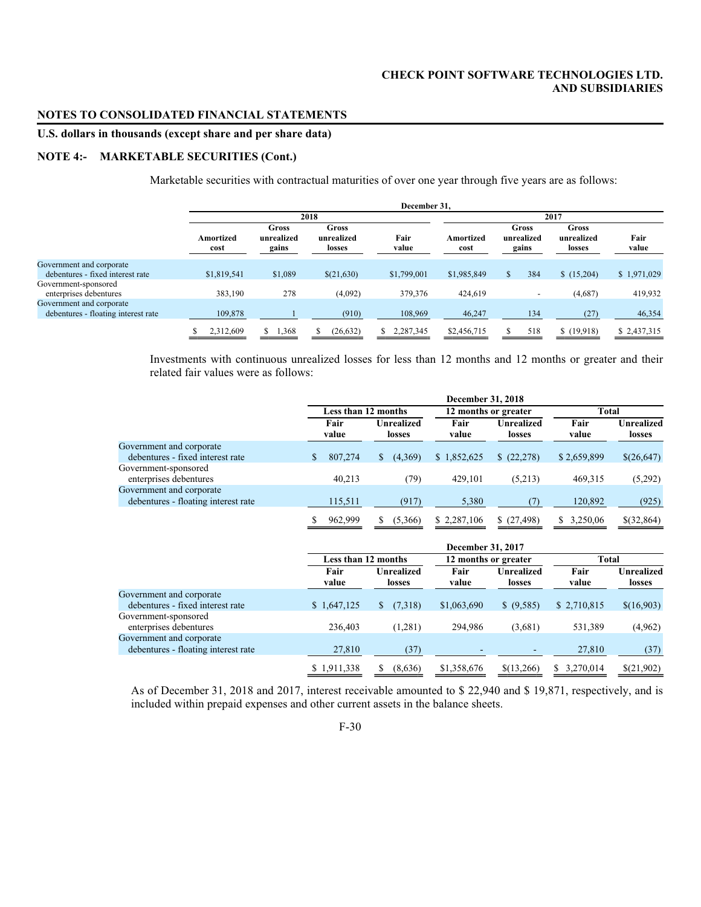## **U.S. dollars in thousands (except share and per share data)**

### **NOTE 4:- MARKETABLE SECURITIES (Cont.)**

Marketable securities with contractual maturities of over one year through five years are as follows:

|                                                | December 31.      |                              |                                      |               |                   |                                     |                                      |               |
|------------------------------------------------|-------------------|------------------------------|--------------------------------------|---------------|-------------------|-------------------------------------|--------------------------------------|---------------|
|                                                |                   |                              | 2018                                 |               |                   |                                     | 2017                                 |               |
|                                                | Amortized<br>cost | Gross<br>unrealized<br>gains | <b>Gross</b><br>unrealized<br>losses | Fair<br>value | Amortized<br>cost | <b>Gross</b><br>unrealized<br>gains | <b>Gross</b><br>unrealized<br>losses | Fair<br>value |
| Government and corporate                       |                   |                              |                                      |               |                   |                                     |                                      |               |
| debentures - fixed interest rate               | \$1,819,541       | \$1,089                      | \$(21,630)                           | \$1,799,001   | \$1,985,849       | 384                                 | \$(15,204)                           | \$1,971,029   |
| Government-sponsored<br>enterprises debentures | 383,190           | 278                          | (4,092)                              | 379,376       | 424,619           |                                     | (4,687)                              | 419,932       |
| Government and corporate                       |                   |                              |                                      |               |                   |                                     |                                      |               |
| debentures - floating interest rate            | 109,878           |                              | (910)                                | 108,969       | 46,247            | 134                                 | (27)                                 | 46,354        |
|                                                | 2,312,609         | 1,368                        | (26, 632)                            | 2,287,345     | \$2,456,715       | 518                                 | \$(19,918)                           | \$2,437,315   |

Investments with continuous unrealized losses for less than 12 months and 12 months or greater and their related fair values were as follows:

|                                     |    |                     |    |                             | December 31, 2018 |                             |               |                             |  |
|-------------------------------------|----|---------------------|----|-----------------------------|-------------------|-----------------------------|---------------|-----------------------------|--|
|                                     |    | Less than 12 months |    |                             |                   | 12 months or greater        | <b>Total</b>  |                             |  |
|                                     |    | Fair<br>value       |    | <b>Unrealized</b><br>losses | Fair<br>value     | <b>Unrealized</b><br>losses | Fair<br>value | <b>Unrealized</b><br>losses |  |
| Government and corporate            |    |                     |    |                             |                   |                             |               |                             |  |
| debentures - fixed interest rate    | \$ | 807,274             | \$ | (4,369)                     | \$1,852,625       | (22,278)                    | \$2,659,899   | \$(26,647)                  |  |
| Government-sponsored                |    |                     |    |                             |                   |                             |               |                             |  |
| enterprises debentures              |    | 40,213              |    | (79)                        | 429,101           | (5,213)                     | 469,315       | (5,292)                     |  |
| Government and corporate            |    |                     |    |                             |                   |                             |               |                             |  |
| debentures - floating interest rate |    | 115,511             |    | (917)                       | 5,380             | (7)                         | 120,892       | (925)                       |  |
|                                     | S  | 962,999             | S  | (5,366)                     | \$2,287,106       | (27, 498)                   | 3,250,06<br>S | \$(32,864)                  |  |
|                                     |    |                     |    |                             | December 31, 2017 |                             |               |                             |  |
|                                     |    | Less than 12 months |    |                             |                   | 12 months or greater        | <b>Total</b>  |                             |  |
|                                     |    | Fair<br>value       |    | <b>Unrealized</b><br>losses | Fair<br>value     | <b>Unrealized</b><br>losses | Fair<br>value | <b>Unrealized</b><br>losses |  |
| Government and corporate            |    |                     |    |                             |                   |                             |               |                             |  |
| debentures - fixed interest rate    |    | \$1,647,125         | \$ | (7,318)                     | \$1,063,690       | \$ (9,585)                  | \$2,710,815   | \$(16,903)                  |  |
| Government-sponsored                |    |                     |    |                             |                   |                             |               |                             |  |
| enterprises debentures              |    | 236,403             |    | (1,281)                     | 294,986           | (3,681)                     | 531,389       | (4,962)                     |  |
| Government and corporate            |    |                     |    |                             |                   |                             |               |                             |  |
| debentures - floating interest rate |    | 27,810              |    | (37)                        |                   |                             | 27,810        | (37)                        |  |
|                                     |    | \$1,911,338         | \$ | (8,636)                     | \$1,358,676       | \$(13,266)                  | \$3,270,014   | \$(21,902)                  |  |

As of December 31, 2018 and 2017, interest receivable amounted to \$ 22,940 and \$ 19,871, respectively, and is included within prepaid expenses and other current assets in the balance sheets.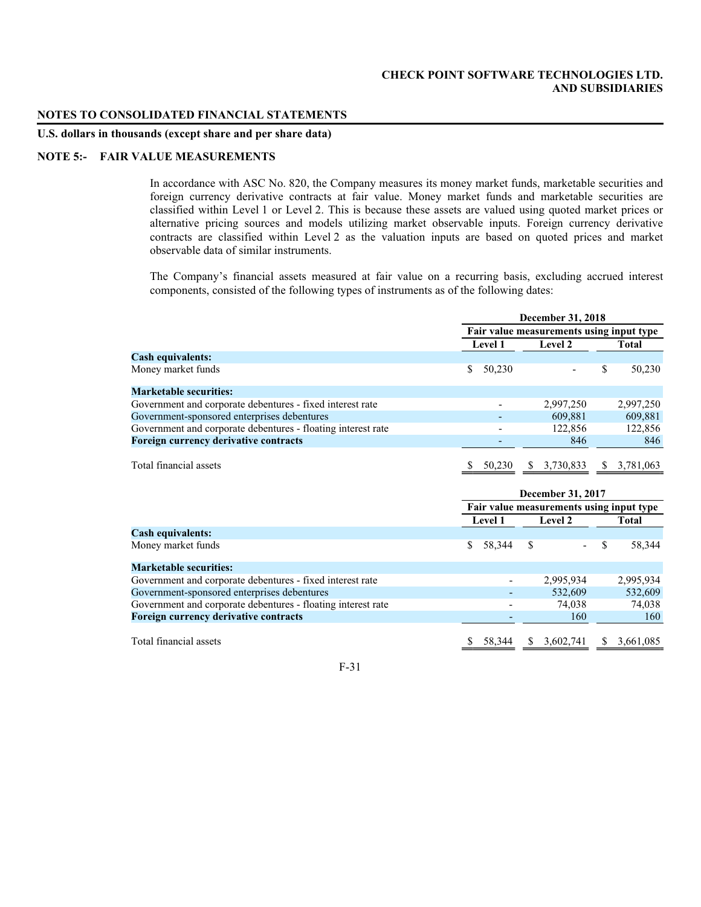### **U.S. dollars in thousands (except share and per share data)**

### **NOTE 5:- FAIR VALUE MEASUREMENTS**

In accordance with ASC No. 820, the Company measures its money market funds, marketable securities and foreign currency derivative contracts at fair value. Money market funds and marketable securities are classified within Level 1 or Level 2. This is because these assets are valued using quoted market prices or alternative pricing sources and models utilizing market observable inputs. Foreign currency derivative contracts are classified within Level 2 as the valuation inputs are based on quoted prices and market observable data of similar instruments.

The Company's financial assets measured at fair value on a recurring basis, excluding accrued interest components, consisted of the following types of instruments as of the following dates:

|                                                              | December 31, 2018                        |                                          |                |  |  |  |
|--------------------------------------------------------------|------------------------------------------|------------------------------------------|----------------|--|--|--|
|                                                              | Fair value measurements using input type |                                          |                |  |  |  |
|                                                              | <b>Level 1</b>                           | <b>Level 2</b>                           | Total          |  |  |  |
| <b>Cash equivalents:</b>                                     |                                          |                                          |                |  |  |  |
| Money market funds                                           | S<br>50,230                              |                                          | \$<br>50,230   |  |  |  |
| <b>Marketable securities:</b>                                |                                          |                                          |                |  |  |  |
| Government and corporate debentures - fixed interest rate    |                                          | 2,997,250                                | 2,997,250      |  |  |  |
| Government-sponsored enterprises debentures                  |                                          | 609,881                                  | 609,881        |  |  |  |
| Government and corporate debentures - floating interest rate |                                          | 122,856                                  | 122,856        |  |  |  |
| Foreign currency derivative contracts                        |                                          | 846                                      | 846            |  |  |  |
| Total financial assets                                       | 50,230                                   | 3,730,833<br>S.                          | 3,781,063<br>S |  |  |  |
|                                                              |                                          | December 31, 2017                        |                |  |  |  |
|                                                              |                                          | Fair value measurements using input type |                |  |  |  |

|                                                              | Fair value measurements using input type |        |                |           |    |           |
|--------------------------------------------------------------|------------------------------------------|--------|----------------|-----------|----|-----------|
|                                                              | <b>Level 1</b>                           |        | <b>Level 2</b> |           |    | Total     |
| <b>Cash equivalents:</b>                                     |                                          |        |                |           |    |           |
| Money market funds                                           | S.                                       | 58,344 | - \$           | $\sim$    | \$ | 58,344    |
| <b>Marketable securities:</b>                                |                                          |        |                |           |    |           |
| Government and corporate debentures - fixed interest rate    |                                          | -      |                | 2,995,934 |    | 2,995,934 |
| Government-sponsored enterprises debentures                  |                                          |        |                | 532,609   |    | 532,609   |
| Government and corporate debentures - floating interest rate |                                          |        |                | 74,038    |    | 74,038    |
| Foreign currency derivative contracts                        |                                          |        |                | 160       |    | 160       |
| Total financial assets                                       |                                          | 58,344 | S.             | 3,602,741 | S  | 3,661,085 |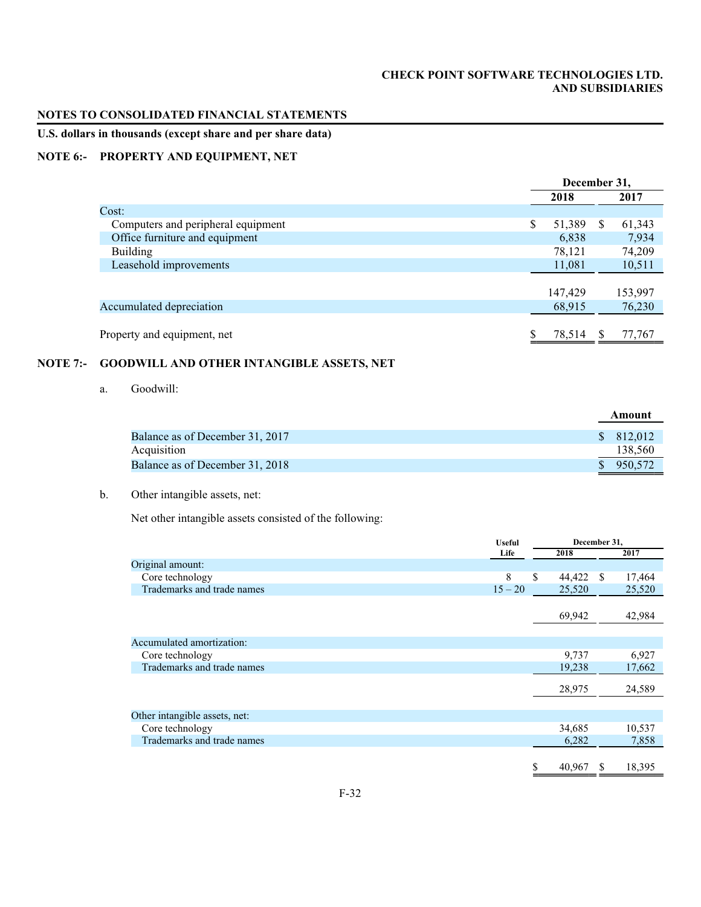### **NOTES TO CONSOLIDATED FINANCIAL STATEMENTS**

## **U.S. dollars in thousands (except share and per share data)**

## **NOTE 6:- PROPERTY AND EQUIPMENT, NET**

|                                    |              | December 31,<br><sup>S</sup><br>6,838 |         |  |
|------------------------------------|--------------|---------------------------------------|---------|--|
|                                    | 2018         |                                       | 2017    |  |
| Cost:                              |              |                                       |         |  |
| Computers and peripheral equipment | \$<br>51,389 |                                       | 61,343  |  |
| Office furniture and equipment     |              |                                       | 7,934   |  |
| <b>Building</b>                    | 78,121       |                                       | 74,209  |  |
| Leasehold improvements             | 11,081       |                                       | 10,511  |  |
|                                    |              |                                       |         |  |
|                                    | 147,429      |                                       | 153,997 |  |
| Accumulated depreciation           | 68,915       |                                       | 76,230  |  |
|                                    |              |                                       |         |  |
| Property and equipment, net        | 78,514       |                                       | 77,767  |  |

### **NOTE 7:- GOODWILL AND OTHER INTANGIBLE ASSETS, NET**

a. Goodwill:

|                                 | Amount        |
|---------------------------------|---------------|
|                                 |               |
| Balance as of December 31, 2017 | \$812.012     |
| Acquisition                     | 138,560       |
| Balance as of December 31, 2018 | 950,572<br>S. |

## b. Other intangible assets, net:

Net other intangible assets consisted of the following:

|                               | <b>Useful</b> |              | December 31,   |
|-------------------------------|---------------|--------------|----------------|
|                               | Life          | 2018         | 2017           |
| Original amount:              |               |              |                |
| Core technology               | 8             | \$<br>44,422 | 17,464<br>- \$ |
| Trademarks and trade names    | $15 - 20$     | 25,520       | 25,520         |
|                               |               |              |                |
|                               |               | 69,942       | 42,984         |
|                               |               |              |                |
| Accumulated amortization:     |               |              |                |
| Core technology               |               | 9,737        | 6,927          |
| Trademarks and trade names    |               | 19,238       | 17,662         |
|                               |               |              |                |
|                               |               | 28,975       | 24,589         |
|                               |               |              |                |
| Other intangible assets, net: |               |              |                |
| Core technology               |               | 34,685       | 10,537         |
| Trademarks and trade names    |               | 6,282        | 7,858          |
|                               |               |              |                |
|                               |               | \$<br>40,967 | 18,395<br>S    |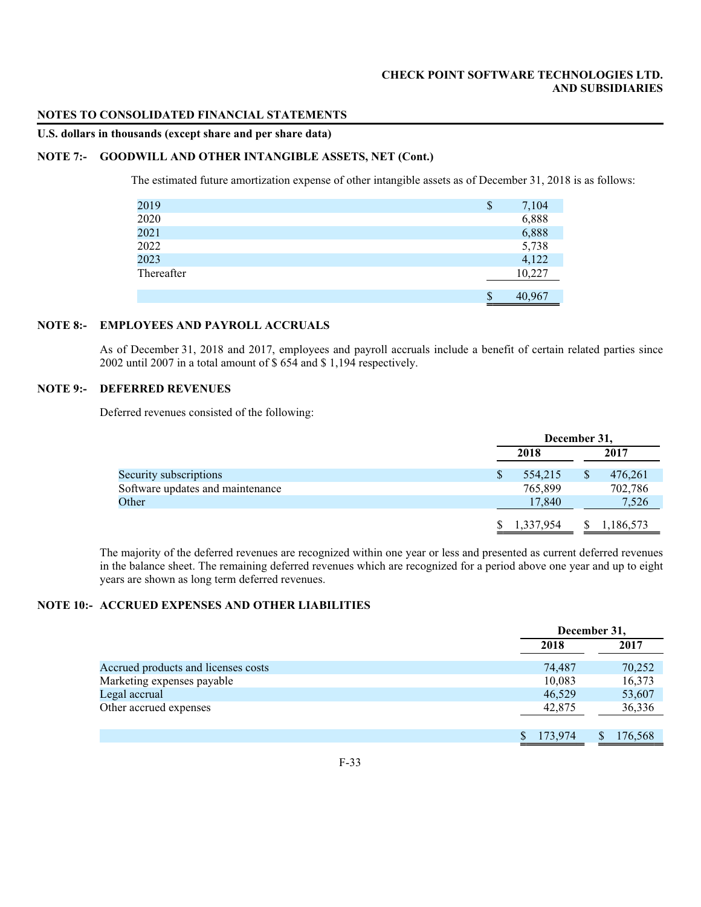### **U.S. dollars in thousands (except share and per share data)**

### **NOTE 7:- GOODWILL AND OTHER INTANGIBLE ASSETS, NET (Cont.)**

The estimated future amortization expense of other intangible assets as of December 31, 2018 is as follows:

| 2019       | \$<br>7,104    |
|------------|----------------|
| 2020       | 6,888          |
| 2021       | 6,888<br>5,738 |
| 2022       |                |
| 2023       | 4,122          |
| Thereafter | 10,227         |
|            |                |
|            | \$<br>40.967   |

## **NOTE 8:- EMPLOYEES AND PAYROLL ACCRUALS**

As of December 31, 2018 and 2017, employees and payroll accruals include a benefit of certain related parties since 2002 until 2007 in a total amount of \$ 654 and \$ 1,194 respectively.

#### **NOTE 9:- DEFERRED REVENUES**

Deferred revenues consisted of the following:

|                                  | December 31,  |    |           |  |
|----------------------------------|---------------|----|-----------|--|
|                                  | 2018          |    | 2017      |  |
| Security subscriptions           | \$<br>554,215 | \$ | 476,261   |  |
| Software updates and maintenance | 765,899       |    | 702,786   |  |
| Other                            | 17,840        |    | 7,526     |  |
|                                  | 1,337,954     | \$ | 1,186,573 |  |

The majority of the deferred revenues are recognized within one year or less and presented as current deferred revenues in the balance sheet. The remaining deferred revenues which are recognized for a period above one year and up to eight years are shown as long term deferred revenues.

# **NOTE 10:- ACCRUED EXPENSES AND OTHER LIABILITIES**

|                                     | December 31, |              |
|-------------------------------------|--------------|--------------|
|                                     | 2018         | 2017         |
| Accrued products and licenses costs | 74,487       | 70,252       |
| Marketing expenses payable          | 10,083       | 16,373       |
| Legal accrual                       | 46,529       | 53,607       |
| Other accrued expenses              | 42,875       | 36,336       |
|                                     |              |              |
|                                     | 173,974      | 176,568<br>S |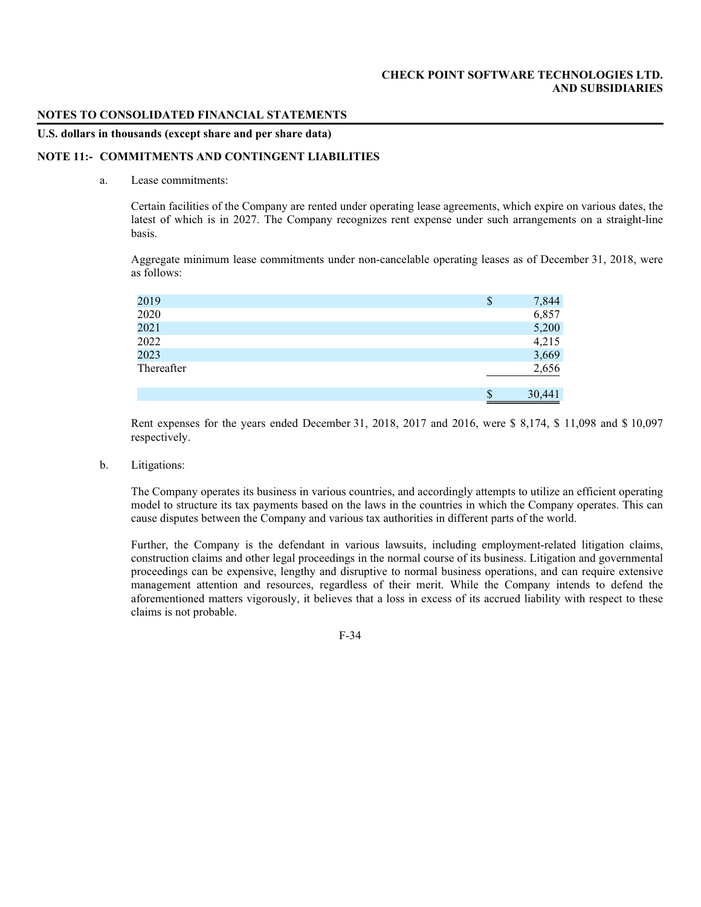### **U.S. dollars in thousands (except share and per share data)**

### **NOTE 11:- COMMITMENTS AND CONTINGENT LIABILITIES**

a. Lease commitments:

Certain facilities of the Company are rented under operating lease agreements, which expire on various dates, the latest of which is in 2027. The Company recognizes rent expense under such arrangements on a straight-line basis.

Aggregate minimum lease commitments under non-cancelable operating leases as of December 31, 2018, were as follows:

| 2019       | S | 7,844          |
|------------|---|----------------|
| 2020       |   | 6,857          |
| 2021       |   | 5,200          |
| 2022       |   | 4,215          |
| 2023       |   | 3,669<br>2,656 |
| Thereafter |   |                |
|            |   | 30,441         |

Rent expenses for the years ended December 31, 2018, 2017 and 2016, were \$ 8,174, \$ 11,098 and \$ 10,097 respectively.

b. Litigations:

The Company operates its business in various countries, and accordingly attempts to utilize an efficient operating model to structure its tax payments based on the laws in the countries in which the Company operates. This can cause disputes between the Company and various tax authorities in different parts of the world.

Further, the Company is the defendant in various lawsuits, including employment-related litigation claims, construction claims and other legal proceedings in the normal course of its business. Litigation and governmental proceedings can be expensive, lengthy and disruptive to normal business operations, and can require extensive management attention and resources, regardless of their merit. While the Company intends to defend the aforementioned matters vigorously, it believes that a loss in excess of its accrued liability with respect to these claims is not probable.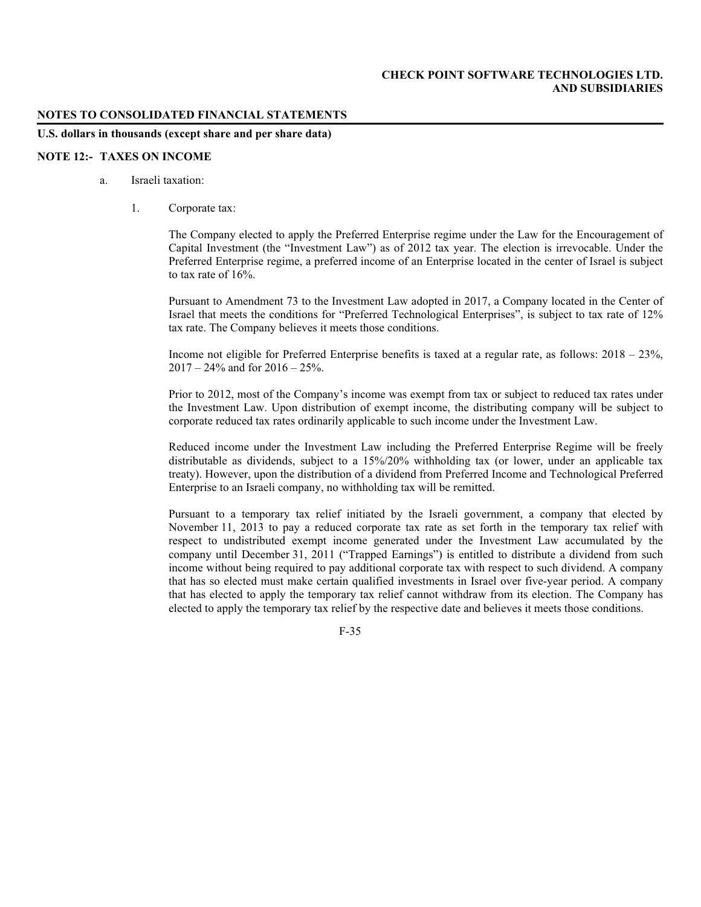### **U.S. dollars in thousands (except share and per share data)**

#### **NOTE 12:- TAXES ON INCOME**

- a. Israeli taxation:
	- 1. Corporate tax:

The Company elected to apply the Preferred Enterprise regime under the Law for the Encouragement of Capital Investment (the "Investment Law") as of 2012 tax year. The election is irrevocable. Under the Preferred Enterprise regime, a preferred income of an Enterprise located in the center of Israel is subject to tax rate of 16%.

Pursuant to Amendment 73 to the Investment Law adopted in 2017, a Company located in the Center of Israel that meets the conditions for "Preferred Technological Enterprises", is subject to tax rate of 12% tax rate. The Company believes it meets those conditions.

Income not eligible for Preferred Enterprise benefits is taxed at a regular rate, as follows: 2018 – 23%,  $2017 - 24\%$  and for  $2016 - 25\%$ .

Prior to 2012, most of the Company's income was exempt from tax or subject to reduced tax rates under the Investment Law. Upon distribution of exempt income, the distributing company will be subject to corporate reduced tax rates ordinarily applicable to such income under the Investment Law.

Reduced income under the Investment Law including the Preferred Enterprise Regime will be freely distributable as dividends, subject to a 15%/20% withholding tax (or lower, under an applicable tax treaty). However, upon the distribution of a dividend from Preferred Income and Technological Preferred Enterprise to an Israeli company, no withholding tax will be remitted.

Pursuant to a temporary tax relief initiated by the Israeli government, a company that elected by November 11, 2013 to pay a reduced corporate tax rate as set forth in the temporary tax relief with respect to undistributed exempt income generated under the Investment Law accumulated by the company until December 31, 2011 ("Trapped Earnings") is entitled to distribute a dividend from such income without being required to pay additional corporate tax with respect to such dividend. A company that has so elected must make certain qualified investments in Israel over five-year period. A company that has elected to apply the temporary tax relief cannot withdraw from its election. The Company has elected to apply the temporary tax relief by the respective date and believes it meets those conditions.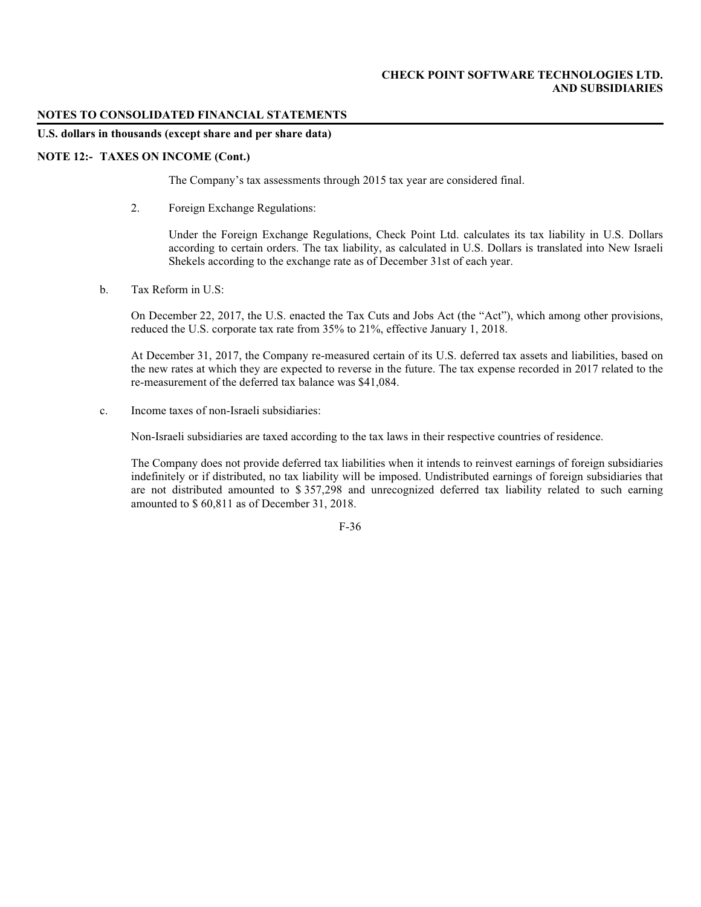### **U.S. dollars in thousands (except share and per share data)**

### **NOTE 12:- TAXES ON INCOME (Cont.)**

The Company's tax assessments through 2015 tax year are considered final.

2. Foreign Exchange Regulations:

Under the Foreign Exchange Regulations, Check Point Ltd. calculates its tax liability in U.S. Dollars according to certain orders. The tax liability, as calculated in U.S. Dollars is translated into New Israeli Shekels according to the exchange rate as of December 31st of each year.

b. Tax Reform in U.S:

On December 22, 2017, the U.S. enacted the Tax Cuts and Jobs Act (the "Act"), which among other provisions, reduced the U.S. corporate tax rate from 35% to 21%, effective January 1, 2018.

At December 31, 2017, the Company re-measured certain of its U.S. deferred tax assets and liabilities, based on the new rates at which they are expected to reverse in the future. The tax expense recorded in 2017 related to the re-measurement of the deferred tax balance was \$41,084.

c. Income taxes of non-Israeli subsidiaries:

Non-Israeli subsidiaries are taxed according to the tax laws in their respective countries of residence.

The Company does not provide deferred tax liabilities when it intends to reinvest earnings of foreign subsidiaries indefinitely or if distributed, no tax liability will be imposed. Undistributed earnings of foreign subsidiaries that are not distributed amounted to \$ 357,298 and unrecognized deferred tax liability related to such earning amounted to \$ 60,811 as of December 31, 2018.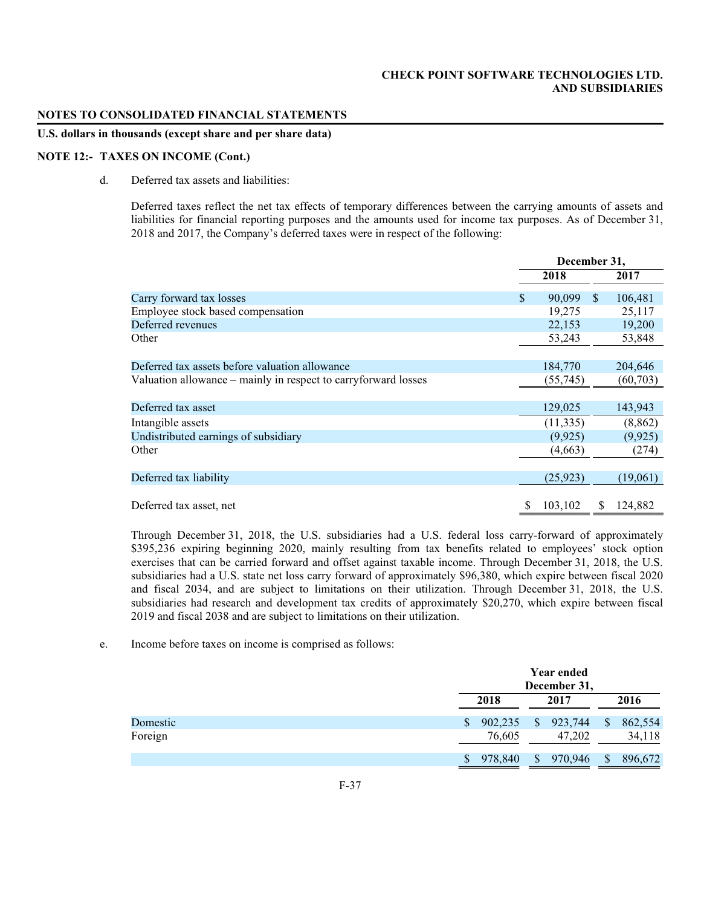#### **U.S. dollars in thousands (except share and per share data)**

#### **NOTE 12:- TAXES ON INCOME (Cont.)**

### d. Deferred tax assets and liabilities:

Deferred taxes reflect the net tax effects of temporary differences between the carrying amounts of assets and liabilities for financial reporting purposes and the amounts used for income tax purposes. As of December 31, 2018 and 2017, the Company's deferred taxes were in respect of the following:

|                                                                | December 31, |           |              |           |
|----------------------------------------------------------------|--------------|-----------|--------------|-----------|
|                                                                |              | 2018      |              | 2017      |
| Carry forward tax losses                                       | <sup>S</sup> | 90,099    | <sup>S</sup> | 106,481   |
| Employee stock based compensation                              |              | 19,275    |              | 25,117    |
| Deferred revenues                                              |              | 22,153    |              | 19,200    |
| Other                                                          |              | 53,243    |              | 53,848    |
|                                                                |              |           |              |           |
| Deferred tax assets before valuation allowance                 |              | 184,770   |              | 204,646   |
| Valuation allowance – mainly in respect to carryforward losses |              | (55,745)  |              | (60, 703) |
|                                                                |              |           |              |           |
| Deferred tax asset                                             |              | 129,025   |              | 143,943   |
| Intangible assets                                              |              | (11, 335) |              | (8, 862)  |
| Undistributed earnings of subsidiary                           |              | (9, 925)  |              | (9, 925)  |
| Other                                                          |              | (4,663)   |              | (274)     |
|                                                                |              |           |              |           |
| Deferred tax liability                                         |              | (25, 923) |              | (19,061)  |
|                                                                |              |           |              |           |
| Deferred tax asset, net                                        |              | 103,102   | S.           | 124,882   |

Through December 31, 2018, the U.S. subsidiaries had a U.S. federal loss carry-forward of approximately \$395,236 expiring beginning 2020, mainly resulting from tax benefits related to employees' stock option exercises that can be carried forward and offset against taxable income. Through December 31, 2018, the U.S. subsidiaries had a U.S. state net loss carry forward of approximately \$96,380, which expire between fiscal 2020 and fiscal 2034, and are subject to limitations on their utilization. Through December 31, 2018, the U.S. subsidiaries had research and development tax credits of approximately \$20,270, which expire between fiscal 2019 and fiscal 2038 and are subject to limitations on their utilization.

#### e. Income before taxes on income is comprised as follows:

|          | Year ended<br>December 31, |              |         |              |         |
|----------|----------------------------|--------------|---------|--------------|---------|
|          | 2018                       | 2017         |         |              | 2016    |
| Domestic | 902,235                    | <sup>S</sup> | 923,744 | $\mathbb{S}$ | 862,554 |
| Foreign  | 76,605                     |              | 47,202  |              | 34,118  |
|          | 978,840                    | S            | 970,946 |              | 896,672 |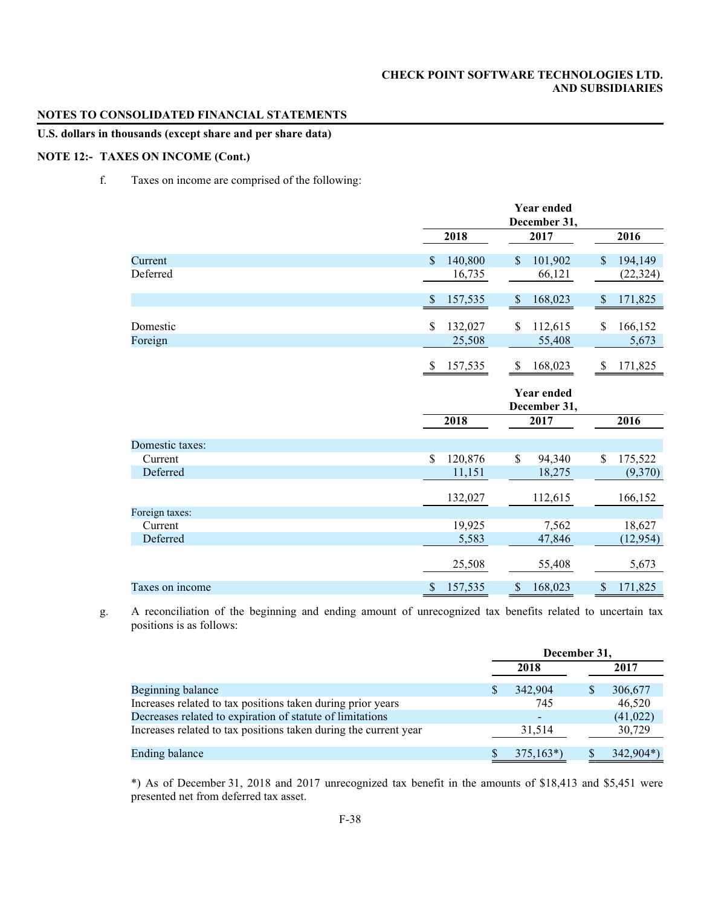## **U.S. dollars in thousands (except share and per share data)**

### **NOTE 12:- TAXES ON INCOME (Cont.)**

f. Taxes on income are comprised of the following:

|                 |                                      | <b>Year ended</b><br>December 31,    |                                      |
|-----------------|--------------------------------------|--------------------------------------|--------------------------------------|
|                 | 2018                                 | 2017                                 | 2016                                 |
| Current         | \$<br>140,800                        | $\mathbb{S}$<br>101,902              | $\boldsymbol{\mathsf{S}}$<br>194,149 |
| Deferred        | 16,735                               | 66,121                               | (22, 324)                            |
|                 | $\boldsymbol{\mathsf{S}}$<br>157,535 | $\boldsymbol{\mathsf{S}}$<br>168,023 | $\boldsymbol{\mathsf{S}}$<br>171,825 |
| Domestic        | \$<br>132,027                        | \$<br>112,615                        | \$<br>166,152                        |
| Foreign         | 25,508                               | 55,408                               | 5,673                                |
|                 | \$<br>157,535                        | \$<br>168,023                        | \$<br>171,825                        |
|                 |                                      | <b>Year ended</b><br>December 31,    |                                      |
|                 | 2018                                 | 2017                                 | 2016                                 |
| Domestic taxes: |                                      |                                      |                                      |
| Current         | $\mathbb{S}$<br>120,876              | \$<br>94,340                         | $\mathbb{S}$<br>175,522              |
| Deferred        | 11,151                               | 18,275                               | (9,370)                              |
|                 | 132,027                              | 112,615                              | 166,152                              |
| Foreign taxes:  |                                      |                                      |                                      |
| Current         | 19,925                               | 7,562                                | 18,627                               |
| Deferred        | 5,583                                | 47,846                               | (12, 954)                            |
|                 | 25,508                               | 55,408                               | 5,673                                |
| Taxes on income | \$<br>157,535                        | \$<br>168,023                        | \$<br>171,825                        |

g. A reconciliation of the beginning and ending amount of unrecognized tax benefits related to uncertain tax positions is as follows:

|                                                                  | December 31, |             |   |            |
|------------------------------------------------------------------|--------------|-------------|---|------------|
|                                                                  |              | 2018        |   | 2017       |
| Beginning balance                                                |              | 342,904     | Φ | 306,677    |
| Increases related to tax positions taken during prior years      |              | 745         |   | 46,520     |
| Decreases related to expiration of statute of limitations        |              | -           |   | (41, 022)  |
| Increases related to tax positions taken during the current year |              | 31,514      |   | 30,729     |
| <b>Ending balance</b>                                            |              | $375,163^*$ |   | $342,904*$ |

\*) As of December 31, 2018 and 2017 unrecognized tax benefit in the amounts of \$18,413 and \$5,451 were presented net from deferred tax asset.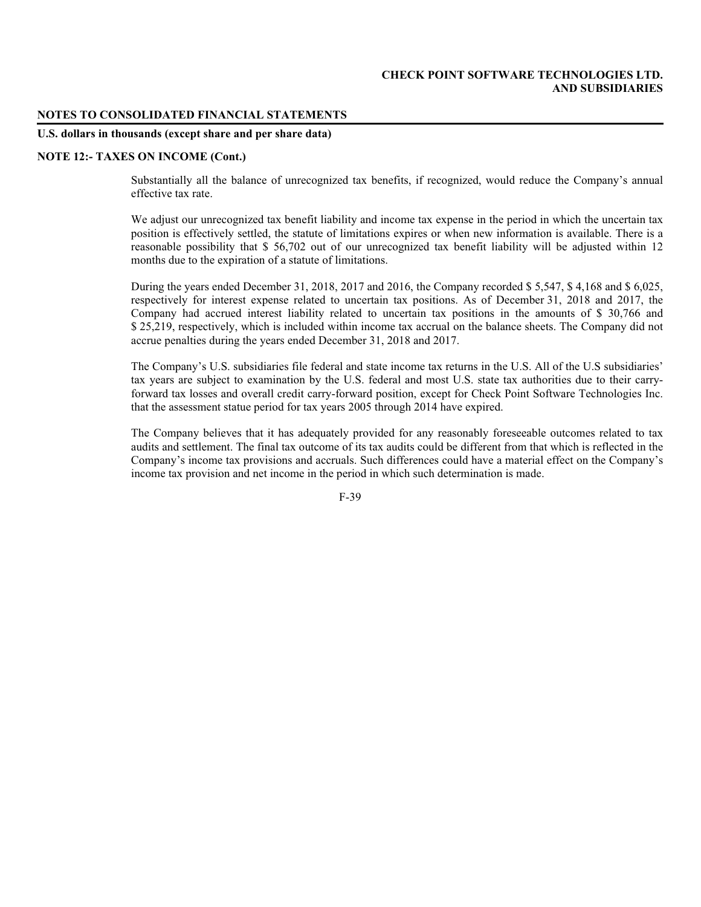## **U.S. dollars in thousands (except share and per share data)**

### **NOTE 12:- TAXES ON INCOME (Cont.)**

Substantially all the balance of unrecognized tax benefits, if recognized, would reduce the Company's annual effective tax rate.

We adjust our unrecognized tax benefit liability and income tax expense in the period in which the uncertain tax position is effectively settled, the statute of limitations expires or when new information is available. There is a reasonable possibility that \$ 56,702 out of our unrecognized tax benefit liability will be adjusted within 12 months due to the expiration of a statute of limitations.

During the years ended December 31, 2018, 2017 and 2016, the Company recorded \$ 5,547, \$ 4,168 and \$ 6,025, respectively for interest expense related to uncertain tax positions. As of December 31, 2018 and 2017, the Company had accrued interest liability related to uncertain tax positions in the amounts of \$ 30,766 and \$ 25,219, respectively, which is included within income tax accrual on the balance sheets. The Company did not accrue penalties during the years ended December 31, 2018 and 2017.

The Company's U.S. subsidiaries file federal and state income tax returns in the U.S. All of the U.S subsidiaries' tax years are subject to examination by the U.S. federal and most U.S. state tax authorities due to their carryforward tax losses and overall credit carry-forward position, except for Check Point Software Technologies Inc. that the assessment statue period for tax years 2005 through 2014 have expired.

The Company believes that it has adequately provided for any reasonably foreseeable outcomes related to tax audits and settlement. The final tax outcome of its tax audits could be different from that which is reflected in the Company's income tax provisions and accruals. Such differences could have a material effect on the Company's income tax provision and net income in the period in which such determination is made.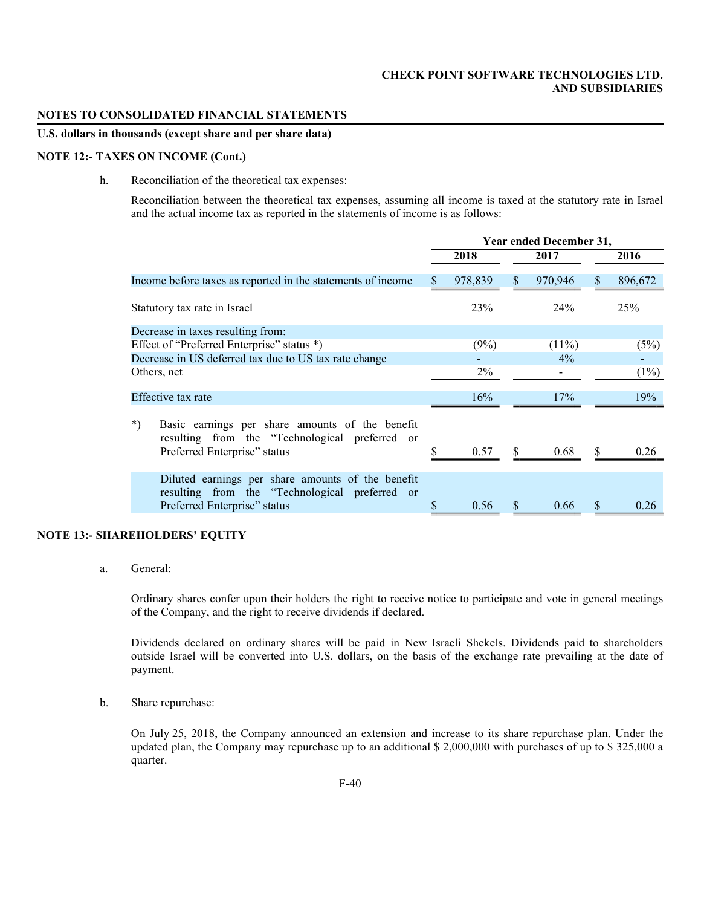## **U.S. dollars in thousands (except share and per share data)**

## **NOTE 12:- TAXES ON INCOME (Cont.)**

h. Reconciliation of the theoretical tax expenses:

Reconciliation between the theoretical tax expenses, assuming all income is taxed at the statutory rate in Israel and the actual income tax as reported in the statements of income is as follows:

|                                                                                                                                            | Year ended December 31, |         |    |          |              |         |
|--------------------------------------------------------------------------------------------------------------------------------------------|-------------------------|---------|----|----------|--------------|---------|
|                                                                                                                                            |                         | 2018    |    | 2017     |              | 2016    |
| Income before taxes as reported in the statements of income                                                                                | $\mathbb{S}$            | 978,839 | \$ | 970,946  | <sup>S</sup> | 896,672 |
| Statutory tax rate in Israel                                                                                                               |                         | 23%     |    | 24%      |              | 25%     |
| Decrease in taxes resulting from:                                                                                                          |                         |         |    |          |              |         |
| Effect of "Preferred Enterprise" status *)                                                                                                 |                         | (9%)    |    | $(11\%)$ |              | (5%)    |
| Decrease in US deferred tax due to US tax rate change                                                                                      |                         |         |    | $4\%$    |              |         |
| Others, net                                                                                                                                |                         | $2\%$   |    |          |              | (1%)    |
| Effective tax rate                                                                                                                         |                         | 16%     |    | 17%      |              | 19%     |
| $^*)$<br>Basic earnings per share amounts of the benefit<br>resulting from the "Technological preferred or<br>Preferred Enterprise" status |                         | 0.57    | \$ | 0.68     | S.           | 0.26    |
| Diluted earnings per share amounts of the benefit<br>resulting from the "Technological preferred or<br>Preferred Enterprise" status        | S                       | 0.56    | \$ | 0.66     | S            | 0.26    |

## **NOTE 13:- SHAREHOLDERS' EQUITY**

a. General:

Ordinary shares confer upon their holders the right to receive notice to participate and vote in general meetings of the Company, and the right to receive dividends if declared.

Dividends declared on ordinary shares will be paid in New Israeli Shekels. Dividends paid to shareholders outside Israel will be converted into U.S. dollars, on the basis of the exchange rate prevailing at the date of payment.

b. Share repurchase:

On July 25, 2018, the Company announced an extension and increase to its share repurchase plan. Under the updated plan, the Company may repurchase up to an additional \$ 2,000,000 with purchases of up to \$ 325,000 a quarter.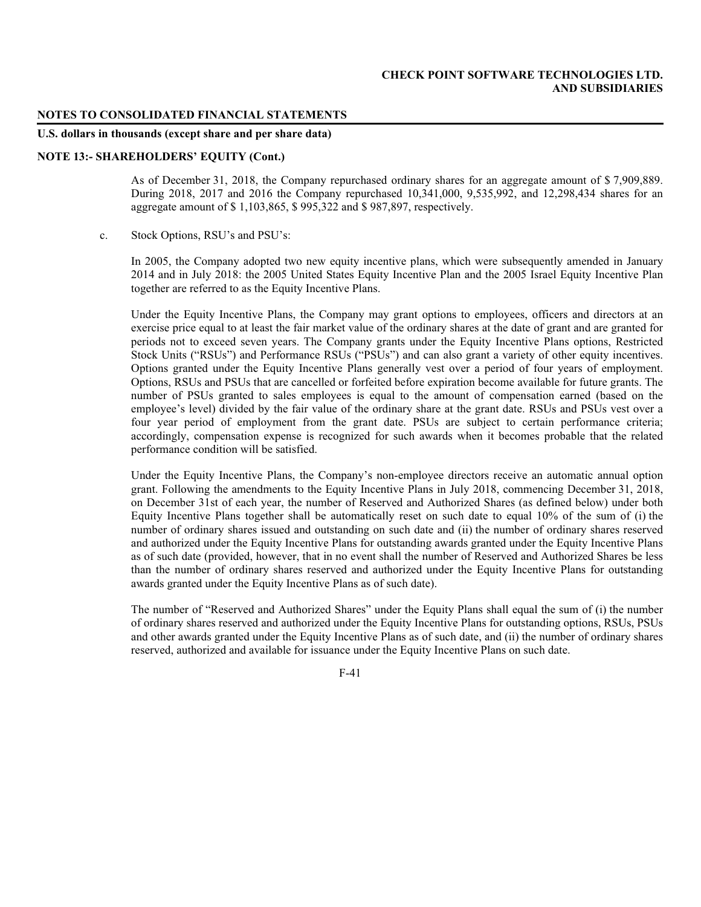## **U.S. dollars in thousands (except share and per share data)**

## **NOTE 13:- SHAREHOLDERS' EQUITY (Cont.)**

As of December 31, 2018, the Company repurchased ordinary shares for an aggregate amount of \$ 7,909,889. During 2018, 2017 and 2016 the Company repurchased 10,341,000, 9,535,992, and 12,298,434 shares for an aggregate amount of \$ 1,103,865, \$ 995,322 and \$ 987,897, respectively.

c. Stock Options, RSU's and PSU's:

In 2005, the Company adopted two new equity incentive plans, which were subsequently amended in January 2014 and in July 2018: the 2005 United States Equity Incentive Plan and the 2005 Israel Equity Incentive Plan together are referred to as the Equity Incentive Plans.

Under the Equity Incentive Plans, the Company may grant options to employees, officers and directors at an exercise price equal to at least the fair market value of the ordinary shares at the date of grant and are granted for periods not to exceed seven years. The Company grants under the Equity Incentive Plans options, Restricted Stock Units ("RSUs") and Performance RSUs ("PSUs") and can also grant a variety of other equity incentives. Options granted under the Equity Incentive Plans generally vest over a period of four years of employment. Options, RSUs and PSUs that are cancelled or forfeited before expiration become available for future grants. The number of PSUs granted to sales employees is equal to the amount of compensation earned (based on the employee's level) divided by the fair value of the ordinary share at the grant date. RSUs and PSUs vest over a four year period of employment from the grant date. PSUs are subject to certain performance criteria; accordingly, compensation expense is recognized for such awards when it becomes probable that the related performance condition will be satisfied.

Under the Equity Incentive Plans, the Company's non-employee directors receive an automatic annual option grant. Following the amendments to the Equity Incentive Plans in July 2018, commencing December 31, 2018, on December 31st of each year, the number of Reserved and Authorized Shares (as defined below) under both Equity Incentive Plans together shall be automatically reset on such date to equal 10% of the sum of (i) the number of ordinary shares issued and outstanding on such date and (ii) the number of ordinary shares reserved and authorized under the Equity Incentive Plans for outstanding awards granted under the Equity Incentive Plans as of such date (provided, however, that in no event shall the number of Reserved and Authorized Shares be less than the number of ordinary shares reserved and authorized under the Equity Incentive Plans for outstanding awards granted under the Equity Incentive Plans as of such date).

The number of "Reserved and Authorized Shares" under the Equity Plans shall equal the sum of (i) the number of ordinary shares reserved and authorized under the Equity Incentive Plans for outstanding options, RSUs, PSUs and other awards granted under the Equity Incentive Plans as of such date, and (ii) the number of ordinary shares reserved, authorized and available for issuance under the Equity Incentive Plans on such date.

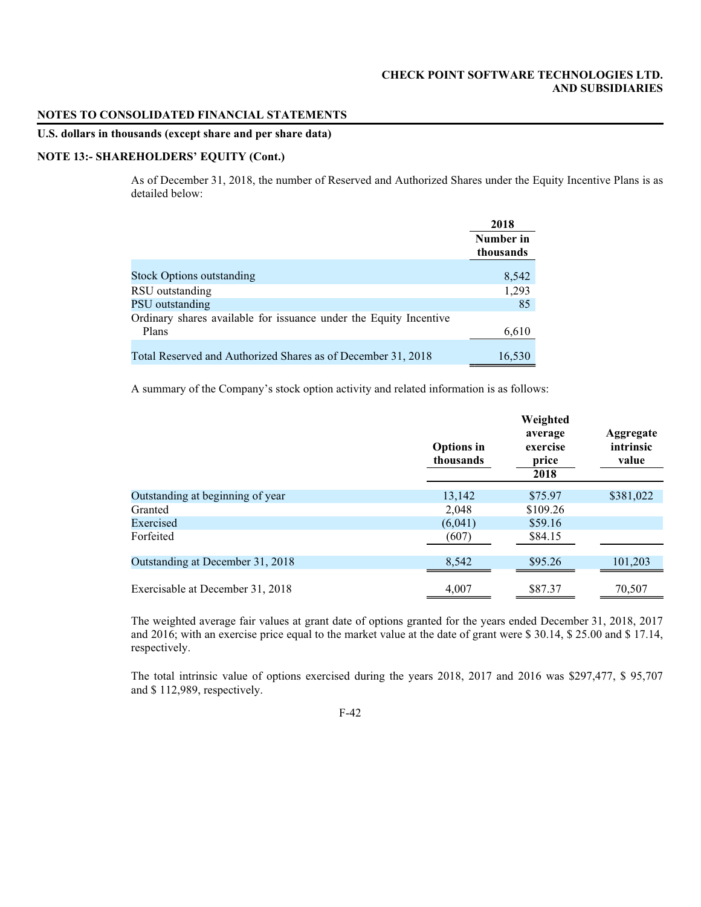## **U.S. dollars in thousands (except share and per share data)**

## **NOTE 13:- SHAREHOLDERS' EQUITY (Cont.)**

As of December 31, 2018, the number of Reserved and Authorized Shares under the Equity Incentive Plans is as detailed below:

|                                                                   | 2018                   |
|-------------------------------------------------------------------|------------------------|
|                                                                   | Number in<br>thousands |
| <b>Stock Options outstanding</b>                                  | 8,542                  |
| RSU outstanding                                                   | 1,293                  |
| <b>PSU</b> outstanding                                            | 85                     |
| Ordinary shares available for issuance under the Equity Incentive |                        |
| Plans                                                             | 6,610                  |
| Total Reserved and Authorized Shares as of December 31, 2018      | 16,530                 |

A summary of the Company's stock option activity and related information is as follows:

|                                  | <b>Options</b> in<br>thousands | Weighted<br>average<br>exercise<br>price | Aggregate<br>intrinsic<br>value |
|----------------------------------|--------------------------------|------------------------------------------|---------------------------------|
|                                  |                                | 2018                                     |                                 |
| Outstanding at beginning of year | 13,142                         | \$75.97                                  | \$381,022                       |
| Granted                          | 2,048                          | \$109.26                                 |                                 |
| Exercised                        | (6,041)                        | \$59.16                                  |                                 |
| Forfeited                        | (607)                          | \$84.15                                  |                                 |
| Outstanding at December 31, 2018 | 8,542                          | \$95.26                                  | 101,203                         |
| Exercisable at December 31, 2018 | 4,007                          | \$87.37                                  | 70,507                          |

The weighted average fair values at grant date of options granted for the years ended December 31, 2018, 2017 and 2016; with an exercise price equal to the market value at the date of grant were \$ 30.14, \$ 25.00 and \$ 17.14, respectively.

The total intrinsic value of options exercised during the years 2018, 2017 and 2016 was \$297,477, \$ 95,707 and \$ 112,989, respectively.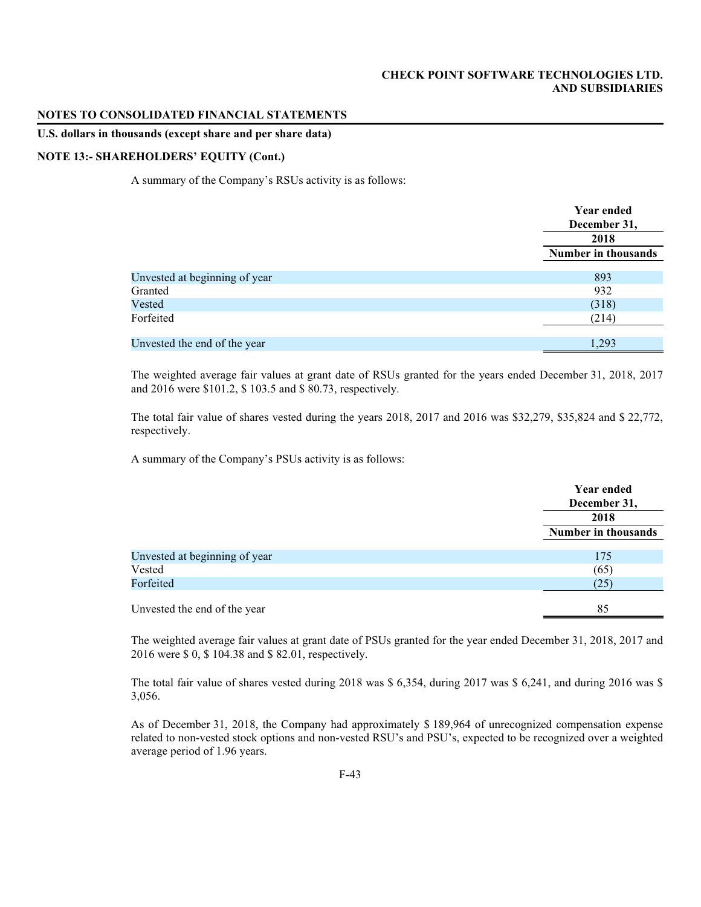## **U.S. dollars in thousands (except share and per share data)**

## **NOTE 13:- SHAREHOLDERS' EQUITY (Cont.)**

A summary of the Company's RSUs activity is as follows:

|                               | <b>Year ended</b><br>December 31, |
|-------------------------------|-----------------------------------|
|                               | 2018                              |
|                               | <b>Number in thousands</b>        |
|                               |                                   |
| Unvested at beginning of year | 893                               |
| Granted                       | 932                               |
| Vested                        | (318)                             |
| Forfeited                     | (214)                             |
|                               |                                   |
| Unvested the end of the year  | 1,293                             |

The weighted average fair values at grant date of RSUs granted for the years ended December 31, 2018, 2017 and 2016 were \$101.2, \$ 103.5 and \$ 80.73, respectively.

The total fair value of shares vested during the years 2018, 2017 and 2016 was \$32,279, \$35,824 and \$ 22,772, respectively.

A summary of the Company's PSUs activity is as follows:

|                               | <b>Year ended</b><br>December 31, |
|-------------------------------|-----------------------------------|
|                               | 2018                              |
|                               | <b>Number in thousands</b>        |
|                               |                                   |
| Unvested at beginning of year | 175                               |
| Vested                        | (65)                              |
| Forfeited                     | (25)                              |
|                               |                                   |
| Unvested the end of the year  | 85                                |

The weighted average fair values at grant date of PSUs granted for the year ended December 31, 2018, 2017 and 2016 were \$ 0, \$ 104.38 and \$ 82.01, respectively.

The total fair value of shares vested during 2018 was \$ 6,354, during 2017 was \$ 6,241, and during 2016 was \$ 3,056.

As of December 31, 2018, the Company had approximately \$ 189,964 of unrecognized compensation expense related to non-vested stock options and non-vested RSU's and PSU's, expected to be recognized over a weighted average period of 1.96 years.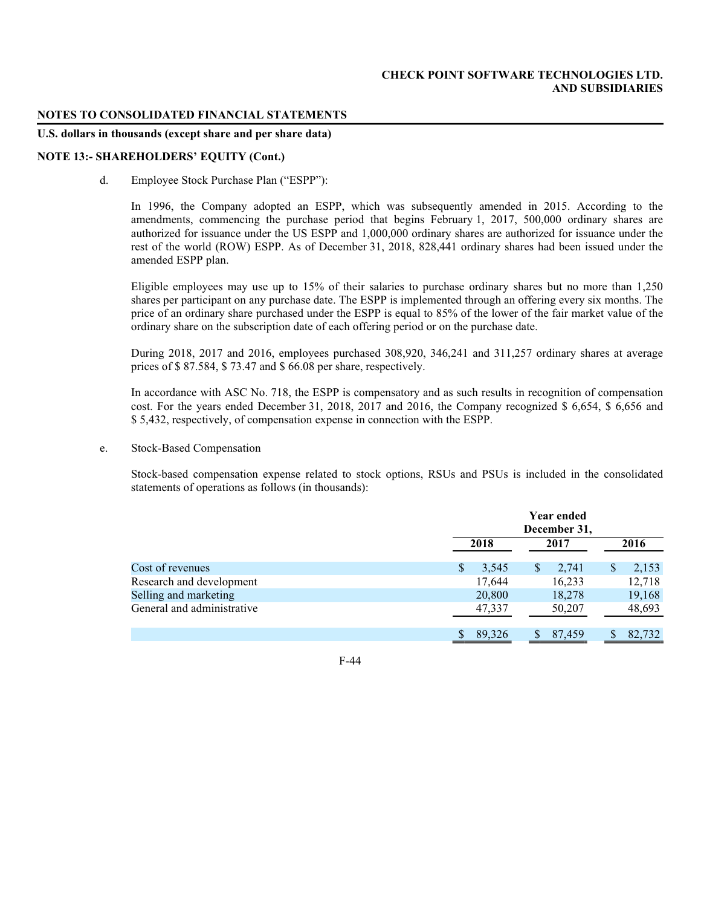## **U.S. dollars in thousands (except share and per share data)**

### **NOTE 13:- SHAREHOLDERS' EQUITY (Cont.)**

d. Employee Stock Purchase Plan ("ESPP"):

In 1996, the Company adopted an ESPP, which was subsequently amended in 2015. According to the amendments, commencing the purchase period that begins February 1, 2017, 500,000 ordinary shares are authorized for issuance under the US ESPP and 1,000,000 ordinary shares are authorized for issuance under the rest of the world (ROW) ESPP. As of December 31, 2018, 828,441 ordinary shares had been issued under the amended ESPP plan.

Eligible employees may use up to 15% of their salaries to purchase ordinary shares but no more than 1,250 shares per participant on any purchase date. The ESPP is implemented through an offering every six months. The price of an ordinary share purchased under the ESPP is equal to 85% of the lower of the fair market value of the ordinary share on the subscription date of each offering period or on the purchase date.

During 2018, 2017 and 2016, employees purchased 308,920, 346,241 and 311,257 ordinary shares at average prices of \$ 87.584, \$ 73.47 and \$ 66.08 per share, respectively.

In accordance with ASC No. 718, the ESPP is compensatory and as such results in recognition of compensation cost. For the years ended December 31, 2018, 2017 and 2016, the Company recognized \$ 6,654, \$ 6,656 and \$ 5,432, respectively, of compensation expense in connection with the ESPP.

e. Stock-Based Compensation

Stock-based compensation expense related to stock options, RSUs and PSUs is included in the consolidated statements of operations as follows (in thousands):

|                            |             |   | <b>Year ended</b><br>December 31, |   |        |
|----------------------------|-------------|---|-----------------------------------|---|--------|
|                            | 2018        |   | 2017                              |   | 2016   |
| Cost of revenues           | \$<br>3,545 | S | 2,741                             | S | 2,153  |
| Research and development   | 17,644      |   | 16,233                            |   | 12,718 |
| Selling and marketing      | 20,800      |   | 18,278                            |   | 19,168 |
| General and administrative | 47,337      |   | 50,207                            |   | 48,693 |
|                            |             |   |                                   |   |        |
|                            | 89,326      |   | 87,459                            |   | 82,732 |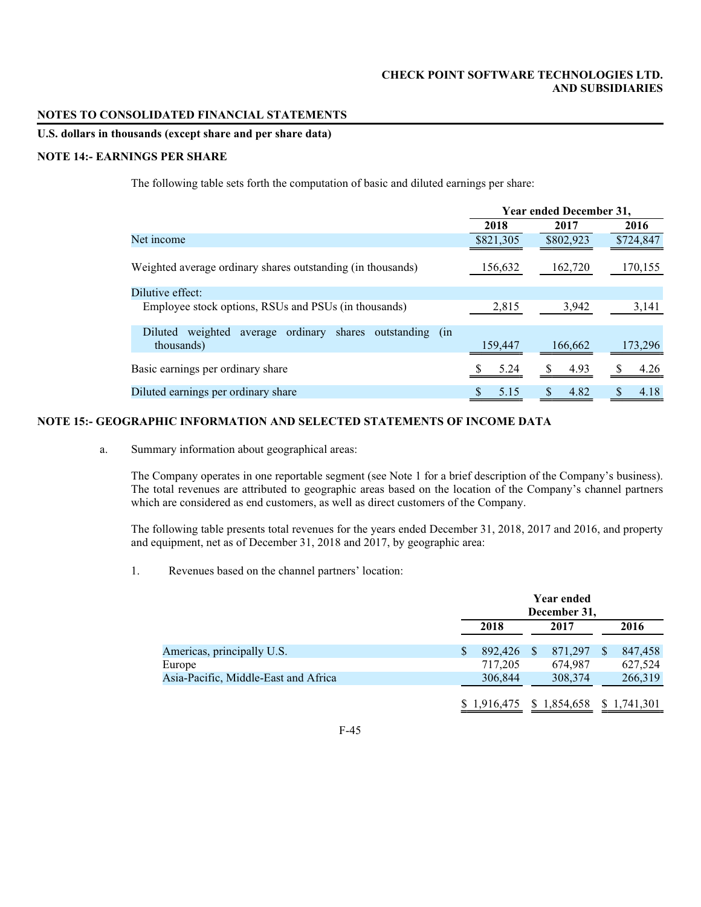## **U.S. dollars in thousands (except share and per share data)**

## **NOTE 14:- EARNINGS PER SHARE**

The following table sets forth the computation of basic and diluted earnings per share:

|                                                                              | Year ended December 31. |                       |           |
|------------------------------------------------------------------------------|-------------------------|-----------------------|-----------|
|                                                                              | 2018                    | 2017                  | 2016      |
| Net income                                                                   | \$821,305               | \$802,923             | \$724,847 |
| Weighted average ordinary shares outstanding (in thousands)                  | 156,632                 | 162,720               | 170,155   |
| Dilutive effect:                                                             |                         |                       |           |
| Employee stock options, RSUs and PSUs (in thousands)                         | 2,815                   | 3,942                 | 3,141     |
| average ordinary<br>Diluted weighted<br>shares outstanding (in<br>thousands) | 159,447                 | 166,662               | 173,296   |
| Basic earnings per ordinary share                                            | 5.24                    | 4.93                  | 4.26      |
| Diluted earnings per ordinary share                                          | \$.<br>5.15             | 4.82<br><sup>\$</sup> | 4.18<br>S |

## **NOTE 15:- GEOGRAPHIC INFORMATION AND SELECTED STATEMENTS OF INCOME DATA**

a. Summary information about geographical areas:

The Company operates in one reportable segment (see Note 1 for a brief description of the Company's business). The total revenues are attributed to geographic areas based on the location of the Company's channel partners which are considered as end customers, as well as direct customers of the Company.

The following table presents total revenues for the years ended December 31, 2018, 2017 and 2016, and property and equipment, net as of December 31, 2018 and 2017, by geographic area:

1. Revenues based on the channel partners' location:

|                                      | <b>Year ended</b><br>December 31, |             |  |           |          |             |
|--------------------------------------|-----------------------------------|-------------|--|-----------|----------|-------------|
|                                      |                                   | 2018        |  | 2017      |          | 2016        |
| Americas, principally U.S.           | S                                 | 892,426     |  | 871,297   | <b>S</b> | 847,458     |
| Europe                               |                                   | 717,205     |  | 674,987   |          | 627,524     |
| Asia-Pacific, Middle-East and Africa |                                   | 306,844     |  | 308,374   |          | 266,319     |
|                                      |                                   | \$1,916,475 |  | 1,854,658 |          | \$1,741,301 |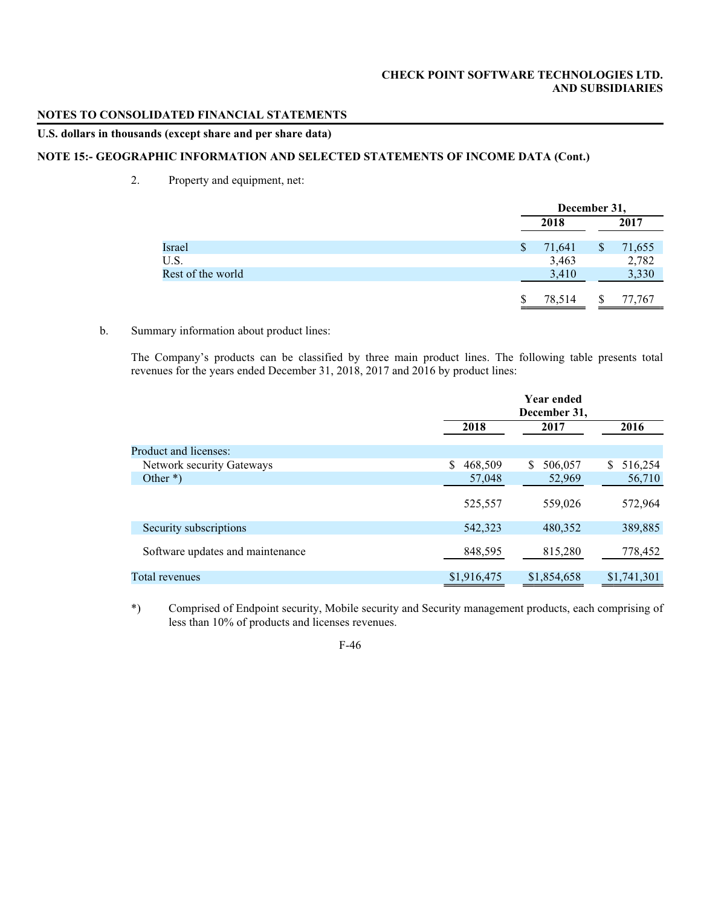## **U.S. dollars in thousands (except share and per share data)**

## **NOTE 15:- GEOGRAPHIC INFORMATION AND SELECTED STATEMENTS OF INCOME DATA (Cont.)**

2. Property and equipment, net:

|                   | December 31, |              |        |  |
|-------------------|--------------|--------------|--------|--|
|                   | 2018         |              | 2017   |  |
| Israel            | \$<br>71,641 | <sup>S</sup> | 71,655 |  |
| U.S.              | 3,463        |              | 2,782  |  |
| Rest of the world | 3,410        |              | 3,330  |  |
|                   | 78,514       |              | 77,767 |  |

## b. Summary information about product lines:

The Company's products can be classified by three main product lines. The following table presents total revenues for the years ended December 31, 2018, 2017 and 2016 by product lines:

|                                  |               | <b>Year ended</b><br>December 31, |               |  |  |
|----------------------------------|---------------|-----------------------------------|---------------|--|--|
|                                  | 2018          | 2017                              | 2016          |  |  |
| Product and licenses:            |               |                                   |               |  |  |
| Network security Gateways        | S.<br>468,509 | \$<br>506,057                     | \$<br>516,254 |  |  |
| Other $*)$                       | 57,048        | 52,969                            | 56,710        |  |  |
|                                  | 525,557       | 559,026                           | 572,964       |  |  |
| Security subscriptions           | 542,323       | 480,352                           | 389,885       |  |  |
| Software updates and maintenance | 848,595       | 815,280                           | 778,452       |  |  |
| Total revenues                   | \$1,916,475   | \$1,854,658                       | \$1,741,301   |  |  |

\*) Comprised of Endpoint security, Mobile security and Security management products, each comprising of less than 10% of products and licenses revenues.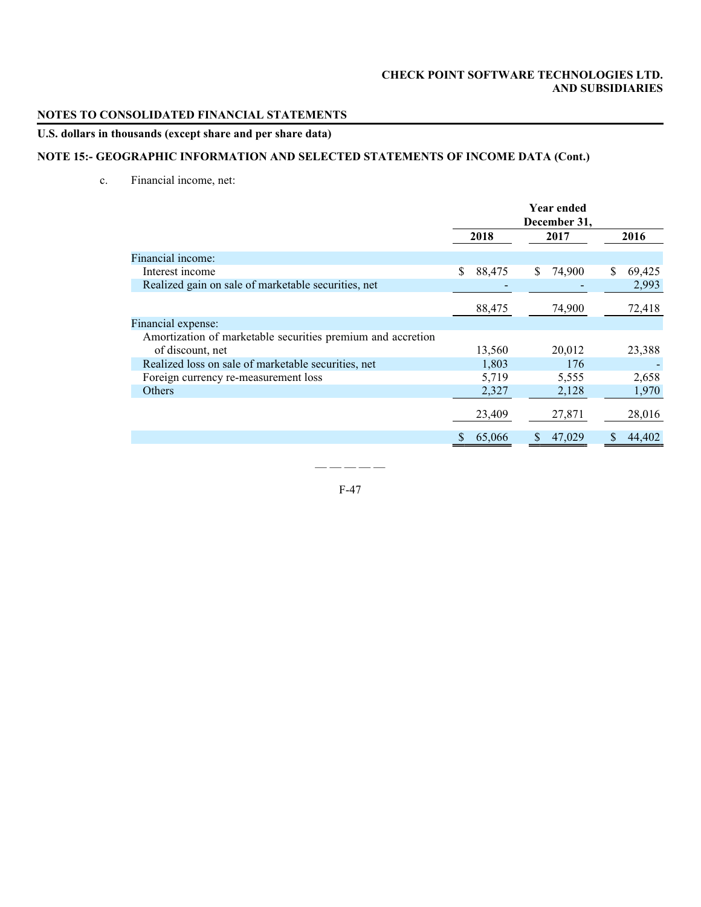## **U.S. dollars in thousands (except share and per share data)**

# **NOTE 15:- GEOGRAPHIC INFORMATION AND SELECTED STATEMENTS OF INCOME DATA (Cont.)**

c. Financial income, net:

|                                                             |              | <b>Year ended</b><br>December 31, |              |
|-------------------------------------------------------------|--------------|-----------------------------------|--------------|
|                                                             | 2018         | 2017                              | 2016         |
| Financial income:                                           |              |                                   |              |
| Interest income                                             | \$<br>88,475 | 74,900<br>S.                      | \$<br>69,425 |
| Realized gain on sale of marketable securities, net         |              |                                   | 2,993        |
|                                                             | 88,475       | 74,900                            | 72,418       |
| Financial expense:                                          |              |                                   |              |
| Amortization of marketable securities premium and accretion |              |                                   |              |
| of discount, net                                            | 13,560       | 20,012                            | 23,388       |
| Realized loss on sale of marketable securities, net         | 1,803        | 176                               |              |
| Foreign currency re-measurement loss                        | 5,719        | 5,555                             | 2,658        |
| Others                                                      | 2,327        | 2,128                             | 1,970        |
|                                                             | 23,409       | 27,871                            | 28,016       |
|                                                             | 65,066       | 47,029                            | 44,402       |

F-47

— — — — —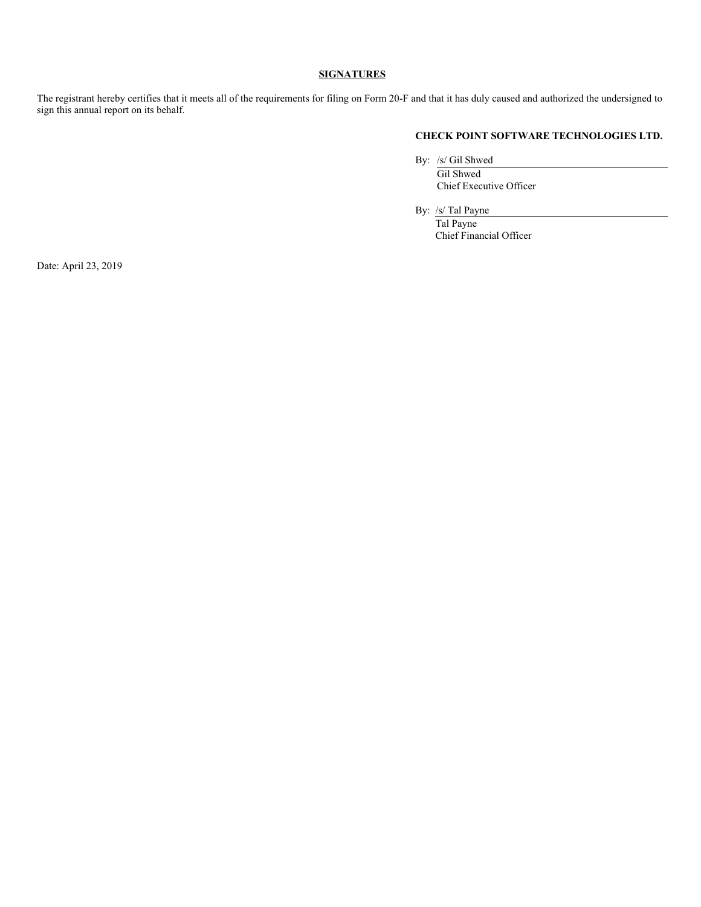## **SIGNATURES**

The registrant hereby certifies that it meets all of the requirements for filing on Form 20-F and that it has duly caused and authorized the undersigned to sign this annual report on its behalf.

## **CHECK POINT SOFTWARE TECHNOLOGIES LTD.**

By: /s/ Gil Shwed

Gil Shwed Chief Executive Officer

By: /s/ Tal Payne

Tal Payne Chief Financial Officer

Date: April 23, 2019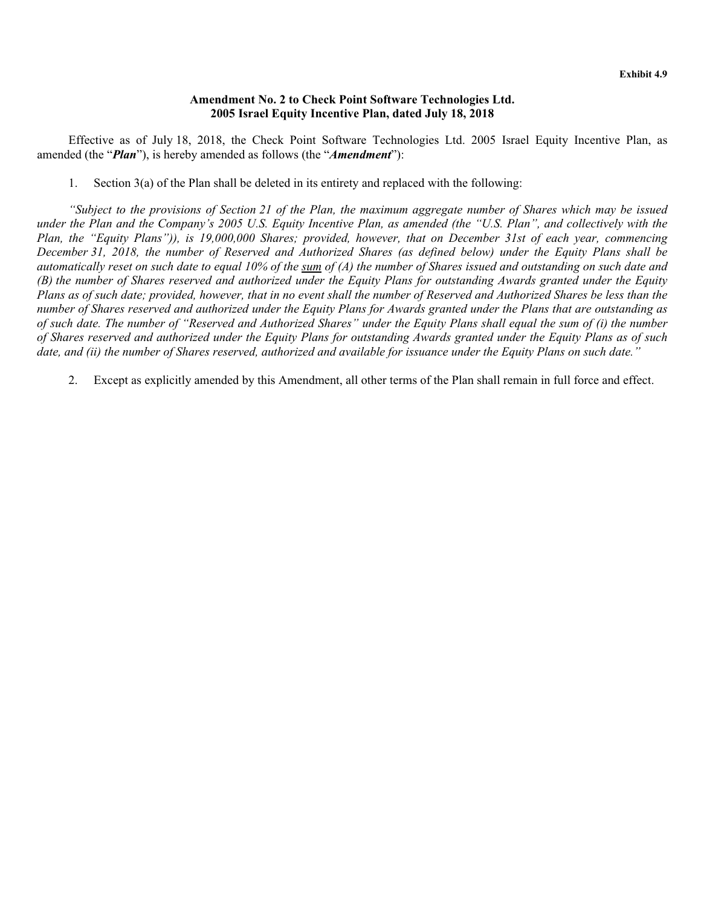## **Amendment No. 2 to Check Point Software Technologies Ltd. 2005 Israel Equity Incentive Plan, dated July 18, 2018**

Effective as of July 18, 2018, the Check Point Software Technologies Ltd. 2005 Israel Equity Incentive Plan, as amended (the "*Plan*"), is hereby amended as follows (the "*Amendment*"):

1. Section 3(a) of the Plan shall be deleted in its entirety and replaced with the following:

*"Subject to the provisions of Section 21 of the Plan, the maximum aggregate number of Shares which may be issued under the Plan and the Company's 2005 U.S. Equity Incentive Plan, as amended (the "U.S. Plan", and collectively with the Plan, the "Equity Plans")), is 19,000,000 Shares; provided, however, that on December 31st of each year, commencing December 31, 2018, the number of Reserved and Authorized Shares (as defined below) under the Equity Plans shall be automatically reset on such date to equal 10% of the sum of (A) the number of Shares issued and outstanding on such date and (B) the number of Shares reserved and authorized under the Equity Plans for outstanding Awards granted under the Equity Plans as of such date; provided, however, that in no event shall the number of Reserved and Authorized Shares be less than the number of Shares reserved and authorized under the Equity Plans for Awards granted under the Plans that are outstanding as of such date. The number of "Reserved and Authorized Shares" under the Equity Plans shall equal the sum of (i) the number of Shares reserved and authorized under the Equity Plans for outstanding Awards granted under the Equity Plans as of such date, and (ii) the number of Shares reserved, authorized and available for issuance under the Equity Plans on such date."* 

2. Except as explicitly amended by this Amendment, all other terms of the Plan shall remain in full force and effect.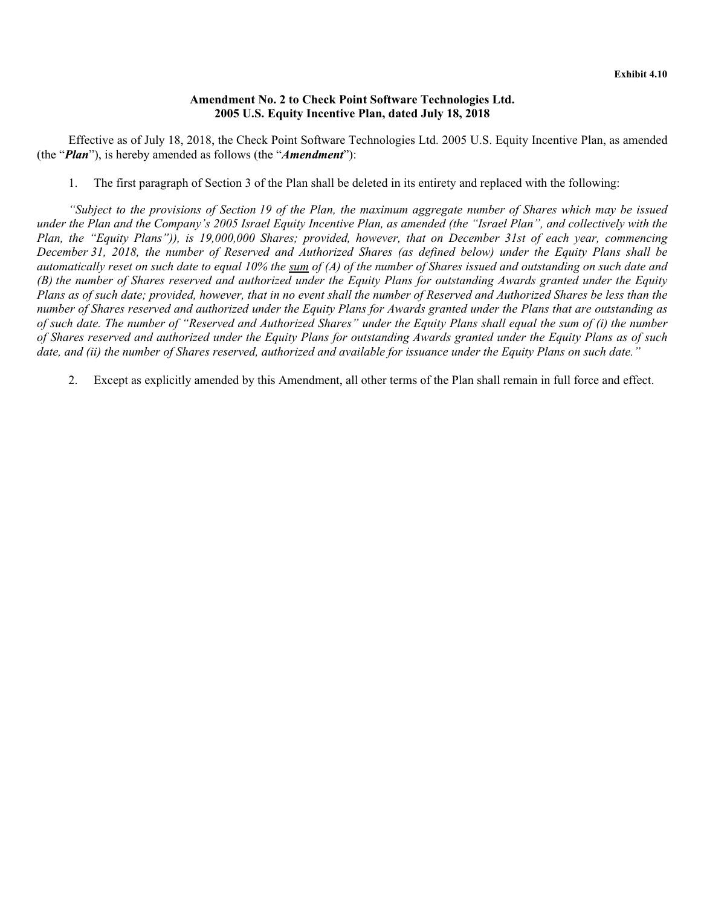## **Amendment No. 2 to Check Point Software Technologies Ltd. 2005 U.S. Equity Incentive Plan, dated July 18, 2018**

Effective as of July 18, 2018, the Check Point Software Technologies Ltd. 2005 U.S. Equity Incentive Plan, as amended (the "*Plan*"), is hereby amended as follows (the "*Amendment*"):

1. The first paragraph of Section 3 of the Plan shall be deleted in its entirety and replaced with the following:

*"Subject to the provisions of Section 19 of the Plan, the maximum aggregate number of Shares which may be issued under the Plan and the Company's 2005 Israel Equity Incentive Plan, as amended (the "Israel Plan", and collectively with the Plan, the "Equity Plans")), is 19,000,000 Shares; provided, however, that on December 31st of each year, commencing December 31, 2018, the number of Reserved and Authorized Shares (as defined below) under the Equity Plans shall be automatically reset on such date to equal 10% the sum of (A) of the number of Shares issued and outstanding on such date and (B) the number of Shares reserved and authorized under the Equity Plans for outstanding Awards granted under the Equity Plans as of such date; provided, however, that in no event shall the number of Reserved and Authorized Shares be less than the number of Shares reserved and authorized under the Equity Plans for Awards granted under the Plans that are outstanding as of such date. The number of "Reserved and Authorized Shares" under the Equity Plans shall equal the sum of (i) the number of Shares reserved and authorized under the Equity Plans for outstanding Awards granted under the Equity Plans as of such date, and (ii) the number of Shares reserved, authorized and available for issuance under the Equity Plans on such date."* 

2. Except as explicitly amended by this Amendment, all other terms of the Plan shall remain in full force and effect.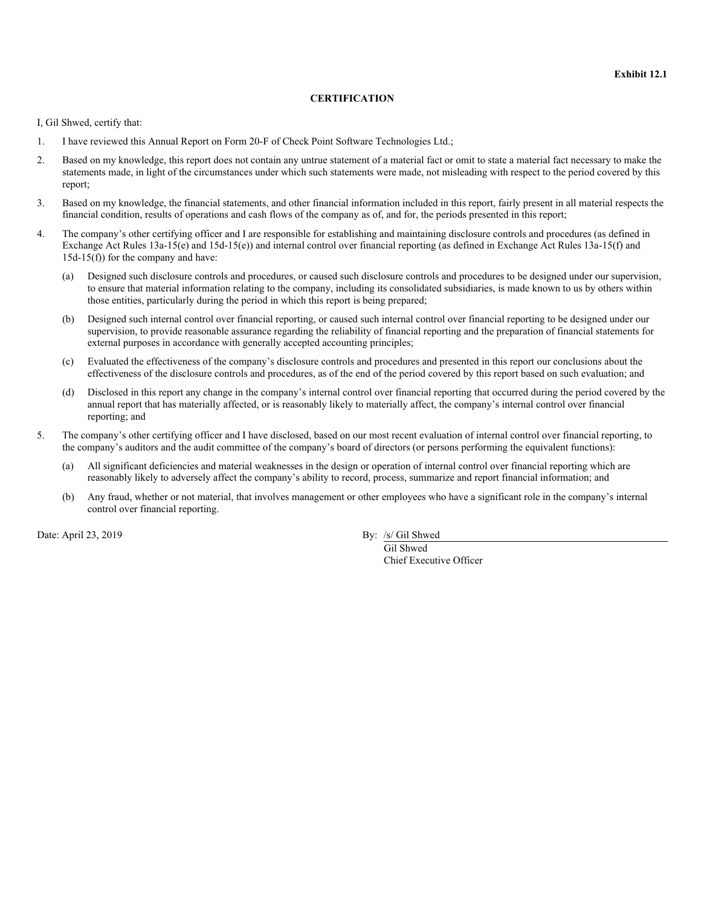I, Gil Shwed, certify that:

- 1. I have reviewed this Annual Report on Form 20-F of Check Point Software Technologies Ltd.;
- 2. Based on my knowledge, this report does not contain any untrue statement of a material fact or omit to state a material fact necessary to make the statements made, in light of the circumstances under which such statements were made, not misleading with respect to the period covered by this report;
- 3. Based on my knowledge, the financial statements, and other financial information included in this report, fairly present in all material respects the financial condition, results of operations and cash flows of the company as of, and for, the periods presented in this report;
- 4. The company's other certifying officer and I are responsible for establishing and maintaining disclosure controls and procedures (as defined in Exchange Act Rules 13a-15(e) and 15d-15(e)) and internal control over financial reporting (as defined in Exchange Act Rules 13a-15(f) and 15d-15(f)) for the company and have:
	- (a) Designed such disclosure controls and procedures, or caused such disclosure controls and procedures to be designed under our supervision, to ensure that material information relating to the company, including its consolidated subsidiaries, is made known to us by others within those entities, particularly during the period in which this report is being prepared;
	- (b) Designed such internal control over financial reporting, or caused such internal control over financial reporting to be designed under our supervision, to provide reasonable assurance regarding the reliability of financial reporting and the preparation of financial statements for external purposes in accordance with generally accepted accounting principles;
	- (c) Evaluated the effectiveness of the company's disclosure controls and procedures and presented in this report our conclusions about the effectiveness of the disclosure controls and procedures, as of the end of the period covered by this report based on such evaluation; and
	- (d) Disclosed in this report any change in the company's internal control over financial reporting that occurred during the period covered by the annual report that has materially affected, or is reasonably likely to materially affect, the company's internal control over financial reporting; and
- 5. The company's other certifying officer and I have disclosed, based on our most recent evaluation of internal control over financial reporting, to the company's auditors and the audit committee of the company's board of directors (or persons performing the equivalent functions):
	- (a) All significant deficiencies and material weaknesses in the design or operation of internal control over financial reporting which are reasonably likely to adversely affect the company's ability to record, process, summarize and report financial information; and
	- (b) Any fraud, whether or not material, that involves management or other employees who have a significant role in the company's internal control over financial reporting.

Date: April 23, 2019 By: /s/ Gil Shwed

Gil Shwed Chief Executive Officer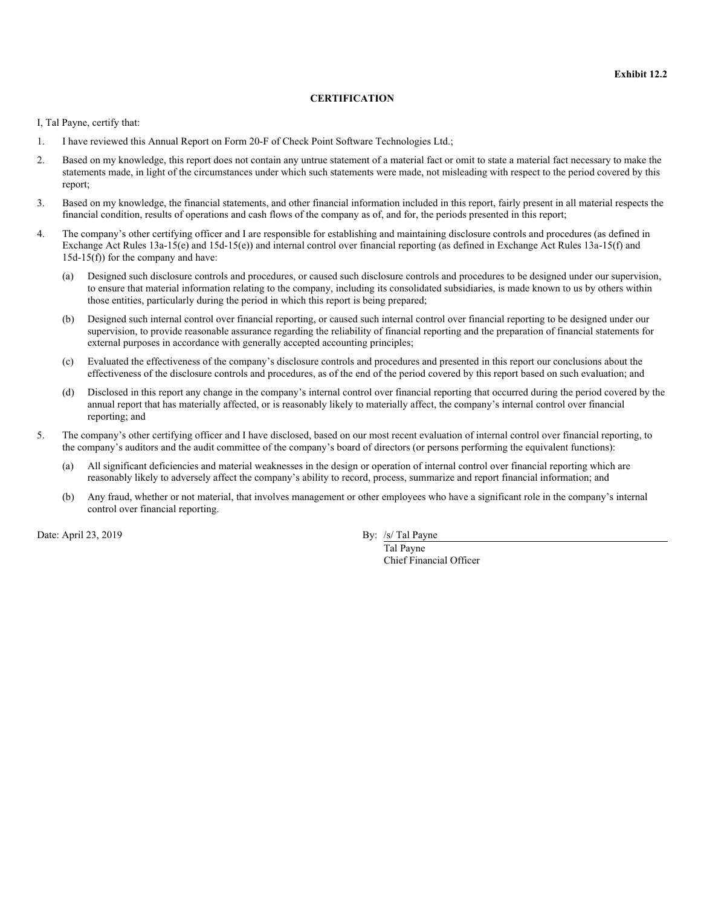I, Tal Payne, certify that:

- 1. I have reviewed this Annual Report on Form 20-F of Check Point Software Technologies Ltd.;
- 2. Based on my knowledge, this report does not contain any untrue statement of a material fact or omit to state a material fact necessary to make the statements made, in light of the circumstances under which such statements were made, not misleading with respect to the period covered by this report;
- 3. Based on my knowledge, the financial statements, and other financial information included in this report, fairly present in all material respects the financial condition, results of operations and cash flows of the company as of, and for, the periods presented in this report;
- 4. The company's other certifying officer and I are responsible for establishing and maintaining disclosure controls and procedures (as defined in Exchange Act Rules 13a-15(e) and 15d-15(e)) and internal control over financial reporting (as defined in Exchange Act Rules 13a-15(f) and 15d-15(f)) for the company and have:
	- (a) Designed such disclosure controls and procedures, or caused such disclosure controls and procedures to be designed under our supervision, to ensure that material information relating to the company, including its consolidated subsidiaries, is made known to us by others within those entities, particularly during the period in which this report is being prepared;
	- (b) Designed such internal control over financial reporting, or caused such internal control over financial reporting to be designed under our supervision, to provide reasonable assurance regarding the reliability of financial reporting and the preparation of financial statements for external purposes in accordance with generally accepted accounting principles;
	- (c) Evaluated the effectiveness of the company's disclosure controls and procedures and presented in this report our conclusions about the effectiveness of the disclosure controls and procedures, as of the end of the period covered by this report based on such evaluation; and
	- (d) Disclosed in this report any change in the company's internal control over financial reporting that occurred during the period covered by the annual report that has materially affected, or is reasonably likely to materially affect, the company's internal control over financial reporting; and
- 5. The company's other certifying officer and I have disclosed, based on our most recent evaluation of internal control over financial reporting, to the company's auditors and the audit committee of the company's board of directors (or persons performing the equivalent functions):
	- (a) All significant deficiencies and material weaknesses in the design or operation of internal control over financial reporting which are reasonably likely to adversely affect the company's ability to record, process, summarize and report financial information; and
	- (b) Any fraud, whether or not material, that involves management or other employees who have a significant role in the company's internal control over financial reporting.

Date: April 23, 2019 By: /s/ Tal Payne

Tal Payne Chief Financial Officer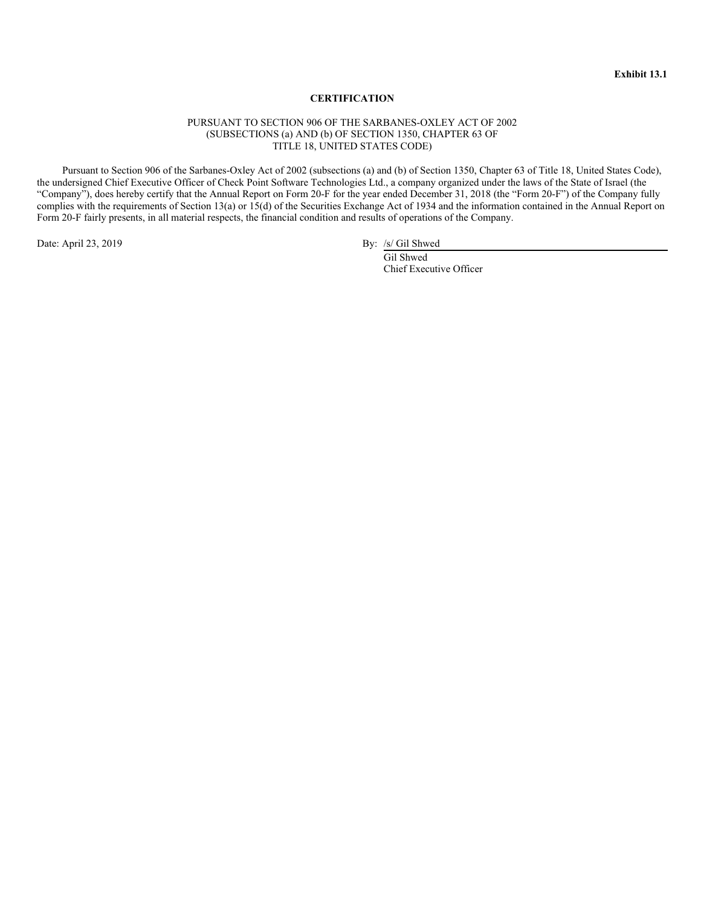#### PURSUANT TO SECTION 906 OF THE SARBANES-OXLEY ACT OF 2002 (SUBSECTIONS (a) AND (b) OF SECTION 1350, CHAPTER 63 OF TITLE 18, UNITED STATES CODE)

Pursuant to Section 906 of the Sarbanes-Oxley Act of 2002 (subsections (a) and (b) of Section 1350, Chapter 63 of Title 18, United States Code), the undersigned Chief Executive Officer of Check Point Software Technologies Ltd., a company organized under the laws of the State of Israel (the "Company"), does hereby certify that the Annual Report on Form 20-F for the year ended December 31, 2018 (the "Form 20-F") of the Company fully complies with the requirements of Section 13(a) or 15(d) of the Securities Exchange Act of 1934 and the information contained in the Annual Report on Form 20-F fairly presents, in all material respects, the financial condition and results of operations of the Company.

Date: April 23, 2019 By: /s/ Gil Shwed

Gil Shwed Chief Executive Officer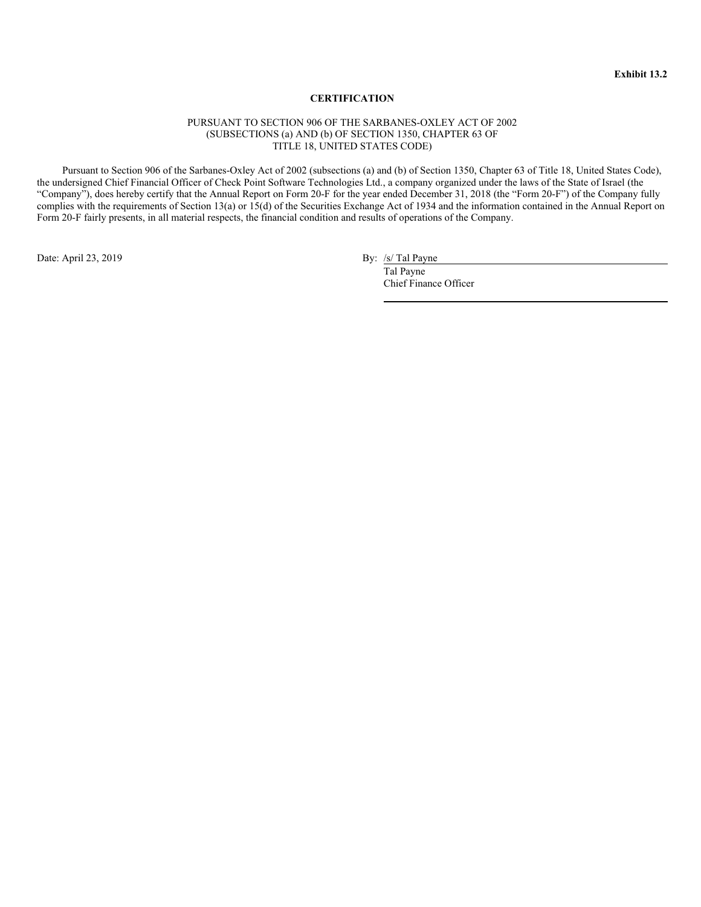#### PURSUANT TO SECTION 906 OF THE SARBANES-OXLEY ACT OF 2002 (SUBSECTIONS (a) AND (b) OF SECTION 1350, CHAPTER 63 OF TITLE 18, UNITED STATES CODE)

Pursuant to Section 906 of the Sarbanes-Oxley Act of 2002 (subsections (a) and (b) of Section 1350, Chapter 63 of Title 18, United States Code), the undersigned Chief Financial Officer of Check Point Software Technologies Ltd., a company organized under the laws of the State of Israel (the "Company"), does hereby certify that the Annual Report on Form 20-F for the year ended December 31, 2018 (the "Form 20-F") of the Company fully complies with the requirements of Section 13(a) or 15(d) of the Securities Exchange Act of 1934 and the information contained in the Annual Report on Form 20-F fairly presents, in all material respects, the financial condition and results of operations of the Company.

Date: April 23, 2019 By: /s/ Tal Payne

Tal Payne Chief Finance Officer